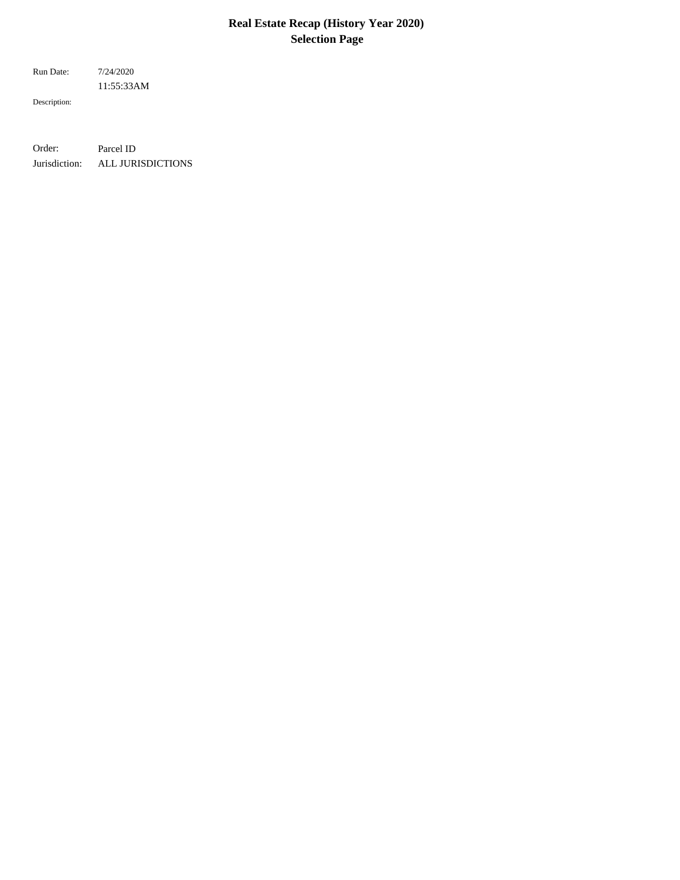# **Real Estate Recap (History Year 2020) Selection Page**

11:55:33AM Run Date: 7/24/2020

Description:

Order: Parcel ID Jurisdiction: ALL JURISDICTIONS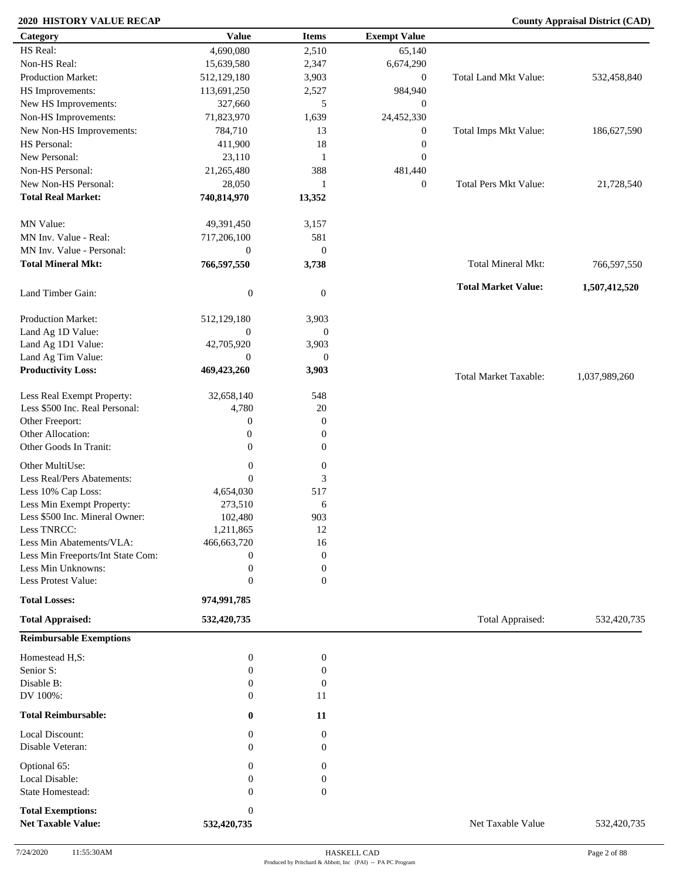| Category                                              | <b>Value</b>                | <b>Items</b>     | <b>Exempt Value</b> |                              |               |
|-------------------------------------------------------|-----------------------------|------------------|---------------------|------------------------------|---------------|
| HS Real:                                              | 4,690,080                   | 2,510            | 65,140              |                              |               |
| Non-HS Real:                                          | 15,639,580                  | 2,347            | 6,674,290           |                              |               |
| Production Market:                                    | 512,129,180                 | 3,903            | $\overline{0}$      | Total Land Mkt Value:        | 532,458,840   |
| HS Improvements:                                      | 113,691,250                 | 2,527            | 984,940             |                              |               |
| New HS Improvements:                                  | 327,660                     | 5                | $\boldsymbol{0}$    |                              |               |
| Non-HS Improvements:                                  | 71,823,970                  | 1,639            | 24,452,330          |                              |               |
| New Non-HS Improvements:                              | 784,710                     | 13               | $\boldsymbol{0}$    | Total Imps Mkt Value:        | 186,627,590   |
| HS Personal:                                          |                             | 18               |                     |                              |               |
| New Personal:                                         | 411,900                     |                  | $\boldsymbol{0}$    |                              |               |
|                                                       | 23,110                      | $\mathbf{1}$     | $\boldsymbol{0}$    |                              |               |
| Non-HS Personal:                                      | 21,265,480                  | 388              | 481,440             |                              |               |
| New Non-HS Personal:                                  | 28,050                      | $\overline{1}$   | $\overline{0}$      | <b>Total Pers Mkt Value:</b> | 21,728,540    |
| <b>Total Real Market:</b>                             | 740,814,970                 | 13,352           |                     |                              |               |
| MN Value:                                             | 49,391,450                  | 3,157            |                     |                              |               |
| MN Inv. Value - Real:                                 | 717,206,100                 | 581              |                     |                              |               |
| MN Inv. Value - Personal:                             | $\boldsymbol{0}$            | $\mathbf{0}$     |                     |                              |               |
| <b>Total Mineral Mkt:</b>                             | 766,597,550                 | 3,738            |                     | Total Mineral Mkt:           | 766,597,550   |
| Land Timber Gain:                                     | $\boldsymbol{0}$            | $\mathbf{0}$     |                     | <b>Total Market Value:</b>   | 1,507,412,520 |
| Production Market:                                    | 512,129,180                 | 3,903            |                     |                              |               |
| Land Ag 1D Value:                                     | $\overline{0}$              | $\mathbf{0}$     |                     |                              |               |
| Land Ag 1D1 Value:                                    | 42,705,920                  | 3,903            |                     |                              |               |
| Land Ag Tim Value:                                    | $\overline{0}$              | $\mathbf{0}$     |                     |                              |               |
| <b>Productivity Loss:</b>                             | 469,423,260                 | 3,903            |                     |                              |               |
|                                                       |                             |                  |                     | <b>Total Market Taxable:</b> | 1,037,989,260 |
| Less Real Exempt Property:                            | 32,658,140                  | 548              |                     |                              |               |
| Less \$500 Inc. Real Personal:                        | 4,780                       | $20\,$           |                     |                              |               |
| Other Freeport:                                       | 0                           | $\mathbf{0}$     |                     |                              |               |
| Other Allocation:                                     | $\boldsymbol{0}$            | $\boldsymbol{0}$ |                     |                              |               |
| Other Goods In Tranit:                                | $\mathbf{0}$                | $\overline{0}$   |                     |                              |               |
| Other MultiUse:                                       | $\boldsymbol{0}$            | $\boldsymbol{0}$ |                     |                              |               |
| Less Real/Pers Abatements:                            | $\theta$                    | 3                |                     |                              |               |
| Less 10% Cap Loss:                                    | 4,654,030                   | 517              |                     |                              |               |
| Less Min Exempt Property:                             | 273,510                     | 6                |                     |                              |               |
| Less \$500 Inc. Mineral Owner:                        | 102,480                     | 903              |                     |                              |               |
| Less TNRCC:                                           | 1,211,865                   | 12               |                     |                              |               |
| Less Min Abatements/VLA:                              | 466,663,720                 | 16               |                     |                              |               |
| Less Min Freeports/Int State Com:                     | $\boldsymbol{0}$            | $\mathbf{0}$     |                     |                              |               |
| Less Min Unknowns:                                    | $\boldsymbol{0}$            | $\boldsymbol{0}$ |                     |                              |               |
| Less Protest Value:                                   | $\boldsymbol{0}$            | $\mathbf{0}$     |                     |                              |               |
| <b>Total Losses:</b>                                  | 974,991,785                 |                  |                     |                              |               |
| <b>Total Appraised:</b>                               | 532,420,735                 |                  |                     | Total Appraised:             | 532,420,735   |
| <b>Reimbursable Exemptions</b>                        |                             |                  |                     |                              |               |
| Homestead H,S:                                        | $\boldsymbol{0}$            | $\boldsymbol{0}$ |                     |                              |               |
| Senior S:                                             | $\boldsymbol{0}$            | $\boldsymbol{0}$ |                     |                              |               |
| Disable B:                                            | $\mathbf{0}$                | $\boldsymbol{0}$ |                     |                              |               |
| DV 100%:                                              | $\mathbf{0}$                | 11               |                     |                              |               |
| <b>Total Reimbursable:</b>                            | $\bf{0}$                    | 11               |                     |                              |               |
| Local Discount:                                       | $\boldsymbol{0}$            | $\mathbf{0}$     |                     |                              |               |
| Disable Veteran:                                      | $\Omega$                    | $\mathbf{0}$     |                     |                              |               |
| Optional 65:                                          | $\mathbf{0}$                | $\mathbf{0}$     |                     |                              |               |
| Local Disable:                                        | $\mathbf{0}$                | $\mathbf{0}$     |                     |                              |               |
| State Homestead:                                      | $\Omega$                    | $\mathbf{0}$     |                     |                              |               |
|                                                       |                             |                  |                     |                              |               |
| <b>Total Exemptions:</b><br><b>Net Taxable Value:</b> | $\mathbf{0}$<br>532,420,735 |                  |                     | Net Taxable Value            | 532,420,735   |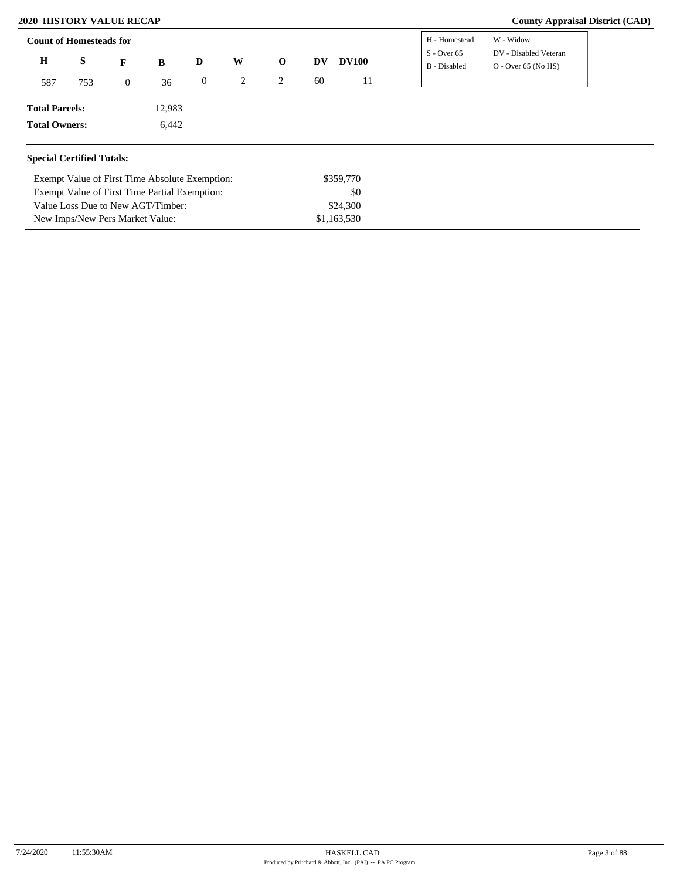Exempt Value of First Time Absolute Exemption: Exempt Value of First Time Partial Exemption:

Value Loss Due to New AGT/Timber: New Imps/New Pers Market Value:

| $\mathbf H$<br>S<br>W<br><b>DV100</b><br>$\mathbf 0$<br>D<br><b>DV</b><br>B<br>F<br>2<br>60<br>$\boldsymbol{0}$<br>2<br>11<br>587<br>753<br>36<br>$\overline{0}$ | DV - Disabled Veteran<br>$S - Over 65$<br>B - Disabled<br>$O - Over 65 (No HS)$ |
|------------------------------------------------------------------------------------------------------------------------------------------------------------------|---------------------------------------------------------------------------------|
|                                                                                                                                                                  |                                                                                 |
|                                                                                                                                                                  |                                                                                 |
| 12,983<br><b>Total Parcels:</b>                                                                                                                                  |                                                                                 |
| <b>Total Owners:</b><br>6,442                                                                                                                                    |                                                                                 |

\$359,770 \$0 \$24,300 \$1,163,530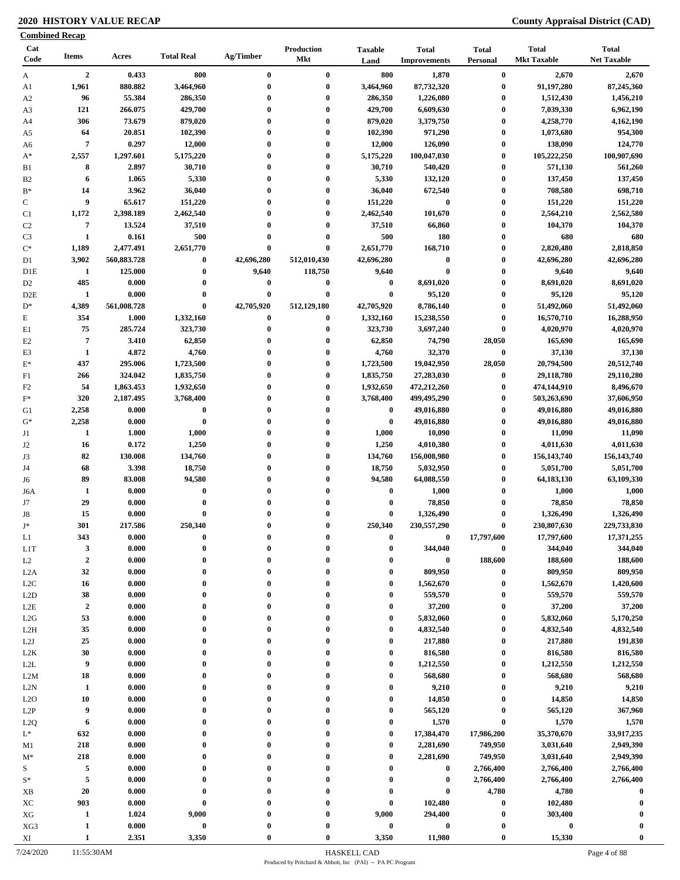|                        | <b>Combined Recap</b>            |                    |                      |                      |                                 |                                      |                                     |                                      |                                    |                                    |
|------------------------|----------------------------------|--------------------|----------------------|----------------------|---------------------------------|--------------------------------------|-------------------------------------|--------------------------------------|------------------------------------|------------------------------------|
| Cat<br>Code            | <b>Items</b>                     | Acres              | <b>Total Real</b>    | Ag/Timber            | <b>Production</b><br><b>Mkt</b> | <b>Taxable</b><br>Land               | <b>Total</b><br><b>Improvements</b> | <b>Total</b><br><b>Personal</b>      | <b>Total</b><br><b>Mkt Taxable</b> | <b>Total</b><br><b>Net Taxable</b> |
| A                      | $\overline{2}$                   | 0.433              | 800                  | $\bf{0}$             | $\bf{0}$                        | 800                                  | 1,870                               | $\bf{0}$                             | 2,670                              | 2,670                              |
| A1                     | 1,961                            | 880.882            | 3,464,960            | $\bf{0}$             | $\bf{0}$                        | 3,464,960                            | 87,732,320                          | $\bf{0}$                             | 91,197,280                         | 87,245,360                         |
| A <sub>2</sub>         | 96                               | 55.384             | 286,350              | $\bf{0}$             | $\bf{0}$                        | 286,350                              | 1,226,080                           | $\boldsymbol{0}$                     | 1,512,430                          | 1,456,210                          |
| A3                     | 121                              | 266.075            | 429,700              | $\bf{0}$             | $\bf{0}$                        | 429,700                              | 6,609,630                           | $\boldsymbol{0}$                     | 7,039,330                          | 6,962,190                          |
| A4                     | 306                              | 73.679             | 879,020              | 0                    | $\bf{0}$                        | 879,020                              | 3,379,750                           | $\boldsymbol{0}$                     | 4,258,770                          | 4,162,190                          |
| A5                     | 64                               | 20.851             | 102,390              | $\bf{0}$             | $\bf{0}$                        | 102,390                              | 971,290                             | $\boldsymbol{0}$                     | 1,073,680                          | 954,300                            |
| A6                     | $\overline{7}$                   | 0.297              | 12,000               | $\bf{0}$<br>$\bf{0}$ | $\bf{0}$<br>$\bf{0}$            | 12,000                               | 126,090                             | $\boldsymbol{0}$<br>$\boldsymbol{0}$ | 138,090                            | 124,770<br>100,907,690             |
| $A^*$                  | 2,557<br>8                       | 1,297.601<br>2.897 | 5,175,220<br>30,710  | $\bf{0}$             | $\bf{0}$                        | 5,175,220<br>30,710                  | 100,047,030<br>540,420              | $\boldsymbol{0}$                     | 105,222,250<br>571,130             | 561,260                            |
| B1<br>B <sub>2</sub>   | 6                                | 1.065              | 5,330                | $\bf{0}$             | $\bf{0}$                        | 5,330                                | 132,120                             | $\boldsymbol{0}$                     | 137,450                            | 137,450                            |
| $B*$                   | 14                               | 3.962              | 36,040               | 0                    | $\bf{0}$                        | 36,040                               | 672,540                             | $\boldsymbol{0}$                     | 708,580                            | 698,710                            |
| $\mathbf C$            | 9                                | 65.617             | 151,220              | $\bf{0}$             | $\bf{0}$                        | 151,220                              | $\bf{0}$                            | $\boldsymbol{0}$                     | 151,220                            | 151,220                            |
| C1                     | 1,172                            | 2,398.189          | 2,462,540            | $\mathbf{0}$         | $\bf{0}$                        | 2,462,540                            | 101,670                             | $\boldsymbol{0}$                     | 2,564,210                          | 2,562,580                          |
| C <sub>2</sub>         | $\overline{7}$                   | 13.524             | 37,510               | $\bf{0}$             | $\bf{0}$                        | 37,510                               | 66,860                              | $\bf{0}$                             | 104,370                            | 104,370                            |
| C <sub>3</sub>         | $\mathbf{1}$                     | 0.161              | 500                  | $\bf{0}$             | $\bf{0}$                        | 500                                  | 180                                 | $\boldsymbol{0}$                     | 680                                | 680                                |
| $C^*$                  | 1,189                            | 2,477.491          | 2,651,770            | $\bf{0}$             | $\bf{0}$                        | 2,651,770                            | 168,710                             | $\bf{0}$                             | 2,820,480                          | 2,818,850                          |
| D1                     | 3,902                            | 560,883.728        | $\bf{0}$             | 42,696,280           | 512,010,430                     | 42,696,280                           | $\boldsymbol{0}$                    | $\bf{0}$                             | 42,696,280                         | 42,696,280                         |
| D <sub>1</sub> E       | -1                               | 125.000            | $\bf{0}$             | 9,640                | 118,750                         | 9,640                                | $\bf{0}$                            | $\bf{0}$                             | 9,640                              | 9,640                              |
| D <sub>2</sub>         | 485                              | 0.000              | $\bf{0}$             | 0                    | $\boldsymbol{0}$                | $\bf{0}$                             | 8,691,020                           | $\boldsymbol{0}$                     | 8,691,020                          | 8,691,020                          |
| D <sub>2</sub> E       | 1                                | 0.000              | $\bf{0}$             | $\bf{0}$             | $\bf{0}$                        | $\bf{0}$                             | 95,120                              | $\bf{0}$                             | 95,120                             | 95,120                             |
| $D^*$                  | 4,389                            | 561,008.728        | $\bf{0}$             | 42,705,920           | 512,129,180                     | 42,705,920                           | 8,786,140                           | $\bf{0}$                             | 51,492,060                         | 51,492,060                         |
| $\mathbf E$            | 354                              | 1.000              | 1,332,160            | $\bf{0}$             | $\bf{0}$                        | 1,332,160                            | 15,238,550                          | $\bf{0}$                             | 16,570,710                         | 16,288,950                         |
| E1                     | 75                               | 285.724            | 323,730              | $\bf{0}$             | $\bf{0}$                        | 323,730                              | 3,697,240                           | $\bf{0}$                             | 4,020,970                          | 4,020,970                          |
| E2                     | $\overline{7}$                   | 3.410              | 62,850               | 0                    | $\bf{0}$                        | 62,850                               | 74,790                              | 28,050                               | 165,690                            | 165,690                            |
| E3                     | 1                                | 4.872              | 4,760                | $\bf{0}$             | $\bf{0}$                        | 4,760                                | 32,370                              | $\boldsymbol{0}$                     | 37,130                             | 37,130                             |
| $E^*$                  | 437                              | 295.006            | 1,723,500            | 0                    | $\bf{0}$                        | 1,723,500                            | 19,042,950                          | 28,050                               | 20,794,500                         | 20,512,740                         |
| F1                     | 266                              | 324.042            | 1,835,750            | $\bf{0}$             | $\bf{0}$                        | 1,835,750                            | 27,283,030                          | $\bf{0}$                             | 29,118,780                         | 29,110,280                         |
| F <sub>2</sub>         | 54                               | 1,863.453          | 1,932,650            | $\bf{0}$             | $\bf{0}$                        | 1,932,650                            | 472,212,260                         | $\bf{0}$                             | 474,144,910                        | 8,496,670                          |
| $F^*$                  | 320                              | 2,187.495          | 3,768,400            | $\bf{0}$             | $\bf{0}$                        | 3,768,400                            | 499,495,290                         | $\bf{0}$                             | 503,263,690                        | 37,606,950                         |
| G1                     | 2,258                            | 0.000              | $\bf{0}$             | $\bf{0}$             | $\bf{0}$                        | $\bf{0}$                             | 49,016,880                          | $\bf{0}$                             | 49,016,880                         | 49,016,880                         |
| $G^*$                  | 2,258                            | 0.000              | $\bf{0}$             | $\bf{0}$             | $\bf{0}$                        | $\bf{0}$                             | 49,016,880                          | $\bf{0}$                             | 49,016,880                         | 49,016,880                         |
| J1                     | 1                                | 1.000              | 1,000                | $\bf{0}$             | $\bf{0}$                        | 1,000                                | 10,090                              | $\bf{0}$                             | 11,090                             | 11,090                             |
| J2                     | 16                               | 0.172              | 1,250                | $\bf{0}$             | $\bf{0}$                        | 1,250                                | 4,010,380                           | $\bf{0}$                             | 4,011,630                          | 4,011,630                          |
| J3                     | 82                               | 130.008            | 134,760              | $\bf{0}$             | $\bf{0}$                        | 134,760                              | 156,008,980                         | $\bf{0}$                             | 156, 143, 740                      | 156, 143, 740                      |
| J4                     | 68                               | 3.398              | 18,750               | $\bf{0}$             | $\bf{0}$                        | 18,750                               | 5,032,950                           | $\bf{0}$                             | 5,051,700                          | 5,051,700                          |
| J6                     | 89                               | 83.008             | 94,580               | $\bf{0}$             | $\bf{0}$                        | 94,580                               | 64,088,550                          | $\bf{0}$                             | 64,183,130                         | 63,109,330                         |
| J6A                    | 1                                | 0.000              | $\bf{0}$             | 0                    | $\bf{0}$                        | $\bf{0}$                             | 1,000                               | $\boldsymbol{0}$                     | 1,000                              | 1,000                              |
| J7                     | 29                               | 0.000              | $\bf{0}$             | $\bf{0}$             | $\bf{0}$                        | $\bf{0}$                             | 78,850                              | $\bf{0}$                             | 78,850                             | 78,850                             |
| J8                     | 15                               | 0.000              | $\bf{0}$             | $\bf{0}$             | $\bf{0}$                        | $\bf{0}$                             | 1,326,490                           | $\bf{0}$                             | 1,326,490                          | 1,326,490                          |
| $J^*$                  | 301                              | 217.586            | 250,340              |                      |                                 | 250,340                              | 230,557,290                         | $\boldsymbol{0}$                     | 230,807,630                        | 229,733,830                        |
| L1                     | 343                              | 0.000              | $\bf{0}$             | 0                    | $\mathbf{0}$                    | $\bf{0}$                             | 0                                   | 17,797,600                           | 17,797,600                         | 17,371,255                         |
| L <sub>1</sub> T       | $\mathbf{3}$<br>$\boldsymbol{2}$ | 0.000              | $\bf{0}$<br>$\bf{0}$ | $\bf{0}$<br>0        | $\bf{0}$<br>$\bf{0}$            | $\boldsymbol{0}$<br>$\boldsymbol{0}$ | 344,040<br>$\boldsymbol{0}$         | $\boldsymbol{0}$<br>188,600          | 344,040<br>188,600                 | 344,040<br>188,600                 |
| L2                     | 32                               | 0.000<br>0.000     | $\bf{0}$             | 0                    | $\mathbf{0}$                    | $\bf{0}$                             | 809,950                             | $\bf{0}$                             | 809,950                            | 809,950                            |
| L2A<br>L2C             | 16                               | 0.000              | $\bf{0}$             | $\bf{0}$             | $\bf{0}$                        | $\bf{0}$                             | 1,562,670                           | $\bf{0}$                             | 1,562,670                          | 1,420,600                          |
| L2D                    | 38                               | 0.000              | $\bf{0}$             | $\bf{0}$             | $\bf{0}$                        | $\bf{0}$                             | 559,570                             | $\bf{0}$                             | 559,570                            | 559,570                            |
| $_{\rm L2E}$           | $\boldsymbol{2}$                 | 0.000              | $\bf{0}$             | $\bf{0}$             | $\bf{0}$                        | $\boldsymbol{0}$                     | 37,200                              | $\bf{0}$                             | 37,200                             | 37,200                             |
| L2G                    | 53                               | 0.000              | $\bf{0}$             | $\bf{0}$             | $\bf{0}$                        | $\bf{0}$                             | 5,832,060                           | $\bf{0}$                             | 5,832,060                          | 5,170,250                          |
| L <sub>2</sub> H       | 35                               | 0.000              | $\bf{0}$             | $\bf{0}$             | $\bf{0}$                        | $\bf{0}$                             | 4,832,540                           | $\bf{0}$                             | 4,832,540                          | 4,832,540                          |
| L2J                    | 25                               | 0.000              | $\bf{0}$             | $\bf{0}$             | $\bf{0}$                        | $\boldsymbol{0}$                     | 217,880                             | $\bf{0}$                             | 217,880                            | 191,830                            |
| L <sub>2</sub> K       | 30                               | 0.000              | $\bf{0}$             | $\bf{0}$             | $\bf{0}$                        | $\boldsymbol{0}$                     | 816,580                             | $\bf{0}$                             | 816,580                            | 816,580                            |
| $\mbox{L2L}$           | 9                                | 0.000              | $\bf{0}$             | $\bf{0}$             | $\bf{0}$                        | $\bf{0}$                             | 1,212,550                           | $\boldsymbol{0}$                     | 1,212,550                          | 1,212,550                          |
| L2M                    | 18                               | 0.000              | $\bf{0}$             | $\bf{0}$             | $\bf{0}$                        | $\bf{0}$                             | 568,680                             | $\bf{0}$                             | 568,680                            | 568,680                            |
| L2N                    | 1                                | 0.000              | $\bf{0}$             | $\bf{0}$             | $\bf{0}$                        | $\boldsymbol{0}$                     | 9,210                               | $\bf{0}$                             | 9,210                              | 9,210                              |
| L2O                    | 10                               | 0.000              | $\bf{0}$             | $\bf{0}$             | $\mathbf{0}$                    | $\boldsymbol{0}$                     | 14,850                              | $\bf{0}$                             | 14,850                             | 14,850                             |
| L2P                    | 9                                | 0.000              | $\bf{0}$             | $\bf{0}$             | $\bf{0}$                        | $\bf{0}$                             | 565,120                             | $\bf{0}$                             | 565,120                            | 367,960                            |
| L <sub>2</sub> Q       | 6                                | 0.000              | $\bf{0}$             | 0                    | $\boldsymbol{0}$                | $\boldsymbol{0}$                     | 1,570                               | $\bf{0}$                             | 1,570                              | 1,570                              |
| $L^*$                  | 632                              | 0.000              | $\bf{0}$             |                      | $\boldsymbol{0}$                | $\bf{0}$                             | 17,384,470                          | 17,986,200                           | 35,370,670                         | 33,917,235                         |
| M1                     | 218                              | 0.000              | $\bf{0}$             | 0                    | $\mathbf{0}$                    | $\boldsymbol{0}$                     | 2,281,690                           | 749,950                              | 3,031,640                          | 2,949,390                          |
| $M^*$                  | 218                              | 0.000              | $\bf{0}$             | 0                    | $\bf{0}$                        | $\bf{0}$                             | 2,281,690                           | 749,950                              | 3,031,640                          | 2,949,390                          |
| S                      | 5                                | 0.000              | $\bf{0}$             | 0                    | $\bf{0}$                        | $\bf{0}$                             | $\bf{0}$                            | 2,766,400                            | 2,766,400                          | 2,766,400                          |
| $S^*$                  | $\sqrt{5}$                       | 0.000              | $\bf{0}$             |                      | $\bf{0}$                        | $\boldsymbol{0}$                     | $\bf{0}$                            | 2,766,400                            | 2,766,400                          | 2,766,400                          |
| XB                     | 20                               | 0.000              | $\bf{0}$             | $\mathbf{0}$         | $\bf{0}$                        | $\boldsymbol{0}$                     | $\bf{0}$                            | 4,780                                | 4,780                              | $\bf{0}$                           |
| XC                     | 903                              | 0.000              | $\bf{0}$             | 0                    | $\bf{0}$                        | $\boldsymbol{0}$                     | 102,480                             | $\bf{0}$                             | 102,480                            | $\mathbf 0$                        |
| ${\rm XG}$             | 1                                | 1.024              | 9,000                |                      | $\bf{0}$                        | 9,000                                | 294,400                             | $\boldsymbol{0}$                     | 303,400                            |                                    |
| XG3                    | $\mathbf{1}$                     | 0.000              | $\pmb{0}$            |                      | $\bf{0}$                        | $\bf{0}$                             | $\pmb{0}$                           | $\boldsymbol{0}$                     | $\boldsymbol{0}$                   |                                    |
| $\mathbf{X}\mathbf{I}$ | $\mathbf{1}$                     | 2.351              | 3,350                | $\mathbf{0}$         | $\bf{0}$                        | 3,350                                | 11,980                              | $\boldsymbol{0}$                     | 15,330                             | $\bf{0}$                           |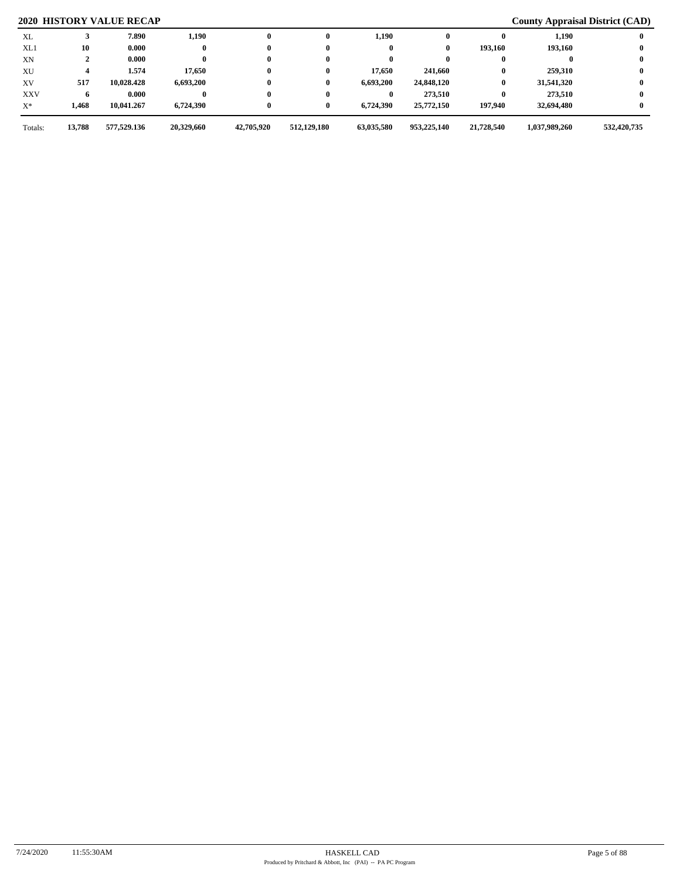| XL         |        | 7.890       | 1,190      | $\mathbf{0}$ | 0           | 1,190      |             |            | 1,190         |             |
|------------|--------|-------------|------------|--------------|-------------|------------|-------------|------------|---------------|-------------|
| XL1        | 10     | 0.000       |            | $\bf{0}$     |             |            | 0           | 193,160    | 193,160       |             |
| XN         |        | 0.000       |            | $\bf{0}$     |             |            |             |            |               |             |
| XU         |        | 1.574       | 17,650     | $\bf{0}$     | 0           | 17,650     | 241,660     | 0          | 259,310       |             |
| XV         | 517    | 10,028.428  | 6,693,200  | $\bf{0}$     | 0           | 6,693,200  | 24,848,120  | $\bf{0}$   | 31,541,320    |             |
| <b>XXV</b> |        | 0.000       |            | $\bf{0}$     |             |            | 273,510     | 0          | 273.510       |             |
| $X^*$      | 1,468  | 10,041.267  | 6,724,390  | $\bf{0}$     | 0           | 6,724,390  | 25,772,150  | 197,940    | 32,694,480    |             |
| Totals:    | 13,788 | 577,529.136 | 20,329,660 | 42,705,920   | 512,129,180 | 63,035,580 | 953,225,140 | 21,728,540 | 1,037,989,260 | 532,420,735 |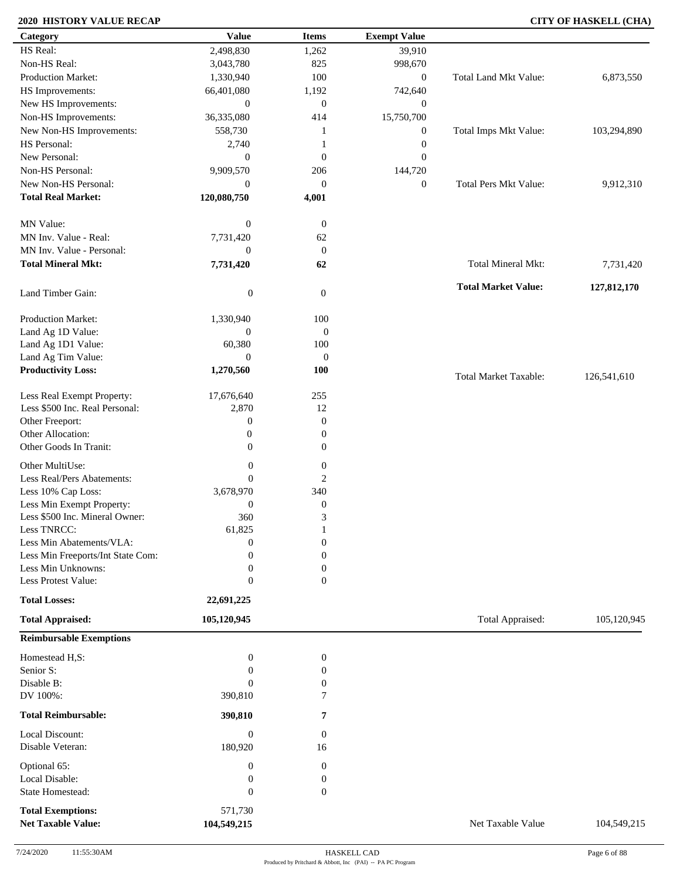# **2020 HISTORY VALUE RECAP CITY OF HASKELL (CHA)**

| Category                          | <b>Value</b>               | <b>Items</b>                       | <b>Exempt Value</b> |                              |             |
|-----------------------------------|----------------------------|------------------------------------|---------------------|------------------------------|-------------|
| HS Real:                          | 2,498,830                  | 1,262                              | 39,910              |                              |             |
| Non-HS Real:                      | 3,043,780                  | 825                                | 998,670             |                              |             |
| Production Market:                | 1,330,940                  | $100\,$                            | $\boldsymbol{0}$    | <b>Total Land Mkt Value:</b> | 6,873,550   |
| HS Improvements:                  | 66,401,080                 | 1,192                              | 742,640             |                              |             |
| New HS Improvements:              | $\mathbf{0}$               | $\mathbf{0}$                       | $\mathbf{0}$        |                              |             |
| Non-HS Improvements:              | 36,335,080                 | 414                                | 15,750,700          |                              |             |
| New Non-HS Improvements:          | 558,730                    | 1                                  | $\mathbf{0}$        | Total Imps Mkt Value:        | 103,294,890 |
| HS Personal:                      | 2,740                      | 1                                  | $\boldsymbol{0}$    |                              |             |
| New Personal:                     | $\mathbf{0}$               | $\boldsymbol{0}$                   | $\mathbf{0}$        |                              |             |
| Non-HS Personal:                  | 9,909,570                  | 206                                | 144,720             |                              |             |
| New Non-HS Personal:              | $\mathbf{0}$               | $\boldsymbol{0}$                   | $\boldsymbol{0}$    | <b>Total Pers Mkt Value:</b> | 9,912,310   |
| <b>Total Real Market:</b>         | 120,080,750                |                                    |                     |                              |             |
|                                   |                            | 4,001                              |                     |                              |             |
| MN Value:                         | $\boldsymbol{0}$           | $\mathbf{0}$                       |                     |                              |             |
| MN Inv. Value - Real:             | 7,731,420                  | 62                                 |                     |                              |             |
| MN Inv. Value - Personal:         | $\boldsymbol{0}$           | $\boldsymbol{0}$                   |                     |                              |             |
| <b>Total Mineral Mkt:</b>         | 7,731,420                  | 62                                 |                     | Total Mineral Mkt:           | 7,731,420   |
|                                   |                            |                                    |                     |                              |             |
| Land Timber Gain:                 | $\boldsymbol{0}$           | $\mathbf{0}$                       |                     | <b>Total Market Value:</b>   | 127,812,170 |
| Production Market:                | 1,330,940                  | 100                                |                     |                              |             |
| Land Ag 1D Value:                 | 0                          | $\boldsymbol{0}$                   |                     |                              |             |
| Land Ag 1D1 Value:                |                            | 100                                |                     |                              |             |
| Land Ag Tim Value:                | 60,380<br>$\overline{0}$   | $\mathbf{0}$                       |                     |                              |             |
| <b>Productivity Loss:</b>         | 1,270,560                  | 100                                |                     |                              |             |
|                                   |                            |                                    |                     | <b>Total Market Taxable:</b> | 126,541,610 |
| Less Real Exempt Property:        | 17,676,640                 | 255                                |                     |                              |             |
| Less \$500 Inc. Real Personal:    | 2,870                      | 12                                 |                     |                              |             |
| Other Freeport:                   | $\boldsymbol{0}$           | $\boldsymbol{0}$                   |                     |                              |             |
| Other Allocation:                 | $\boldsymbol{0}$           | $\boldsymbol{0}$                   |                     |                              |             |
| Other Goods In Tranit:            | $\boldsymbol{0}$           | $\boldsymbol{0}$                   |                     |                              |             |
| Other MultiUse:                   | $\boldsymbol{0}$           | $\boldsymbol{0}$                   |                     |                              |             |
| Less Real/Pers Abatements:        | $\overline{0}$             | 2                                  |                     |                              |             |
| Less 10% Cap Loss:                | 3,678,970                  | 340                                |                     |                              |             |
| Less Min Exempt Property:         | $\boldsymbol{0}$           | $\boldsymbol{0}$                   |                     |                              |             |
| Less \$500 Inc. Mineral Owner:    | 360                        | 3                                  |                     |                              |             |
| Less TNRCC:                       |                            | 1                                  |                     |                              |             |
| Less Min Abatements/VLA:          | 61,825<br>$\boldsymbol{0}$ | $\boldsymbol{0}$                   |                     |                              |             |
| Less Min Freeports/Int State Com: | 0                          | $\overline{0}$                     |                     |                              |             |
| Less Min Unknowns:                |                            |                                    |                     |                              |             |
| Less Protest Value:               | 0<br>$\boldsymbol{0}$      | $\boldsymbol{0}$<br>$\overline{0}$ |                     |                              |             |
|                                   |                            |                                    |                     |                              |             |
| <b>Total Losses:</b>              | 22,691,225                 |                                    |                     |                              |             |
| <b>Total Appraised:</b>           | 105,120,945                |                                    |                     | Total Appraised:             | 105,120,945 |
| <b>Reimbursable Exemptions</b>    |                            |                                    |                     |                              |             |
| Homestead H,S:                    | $\boldsymbol{0}$           | $\boldsymbol{0}$                   |                     |                              |             |
| Senior S:                         | $\overline{0}$             | 0                                  |                     |                              |             |
| Disable B:                        | $\boldsymbol{0}$           | $\boldsymbol{0}$                   |                     |                              |             |
| DV 100%:                          | 390,810                    | 7                                  |                     |                              |             |
| <b>Total Reimbursable:</b>        | 390,810                    | 7                                  |                     |                              |             |
| Local Discount:                   | $\boldsymbol{0}$           | $\boldsymbol{0}$                   |                     |                              |             |
| Disable Veteran:                  | 180,920                    | 16                                 |                     |                              |             |
| Optional 65:                      | $\boldsymbol{0}$           | $\boldsymbol{0}$                   |                     |                              |             |
| Local Disable:                    | 0                          | $\boldsymbol{0}$                   |                     |                              |             |
| State Homestead:                  | $\overline{0}$             | $\mathbf{0}$                       |                     |                              |             |
|                                   |                            |                                    |                     |                              |             |
| <b>Total Exemptions:</b>          | 571,730                    |                                    |                     |                              |             |
| <b>Net Taxable Value:</b>         | 104,549,215                |                                    |                     | Net Taxable Value            | 104,549,215 |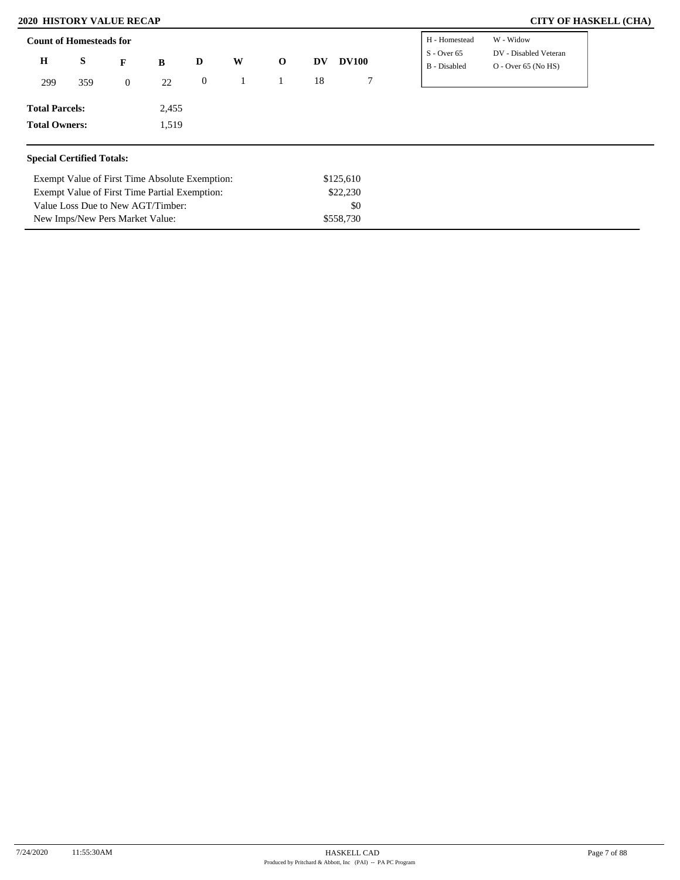### **2020 HISTORY VALUE RECAP**

Exempt Value of First Time Absolute Exemption: Exempt Value of First Time Partial Exemption:

Value Loss Due to New AGT/Timber: New Imps/New Pers Market Value:

|  |  | <b>CITY OF HASKELL (CHA)</b> |  |
|--|--|------------------------------|--|
|--|--|------------------------------|--|

|                       | <b>Count of Homesteads for</b> |                  |       |                |   |             |    |              | H - Homestead                 | W - Widow                                      |
|-----------------------|--------------------------------|------------------|-------|----------------|---|-------------|----|--------------|-------------------------------|------------------------------------------------|
| $\mathbf H$           | S                              | F                | B     | D              | W | $\mathbf 0$ | DV | <b>DV100</b> | $S -$ Over 65<br>B - Disabled | DV - Disabled Veteran<br>$O - Over 65 (No HS)$ |
| 299                   | 359                            | $\boldsymbol{0}$ | 22    | $\overline{0}$ |   |             | 18 | 7            |                               |                                                |
| <b>Total Parcels:</b> |                                |                  | 2,455 |                |   |             |    |              |                               |                                                |
| <b>Total Owners:</b>  |                                |                  | 1,519 |                |   |             |    |              |                               |                                                |

\$125,610 \$22,230 \$0 \$558,730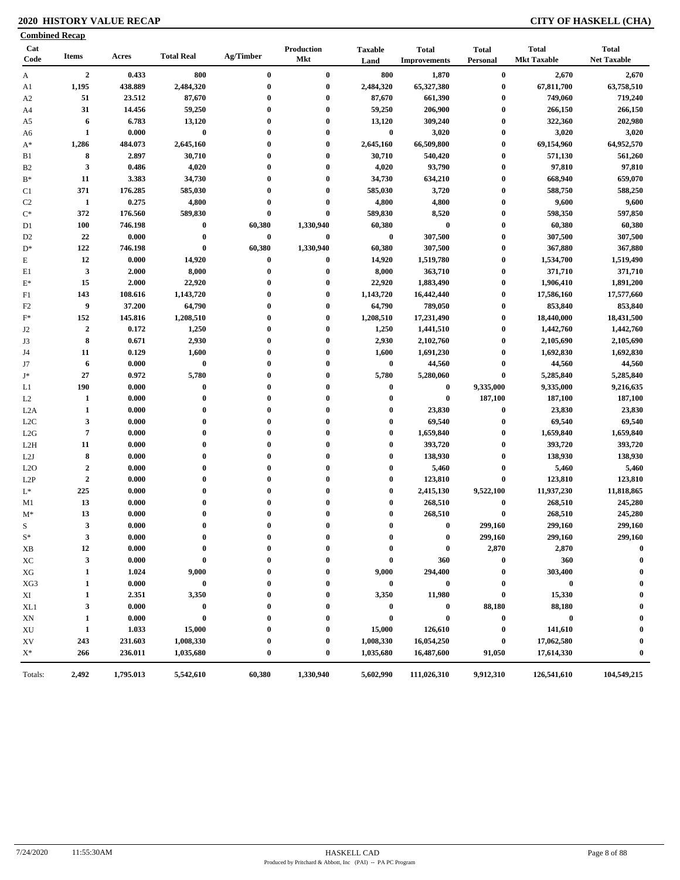# **2020 HISTORY VALUE RECAP CITY OF HASKELL (CHA)**

|                        | <b>Combined Recap</b> |           |                   |              |                          |                        |                                     |                          |                                    |                                    |
|------------------------|-----------------------|-----------|-------------------|--------------|--------------------------|------------------------|-------------------------------------|--------------------------|------------------------------------|------------------------------------|
| Cat<br>Code            | <b>Items</b>          | Acres     | <b>Total Real</b> | Ag/Timber    | Production<br><b>Mkt</b> | <b>Taxable</b><br>Land | <b>Total</b><br><b>Improvements</b> | <b>Total</b><br>Personal | <b>Total</b><br><b>Mkt Taxable</b> | <b>Total</b><br><b>Net Taxable</b> |
| A                      | $\overline{2}$        | 0.433     | 800               | $\bf{0}$     | $\bf{0}$                 | 800                    | 1,870                               | $\bf{0}$                 | 2,670                              | 2,670                              |
| A1                     | 1,195                 | 438.889   | 2,484,320         | $\bf{0}$     | $\bf{0}$                 | 2,484,320              | 65,327,380                          | $\boldsymbol{0}$         | 67,811,700                         | 63,758,510                         |
| A <sub>2</sub>         | 51                    | 23.512    | 87,670            | $\bf{0}$     | $\bf{0}$                 | 87,670                 | 661,390                             | $\boldsymbol{0}$         | 749,060                            | 719,240                            |
| A4                     | 31                    | 14.456    | 59,250            | $\bf{0}$     | $\bf{0}$                 | 59,250                 | 206,900                             | $\boldsymbol{0}$         | 266,150                            | 266,150                            |
| A5                     | 6                     | 6.783     | 13,120            | 0            | $\bf{0}$                 | 13,120                 | 309,240                             | $\boldsymbol{0}$         | 322,360                            | 202,980                            |
| A6                     | $\mathbf{1}$          | 0.000     | $\bf{0}$          | $\bf{0}$     | $\bf{0}$                 | $\bf{0}$               | 3,020                               | $\boldsymbol{0}$         | 3,020                              | 3,020                              |
| $A^*$                  | 1,286                 | 484.073   | 2,645,160         | $\bf{0}$     | $\bf{0}$                 | 2,645,160              | 66,509,800                          | $\boldsymbol{0}$         | 69,154,960                         | 64,952,570                         |
| B1                     | 8                     | 2.897     | 30,710            | $\bf{0}$     | $\bf{0}$                 | 30,710                 | 540,420                             | $\boldsymbol{0}$         | 571,130                            | 561,260                            |
| B <sub>2</sub>         | $\mathbf{3}$          | 0.486     | 4,020             | $\bf{0}$     | $\bf{0}$                 | 4,020                  | 93,790                              | $\boldsymbol{0}$         | 97,810                             | 97,810                             |
| $B^*$                  | 11                    | 3.383     | 34,730            | $\bf{0}$     | $\bf{0}$                 | 34,730                 | 634,210                             | $\boldsymbol{0}$         | 668,940                            | 659,070                            |
| C1                     | 371                   | 176.285   | 585,030           | $\bf{0}$     | $\bf{0}$                 | 585,030                | 3,720                               | $\boldsymbol{0}$         | 588,750                            | 588,250                            |
| C <sub>2</sub>         | -1                    | 0.275     | 4,800             | 0            | $\bf{0}$                 | 4,800                  | 4,800                               | $\boldsymbol{0}$         | 9,600                              | 9,600                              |
| $\mathrm{C}^*$         | 372                   | 176.560   | 589,830           | $\bf{0}$     | $\bf{0}$                 | 589,830                | 8,520                               | $\boldsymbol{0}$         | 598,350                            | 597,850                            |
| D1                     | <b>100</b>            | 746.198   | $\bf{0}$          | 60,380       | 1,330,940                | 60,380                 | $\bf{0}$                            | $\boldsymbol{0}$         | 60,380                             | 60,380                             |
| D <sub>2</sub>         | 22                    | 0.000     | $\bf{0}$          | 0            | $\bf{0}$                 | $\bf{0}$               | 307,500                             | $\boldsymbol{0}$         | 307,500                            | 307,500                            |
| $D^*$                  | 122                   | 746.198   | $\bf{0}$          | 60,380       | 1,330,940                | 60,380                 | 307,500                             | $\bf{0}$                 | 367,880                            | 367,880                            |
| $\mathbf E$            | 12                    | 0.000     | 14,920            | 0            | $\bf{0}$                 | 14,920                 | 1,519,780                           | $\boldsymbol{0}$         | 1,534,700                          | 1,519,490                          |
| E1                     | $\mathbf{3}$          | 2.000     | 8,000             | $\bf{0}$     | $\bf{0}$                 | 8,000                  | 363,710                             | $\boldsymbol{0}$         | 371,710                            | 371,710                            |
| $E^*$                  | 15                    | 2.000     | 22,920            | $\bf{0}$     | $\bf{0}$                 | 22,920                 | 1,883,490                           | $\boldsymbol{0}$         | 1,906,410                          | 1,891,200                          |
| F1                     | 143                   | 108.616   | 1,143,720         | 0            | $\bf{0}$                 | 1,143,720              | 16,442,440                          | $\boldsymbol{0}$         | 17,586,160                         | 17,577,660                         |
| F <sub>2</sub>         | 9                     | 37.200    | 64,790            | $\bf{0}$     | $\bf{0}$                 | 64,790                 | 789,050                             | $\bf{0}$                 | 853,840                            | 853,840                            |
| $F^*$                  | 152                   | 145.816   | 1,208,510         | $\bf{0}$     | $\bf{0}$                 | 1,208,510              | 17,231,490                          | $\bf{0}$                 | 18,440,000                         | 18,431,500                         |
| J2                     | $\boldsymbol{2}$      | 0.172     | 1,250             | $\bf{0}$     | $\bf{0}$                 | 1,250                  | 1,441,510                           | $\bf{0}$                 | 1,442,760                          | 1,442,760                          |
| J3                     | 8                     | 0.671     | 2,930             | $\bf{0}$     | $\bf{0}$                 | 2,930                  | 2,102,760                           | $\bf{0}$                 | 2,105,690                          | 2,105,690                          |
| J4                     | 11                    | 0.129     | 1,600             | $\bf{0}$     | $\bf{0}$                 | 1,600                  | 1,691,230                           | $\boldsymbol{0}$         | 1,692,830                          | 1,692,830                          |
| J7                     | 6                     | 0.000     | $\bf{0}$          | $\bf{0}$     | $\bf{0}$                 | $\bf{0}$               | 44,560                              | $\boldsymbol{0}$         | 44,560                             | 44,560                             |
| J*                     | 27                    | 0.972     | 5,780             | 0            | $\bf{0}$                 | 5,780                  | 5,280,060                           | $\pmb{0}$                | 5,285,840                          | 5,285,840                          |
| L1                     | 190                   | 0.000     | $\pmb{0}$         | $\bf{0}$     | $\bf{0}$                 | $\bf{0}$               | $\bf{0}$                            | 9,335,000                | 9,335,000                          | 9,216,635                          |
| L2                     | 1                     | 0.000     | $\bf{0}$          | $\bf{0}$     | $\bf{0}$                 | $\bf{0}$               | $\bf{0}$                            | 187,100                  | 187,100                            | 187,100                            |
| L2A                    | $\mathbf{1}$          | 0.000     | $\bf{0}$          | 0            | $\bf{0}$                 | $\bf{0}$               | 23,830                              | $\bf{0}$                 | 23,830                             | 23,830                             |
| L <sub>2</sub> C       | $\mathbf{3}$          | 0.000     | $\bf{0}$          | $\bf{0}$     | $\bf{0}$                 | $\bf{0}$               | 69,540                              | $\bf{0}$                 | 69,540                             | 69,540                             |
| L2G                    | $\pmb{7}$             | 0.000     | $\bf{0}$          | $\mathbf{0}$ | $\bf{0}$                 | $\bf{0}$               | 1,659,840                           | $\bf{0}$                 | 1,659,840                          | 1,659,840                          |
| L2H                    | 11                    | 0.000     | $\bf{0}$          | $\mathbf{0}$ | $\bf{0}$                 | $\bf{0}$               | 393,720                             | $\bf{0}$                 | 393,720                            | 393,720                            |
| L2J                    | 8                     | 0.000     | $\bf{0}$          | $\bf{0}$     | $\bf{0}$                 | $\bf{0}$               | 138,930                             | $\bf{0}$                 | 138,930                            | 138,930                            |
| L2O                    | $\boldsymbol{2}$      | 0.000     | $\bf{0}$          | $\bf{0}$     | $\bf{0}$                 | $\bf{0}$               | 5,460                               | $\bf{0}$                 | 5,460                              | 5,460                              |
| L <sub>2</sub> P       | $\boldsymbol{2}$      | 0.000     | $\bf{0}$          | $\mathbf{0}$ | $\bf{0}$                 | $\boldsymbol{0}$       | 123,810                             | $\bf{0}$                 | 123,810                            | 123,810                            |
| $L^*$                  | 225                   | 0.000     | $\bf{0}$          | $\bf{0}$     | $\bf{0}$                 | $\bf{0}$               | 2,415,130                           | 9,522,100                | 11,937,230                         | 11,818,865                         |
| M1                     | 13                    | 0.000     | $\bf{0}$          | $\bf{0}$     | $\bf{0}$                 | $\boldsymbol{0}$       | 268,510                             | $\bf{0}$                 | 268,510                            | 245,280                            |
| $M^*$                  | 13                    | 0.000     | $\bf{0}$          | $\bf{0}$     | $\bf{0}$                 | $\bf{0}$               | 268,510                             | $\bf{0}$                 | 268,510                            | 245,280                            |
| S                      | $\mathbf{3}$          | 0.000     | $\theta$          |              | $\theta$                 | $\theta$               | $\theta$                            | 299,160                  | 299,160                            | 299,160                            |
| $S^*$                  | 3                     | 0.000     | $\bf{0}$          | 0            | 0                        | 0                      | $\bf{0}$                            | 299,160                  | 299,160                            | 299,160                            |
| XВ                     | 12                    | 0.000     | $\bf{0}$          |              | 0                        | 0                      | $\bf{0}$                            | 2,870                    | 2,870                              | $\mathbf 0$                        |
| ХC                     | $\mathbf{3}$          | 0.000     | $\bf{0}$          |              |                          | $\bf{0}$               | 360                                 | $\bf{0}$                 | 360                                | 0                                  |
| XG                     | 1                     | 1.024     | 9,000             |              | 0                        | 9,000                  | 294,400                             | $\boldsymbol{0}$         | 303,400                            |                                    |
| XG3                    | 1                     | 0.000     | $\bf{0}$          |              | 0                        | $\bf{0}$               | 0                                   | $\bf{0}$                 | $\bf{0}$                           |                                    |
| XI                     | 1                     | 2.351     | 3,350             |              | $\bf{0}$                 | 3,350                  | 11,980                              | $\bf{0}$                 | 15,330                             |                                    |
| XL1                    | 3                     | 0.000     | $\bf{0}$          |              | $\boldsymbol{0}$         | $\bf{0}$               | $\bf{0}$                            | 88,180                   | 88,180                             |                                    |
| XN                     | 1                     | 0.000     | $\bf{0}$          |              | $\mathbf{0}$             | $\bf{0}$               | $\bf{0}$                            | $\bf{0}$                 | $\bf{0}$                           |                                    |
| $\mathbf{X}\mathbf{U}$ | $\mathbf{1}$          | 1.033     | 15,000            |              | $\boldsymbol{0}$         | 15,000                 | 126,610                             | $\boldsymbol{0}$         | 141,610                            |                                    |
| XV                     | 243                   | 231.603   | 1,008,330         |              | 0                        | 1,008,330              | 16,054,250                          | $\bf{0}$                 | 17,062,580                         | 0                                  |
| $X^*$                  | 266                   | 236.011   | 1,035,680         | $\bf{0}$     | $\bf{0}$                 | 1,035,680              | 16,487,600                          | 91,050                   | 17,614,330                         | $\bf{0}$                           |
|                        | 2,492                 | 1,795.013 | 5,542,610         | 60,380       | 1,330,940                | 5,602,990              | 111,026,310                         | 9,912,310                | 126,541,610                        | 104,549,215                        |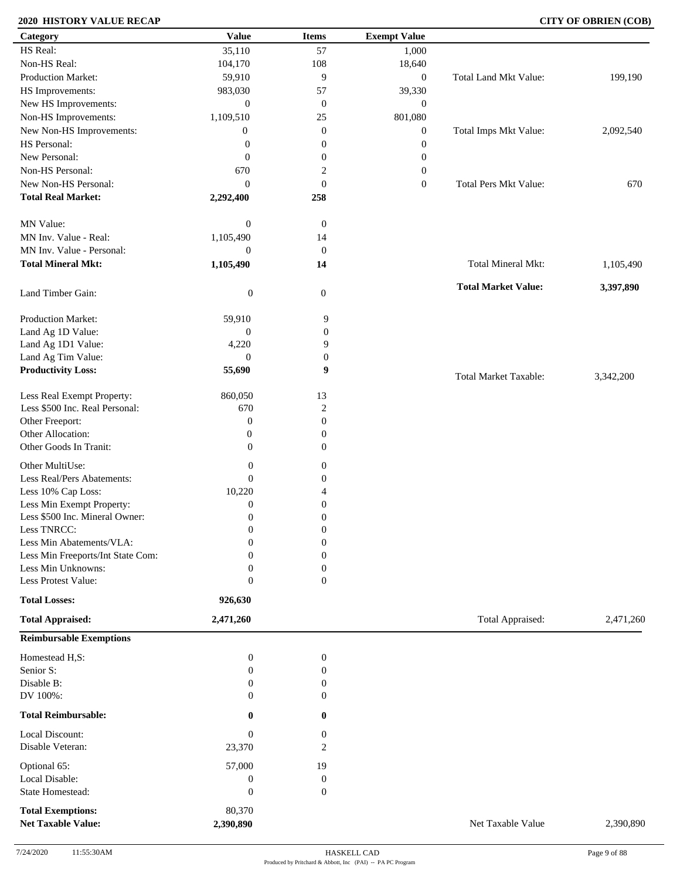### **2020 HISTORY VALUE RECAP CITY OF OBRIEN (COB)**

| Category                          | <b>Value</b>     | <b>Items</b>     | <b>Exempt Value</b> |                              |           |
|-----------------------------------|------------------|------------------|---------------------|------------------------------|-----------|
| HS Real:                          | 35,110           | 57               | 1,000               |                              |           |
| Non-HS Real:                      | 104,170          | 108              | 18,640              |                              |           |
| Production Market:                | 59,910           | 9                | $\boldsymbol{0}$    | Total Land Mkt Value:        | 199,190   |
| HS Improvements:                  | 983,030          | 57               | 39,330              |                              |           |
| New HS Improvements:              | $\mathbf{0}$     | $\mathbf{0}$     | $\mathbf{0}$        |                              |           |
| Non-HS Improvements:              | 1,109,510        | 25               | 801,080             |                              |           |
| New Non-HS Improvements:          | $\boldsymbol{0}$ | $\mathbf{0}$     | $\boldsymbol{0}$    | Total Imps Mkt Value:        | 2,092,540 |
| HS Personal:                      | $\boldsymbol{0}$ | $\boldsymbol{0}$ | $\boldsymbol{0}$    |                              |           |
| New Personal:                     | $\boldsymbol{0}$ | $\boldsymbol{0}$ | $\boldsymbol{0}$    |                              |           |
| Non-HS Personal:                  | 670              | $\sqrt{2}$       | $\boldsymbol{0}$    |                              |           |
| New Non-HS Personal:              |                  |                  |                     | <b>Total Pers Mkt Value:</b> |           |
|                                   | $\mathbf{0}$     | $\mathbf{0}$     | $\boldsymbol{0}$    |                              | 670       |
| <b>Total Real Market:</b>         | 2,292,400        | 258              |                     |                              |           |
| MN Value:                         | $\boldsymbol{0}$ | $\boldsymbol{0}$ |                     |                              |           |
| MN Inv. Value - Real:             | 1,105,490        | 14               |                     |                              |           |
| MN Inv. Value - Personal:         | $\boldsymbol{0}$ | $\boldsymbol{0}$ |                     |                              |           |
| <b>Total Mineral Mkt:</b>         | 1,105,490        | 14               |                     | Total Mineral Mkt:           | 1,105,490 |
|                                   |                  |                  |                     |                              |           |
| Land Timber Gain:                 | $\boldsymbol{0}$ | $\mathbf{0}$     |                     | <b>Total Market Value:</b>   | 3,397,890 |
| Production Market:                | 59,910           | 9                |                     |                              |           |
| Land Ag 1D Value:                 | $\boldsymbol{0}$ | $\boldsymbol{0}$ |                     |                              |           |
| Land Ag 1D1 Value:                | 4,220            | 9                |                     |                              |           |
| Land Ag Tim Value:                | $\boldsymbol{0}$ | $\boldsymbol{0}$ |                     |                              |           |
| <b>Productivity Loss:</b>         | 55,690           | 9                |                     |                              |           |
|                                   |                  |                  |                     | <b>Total Market Taxable:</b> | 3,342,200 |
| Less Real Exempt Property:        | 860,050          | 13               |                     |                              |           |
| Less \$500 Inc. Real Personal:    | 670              | $\overline{c}$   |                     |                              |           |
| Other Freeport:                   | $\boldsymbol{0}$ | $\mathbf{0}$     |                     |                              |           |
| Other Allocation:                 | $\boldsymbol{0}$ | $\boldsymbol{0}$ |                     |                              |           |
| Other Goods In Tranit:            | $\mathbf{0}$     | $\boldsymbol{0}$ |                     |                              |           |
|                                   |                  |                  |                     |                              |           |
| Other MultiUse:                   | $\boldsymbol{0}$ | $\boldsymbol{0}$ |                     |                              |           |
| Less Real/Pers Abatements:        | $\mathbf{0}$     | $\boldsymbol{0}$ |                     |                              |           |
| Less 10% Cap Loss:                | 10,220           | $\overline{4}$   |                     |                              |           |
| Less Min Exempt Property:         | $\mathbf{0}$     | $\boldsymbol{0}$ |                     |                              |           |
| Less \$500 Inc. Mineral Owner:    | $\mathbf{0}$     | $\boldsymbol{0}$ |                     |                              |           |
| Less TNRCC:                       | $\mathbf{0}$     | $\boldsymbol{0}$ |                     |                              |           |
| Less Min Abatements/VLA:          | $\mathbf{0}$     | $\boldsymbol{0}$ |                     |                              |           |
| Less Min Freeports/Int State Com: | 0                | $\theta$         |                     |                              |           |
| Less Min Unknowns:                | $\mathbf{0}$     | $\boldsymbol{0}$ |                     |                              |           |
| Less Protest Value:               | $\mathbf{0}$     | $\overline{0}$   |                     |                              |           |
| <b>Total Losses:</b>              | 926,630          |                  |                     |                              |           |
| <b>Total Appraised:</b>           | 2,471,260        |                  |                     | Total Appraised:             | 2,471,260 |
| <b>Reimbursable Exemptions</b>    |                  |                  |                     |                              |           |
| Homestead H,S:                    | $\mathbf{0}$     | $\boldsymbol{0}$ |                     |                              |           |
| Senior S:                         | 0                | $\boldsymbol{0}$ |                     |                              |           |
| Disable B:                        | $\Omega$         | $\boldsymbol{0}$ |                     |                              |           |
| DV 100%:                          | $\Omega$         | $\Omega$         |                     |                              |           |
| <b>Total Reimbursable:</b>        | 0                | $\mathbf{0}$     |                     |                              |           |
| Local Discount:                   | $\boldsymbol{0}$ | $\mathbf{0}$     |                     |                              |           |
| Disable Veteran:                  | 23,370           | $\overline{2}$   |                     |                              |           |
| Optional 65:                      | 57,000           | 19               |                     |                              |           |
| Local Disable:                    | $\boldsymbol{0}$ | $\boldsymbol{0}$ |                     |                              |           |
| State Homestead:                  | $\boldsymbol{0}$ | $\mathbf{0}$     |                     |                              |           |
| <b>Total Exemptions:</b>          | 80,370           |                  |                     |                              |           |
| <b>Net Taxable Value:</b>         | 2,390,890        |                  |                     | Net Taxable Value            | 2,390,890 |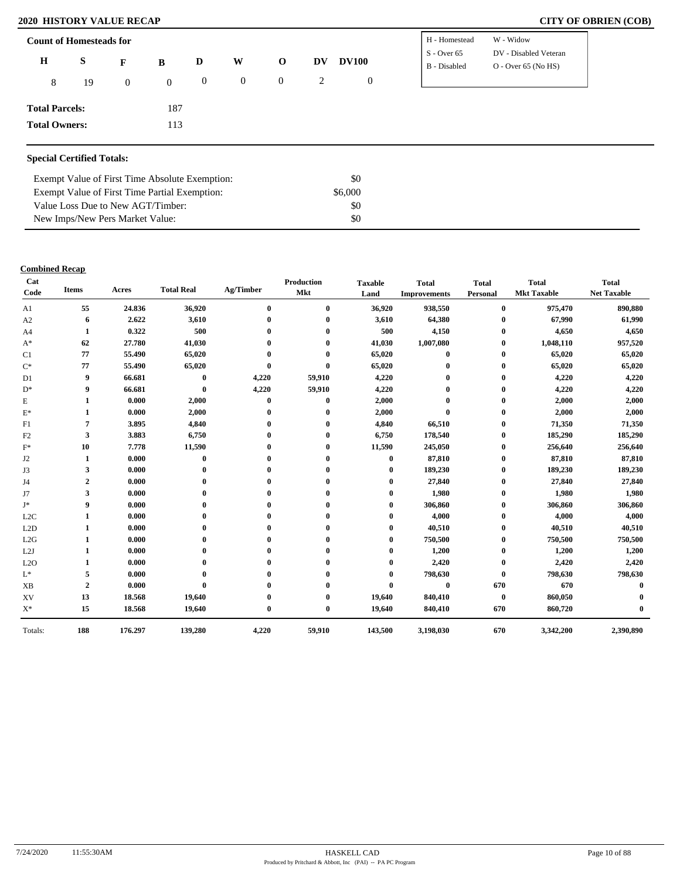# **2020 HISTORY VALUE RECAP CITY OF OBRIEN (COB)**

| $S -$ Over 65<br>$\bf H$<br>S<br>W<br><b>DV100</b><br>$\mathbf{o}$<br>DV<br>D<br>F<br>B<br>$O -$ Over 65 (No HS)<br>B - Disabled<br>$\boldsymbol{0}$<br>$\overline{0}$<br>$\overline{0}$<br>2<br>$\boldsymbol{0}$<br>$\overline{0}$<br>8<br>19<br>$\overline{0}$<br><b>Total Parcels:</b><br>187 | <b>Count of Homesteads for</b> |  |  |  | H - Homestead | W - Widow             |
|--------------------------------------------------------------------------------------------------------------------------------------------------------------------------------------------------------------------------------------------------------------------------------------------------|--------------------------------|--|--|--|---------------|-----------------------|
|                                                                                                                                                                                                                                                                                                  |                                |  |  |  |               | DV - Disabled Veteran |
|                                                                                                                                                                                                                                                                                                  |                                |  |  |  |               |                       |
|                                                                                                                                                                                                                                                                                                  |                                |  |  |  |               |                       |
| <b>Total Owners:</b><br>113                                                                                                                                                                                                                                                                      |                                |  |  |  |               |                       |

\$0 \$6,000 \$0 \$0

| Exempt Value of First Time Absolute Exemption: |
|------------------------------------------------|
| Exempt Value of First Time Partial Exemption:  |

Value Loss Due to New AGT/Timber: New Imps/New Pers Market Value:

### **Combined Recap**

| Cat<br>Code      | <b>Items</b>   | Acres   | <b>Total Real</b> | Ag/Timber   | Production<br>Mkt | <b>Taxable</b><br>Land | <b>Total</b><br><b>Improvements</b> | <b>Total</b><br>Personal | <b>Total</b><br><b>Mkt Taxable</b> | <b>Total</b><br><b>Net Taxable</b> |
|------------------|----------------|---------|-------------------|-------------|-------------------|------------------------|-------------------------------------|--------------------------|------------------------------------|------------------------------------|
| A1               | 55             | 24.836  | 36,920            | $\bf{0}$    | $\bf{0}$          | 36,920                 | 938,550                             | $\bf{0}$                 | 975,470                            | 890,880                            |
| A2               | 6              | 2.622   | 3,610             |             | $\mathbf{0}$      | 3,610                  | 64,380                              | $\mathbf{0}$             | 67,990                             | 61,990                             |
| A <sub>4</sub>   | 1              | 0.322   | 500               |             | $\mathbf{0}$      | 500                    | 4,150                               | $\bf{0}$                 | 4,650                              | 4,650                              |
| $A^*$            | 62             | 27.780  | 41,030            |             | 0                 | 41,030                 | 1,007,080                           | $\bf{0}$                 | 1,048,110                          | 957,520                            |
| C <sub>1</sub>   | 77             | 55.490  | 65,020            |             | $\mathbf 0$       | 65,020                 | $\bf{0}$                            | $\bf{0}$                 | 65,020                             | 65,020                             |
| $C^*$            | 77             | 55.490  | 65,020            | $\mathbf 0$ | $\mathbf{0}$      | 65,020                 |                                     | $\bf{0}$                 | 65,020                             | 65,020                             |
| D <sub>1</sub>   | 9              | 66.681  | $\bf{0}$          | 4,220       | 59,910            | 4,220                  |                                     | $\bf{0}$                 | 4,220                              | 4,220                              |
| $D^*$            | 9              | 66.681  | $\bf{0}$          | 4,220       | 59,910            | 4,220                  |                                     | $\mathbf{0}$             | 4,220                              | 4,220                              |
| E                | 1              | 0.000   | 2,000             | $\bf{0}$    | $\bf{0}$          | 2,000                  |                                     | 0                        | 2,000                              | 2,000                              |
| $E^*$            | 1              | 0.000   | 2,000             | $\mathbf 0$ | $\bf{0}$          | 2,000                  | $\mathbf{0}$                        | $\bf{0}$                 | 2,000                              | 2,000                              |
| F1               | 7              | 3.895   | 4,840             |             |                   | 4,840                  | 66,510                              | 0                        | 71,350                             | 71,350                             |
| F2               | 3              | 3.883   | 6,750             |             | $\mathbf{0}$      | 6,750                  | 178,540                             | $\bf{0}$                 | 185,290                            | 185,290                            |
| $F^*$            | 10             | 7.778   | 11,590            |             | 0                 | 11,590                 | 245,050                             | $\bf{0}$                 | 256,640                            | 256,640                            |
| J2               | 1              | 0.000   | $\bf{0}$          |             |                   | 0                      | 87,810                              | $\bf{0}$                 | 87,810                             | 87,810                             |
| J3               | 3              | 0.000   | $\mathbf{0}$      |             | 0                 | $_{0}$                 | 189,230                             | $\mathbf{0}$             | 189,230                            | 189,230                            |
| J4               | $\overline{2}$ | 0.000   | $\mathbf{0}$      |             |                   |                        | 27,840                              | $\bf{0}$                 | 27,840                             | 27,840                             |
| J7               | 3              | 0.000   |                   |             |                   | 0                      | 1,980                               | $\bf{0}$                 | 1,980                              | 1,980                              |
| J*               | 9              | 0.000   |                   |             | 0                 | 0                      | 306,860                             | $\bf{0}$                 | 306,860                            | 306,860                            |
| L <sub>2</sub> C | 1              | 0.000   |                   |             |                   |                        | 4,000                               | $\bf{0}$                 | 4,000                              | 4,000                              |
| L2D              | 1              | 0.000   |                   |             | 0                 | 0                      | 40,510                              | $\bf{0}$                 | 40,510                             | 40,510                             |
| L2G              |                | 0.000   |                   |             | 0                 | 0                      | 750,500                             | $\bf{0}$                 | 750,500                            | 750,500                            |
| L2J              |                | 0.000   |                   |             |                   |                        | 1,200                               | $\bf{0}$                 | 1,200                              | 1,200                              |
| L2O              |                | 0.000   |                   |             |                   | 0                      | 2,420                               | $\bf{0}$                 | 2,420                              | 2,420                              |
| $\mathbf{L}^*$   | 5              | 0.000   |                   |             |                   | 0                      | 798,630                             | $\mathbf{0}$             | 798,630                            | 798,630                            |
| <b>XB</b>        | $\overline{2}$ | 0.000   | $\mathbf 0$       |             |                   | $\mathbf{0}$           | $\bf{0}$                            | 670                      | 670                                | 0                                  |
| XV               | 13             | 18.568  | 19,640            |             | $\bf{0}$          | 19,640                 | 840,410                             | $\bf{0}$                 | 860,050                            |                                    |
| $\mathbf{X}^*$   | 15             | 18.568  | 19,640            | $\bf{0}$    | $\bf{0}$          | 19,640                 | 840,410                             | 670                      | 860,720                            |                                    |
| Totals:          | 188            | 176.297 | 139,280           | 4,220       | 59,910            | 143,500                | 3,198,030                           | 670                      | 3,342,200                          | 2,390,890                          |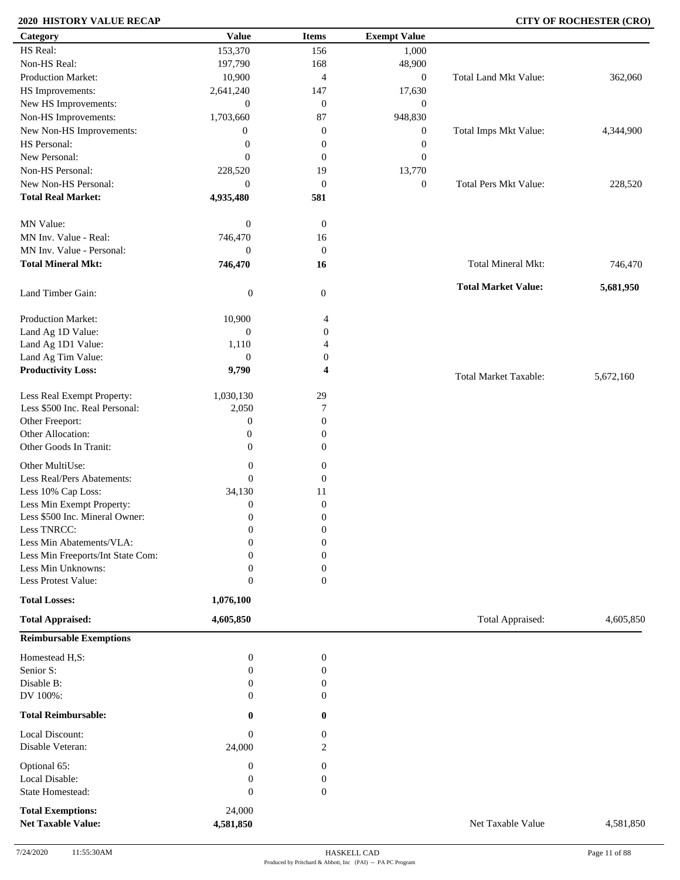# **2020 HISTORY VALUE RECAP CITY OF ROCHESTER (CRO)**

| Category                                              | <b>Value</b>        | <b>Items</b>     | <b>Exempt Value</b> |                              |           |
|-------------------------------------------------------|---------------------|------------------|---------------------|------------------------------|-----------|
| HS Real:                                              | 153,370             | 156              | 1,000               |                              |           |
| Non-HS Real:                                          | 197,790             | 168              | 48,900              |                              |           |
| Production Market:                                    | 10,900              | 4                | $\boldsymbol{0}$    | <b>Total Land Mkt Value:</b> | 362,060   |
| HS Improvements:                                      | 2,641,240           | 147              | 17,630              |                              |           |
| New HS Improvements:                                  | $\boldsymbol{0}$    | $\mathbf{0}$     | $\mathbf{0}$        |                              |           |
|                                                       | 1,703,660           | 87               |                     |                              |           |
| Non-HS Improvements:                                  |                     |                  | 948,830             |                              |           |
| New Non-HS Improvements:                              | $\boldsymbol{0}$    | $\boldsymbol{0}$ | $\boldsymbol{0}$    | Total Imps Mkt Value:        | 4,344,900 |
| HS Personal:                                          | $\boldsymbol{0}$    | $\boldsymbol{0}$ | $\boldsymbol{0}$    |                              |           |
| New Personal:                                         | $\theta$            | $\boldsymbol{0}$ | $\overline{0}$      |                              |           |
| Non-HS Personal:                                      | 228,520             | 19               | 13,770              |                              |           |
| New Non-HS Personal:                                  | $\overline{0}$      | $\mathbf{0}$     | $\boldsymbol{0}$    | <b>Total Pers Mkt Value:</b> | 228,520   |
| <b>Total Real Market:</b>                             | 4,935,480           | 581              |                     |                              |           |
| MN Value:                                             | $\boldsymbol{0}$    | $\mathbf{0}$     |                     |                              |           |
| MN Inv. Value - Real:                                 | 746,470             | 16               |                     |                              |           |
| MN Inv. Value - Personal:                             | $\mathbf{0}$        | $\mathbf{0}$     |                     |                              |           |
| <b>Total Mineral Mkt:</b>                             | 746,470             | 16               |                     | Total Mineral Mkt:           | 746,470   |
|                                                       |                     |                  |                     | <b>Total Market Value:</b>   | 5,681,950 |
| Land Timber Gain:                                     | $\boldsymbol{0}$    | $\mathbf{0}$     |                     |                              |           |
| Production Market:                                    | 10,900              | 4                |                     |                              |           |
| Land Ag 1D Value:                                     | $\boldsymbol{0}$    | $\boldsymbol{0}$ |                     |                              |           |
| Land Ag 1D1 Value:                                    | 1,110               | 4                |                     |                              |           |
| Land Ag Tim Value:                                    | $\boldsymbol{0}$    | 0                |                     |                              |           |
| <b>Productivity Loss:</b>                             | 9,790               | 4                |                     | <b>Total Market Taxable:</b> | 5,672,160 |
| Less Real Exempt Property:                            | 1,030,130           | 29               |                     |                              |           |
| Less \$500 Inc. Real Personal:                        | 2,050               | 7                |                     |                              |           |
| Other Freeport:                                       | $\boldsymbol{0}$    | $\boldsymbol{0}$ |                     |                              |           |
| Other Allocation:                                     | $\boldsymbol{0}$    | $\overline{0}$   |                     |                              |           |
| Other Goods In Tranit:                                | $\mathbf{0}$        | $\overline{0}$   |                     |                              |           |
|                                                       |                     |                  |                     |                              |           |
| Other MultiUse:                                       | $\boldsymbol{0}$    | $\boldsymbol{0}$ |                     |                              |           |
| Less Real/Pers Abatements:                            | $\mathbf{0}$        | $\boldsymbol{0}$ |                     |                              |           |
| Less 10% Cap Loss:                                    | 34,130              | 11               |                     |                              |           |
| Less Min Exempt Property:                             | $\mathbf{0}$        | $\mathbf{0}$     |                     |                              |           |
| Less \$500 Inc. Mineral Owner:                        | $\mathbf{0}$        | $\boldsymbol{0}$ |                     |                              |           |
| Less TNRCC:                                           | $\mathbf{0}$        | $\boldsymbol{0}$ |                     |                              |           |
| Less Min Abatements/VLA:                              | $\mathbf{0}$        | $\boldsymbol{0}$ |                     |                              |           |
| Less Min Freeports/Int State Com:                     | 0                   | $\theta$         |                     |                              |           |
| Less Min Unknowns:                                    | $\mathbf{0}$        | $\boldsymbol{0}$ |                     |                              |           |
| Less Protest Value:                                   | $\mathbf{0}$        | $\overline{0}$   |                     |                              |           |
| <b>Total Losses:</b>                                  | 1,076,100           |                  |                     |                              |           |
| <b>Total Appraised:</b>                               | 4,605,850           |                  |                     | Total Appraised:             | 4,605,850 |
| <b>Reimbursable Exemptions</b>                        |                     |                  |                     |                              |           |
| Homestead H,S:                                        | $\mathbf{0}$        | $\boldsymbol{0}$ |                     |                              |           |
| Senior S:                                             | $\mathbf{0}$        | $\boldsymbol{0}$ |                     |                              |           |
| Disable B:                                            | $\Omega$            | $\boldsymbol{0}$ |                     |                              |           |
| DV 100%:                                              | $\Omega$            | $\overline{0}$   |                     |                              |           |
| <b>Total Reimbursable:</b>                            | $\bf{0}$            | $\bf{0}$         |                     |                              |           |
| Local Discount:                                       | $\boldsymbol{0}$    | $\overline{0}$   |                     |                              |           |
| Disable Veteran:                                      | 24,000              | 2                |                     |                              |           |
| Optional 65:                                          | $\boldsymbol{0}$    | $\boldsymbol{0}$ |                     |                              |           |
| Local Disable:                                        | $\boldsymbol{0}$    | $\boldsymbol{0}$ |                     |                              |           |
| State Homestead:                                      | $\mathbf{0}$        | $\boldsymbol{0}$ |                     |                              |           |
|                                                       |                     |                  |                     |                              |           |
| <b>Total Exemptions:</b><br><b>Net Taxable Value:</b> | 24,000<br>4,581,850 |                  |                     | Net Taxable Value            | 4,581,850 |
|                                                       |                     |                  |                     |                              |           |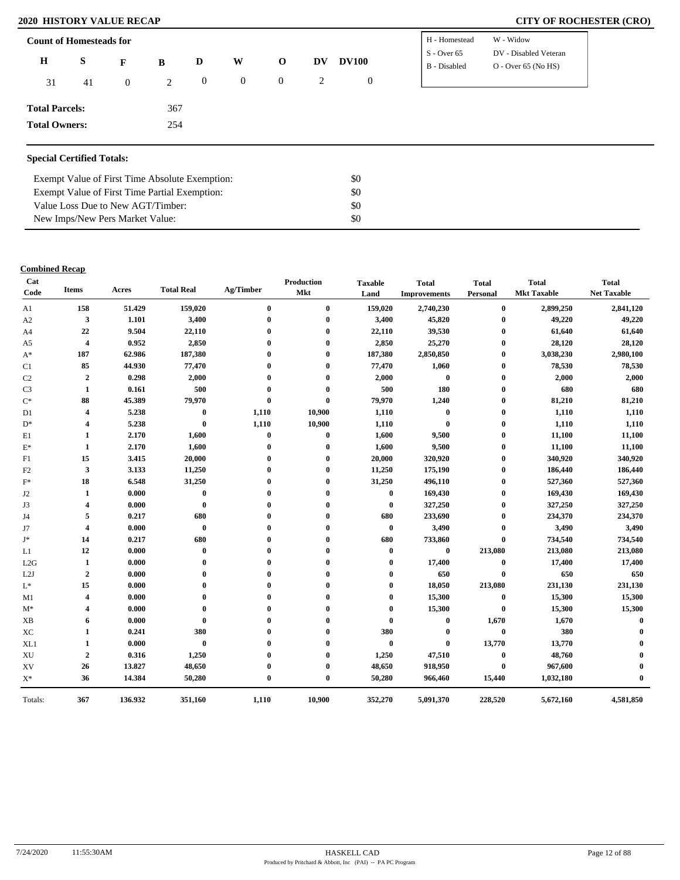# **2020 HISTORY VALUE RECAP CITY OF ROCHESTER (CRO)**

| <b>Count of Homesteads for</b>   |    |                | H - Homestead | W - Widow        |                |                  |    |                  |               |                       |
|----------------------------------|----|----------------|---------------|------------------|----------------|------------------|----|------------------|---------------|-----------------------|
| $\bf H$                          | S  | F              | B             | D                | W              | $\mathbf 0$      | DV | <b>DV100</b>     | $S -$ Over 65 | DV - Disabled Veteran |
|                                  |    |                |               |                  |                |                  |    |                  | B - Disabled  | $O -$ Over 65 (No HS) |
| 31                               | 41 | $\overline{0}$ | 2             | $\boldsymbol{0}$ | $\overline{0}$ | $\boldsymbol{0}$ | 2  | $\boldsymbol{0}$ |               |                       |
| <b>Total Parcels:</b>            |    |                | 367           |                  |                |                  |    |                  |               |                       |
| <b>Total Owners:</b>             |    | 254            |               |                  |                |                  |    |                  |               |                       |
|                                  |    |                |               |                  |                |                  |    |                  |               |                       |
| <b>Special Certified Totals:</b> |    |                |               |                  |                |                  |    |                  |               |                       |

| Exempt Value of First Time Absolute Exemption: | \$0 |
|------------------------------------------------|-----|
| Exempt Value of First Time Partial Exemption:  | \$0 |
| Value Loss Due to New AGT/Timber:              | \$0 |
| New Imps/New Pers Market Value:                | \$0 |

### **Combined Recap**

| Cat<br>Code    | <b>Items</b>            | Acres   | <b>Total Real</b> | Ag/Timber        | <b>Production</b><br>Mkt | <b>Taxable</b><br>Land | <b>Total</b><br><b>Improvements</b> | <b>Total</b><br>Personal | <b>Total</b><br><b>Mkt Taxable</b> | <b>Total</b><br><b>Net Taxable</b> |
|----------------|-------------------------|---------|-------------------|------------------|--------------------------|------------------------|-------------------------------------|--------------------------|------------------------------------|------------------------------------|
| A1             | 158                     | 51.429  | 159,020           | $\bf{0}$         | $\bf{0}$                 | 159,020                | 2,740,230                           | $\bf{0}$                 | 2,899,250                          | 2,841,120                          |
| A2             | $\mathbf{3}$            | 1.101   | 3,400             | $\boldsymbol{0}$ | $\bf{0}$                 | 3,400                  | 45,820                              | $\bf{0}$                 | 49,220                             | 49,220                             |
| A <sub>4</sub> | 22                      | 9.504   | 22,110            |                  | $\mathbf 0$              | 22,110                 | 39,530                              | $\bf{0}$                 | 61,640                             | 61,640                             |
| A <sub>5</sub> | $\overline{\mathbf{4}}$ | 0.952   | 2,850             |                  | $\mathbf{0}$             | 2,850                  | 25,270                              | $\bf{0}$                 | 28,120                             | 28,120                             |
| $A^*$          | 187                     | 62.986  | 187,380           |                  | $\mathbf{0}$             | 187,380                | 2,850,850                           | $\bf{0}$                 | 3,038,230                          | 2,980,100                          |
| C1             | 85                      | 44.930  | 77,470            |                  | $\mathbf{0}$             | 77,470                 | 1,060                               | $\bf{0}$                 | 78,530                             | 78,530                             |
| C <sub>2</sub> | $\mathbf 2$             | 0.298   | 2,000             |                  | $\mathbf 0$              | 2,000                  | $\bf{0}$                            | $\bf{0}$                 | 2,000                              | 2,000                              |
| C <sub>3</sub> | 1                       | 0.161   | 500               | $\mathbf 0$      | $\mathbf 0$              | 500                    | 180                                 | $\bf{0}$                 | 680                                | 680                                |
| $C^*$          | 88                      | 45.389  | 79,970            | $\mathbf 0$      | $\mathbf{0}$             | 79,970                 | 1,240                               | $\bf{0}$                 | 81,210                             | 81,210                             |
| D <sub>1</sub> | 4                       | 5.238   | $\boldsymbol{0}$  | 1,110            | 10,900                   | 1,110                  | $\bf{0}$                            | $\bf{0}$                 | 1,110                              | 1,110                              |
| $D^*$          | $\overline{\mathbf{4}}$ | 5.238   | $\bf{0}$          | 1,110            | 10,900                   | 1,110                  | $\bf{0}$                            | $\bf{0}$                 | 1,110                              | 1,110                              |
| E1             | 1                       | 2.170   | 1,600             | $\bf{0}$         | $\bf{0}$                 | 1,600                  | 9,500                               | $\bf{0}$                 | 11,100                             | 11,100                             |
| $E^*$          | 1                       | 2.170   | 1,600             | $\mathbf 0$      | $\bf{0}$                 | 1,600                  | 9,500                               | $\bf{0}$                 | 11,100                             | 11,100                             |
| F1             | 15                      | 3.415   | 20,000            | 0                | 0                        | 20,000                 | 320,920                             | $\bf{0}$                 | 340,920                            | 340,920                            |
| F2             | 3                       | 3.133   | 11,250            |                  | $\mathbf 0$              | 11,250                 | 175,190                             | $\bf{0}$                 | 186,440                            | 186,440                            |
| $\mathbf{F}^*$ | 18                      | 6.548   | 31,250            |                  | $\mathbf 0$              | 31,250                 | 496,110                             | $\bf{0}$                 | 527,360                            | 527,360                            |
| J <sub>2</sub> | 1                       | 0.000   | $\bf{0}$          | 0                | 0                        | $\bf{0}$               | 169,430                             | $\bf{0}$                 | 169,430                            | 169,430                            |
| J3             | 4                       | 0.000   | $\boldsymbol{0}$  | 0                | $\mathbf{0}$             | $\bf{0}$               | 327,250                             | $\bf{0}$                 | 327,250                            | 327,250                            |
| J4             | 5                       | 0.217   | 680               | 0                | 0                        | 680                    | 233,690                             | $\bf{0}$                 | 234,370                            | 234,370                            |
| J7             | 4                       | 0.000   | $\bf{0}$          | 0                | $\mathbf 0$              | $\bf{0}$               | 3,490                               | $\bf{0}$                 | 3,490                              | 3,490                              |
| J*             | 14                      | 0.217   | 680               | 0                | 0                        | 680                    | 733,860                             | $\bf{0}$                 | 734,540                            | 734,540                            |
| L1             | 12                      | 0.000   | $\bf{0}$          | 0                |                          | $\bf{0}$               | $\bf{0}$                            | 213,080                  | 213,080                            | 213,080                            |
| L2G            | 1                       | 0.000   | $\bf{0}$          |                  |                          | $\bf{0}$               | 17,400                              | $\bf{0}$                 | 17,400                             | 17,400                             |
| L2J            | $\boldsymbol{2}$        | 0.000   | $\bf{0}$          |                  |                          | $\bf{0}$               | 650                                 | $\bf{0}$                 | 650                                | 650                                |
| $\mathbf{L}^*$ | 15                      | 0.000   | $\mathbf{0}$      |                  |                          | $\bf{0}$               | 18,050                              | 213,080                  | 231,130                            | 231,130                            |
| M1             | 4                       | 0.000   | $\bf{0}$          |                  |                          | $\bf{0}$               | 15,300                              | $\bf{0}$                 | 15,300                             | 15,300                             |
| $M^*$          | 4                       | 0.000   | $\bf{0}$          |                  |                          | $\bf{0}$               | 15,300                              | $\bf{0}$                 | 15,300                             | 15,300                             |
| <b>XB</b>      | 6                       | 0.000   | $\bf{0}$          |                  |                          | $\bf{0}$               | $\bf{0}$                            | 1,670                    | 1,670                              | $\mathbf 0$                        |
| XC             | 1                       | 0.241   | 380               |                  |                          | 380                    | $\bf{0}$                            | $\bf{0}$                 | 380                                |                                    |
| XL1            | 1                       | 0.000   | $\bf{0}$          |                  | 0                        | $\bf{0}$               | $\bf{0}$                            | 13,770                   | 13,770                             |                                    |
| XU             | $\boldsymbol{2}$        | 0.316   | 1,250             |                  | 0                        | 1,250                  | 47,510                              | $\bf{0}$                 | 48,760                             |                                    |
| XV             | 26                      | 13.827  | 48,650            |                  | 0                        | 48,650                 | 918,950                             | $\bf{0}$                 | 967,600                            |                                    |
| $X^*$          | 36                      | 14.384  | 50,280            | $\mathbf 0$      | $\bf{0}$                 | 50,280                 | 966,460                             | 15,440                   | 1,032,180                          |                                    |
| Totals:        | 367                     | 136.932 | 351,160           | 1,110            | 10,900                   | 352,270                | 5,091,370                           | 228,520                  | 5,672,160                          | 4,581,850                          |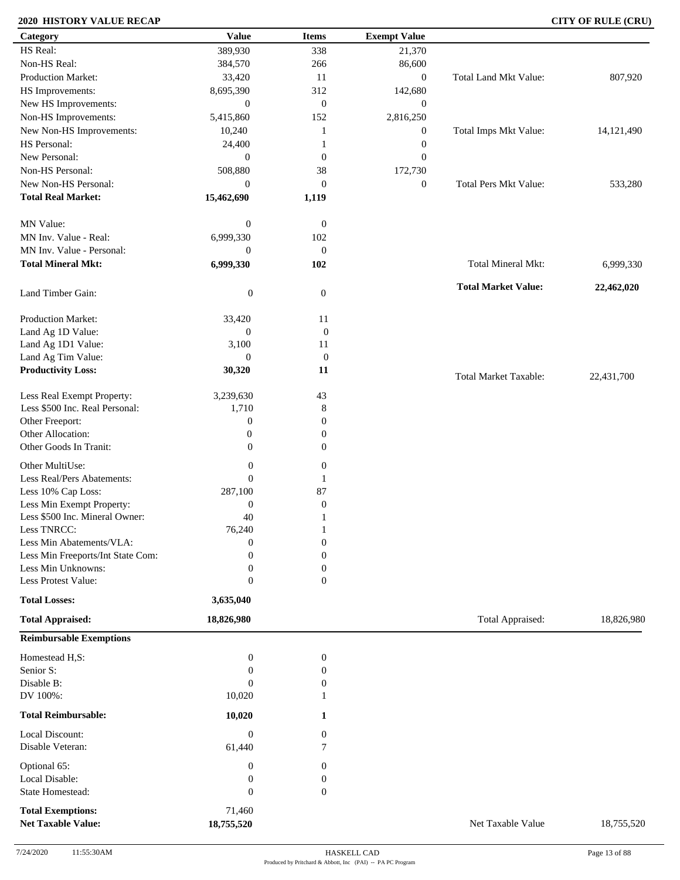# **2020 HISTORY VALUE RECAP CITY OF RULE (CRU)**

| Category                                              | <b>Value</b>             | <b>Items</b>                     | <b>Exempt Value</b> |                              |            |
|-------------------------------------------------------|--------------------------|----------------------------------|---------------------|------------------------------|------------|
| HS Real:                                              | 389,930                  | 338                              | 21,370              |                              |            |
| Non-HS Real:                                          | 384,570                  | 266                              | 86,600              |                              |            |
| Production Market:                                    | 33,420                   | 11                               | $\boldsymbol{0}$    | Total Land Mkt Value:        | 807,920    |
| HS Improvements:                                      | 8,695,390                | 312                              | 142,680             |                              |            |
| New HS Improvements:                                  | $\boldsymbol{0}$         | $\mathbf{0}$                     | $\boldsymbol{0}$    |                              |            |
| Non-HS Improvements:                                  | 5,415,860                | 152                              | 2,816,250           |                              |            |
| New Non-HS Improvements:                              | 10,240                   | -1                               | $\boldsymbol{0}$    | Total Imps Mkt Value:        | 14,121,490 |
| HS Personal:                                          | 24,400                   |                                  | $\boldsymbol{0}$    |                              |            |
| New Personal:                                         | $\overline{0}$           | $\mathbf{0}$                     | $\mathbf{0}$        |                              |            |
| Non-HS Personal:                                      | 508,880                  | 38                               |                     |                              |            |
|                                                       |                          |                                  | 172,730             |                              |            |
| New Non-HS Personal:                                  | $\mathbf{0}$             | $\mathbf{0}$                     | $\boldsymbol{0}$    | Total Pers Mkt Value:        | 533,280    |
| <b>Total Real Market:</b>                             | 15,462,690               | 1,119                            |                     |                              |            |
| MN Value:                                             | $\boldsymbol{0}$         | $\mathbf{0}$                     |                     |                              |            |
| MN Inv. Value - Real:                                 | 6,999,330                | 102                              |                     |                              |            |
| MN Inv. Value - Personal:                             | $\theta$                 | $\mathbf{0}$                     |                     |                              |            |
| <b>Total Mineral Mkt:</b>                             | 6,999,330                | 102                              |                     | Total Mineral Mkt:           |            |
|                                                       |                          |                                  |                     |                              | 6,999,330  |
| Land Timber Gain:                                     | $\boldsymbol{0}$         | $\boldsymbol{0}$                 |                     | <b>Total Market Value:</b>   | 22,462,020 |
| Production Market:                                    |                          | 11                               |                     |                              |            |
| Land Ag 1D Value:                                     | 33,420<br>$\overline{0}$ |                                  |                     |                              |            |
|                                                       |                          | $\boldsymbol{0}$                 |                     |                              |            |
| Land Ag 1D1 Value:                                    | 3,100                    | 11                               |                     |                              |            |
| Land Ag Tim Value:<br><b>Productivity Loss:</b>       | $\boldsymbol{0}$         | $\boldsymbol{0}$                 |                     |                              |            |
|                                                       | 30,320                   | 11                               |                     | <b>Total Market Taxable:</b> | 22,431,700 |
| Less Real Exempt Property:                            | 3,239,630                | 43                               |                     |                              |            |
| Less \$500 Inc. Real Personal:                        | 1,710                    | 8                                |                     |                              |            |
| Other Freeport:                                       | $\boldsymbol{0}$         | $\boldsymbol{0}$                 |                     |                              |            |
| Other Allocation:                                     | $\boldsymbol{0}$         | $\boldsymbol{0}$                 |                     |                              |            |
| Other Goods In Tranit:                                | $\mathbf{0}$             | $\overline{0}$                   |                     |                              |            |
| Other MultiUse:                                       | $\boldsymbol{0}$         | $\boldsymbol{0}$                 |                     |                              |            |
| Less Real/Pers Abatements:                            | $\mathbf{0}$             |                                  |                     |                              |            |
| Less 10% Cap Loss:                                    | 287,100                  | 87                               |                     |                              |            |
| Less Min Exempt Property:                             | $\boldsymbol{0}$         | $\boldsymbol{0}$                 |                     |                              |            |
| Less \$500 Inc. Mineral Owner:                        | 40                       |                                  |                     |                              |            |
| Less TNRCC:                                           | 76,240                   |                                  |                     |                              |            |
| Less Min Abatements/VLA:                              | $\boldsymbol{0}$         | $\mathbf{1}$<br>$\boldsymbol{0}$ |                     |                              |            |
| Less Min Freeports/Int State Com:                     | $\Omega$                 | $\mathbf{0}$                     |                     |                              |            |
| Less Min Unknowns:                                    | $\theta$                 | $\boldsymbol{0}$                 |                     |                              |            |
| Less Protest Value:                                   | $\overline{0}$           | $\mathbf{0}$                     |                     |                              |            |
|                                                       |                          |                                  |                     |                              |            |
| <b>Total Losses:</b>                                  | 3,635,040                |                                  |                     |                              |            |
| <b>Total Appraised:</b>                               | 18,826,980               |                                  |                     | Total Appraised:             | 18,826,980 |
| <b>Reimbursable Exemptions</b>                        |                          |                                  |                     |                              |            |
| Homestead H,S:                                        | $\boldsymbol{0}$         | $\boldsymbol{0}$                 |                     |                              |            |
| Senior S:                                             | $\overline{0}$           | $\boldsymbol{0}$                 |                     |                              |            |
| Disable B:                                            | $\Omega$                 | $\boldsymbol{0}$                 |                     |                              |            |
| DV 100%:                                              | 10,020                   |                                  |                     |                              |            |
| <b>Total Reimbursable:</b>                            | 10,020                   | 1                                |                     |                              |            |
| Local Discount:                                       | $\boldsymbol{0}$         | $\boldsymbol{0}$                 |                     |                              |            |
| Disable Veteran:                                      | 61,440                   | 7                                |                     |                              |            |
| Optional 65:                                          | $\boldsymbol{0}$         | 0                                |                     |                              |            |
| Local Disable:                                        | $\boldsymbol{0}$         | $\boldsymbol{0}$                 |                     |                              |            |
| <b>State Homestead:</b>                               | $\boldsymbol{0}$         | $\overline{0}$                   |                     |                              |            |
|                                                       |                          |                                  |                     |                              |            |
| <b>Total Exemptions:</b><br><b>Net Taxable Value:</b> | 71,460<br>18,755,520     |                                  |                     | Net Taxable Value            | 18,755,520 |
|                                                       |                          |                                  |                     |                              |            |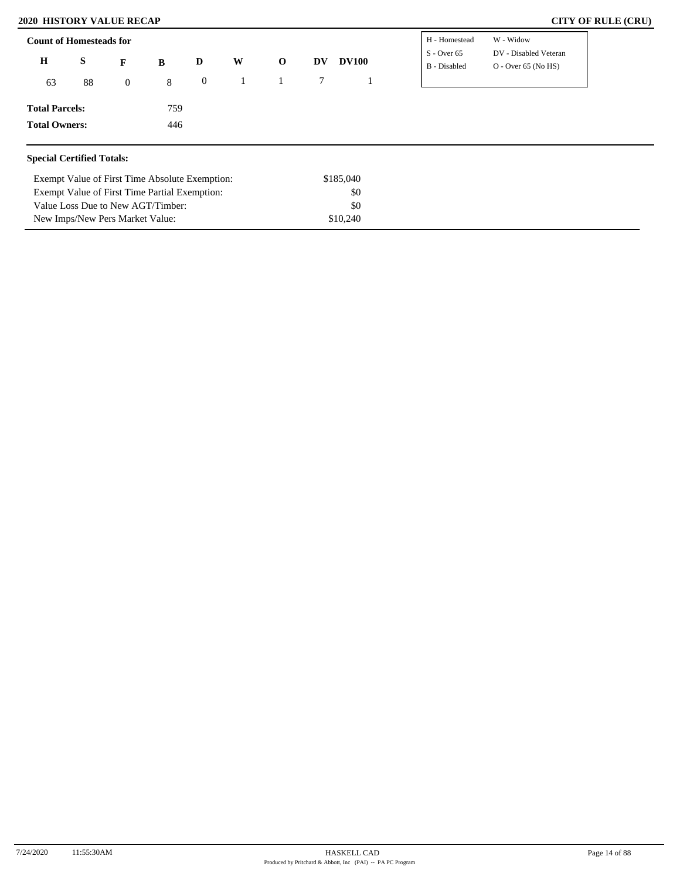# **2020 HISTORY VALUE RECAP CITY OF RULE (CRU)**

| $\mathbf H$<br>S<br>88<br>63 | F<br>B<br>$\mathbf{0}$ | D                   | W | $\mathbf 0$ | DV | <b>DV100</b> | $S -$ Over 65 | DV - Disabled Veteran |
|------------------------------|------------------------|---------------------|---|-------------|----|--------------|---------------|-----------------------|
|                              |                        |                     |   |             |    |              |               |                       |
|                              |                        | $\overline{0}$<br>8 |   |             |    |              | B - Disabled  | $O -$ Over 65 (No HS) |
| <b>Total Parcels:</b>        |                        | 759                 |   |             |    |              |               |                       |
| <b>Total Owners:</b>         |                        | 446                 |   |             |    |              |               |                       |

| Exempt Value of First Time Absolute Exemption: | \$185,040 |
|------------------------------------------------|-----------|
| Exempt Value of First Time Partial Exemption:  | \$0       |
| Value Loss Due to New AGT/Timber:              | \$0       |
| New Imps/New Pers Market Value:                | \$10,240  |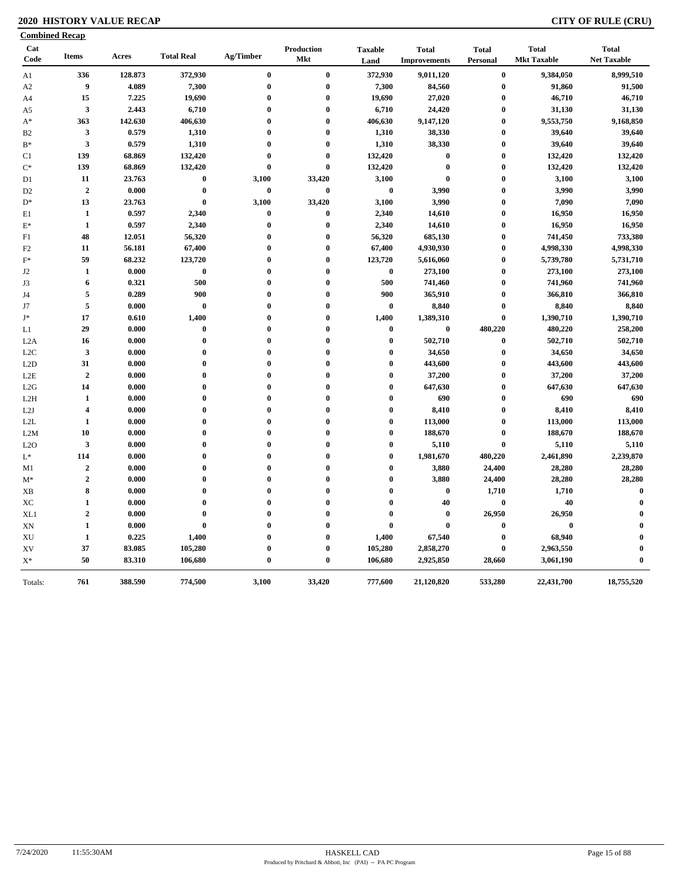# **2020 HISTORY VALUE RECAP CITY OF RULE (CRU)**

| <b>Combined Recap</b> |                         |                 |                   |                      |                   |                        |                                     |                          |                                    |                                    |
|-----------------------|-------------------------|-----------------|-------------------|----------------------|-------------------|------------------------|-------------------------------------|--------------------------|------------------------------------|------------------------------------|
| Cat<br>Code           | <b>Items</b>            | Acres           | <b>Total Real</b> | Ag/Timber            | Production<br>Mkt | <b>Taxable</b><br>Land | <b>Total</b><br><b>Improvements</b> | <b>Total</b><br>Personal | <b>Total</b><br><b>Mkt Taxable</b> | <b>Total</b><br><b>Net Taxable</b> |
| A1                    | 336                     | 128.873         | 372,930           | $\bf{0}$             | $\bf{0}$          | 372,930                | 9,011,120                           | $\bf{0}$                 | 9,384,050                          | 8,999,510                          |
| A <sub>2</sub>        | $\boldsymbol{9}$        | 4.089           | 7,300             | $\bf{0}$             | $\bf{0}$          | 7,300                  | 84,560                              | $\bf{0}$                 | 91,860                             | 91,500                             |
| A <sub>4</sub>        | 15                      | 7.225           | 19,690            | $\bf{0}$             | $\bf{0}$          | 19,690                 | 27,020                              | $\boldsymbol{0}$         | 46,710                             | 46,710                             |
| A5                    | $\mathbf{3}$            | 2.443           | 6,710             | $\bf{0}$             | $\bf{0}$          | 6,710                  | 24,420                              | $\boldsymbol{0}$         | 31,130                             | 31,130                             |
| $A^*$                 | 363                     | 142.630         | 406,630           | $\bf{0}$             | $\bf{0}$          | 406,630                | 9,147,120                           | $\bf{0}$                 | 9,553,750                          | 9,168,850                          |
| B <sub>2</sub>        | $\mathbf{3}$            | 0.579           | 1,310             | $\bf{0}$             | $\bf{0}$          | 1,310                  | 38,330                              | $\boldsymbol{0}$         | 39,640                             | 39,640                             |
| $B*$                  | $\mathbf{3}$            | 0.579           | 1,310             | $\bf{0}$             | $\bf{0}$          | 1,310                  | 38,330                              | $\bf{0}$                 | 39,640                             | 39,640                             |
| C1                    | 139                     | 68.869          | 132,420           | $\bf{0}$             | $\bf{0}$          | 132,420                | $\bf{0}$                            | $\boldsymbol{0}$         | 132,420                            | 132,420                            |
| $C^*$                 | 139                     | 68.869          | 132,420           | $\bf{0}$             | $\bf{0}$          | 132,420                | $\bf{0}$                            | $\boldsymbol{0}$         | 132,420                            | 132,420                            |
| D1                    | 11                      | 23.763          | $\bf{0}$          | 3,100                | 33,420            | 3,100                  | $\bf{0}$                            | $\bf{0}$                 | 3,100                              | 3,100                              |
| D <sub>2</sub>        | $\overline{2}$          | 0.000           | $\bf{0}$          | $\bf{0}$             | $\bf{0}$          | $\pmb{0}$              | 3,990                               | $\bf{0}$                 | 3,990                              | 3,990                              |
| $D^*$                 | 13                      | 23.763          | $\bf{0}$          | 3,100                | 33,420            | 3,100                  | 3,990                               | $\bf{0}$                 | 7,090                              | 7,090                              |
| E1                    | $\mathbf{1}$            | 0.597           | 2,340             | $\bf{0}$             | $\pmb{0}$         | 2,340                  | 14,610                              | $\bf{0}$                 | 16,950                             | 16,950                             |
| $\mathbf{E}^*$        | 1                       | 0.597           | 2,340             | $\bf{0}$             | $\bf{0}$          | 2,340                  | 14,610                              | $\boldsymbol{0}$         | 16,950                             | 16,950                             |
| F1                    | 48                      | 12.051          | 56,320            | $\bf{0}$             | $\bf{0}$          | 56,320                 | 685,130                             | $\bf{0}$                 | 741,450                            | 733,380                            |
| F2                    | 11                      | 56.181          | 67,400            | $\bf{0}$             | $\bf{0}$          | 67,400                 | 4,930,930                           | $\bf{0}$                 | 4,998,330                          | 4,998,330                          |
| $F^*$                 | 59                      | 68.232          | 123,720           | $\bf{0}$             | $\bf{0}$          | 123,720                | 5,616,060                           | $\bf{0}$                 | 5,739,780                          | 5,731,710                          |
| J <sub>2</sub>        | 1                       | 0.000           | $\bf{0}$          | $\bf{0}$             | $\bf{0}$          | $\bf{0}$               | 273,100                             | $\bf{0}$                 | 273,100                            | 273,100                            |
| J3                    | 6                       | 0.321           | 500               | $\bf{0}$             | $\bf{0}$          | 500                    | 741,460                             | $\bf{0}$                 | 741,960                            | 741,960                            |
| J4                    | 5                       | 0.289           | 900               | $\bf{0}$             | $\pmb{0}$         | 900                    | 365,910                             | $\bf{0}$                 | 366,810                            | 366,810                            |
| J7                    | 5                       | 0.000           | $\bf{0}$          | $\bf{0}$             | $\bf{0}$          | $\bf{0}$               | 8,840                               | $\boldsymbol{0}$         | 8,840                              | 8,840                              |
| J*                    | 17                      | 0.610           | 1,400             | $\bf{0}$             | $\bf{0}$          | 1,400                  | 1,389,310                           | $\bf{0}$                 | 1,390,710                          | 1,390,710                          |
| L1                    | 29                      | 0.000           | $\bf{0}$          | $\bf{0}$             | $\bf{0}$          | $\bf{0}$               | $\boldsymbol{0}$                    | 480,220                  | 480,220                            | 258,200                            |
| L2A                   | 16                      | 0.000           | $\bf{0}$          | $\bf{0}$             | $\bf{0}$          | $\bf{0}$               | 502,710                             | $\bf{0}$                 | 502,710                            | 502,710                            |
| L2C                   | $\mathbf{3}$            | 0.000           | $\bf{0}$          | $\boldsymbol{0}$     | $\bf{0}$          | $\bf{0}$               | 34,650                              | $\bf{0}$                 | 34,650                             | 34,650                             |
| L2D                   | 31                      | 0.000           | $\bf{0}$          | $\bf{0}$             | $\bf{0}$          | $\bf{0}$               | 443,600                             | $\bf{0}$                 | 443,600                            | 443,600                            |
| L <sub>2</sub> E      | $\overline{2}$          | 0.000           | $\bf{0}$          | $\bf{0}$             | $\bf{0}$          | $\bf{0}$               | 37,200                              | $\bf{0}$                 | 37,200                             | 37,200                             |
| L2G                   | 14                      | 0.000           | $\bf{0}$          | $\bf{0}$             | $\bf{0}$          | $\bf{0}$               | 647,630                             | $\bf{0}$                 | 647,630                            | 647,630                            |
| L <sub>2</sub> H      | 1                       | 0.000           | $\bf{0}$          | $\bf{0}$             | $\bf{0}$          | $\bf{0}$               | 690                                 | $\bf{0}$                 | 690                                | 690                                |
| L2J                   | $\overline{\mathbf{4}}$ | 0.000           | $\bf{0}$          | $\bf{0}$             | $\bf{0}$          | $\mathbf{0}$           | 8,410                               | $\bf{0}$                 | 8,410                              | 8,410                              |
| L2L                   | 1                       | 0.000           | $\bf{0}$          | $\bf{0}$             | $\bf{0}$          | $\bf{0}$               | 113,000                             | $\bf{0}$                 | 113,000                            | 113,000                            |
| L2M                   | 10                      | 0.000           | $\bf{0}$          | $\bf{0}$             | $\bf{0}$          | $\mathbf{0}$           | 188,670                             | $\bf{0}$                 | 188,670                            | 188,670                            |
| L2O                   | $\mathbf{3}$            | 0.000           | $\bf{0}$          | $\bf{0}$             | $\bf{0}$          | $\bf{0}$               | 5,110                               | $\bf{0}$                 | 5,110                              | 5,110                              |
| $L^*$                 | 114                     | 0.000           | $\bf{0}$          | $\bf{0}$             | $\bf{0}$          | $\bf{0}$               | 1,981,670                           | 480,220                  | 2,461,890                          | 2,239,870                          |
| M1                    | $\overline{2}$          | 0.000           | $\bf{0}$          | $\bf{0}$             | $\bf{0}$          | $\bf{0}$               | 3,880                               | 24,400                   | 28,280                             | 28,280                             |
| $M^*$                 | $\overline{2}$          | 0.000           | $\bf{0}$          | $\bf{0}$             | $\bf{0}$          | $\bf{0}$               | 3,880                               | 24,400                   | 28,280                             | 28,280                             |
|                       | 8                       | 0.000           | $\bf{0}$          | $\bf{0}$             | $\bf{0}$          | $\bf{0}$               | $\boldsymbol{0}$                    | 1,710                    | 1,710                              | $\bf{0}$                           |
| XB                    |                         |                 | $\bf{0}$          | $\bf{0}$             | $\bf{0}$          | $\bf{0}$               | 40                                  | $\bf{0}$                 | 40                                 | $\bf{0}$                           |
| XC                    | 1<br>$\overline{2}$     | 0.000           | $\bf{0}$          | $\bf{0}$             | $\bf{0}$          | $\bf{0}$               | $\bf{0}$                            | 26,950                   |                                    | $\bf{0}$                           |
| XL1                   | $\mathbf{1}$            | 0.000           | $\bf{0}$          | $\bf{0}$             | $\bf{0}$          | $\bf{0}$               | $\bf{0}$                            | $\bf{0}$                 | 26,950<br>$\bf{0}$                 | $\mathbf{0}$                       |
| XN                    | $\mathbf{1}$            | 0.000           |                   |                      | $\bf{0}$          |                        |                                     |                          |                                    | $\mathbf 0$                        |
| XU                    | 37                      | 0.225<br>83.085 | 1,400<br>105,280  | $\bf{0}$<br>$\bf{0}$ | $\bf{0}$          | 1,400<br>105,280       | 67,540                              | $\bf{0}$                 | 68,940                             | $\mathbf 0$                        |
| XV<br>$\mathbf{X}^*$  | 50                      | 83.310          | 106,680           | $\bf{0}$             | $\bf{0}$          | 106,680                | 2,858,270<br>2,925,850              | $\bf{0}$<br>28,660       | 2,963,550<br>3,061,190             | $\bf{0}$                           |
|                       |                         |                 |                   |                      |                   |                        |                                     |                          |                                    |                                    |
| Totals:               | 761                     | 388.590         | 774,500           | 3,100                | 33,420            | 777,600                | 21,120,820                          | 533,280                  | 22,431,700                         | 18,755,520                         |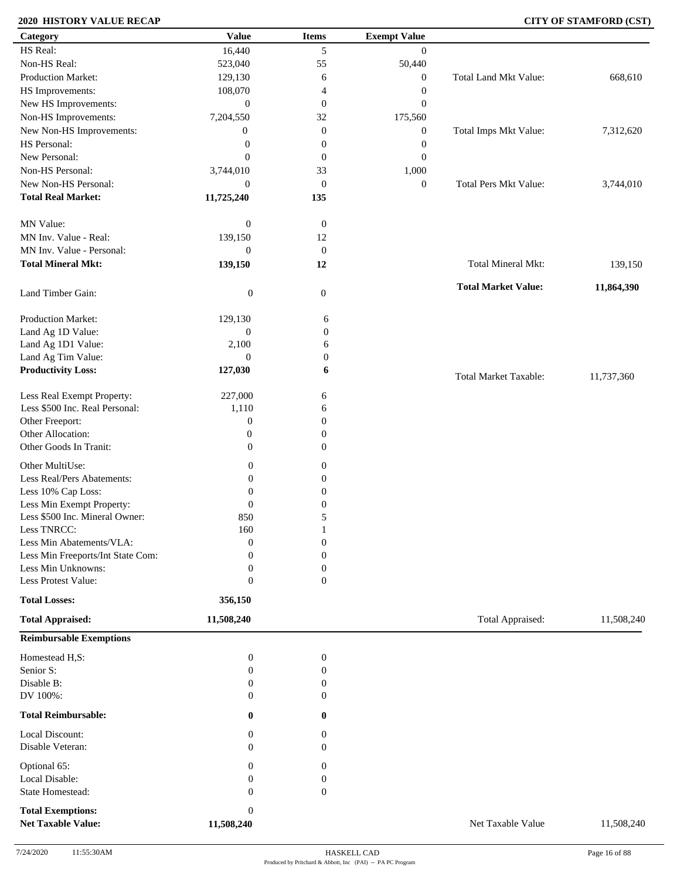# **2020 HISTORY VALUE RECAP CITY OF STAMFORD (CST)**

| Category                                        | <b>Value</b>              | <b>Items</b>          | <b>Exempt Value</b> |                              |            |
|-------------------------------------------------|---------------------------|-----------------------|---------------------|------------------------------|------------|
| HS Real:                                        | 16,440                    | 5                     | $\overline{0}$      |                              |            |
| Non-HS Real:                                    | 523,040                   | 55                    | 50,440              |                              |            |
| Production Market:                              | 129,130                   | 6                     | $\boldsymbol{0}$    | Total Land Mkt Value:        | 668,610    |
| HS Improvements:                                | 108,070                   | 4                     | $\boldsymbol{0}$    |                              |            |
| New HS Improvements:                            | $\boldsymbol{0}$          | $\mathbf{0}$          | $\boldsymbol{0}$    |                              |            |
| Non-HS Improvements:                            | 7,204,550                 | 32                    | 175,560             |                              |            |
| New Non-HS Improvements:                        | $\boldsymbol{0}$          | $\mathbf{0}$          | $\boldsymbol{0}$    | Total Imps Mkt Value:        | 7,312,620  |
| HS Personal:                                    | $\boldsymbol{0}$          | $\boldsymbol{0}$      | $\boldsymbol{0}$    |                              |            |
| New Personal:                                   | $\mathbf{0}$              | $\mathbf{0}$          | $\boldsymbol{0}$    |                              |            |
| Non-HS Personal:                                |                           |                       |                     |                              |            |
|                                                 | 3,744,010                 | 33                    | 1,000               |                              |            |
| New Non-HS Personal:                            | $\boldsymbol{0}$          | $\mathbf{0}$          | $\boldsymbol{0}$    | <b>Total Pers Mkt Value:</b> | 3,744,010  |
| <b>Total Real Market:</b>                       | 11,725,240                | 135                   |                     |                              |            |
| MN Value:                                       | $\boldsymbol{0}$          | $\boldsymbol{0}$      |                     |                              |            |
| MN Inv. Value - Real:                           | 139,150                   | 12                    |                     |                              |            |
| MN Inv. Value - Personal:                       | $\boldsymbol{0}$          | $\boldsymbol{0}$      |                     |                              |            |
| <b>Total Mineral Mkt:</b>                       |                           |                       |                     | Total Mineral Mkt:           |            |
|                                                 | 139,150                   | 12                    |                     |                              | 139,150    |
| Land Timber Gain:                               | $\boldsymbol{0}$          | $\mathbf{0}$          |                     | <b>Total Market Value:</b>   | 11,864,390 |
| Production Market:                              | 129,130                   |                       |                     |                              |            |
| Land Ag 1D Value:                               | $\boldsymbol{0}$          | 6<br>$\boldsymbol{0}$ |                     |                              |            |
|                                                 |                           |                       |                     |                              |            |
| Land Ag 1D1 Value:                              | 2,100<br>$\boldsymbol{0}$ | 6                     |                     |                              |            |
| Land Ag Tim Value:<br><b>Productivity Loss:</b> | 127,030                   | $\boldsymbol{0}$<br>6 |                     |                              |            |
|                                                 |                           |                       |                     | <b>Total Market Taxable:</b> | 11,737,360 |
| Less Real Exempt Property:                      | 227,000                   | 6                     |                     |                              |            |
| Less \$500 Inc. Real Personal:                  | 1,110                     | 6                     |                     |                              |            |
| Other Freeport:                                 | $\boldsymbol{0}$          | $\overline{0}$        |                     |                              |            |
| Other Allocation:                               | $\mathbf{0}$              | $\boldsymbol{0}$      |                     |                              |            |
| Other Goods In Tranit:                          | $\boldsymbol{0}$          | $\boldsymbol{0}$      |                     |                              |            |
| Other MultiUse:                                 | $\mathbf{0}$              | $\boldsymbol{0}$      |                     |                              |            |
| Less Real/Pers Abatements:                      |                           |                       |                     |                              |            |
|                                                 | $\boldsymbol{0}$          | $\boldsymbol{0}$      |                     |                              |            |
| Less 10% Cap Loss:                              | $\boldsymbol{0}$          | $\boldsymbol{0}$      |                     |                              |            |
| Less Min Exempt Property:                       | $\theta$                  | $\boldsymbol{0}$      |                     |                              |            |
| Less \$500 Inc. Mineral Owner:                  | 850                       | 5                     |                     |                              |            |
| Less TNRCC:                                     | 160                       |                       |                     |                              |            |
| Less Min Abatements/VLA:                        | $\boldsymbol{0}$          | $\boldsymbol{0}$      |                     |                              |            |
| Less Min Freeports/Int State Com:               | 0                         | $\theta$              |                     |                              |            |
| Less Min Unknowns:                              | $\mathbf{0}$              | $\boldsymbol{0}$      |                     |                              |            |
| Less Protest Value:                             | $\mathbf{0}$              | $\overline{0}$        |                     |                              |            |
| <b>Total Losses:</b>                            | 356,150                   |                       |                     |                              |            |
| <b>Total Appraised:</b>                         | 11,508,240                |                       |                     | Total Appraised:             | 11,508,240 |
| <b>Reimbursable Exemptions</b>                  |                           |                       |                     |                              |            |
| Homestead H,S:                                  | $\boldsymbol{0}$          | $\boldsymbol{0}$      |                     |                              |            |
| Senior S:                                       | 0                         | $\boldsymbol{0}$      |                     |                              |            |
| Disable B:                                      | $\mathbf{0}$              | $\boldsymbol{0}$      |                     |                              |            |
| DV 100%:                                        | $\theta$                  | $\Omega$              |                     |                              |            |
| <b>Total Reimbursable:</b>                      | 0                         | 0                     |                     |                              |            |
| Local Discount:                                 | 0                         | 0                     |                     |                              |            |
| Disable Veteran:                                | $\Omega$                  | $\overline{0}$        |                     |                              |            |
| Optional 65:                                    | 0                         | $\boldsymbol{0}$      |                     |                              |            |
| Local Disable:                                  | $\mathbf{0}$              | $\boldsymbol{0}$      |                     |                              |            |
| State Homestead:                                | $\mathbf{0}$              | $\boldsymbol{0}$      |                     |                              |            |
|                                                 |                           |                       |                     |                              |            |
| <b>Total Exemptions:</b>                        | $\mathbf{0}$              |                       |                     |                              |            |
| <b>Net Taxable Value:</b>                       | 11,508,240                |                       |                     | Net Taxable Value            | 11,508,240 |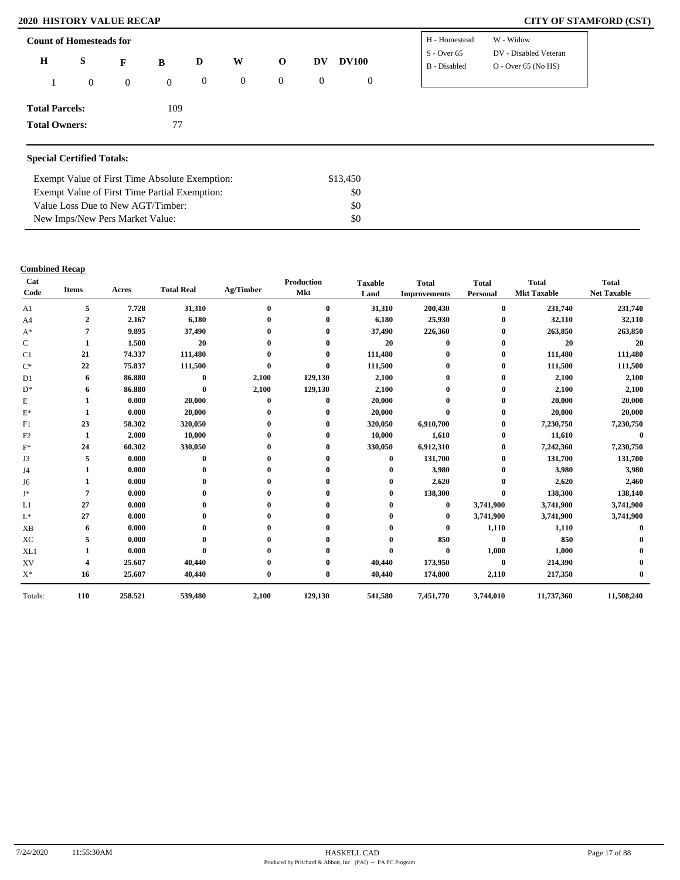# **2020 HISTORY VALUE RECAP CITY OF STAMFORD (CST)**

| <b>Count of Homesteads for</b> |                |                |                |                  |              |                |                  |                  | H - Homestead                 | W - Widow                                      |
|--------------------------------|----------------|----------------|----------------|------------------|--------------|----------------|------------------|------------------|-------------------------------|------------------------------------------------|
| $\bf H$                        | S              | F              | B              | D                | W            | $\mathbf 0$    | DV               | <b>DV100</b>     | $S -$ Over 65<br>B - Disabled | DV - Disabled Veteran<br>$O -$ Over 65 (No HS) |
|                                | $\overline{0}$ | $\overline{0}$ | $\overline{0}$ | $\boldsymbol{0}$ | $\mathbf{0}$ | $\overline{0}$ | $\boldsymbol{0}$ | $\boldsymbol{0}$ |                               |                                                |
| <b>Total Parcels:</b>          |                |                | 109            |                  |              |                |                  |                  |                               |                                                |
| <b>Total Owners:</b>           |                |                | 77             |                  |              |                |                  |                  |                               |                                                |
|                                |                |                |                |                  |              |                |                  |                  |                               |                                                |

# **Special Certified Totals:**

| Exempt Value of First Time Absolute Exemption: | \$13.450 |  |
|------------------------------------------------|----------|--|
| Exempt Value of First Time Partial Exemption:  | SO.      |  |
| Value Loss Due to New AGT/Timber:              | SO.      |  |
| New Imps/New Pers Market Value:                | SO.      |  |

### **Combined Recap**

| Cat<br>Code    | <b>Items</b>   | Acres   | <b>Total Real</b> | Ag/Timber        | Production<br><b>Mkt</b> | <b>Taxable</b><br>Land | <b>Total</b><br><b>Improvements</b> | <b>Total</b><br>Personal | <b>Total</b><br><b>Mkt Taxable</b> | <b>Total</b><br><b>Net Taxable</b> |
|----------------|----------------|---------|-------------------|------------------|--------------------------|------------------------|-------------------------------------|--------------------------|------------------------------------|------------------------------------|
| A1             | 5              | 7.728   | 31,310            | $\mathbf{0}$     | $\mathbf{0}$             | 31,310                 | 200,430                             | $\mathbf{0}$             | 231,740                            | 231,740                            |
| A <sub>4</sub> | $\overline{2}$ | 2.167   | 6,180             |                  |                          | 6,180                  | 25,930                              | 0                        | 32,110                             | 32,110                             |
| $A^*$          | 7              | 9.895   | 37,490            |                  |                          | 37,490                 | 226,360                             | $\bf{0}$                 | 263,850                            | 263,850                            |
| $\mathsf{C}$   |                | 1.500   | 20                |                  |                          | 20                     |                                     | 0                        | 20                                 | 20                                 |
| C1             | 21             | 74.337  | 111,480           |                  |                          | 111,480                |                                     | 0                        | 111,480                            | 111,480                            |
| $C^*$          | 22             | 75.837  | 111,500           | $\Omega$         |                          | 111,500                |                                     | $\bf{0}$                 | 111,500                            | 111,500                            |
| D <sub>1</sub> | 6              | 86.880  | $\mathbf{0}$      | 2,100            | 129,130                  | 2,100                  |                                     | $\bf{0}$                 | 2,100                              | 2,100                              |
| $D^*$          | 6              | 86.880  | $\bf{0}$          | 2,100            | 129,130                  | 2,100                  |                                     |                          | 2,100                              | 2,100                              |
| E              |                | 0.000   | 20,000            | $\mathbf 0$      | 0                        | 20,000                 |                                     | 0                        | 20,000                             | 20,000                             |
| $\mathbf{E}^*$ | -1             | 0.000   | 20,000            | $\mathbf 0$      |                          | 20,000                 |                                     | 0                        | 20,000                             | 20,000                             |
| F1             | 23             | 58.302  | 320,050           |                  |                          | 320,050                | 6,910,700                           | $\bf{0}$                 | 7,230,750                          | 7,230,750                          |
| F2             | 1              | 2.000   | 10,000            |                  |                          | 10,000                 | 1,610                               | $\bf{0}$                 | 11,610                             | $\mathbf{0}$                       |
| $F^*$          | 24             | 60.302  | 330,050           |                  |                          | 330,050                | 6,912,310                           | $\bf{0}$                 | 7,242,360                          | 7,230,750                          |
| J3             | 5              | 0.000   | $\mathbf{0}$      |                  |                          | $\mathbf{0}$           | 131,700                             | 0                        | 131,700                            | 131,700                            |
| J4             |                | 0.000   |                   |                  |                          | 0                      | 3,980                               | 0                        | 3,980                              | 3,980                              |
| J6             |                | 0.000   |                   |                  |                          | 0                      | 2,620                               |                          | 2,620                              | 2,460                              |
| J*             | 7              | 0.000   |                   |                  |                          | 0                      | 138,300                             | 0                        | 138,300                            | 138,140                            |
| L1             | 27             | 0.000   |                   |                  |                          | 0                      | $\bf{0}$                            | 3,741,900                | 3,741,900                          | 3,741,900                          |
| $L^*$          | 27             | 0.000   |                   |                  |                          |                        | $\bf{0}$                            | 3,741,900                | 3,741,900                          | 3,741,900                          |
| XB             | 6              | 0.000   |                   |                  |                          |                        | $\bf{0}$                            | 1,110                    | 1,110                              |                                    |
| XC             | 5              | 0.000   |                   |                  |                          |                        | 850                                 | $\bf{0}$                 | 850                                |                                    |
| XL1            |                | 0.000   | 0                 |                  |                          | 0                      | $\bf{0}$                            | 1,000                    | 1,000                              |                                    |
| XV             | 4              | 25.607  | 40,440            |                  |                          | 40,440                 | 173,950                             | $\bf{0}$                 | 214,390                            |                                    |
| $X^*$          | 16             | 25.607  | 40,440            | $\boldsymbol{0}$ | $\mathbf{0}$             | 40,440                 | 174,800                             | 2,110                    | 217,350                            |                                    |
| Totals:        | 110            | 258.521 | 539,480           | 2,100            | 129,130                  | 541,580                | 7,451,770                           | 3,744,010                | 11,737,360                         | 11,508,240                         |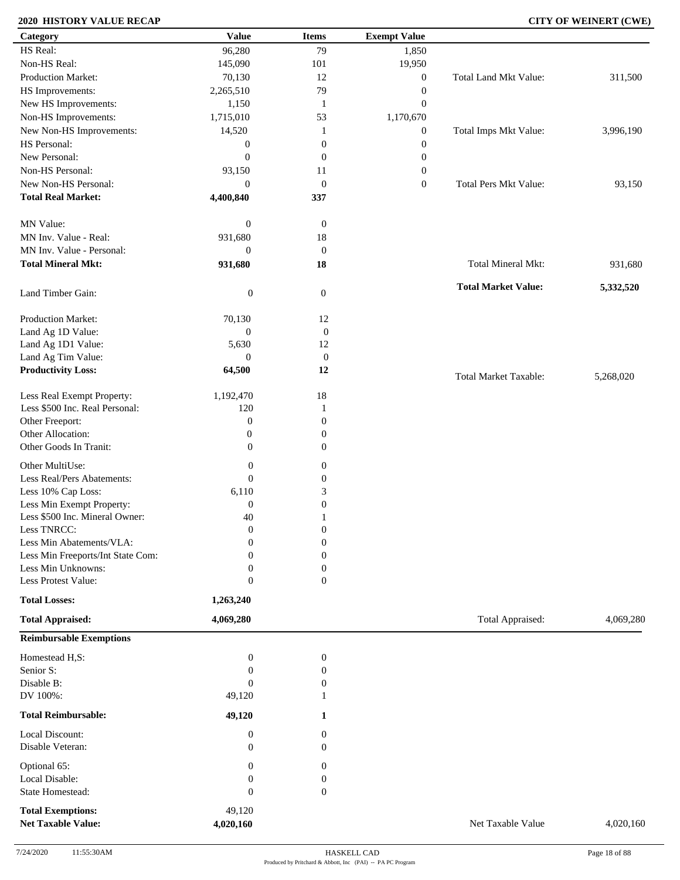# **2020 HISTORY VALUE RECAP CITY OF WEINERT (CWE)**

| Category                          | <b>Value</b>          | <b>Items</b>     | <b>Exempt Value</b> |                              |           |
|-----------------------------------|-----------------------|------------------|---------------------|------------------------------|-----------|
| HS Real:                          | 96,280                | 79               | 1,850               |                              |           |
| Non-HS Real:                      | 145,090               | 101              | 19,950              |                              |           |
| Production Market:                | 70,130                | 12               | $\boldsymbol{0}$    | Total Land Mkt Value:        | 311,500   |
| HS Improvements:                  | 2,265,510             | 79               | $\boldsymbol{0}$    |                              |           |
| New HS Improvements:              | 1,150                 | -1               | $\boldsymbol{0}$    |                              |           |
| Non-HS Improvements:              | 1,715,010             | 53               | 1,170,670           |                              |           |
| New Non-HS Improvements:          | 14,520                | 1                | $\boldsymbol{0}$    | Total Imps Mkt Value:        | 3,996,190 |
| HS Personal:                      | $\boldsymbol{0}$      | $\boldsymbol{0}$ | $\boldsymbol{0}$    |                              |           |
| New Personal:                     |                       |                  |                     |                              |           |
|                                   | $\theta$              | $\boldsymbol{0}$ | $\boldsymbol{0}$    |                              |           |
| Non-HS Personal:                  | 93,150                | 11               | $\boldsymbol{0}$    |                              |           |
| New Non-HS Personal:              | $\mathbf{0}$          | $\boldsymbol{0}$ | $\boldsymbol{0}$    | <b>Total Pers Mkt Value:</b> | 93,150    |
| <b>Total Real Market:</b>         | 4,400,840             | 337              |                     |                              |           |
| MN Value:                         | $\boldsymbol{0}$      | $\boldsymbol{0}$ |                     |                              |           |
| MN Inv. Value - Real:             | 931,680               | 18               |                     |                              |           |
| MN Inv. Value - Personal:         | $\boldsymbol{0}$      | $\mathbf{0}$     |                     |                              |           |
| <b>Total Mineral Mkt:</b>         | 931,680               | 18               |                     | <b>Total Mineral Mkt:</b>    | 931,680   |
|                                   |                       |                  |                     |                              |           |
| Land Timber Gain:                 | $\boldsymbol{0}$      | $\boldsymbol{0}$ |                     | <b>Total Market Value:</b>   | 5,332,520 |
| Production Market:                | 70,130                | 12               |                     |                              |           |
| Land Ag 1D Value:                 | $\boldsymbol{0}$      | $\boldsymbol{0}$ |                     |                              |           |
| Land Ag 1D1 Value:                | 5,630                 | 12               |                     |                              |           |
| Land Ag Tim Value:                | $\theta$              | $\boldsymbol{0}$ |                     |                              |           |
| <b>Productivity Loss:</b>         | 64,500                | 12               |                     |                              |           |
|                                   |                       |                  |                     | <b>Total Market Taxable:</b> | 5,268,020 |
| Less Real Exempt Property:        | 1,192,470             | 18               |                     |                              |           |
| Less \$500 Inc. Real Personal:    | 120                   | 1                |                     |                              |           |
| Other Freeport:                   | $\boldsymbol{0}$      | $\mathbf{0}$     |                     |                              |           |
| Other Allocation:                 | $\boldsymbol{0}$      | $\boldsymbol{0}$ |                     |                              |           |
| Other Goods In Tranit:            | $\mathbf{0}$          | $\mathbf{0}$     |                     |                              |           |
| Other MultiUse:                   | $\boldsymbol{0}$      | $\boldsymbol{0}$ |                     |                              |           |
| Less Real/Pers Abatements:        | $\boldsymbol{0}$      | $\boldsymbol{0}$ |                     |                              |           |
| Less 10% Cap Loss:                | 6,110                 | 3                |                     |                              |           |
| Less Min Exempt Property:         | $\boldsymbol{0}$      | $\boldsymbol{0}$ |                     |                              |           |
| Less \$500 Inc. Mineral Owner:    | 40                    |                  |                     |                              |           |
| Less TNRCC:                       | $\mathbf{0}$          | $\mathbf{0}$     |                     |                              |           |
| Less Min Abatements/VLA:          | $\mathbf{0}$          | $\boldsymbol{0}$ |                     |                              |           |
| Less Min Freeports/Int State Com: | 0                     | $\Omega$         |                     |                              |           |
| Less Min Unknowns:                |                       |                  |                     |                              |           |
| Less Protest Value:               | 0<br>$\boldsymbol{0}$ | 0                |                     |                              |           |
|                                   |                       | $\overline{0}$   |                     |                              |           |
| <b>Total Losses:</b>              | 1,263,240             |                  |                     | Total Appraised:             |           |
| <b>Total Appraised:</b>           | 4,069,280             |                  |                     |                              | 4,069,280 |
| <b>Reimbursable Exemptions</b>    |                       |                  |                     |                              |           |
| Homestead H,S:                    | $\boldsymbol{0}$      | $\boldsymbol{0}$ |                     |                              |           |
| Senior S:                         | $\overline{0}$        | 0                |                     |                              |           |
| Disable B:                        | $\mathbf{0}$          | $\boldsymbol{0}$ |                     |                              |           |
| DV 100%:                          | 49,120                |                  |                     |                              |           |
| <b>Total Reimbursable:</b>        | 49,120                | 1                |                     |                              |           |
| Local Discount:                   | 0                     | $\mathbf{0}$     |                     |                              |           |
| Disable Veteran:                  | $\mathbf{0}$          | $\overline{0}$   |                     |                              |           |
|                                   |                       |                  |                     |                              |           |
| Optional 65:                      | 0                     | $\mathbf{0}$     |                     |                              |           |
| Local Disable:                    | $\boldsymbol{0}$      | $\boldsymbol{0}$ |                     |                              |           |
| State Homestead:                  | $\boldsymbol{0}$      | $\boldsymbol{0}$ |                     |                              |           |
| <b>Total Exemptions:</b>          | 49,120                |                  |                     |                              |           |
| <b>Net Taxable Value:</b>         | 4,020,160             |                  |                     | Net Taxable Value            | 4,020,160 |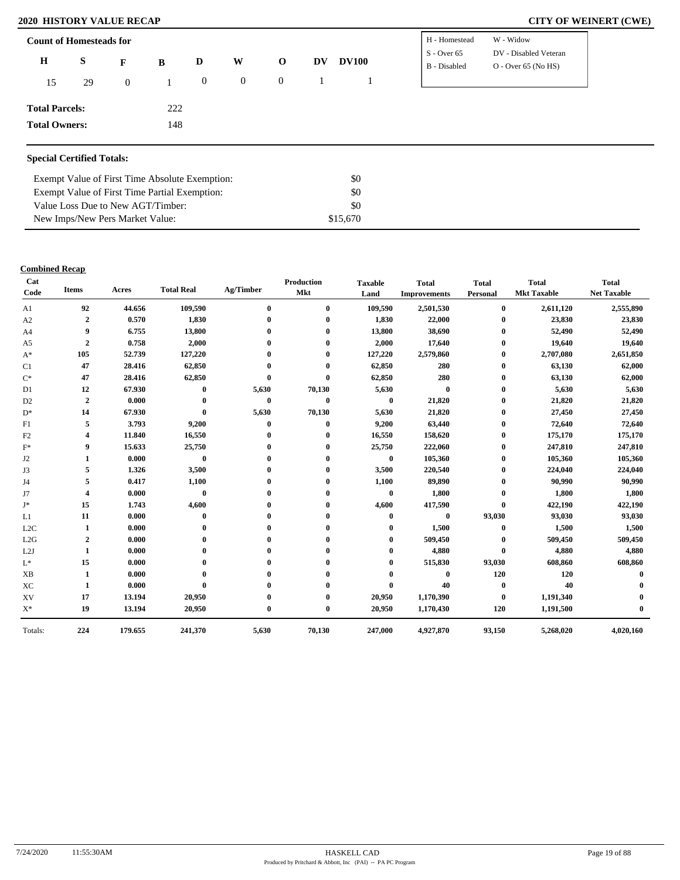| <b>Count of Homesteads for</b> |    |                |     |          |              |                |    |              | H - Homestead<br>$S -$ Over 65 | W - Widow<br>DV - Disabled Veteran |
|--------------------------------|----|----------------|-----|----------|--------------|----------------|----|--------------|--------------------------------|------------------------------------|
| $\bf H$                        | S  | F              | B   | D        | W            | $\mathbf{O}$   | DV | <b>DV100</b> | B - Disabled                   | $O - Over 65 (No HS)$              |
| 15                             | 29 | $\overline{0}$ | 1   | $\theta$ | $\mathbf{0}$ | $\overline{0}$ |    |              |                                |                                    |
| <b>Total Parcels:</b>          |    |                | 222 |          |              |                |    |              |                                |                                    |
| <b>Total Owners:</b>           |    |                | 148 |          |              |                |    |              |                                |                                    |
|                                |    |                |     |          |              |                |    |              |                                |                                    |

# **Special Certified Totals:**

| Exempt Value of First Time Absolute Exemption: | \$0      |
|------------------------------------------------|----------|
| Exempt Value of First Time Partial Exemption:  | \$0      |
| Value Loss Due to New AGT/Timber:              | -80      |
| New Imps/New Pers Market Value:                | \$15,670 |

### **Combined Recap**

| Cat<br>Code            | <b>Items</b>     | Acres   | <b>Total Real</b> | Ag/Timber | Production<br><b>Mkt</b> | <b>Taxable</b><br>Land | <b>Total</b><br><b>Improvements</b> | <b>Total</b><br>Personal | <b>Total</b><br><b>Mkt Taxable</b> | <b>Total</b><br><b>Net Taxable</b> |
|------------------------|------------------|---------|-------------------|-----------|--------------------------|------------------------|-------------------------------------|--------------------------|------------------------------------|------------------------------------|
| A1                     | 92               | 44.656  | 109,590           | $\bf{0}$  | $\bf{0}$                 | 109,590                | 2,501,530                           | $\bf{0}$                 | 2,611,120                          | 2,555,890                          |
| A2                     | 2                | 0.570   | 1,830             | 0         | 0                        | 1,830                  | 22,000                              | $\mathbf{0}$             | 23,830                             | 23,830                             |
| A <sub>4</sub>         | 9                | 6.755   | 13,800            |           | $\mathbf{0}$             | 13,800                 | 38,690                              | $\bf{0}$                 | 52,490                             | 52,490                             |
| A <sub>5</sub>         | 2                | 0.758   | 2,000             |           |                          | 2,000                  | 17,640                              | $\bf{0}$                 | 19,640                             | 19,640                             |
| $A^*$                  | 105              | 52.739  | 127,220           |           |                          | 127,220                | 2,579,860                           | $\bf{0}$                 | 2,707,080                          | 2,651,850                          |
| C <sub>1</sub>         | 47               | 28.416  | 62,850            |           |                          | 62,850                 | 280                                 | $\bf{0}$                 | 63,130                             | 62,000                             |
| $\mathrm{C}^*$         | 47               | 28.416  | 62,850            | $\bf{0}$  | $\bf{0}$                 | 62,850                 | 280                                 | $\bf{0}$                 | 63,130                             | 62,000                             |
| D1                     | 12               | 67.930  | $\bf{0}$          | 5,630     | 70,130                   | 5,630                  | $\bf{0}$                            | $\mathbf{0}$             | 5,630                              | 5,630                              |
| D <sub>2</sub>         | $\boldsymbol{2}$ | 0.000   | $\bf{0}$          | $\bf{0}$  | $\bf{0}$                 | $\bf{0}$               | 21,820                              | $\bf{0}$                 | 21,820                             | 21,820                             |
| $D^*$                  | 14               | 67.930  | $\bf{0}$          | 5,630     | 70,130                   | 5,630                  | 21,820                              | $\bf{0}$                 | 27,450                             | 27,450                             |
| F1                     | 5                | 3.793   | 9,200             | $\bf{0}$  | $\bf{0}$                 | 9,200                  | 63,440                              | $\bf{0}$                 | 72,640                             | 72,640                             |
| F2                     | 4                | 11.840  | 16,550            | 0         | $\bf{0}$                 | 16,550                 | 158,620                             | $\bf{0}$                 | 175,170                            | 175,170                            |
| $F^*$                  | 9                | 15.633  | 25,750            |           | 0                        | 25,750                 | 222,060                             | $\bf{0}$                 | 247,810                            | 247,810                            |
| J2                     |                  | 0.000   | $\bf{0}$          |           |                          | $\bf{0}$               | 105,360                             | $\bf{0}$                 | 105,360                            | 105,360                            |
| J3                     | 5                | 1.326   | 3,500             |           | 0                        | 3,500                  | 220,540                             | $\mathbf{0}$             | 224,040                            | 224,040                            |
| J4                     | 5                | 0.417   | 1,100             |           |                          | 1,100                  | 89,890                              | $\bf{0}$                 | 90,990                             | 90,990                             |
| J7                     | 4                | 0.000   | $\bf{0}$          |           |                          | $\bf{0}$               | 1,800                               | $\bf{0}$                 | 1,800                              | 1,800                              |
| J*                     | 15               | 1.743   | 4,600             |           |                          | 4,600                  | 417,590                             | $\mathbf{0}$             | 422,190                            | 422,190                            |
| L1                     | 11               | 0.000   | $\bf{0}$          |           |                          | $\mathbf 0$            | $\bf{0}$                            | 93,030                   | 93,030                             | 93,030                             |
| L2C                    | 1                | 0.000   |                   |           |                          | 0                      | 1,500                               | $\bf{0}$                 | 1,500                              | 1,500                              |
| L2G                    | 2                | 0.000   |                   |           |                          | 0                      | 509,450                             | $\bf{0}$                 | 509,450                            | 509,450                            |
| L2J                    | 1                | 0.000   |                   |           |                          |                        | 4,880                               | $\bf{0}$                 | 4,880                              | 4,880                              |
| $L^*$                  | 15               | 0.000   |                   |           |                          | 0                      | 515,830                             | 93,030                   | 608,860                            | 608,860                            |
| $\mathbf{X}\mathbf{B}$ |                  | 0.000   |                   |           |                          | $\mathbf{0}$           | $\mathbf{0}$                        | 120                      | 120                                |                                    |
| XC                     | 1                | 0.000   | $\bf{0}$          |           |                          | $\bf{0}$               | 40                                  | $\bf{0}$                 | 40                                 |                                    |
| XV                     | 17               | 13.194  | 20,950            |           |                          | 20,950                 | 1,170,390                           | $\bf{0}$                 | 1,191,340                          |                                    |
| $\mathbf{X}^*$         | 19               | 13.194  | 20,950            | $\bf{0}$  | $\bf{0}$                 | 20,950                 | 1,170,430                           | 120                      | 1,191,500                          |                                    |
| Totals:                | 224              | 179.655 | 241,370           | 5,630     | 70,130                   | 247,000                | 4,927,870                           | 93,150                   | 5,268,020                          | 4,020,160                          |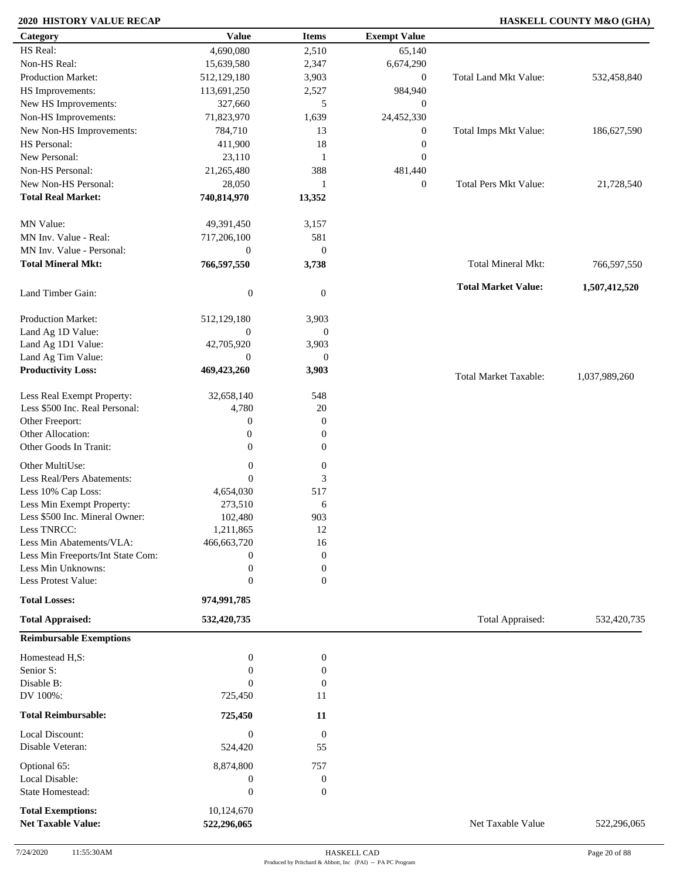# **2020 HISTORY VALUE RECAP HASKELL COUNTY M&O (GHA)**

| Category                                      | <b>Value</b>     | <b>Items</b>           | <b>Exempt Value</b> |                              |               |
|-----------------------------------------------|------------------|------------------------|---------------------|------------------------------|---------------|
| HS Real:                                      | 4,690,080        | 2,510                  | 65,140              |                              |               |
| Non-HS Real:                                  | 15,639,580       | 2,347                  | 6,674,290           |                              |               |
| <b>Production Market:</b>                     | 512,129,180      | 3,903                  | $\mathbf{0}$        | Total Land Mkt Value:        | 532,458,840   |
| HS Improvements:                              | 113,691,250      | 2,527                  | 984,940             |                              |               |
| New HS Improvements:                          | 327,660          | 5                      | $\mathbf{0}$        |                              |               |
| Non-HS Improvements:                          | 71,823,970       | 1,639                  | 24,452,330          |                              |               |
| New Non-HS Improvements:                      | 784,710          | 13                     | $\mathbf{0}$        | Total Imps Mkt Value:        | 186,627,590   |
| HS Personal:                                  | 411,900          | 18                     | $\boldsymbol{0}$    |                              |               |
| New Personal:                                 | 23,110           | $\mathbf{1}$           | $\mathbf{0}$        |                              |               |
| Non-HS Personal:                              |                  |                        |                     |                              |               |
|                                               | 21,265,480       | 388                    | 481,440             |                              |               |
| New Non-HS Personal:                          | 28,050           | $\mathbf{1}$           | $\overline{0}$      | <b>Total Pers Mkt Value:</b> | 21,728,540    |
| <b>Total Real Market:</b>                     | 740,814,970      | 13,352                 |                     |                              |               |
| MN Value:                                     | 49,391,450       | 3,157                  |                     |                              |               |
| MN Inv. Value - Real:                         | 717,206,100      | 581                    |                     |                              |               |
| MN Inv. Value - Personal:                     | $\boldsymbol{0}$ | $\mathbf{0}$           |                     |                              |               |
| <b>Total Mineral Mkt:</b>                     | 766,597,550      | 3,738                  |                     | Total Mineral Mkt:           |               |
|                                               |                  |                        |                     |                              | 766,597,550   |
| Land Timber Gain:                             | $\boldsymbol{0}$ | $\overline{0}$         |                     | <b>Total Market Value:</b>   | 1,507,412,520 |
| Production Market:                            | 512,129,180      | 3,903                  |                     |                              |               |
| Land Ag 1D Value:                             | $\boldsymbol{0}$ | $\mathbf{0}$           |                     |                              |               |
| Land Ag 1D1 Value:                            | 42,705,920       | 3,903                  |                     |                              |               |
| Land Ag Tim Value:                            | $\mathbf{0}$     | $\mathbf{0}$           |                     |                              |               |
| <b>Productivity Loss:</b>                     | 469,423,260      | 3,903                  |                     |                              |               |
|                                               |                  |                        |                     | <b>Total Market Taxable:</b> | 1,037,989,260 |
| Less Real Exempt Property:                    | 32,658,140       | 548                    |                     |                              |               |
| Less \$500 Inc. Real Personal:                | 4,780            | $20\,$                 |                     |                              |               |
| Other Freeport:                               | $\boldsymbol{0}$ | $\mathbf{0}$           |                     |                              |               |
| Other Allocation:                             | $\boldsymbol{0}$ | $\boldsymbol{0}$       |                     |                              |               |
| Other Goods In Tranit:                        | $\mathbf{0}$     | $\mathbf{0}$           |                     |                              |               |
| Other MultiUse:                               | $\boldsymbol{0}$ | $\boldsymbol{0}$       |                     |                              |               |
| Less Real/Pers Abatements:                    | $\theta$         | 3                      |                     |                              |               |
| Less 10% Cap Loss:                            | 4,654,030        | 517                    |                     |                              |               |
| Less Min Exempt Property:                     | 273,510          | 6                      |                     |                              |               |
|                                               |                  |                        |                     |                              |               |
| Less \$500 Inc. Mineral Owner:<br>Less TNRCC: | 102,480          | 903                    |                     |                              |               |
|                                               | 1,211,865        | 12                     |                     |                              |               |
| Less Min Abatements/VLA:                      | 466,663,720      | 16                     |                     |                              |               |
| Less Min Freeports/Int State Com:             | $\bf{0}$         | $\boldsymbol{0}$       |                     |                              |               |
| Less Min Unknowns:                            | $\boldsymbol{0}$ | $\boldsymbol{0}$       |                     |                              |               |
| Less Protest Value:                           | $\theta$         | $\mathbf{0}$           |                     |                              |               |
| <b>Total Losses:</b>                          | 974,991,785      |                        |                     |                              |               |
| <b>Total Appraised:</b>                       | 532,420,735      |                        |                     | Total Appraised:             | 532,420,735   |
| <b>Reimbursable Exemptions</b>                |                  |                        |                     |                              |               |
| Homestead H,S:                                | $\boldsymbol{0}$ | $\boldsymbol{0}$       |                     |                              |               |
| Senior S:                                     | $\boldsymbol{0}$ | $\boldsymbol{0}$       |                     |                              |               |
| Disable B:                                    | $\Omega$         | $\mathbf{0}$           |                     |                              |               |
| DV 100%:                                      | 725,450          | 11                     |                     |                              |               |
| <b>Total Reimbursable:</b>                    | 725,450          | 11                     |                     |                              |               |
|                                               | $\boldsymbol{0}$ |                        |                     |                              |               |
| Local Discount:<br>Disable Veteran:           | 524,420          | $\boldsymbol{0}$<br>55 |                     |                              |               |
|                                               |                  |                        |                     |                              |               |
| Optional 65:                                  | 8,874,800        | 757                    |                     |                              |               |
| Local Disable:                                | $\boldsymbol{0}$ | $\boldsymbol{0}$       |                     |                              |               |
| State Homestead:                              | $\boldsymbol{0}$ | $\mathbf{0}$           |                     |                              |               |
| <b>Total Exemptions:</b>                      | 10,124,670       |                        |                     |                              |               |
| <b>Net Taxable Value:</b>                     | 522,296,065      |                        |                     | Net Taxable Value            | 522,296,065   |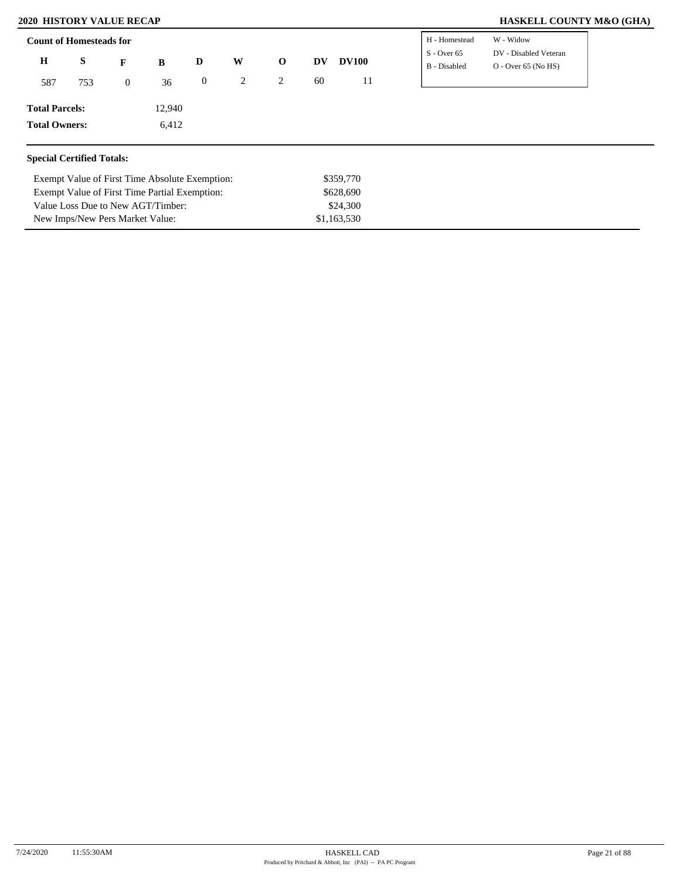Exempt Value of First Time Partial Exemption: Value Loss Due to New AGT/Timber: New Imps/New Pers Market Value:

# **2020 HISTORY VALUE RECAP HASKELL COUNTY M&O (GHA)**

| <b>Count of Homesteads for</b>   |     |              |                                                |                  |   |              |    |              | H - Homestead                 | W - Widow                                      |
|----------------------------------|-----|--------------|------------------------------------------------|------------------|---|--------------|----|--------------|-------------------------------|------------------------------------------------|
| $\bf H$                          | S   | F            | B                                              | D                | W | $\mathbf{o}$ | DV | <b>DV100</b> | $S -$ Over 65<br>B - Disabled | DV - Disabled Veteran<br>$O -$ Over 65 (No HS) |
| 587                              | 753 | $\mathbf{0}$ | 36                                             | $\boldsymbol{0}$ | 2 | 2            | 60 | 11           |                               |                                                |
| <b>Total Parcels:</b>            |     |              | 12,940                                         |                  |   |              |    |              |                               |                                                |
| <b>Total Owners:</b>             |     |              | 6,412                                          |                  |   |              |    |              |                               |                                                |
| <b>Special Certified Totals:</b> |     |              |                                                |                  |   |              |    |              |                               |                                                |
|                                  |     |              | Exempt Value of First Time Absolute Exemption: |                  |   |              |    | \$359,770    |                               |                                                |

\$628,690 \$24,300 \$1,163,530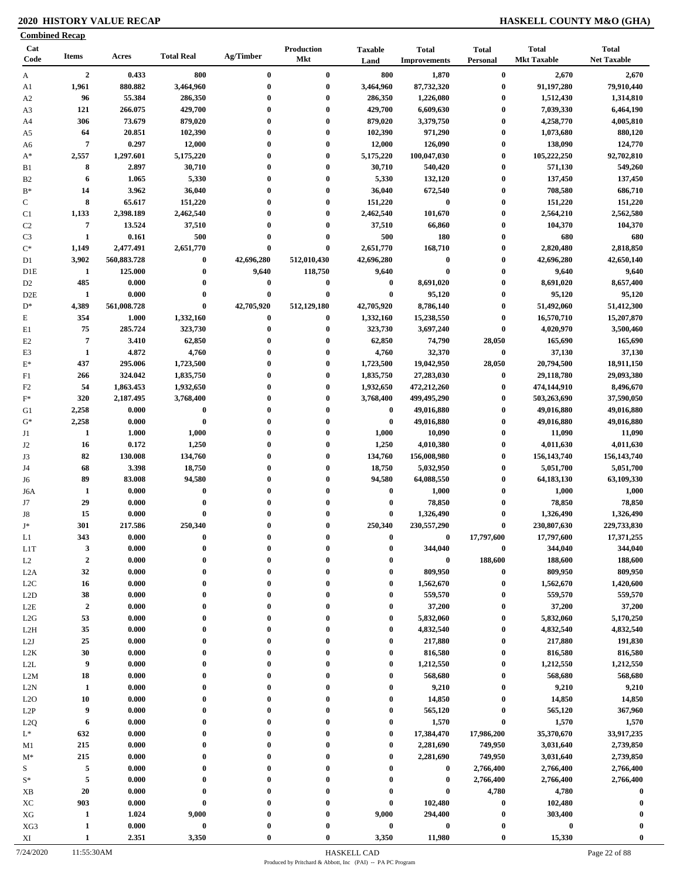# **2020 HISTORY VALUE RECAP HASKELL COUNTY M&O (GHA)**

| <b>Combined Recap</b>  |                             |                 |                      |                      |                                 |                                      |                                     |                                 |                                    |                                    |
|------------------------|-----------------------------|-----------------|----------------------|----------------------|---------------------------------|--------------------------------------|-------------------------------------|---------------------------------|------------------------------------|------------------------------------|
| Cat<br>Code            | <b>Items</b>                | Acres           | <b>Total Real</b>    | Ag/Timber            | <b>Production</b><br><b>Mkt</b> | <b>Taxable</b><br>Land               | <b>Total</b><br><b>Improvements</b> | <b>Total</b><br><b>Personal</b> | <b>Total</b><br><b>Mkt Taxable</b> | <b>Total</b><br><b>Net Taxable</b> |
| A                      | $\overline{2}$              | 0.433           | 800                  | $\bf{0}$             | $\bf{0}$                        | 800                                  | 1,870                               | $\bf{0}$                        | 2,670                              | 2,670                              |
| A1                     | 1,961                       | 880.882         | 3,464,960            | $\bf{0}$             | $\bf{0}$                        | 3,464,960                            | 87,732,320                          | $\bf{0}$                        | 91,197,280                         | 79,910,440                         |
| A <sub>2</sub>         | 96                          | 55.384          | 286,350              | $\bf{0}$             | $\bf{0}$                        | 286,350                              | 1,226,080                           | $\boldsymbol{0}$                | 1,512,430                          | 1,314,810                          |
| A3                     | 121                         | 266.075         | 429,700              | $\bf{0}$             | $\bf{0}$                        | 429,700                              | 6,609,630                           | $\boldsymbol{0}$                | 7,039,330                          | 6,464,190                          |
| A4                     | 306                         | 73.679          | 879,020              | 0                    | $\bf{0}$                        | 879,020                              | 3,379,750                           | $\boldsymbol{0}$                | 4,258,770                          | 4,005,810                          |
| A5                     | 64<br>$\overline{7}$        | 20.851<br>0.297 | 102,390<br>12,000    | $\bf{0}$<br>$\bf{0}$ | $\bf{0}$<br>$\bf{0}$            | 102,390                              | 971,290                             | $\bf{0}$<br>$\boldsymbol{0}$    | 1,073,680                          | 880,120                            |
| A6<br>$A^*$            | 2,557                       | 1,297.601       | 5,175,220            | $\bf{0}$             | $\bf{0}$                        | 12,000<br>5,175,220                  | 126,090<br>100,047,030              | $\bf{0}$                        | 138,090<br>105,222,250             | 124,770<br>92,702,810              |
| B1                     | 8                           | 2.897           | 30,710               | $\bf{0}$             | $\bf{0}$                        | 30,710                               | 540,420                             | $\bf{0}$                        | 571,130                            | 549,260                            |
| B <sub>2</sub>         | 6                           | 1.065           | 5,330                | $\bf{0}$             | $\bf{0}$                        | 5,330                                | 132,120                             | $\boldsymbol{0}$                | 137,450                            | 137,450                            |
| $B*$                   | 14                          | 3.962           | 36,040               | 0                    | $\bf{0}$                        | 36,040                               | 672,540                             | $\boldsymbol{0}$                | 708,580                            | 686,710                            |
| $\mathbf C$            | 8                           | 65.617          | 151,220              | $\bf{0}$             | $\bf{0}$                        | 151,220                              | $\bf{0}$                            | $\boldsymbol{0}$                | 151,220                            | 151,220                            |
| C1                     | 1,133                       | 2,398.189       | 2,462,540            | $\mathbf{0}$         | $\bf{0}$                        | 2,462,540                            | 101,670                             | $\bf{0}$                        | 2,564,210                          | 2,562,580                          |
| C <sub>2</sub>         | $\overline{7}$              | 13.524          | 37,510               | $\bf{0}$             | $\bf{0}$                        | 37,510                               | 66,860                              | $\bf{0}$                        | 104,370                            | 104,370                            |
| C <sub>3</sub>         | $\mathbf{1}$                | 0.161           | 500                  | $\bf{0}$             | $\bf{0}$                        | 500                                  | 180                                 | $\boldsymbol{0}$                | 680                                | 680                                |
| $\mathrm{C}^*$         | 1,149                       | 2,477.491       | 2,651,770            | $\bf{0}$             | $\bf{0}$                        | 2,651,770                            | 168,710                             | $\bf{0}$                        | 2,820,480                          | 2,818,850                          |
| D1                     | 3,902                       | 560,883.728     | $\bf{0}$             | 42,696,280           | 512,010,430                     | 42,696,280                           | $\boldsymbol{0}$                    | $\bf{0}$                        | 42,696,280                         | 42,650,140                         |
| D <sub>1</sub> E       | -1                          | 125.000         | $\bf{0}$             | 9,640                | 118,750                         | 9,640                                | $\bf{0}$                            | $\bf{0}$                        | 9,640                              | 9,640                              |
| D <sub>2</sub>         | 485                         | 0.000           | $\bf{0}$             | 0                    | $\bf{0}$                        | $\bf{0}$                             | 8,691,020                           | $\bf{0}$                        | 8,691,020                          | 8,657,400                          |
| D <sub>2</sub> E       | 1                           | 0.000           | $\bf{0}$             | $\bf{0}$             | $\bf{0}$                        | $\bf{0}$                             | 95,120                              | $\bf{0}$                        | 95,120                             | 95,120                             |
| $D^*$                  | 4,389                       | 561,008.728     | $\bf{0}$             | 42,705,920           | 512,129,180                     | 42,705,920                           | 8,786,140                           | $\bf{0}$                        | 51,492,060                         | 51,412,300                         |
| $\mathbf E$            | 354                         | 1.000           | 1,332,160            | $\bf{0}$             | $\bf{0}$                        | 1,332,160                            | 15,238,550                          | $\bf{0}$                        | 16,570,710                         | 15,207,870                         |
| E1                     | 75                          | 285.724         | 323,730              | $\bf{0}$<br>0        | $\bf{0}$<br>$\bf{0}$            | 323,730                              | 3,697,240                           | $\bf{0}$                        | 4,020,970                          | 3,500,460                          |
| E2<br>E <sub>3</sub>   | $\overline{7}$<br>1         | 3.410<br>4.872  | 62,850<br>4,760      | $\bf{0}$             | $\bf{0}$                        | 62,850<br>4,760                      | 74,790<br>32,370                    | 28,050<br>$\boldsymbol{0}$      | 165,690<br>37,130                  | 165,690<br>37,130                  |
| $E^*$                  | 437                         | 295.006         | 1,723,500            | 0                    | $\bf{0}$                        | 1,723,500                            | 19,042,950                          | 28,050                          | 20,794,500                         | 18,911,150                         |
| F1                     | 266                         | 324.042         | 1,835,750            | $\bf{0}$             | $\bf{0}$                        | 1,835,750                            | 27,283,030                          | $\bf{0}$                        | 29,118,780                         | 29,093,380                         |
| F <sub>2</sub>         | 54                          | 1,863.453       | 1,932,650            | $\bf{0}$             | $\bf{0}$                        | 1,932,650                            | 472,212,260                         | $\bf{0}$                        | 474,144,910                        | 8,496,670                          |
| $F^*$                  | 320                         | 2,187.495       | 3,768,400            | $\bf{0}$             | $\bf{0}$                        | 3,768,400                            | 499,495,290                         | $\bf{0}$                        | 503,263,690                        | 37,590,050                         |
| G1                     | 2,258                       | 0.000           | $\bf{0}$             | $\bf{0}$             | $\bf{0}$                        | $\bf{0}$                             | 49,016,880                          | $\bf{0}$                        | 49,016,880                         | 49,016,880                         |
| $G^*$                  | 2,258                       | 0.000           | $\bf{0}$             | $\bf{0}$             | $\bf{0}$                        | $\bf{0}$                             | 49,016,880                          | $\bf{0}$                        | 49,016,880                         | 49,016,880                         |
| J1                     | 1                           | 1.000           | 1,000                | $\bf{0}$             | $\bf{0}$                        | 1,000                                | 10,090                              | $\bf{0}$                        | 11,090                             | 11,090                             |
| J2                     | 16                          | 0.172           | 1,250                | $\bf{0}$             | $\bf{0}$                        | 1,250                                | 4,010,380                           | $\bf{0}$                        | 4,011,630                          | 4,011,630                          |
| J3                     | 82                          | 130.008         | 134,760              | $\bf{0}$             | $\bf{0}$                        | 134,760                              | 156,008,980                         | $\bf{0}$                        | 156, 143, 740                      | 156, 143, 740                      |
| J4                     | 68                          | 3.398           | 18,750               | $\bf{0}$             | $\bf{0}$                        | 18,750                               | 5,032,950                           | $\bf{0}$                        | 5,051,700                          | 5,051,700                          |
| J6                     | 89                          | 83.008          | 94,580               | $\bf{0}$             | $\bf{0}$                        | 94,580                               | 64,088,550                          | $\bf{0}$                        | 64,183,130                         | 63,109,330                         |
| J6A                    | 1                           | 0.000           | $\bf{0}$             | 0                    | $\bf{0}$                        | $\bf{0}$                             | 1,000                               | $\boldsymbol{0}$                | 1,000                              | 1,000                              |
| J7                     | 29                          | 0.000           | $\bf{0}$             | $\bf{0}$             | $\bf{0}$                        | $\bf{0}$                             | 78,850                              | $\bf{0}$                        | 78,850                             | 78,850                             |
| J8                     | 15                          | 0.000           | $\bf{0}$             | $\bf{0}$             | $\bf{0}$                        | $\bf{0}$                             | 1,326,490                           | $\bf{0}$                        | 1,326,490                          | 1,326,490                          |
| $J^*$                  | 301                         | 217.586         | 250,340              |                      |                                 | 250,340                              | 230,557,290                         | $\boldsymbol{0}$                | 230,807,630                        | 229,733,830                        |
| L1                     | 343                         | 0.000           | $\bf{0}$             | 0                    | $\mathbf{0}$                    | $\bf{0}$                             | 0                                   | 17,797,600                      | 17,797,600                         | 17,371,255                         |
| L <sub>1</sub> T<br>L2 | $\mathbf{3}$<br>$\mathbf 2$ | 0.000<br>0.000  | $\bf{0}$<br>$\bf{0}$ | $\bf{0}$<br>0        | $\bf{0}$<br>$\bf{0}$            | $\boldsymbol{0}$<br>$\boldsymbol{0}$ | 344,040<br>$\boldsymbol{0}$         | $\bf{0}$<br>188,600             | 344,040<br>188,600                 | 344,040<br>188,600                 |
| L2A                    | 32                          | 0.000           | $\bf{0}$             | 0                    | $\mathbf{0}$                    | $\bf{0}$                             | 809,950                             | $\bf{0}$                        | 809,950                            | 809,950                            |
| L2C                    | 16                          | 0.000           | $\bf{0}$             | $\bf{0}$             | $\bf{0}$                        | $\bf{0}$                             | 1,562,670                           | $\bf{0}$                        | 1,562,670                          | 1,420,600                          |
| L2D                    | 38                          | 0.000           | $\bf{0}$             | $\bf{0}$             | $\bf{0}$                        | $\bf{0}$                             | 559,570                             | $\bf{0}$                        | 559,570                            | 559,570                            |
| $_{\rm L2E}$           | $\boldsymbol{2}$            | 0.000           | $\bf{0}$             | $\bf{0}$             | $\bf{0}$                        | $\boldsymbol{0}$                     | 37,200                              | $\bf{0}$                        | 37,200                             | 37,200                             |
| L2G                    | 53                          | 0.000           | $\bf{0}$             | $\bf{0}$             | $\bf{0}$                        | $\bf{0}$                             | 5,832,060                           | $\bf{0}$                        | 5,832,060                          | 5,170,250                          |
| L <sub>2</sub> H       | 35                          | 0.000           | $\bf{0}$             | 0                    | $\bf{0}$                        | $\bf{0}$                             | 4,832,540                           | $\bf{0}$                        | 4,832,540                          | 4,832,540                          |
| L2J                    | 25                          | 0.000           | $\bf{0}$             | $\bf{0}$             | $\bf{0}$                        | $\boldsymbol{0}$                     | 217,880                             | $\bf{0}$                        | 217,880                            | 191,830                            |
| L <sub>2</sub> K       | 30                          | 0.000           | $\bf{0}$             | $\bf{0}$             | $\bf{0}$                        | $\boldsymbol{0}$                     | 816,580                             | $\bf{0}$                        | 816,580                            | 816,580                            |
| $\mbox{L2L}$           | 9                           | 0.000           | $\bf{0}$             | $\bf{0}$             | $\bf{0}$                        | $\bf{0}$                             | 1,212,550                           | $\boldsymbol{0}$                | 1,212,550                          | 1,212,550                          |
| L2M                    | 18                          | 0.000           | $\bf{0}$             | 0                    | $\bf{0}$                        | $\bf{0}$                             | 568,680                             | $\bf{0}$                        | 568,680                            | 568,680                            |
| L2N                    | 1                           | 0.000           | $\bf{0}$             | $\bf{0}$             | $\bf{0}$                        | $\boldsymbol{0}$                     | 9,210                               | $\bf{0}$                        | 9,210                              | 9,210                              |
| L2O                    | 10                          | 0.000           | $\bf{0}$             | $\bf{0}$             | $\mathbf{0}$                    | $\boldsymbol{0}$                     | 14,850                              | $\bf{0}$                        | 14,850                             | 14,850                             |
| L2P                    | 9                           | 0.000           | $\bf{0}$             | $\bf{0}$             | $\bf{0}$                        | $\bf{0}$                             | 565,120                             | $\bf{0}$                        | 565,120                            | 367,960                            |
| L <sub>2</sub> Q       | 6                           | 0.000           | $\bf{0}$             | 0                    | $\mathbf{0}$                    | $\boldsymbol{0}$                     | 1,570                               | $\bf{0}$                        | 1,570                              | 1,570                              |
| $L^*$                  | 632                         | 0.000           | $\bf{0}$             |                      | $\boldsymbol{0}$                | $\bf{0}$                             | 17,384,470                          | 17,986,200                      | 35,370,670                         | 33,917,235                         |
| M1                     | 215                         | 0.000           | $\bf{0}$             | 0                    | $\mathbf{0}$                    | $\boldsymbol{0}$                     | 2,281,690                           | 749,950                         | 3,031,640                          | 2,739,850                          |
| $M^*$                  | 215                         | 0.000           | $\bf{0}$<br>$\bf{0}$ | 0                    | $\bf{0}$<br>$\bf{0}$            | $\bf{0}$                             | 2,281,690                           | 749,950                         | 3,031,640                          | 2,739,850                          |
| S                      | 5<br>$\sqrt{5}$             | 0.000<br>0.000  | $\bf{0}$             |                      | $\bf{0}$                        | $\bf{0}$<br>$\boldsymbol{0}$         | $\bf{0}$<br>$\bf{0}$                | 2,766,400<br>2,766,400          | 2,766,400<br>2,766,400             | 2,766,400<br>2,766,400             |
| $S^*$<br>XB            | 20                          | 0.000           | $\bf{0}$             | $\mathbf{0}$         | $\bf{0}$                        | $\boldsymbol{0}$                     | $\bf{0}$                            | 4,780                           | 4,780                              | $\bf{0}$                           |
| XC                     | 903                         | 0.000           | $\bf{0}$             | 0                    | $\bf{0}$                        | $\boldsymbol{0}$                     | 102,480                             | $\bf{0}$                        | 102,480                            | $\mathbf 0$                        |
| ${\rm XG}$             | 1                           | 1.024           | 9,000                |                      | $\bf{0}$                        | 9,000                                | 294,400                             | $\boldsymbol{0}$                | 303,400                            |                                    |
| XG3                    | $\mathbf{1}$                | 0.000           | $\pmb{0}$            |                      | $\bf{0}$                        | $\bf{0}$                             | $\pmb{0}$                           | $\boldsymbol{0}$                | $\boldsymbol{0}$                   |                                    |
| XI                     | $\mathbf{1}$                | 2.351           | 3,350                | $\mathbf{0}$         | $\bf{0}$                        | 3,350                                | 11,980                              | $\boldsymbol{0}$                | 15,330                             | $\bf{0}$                           |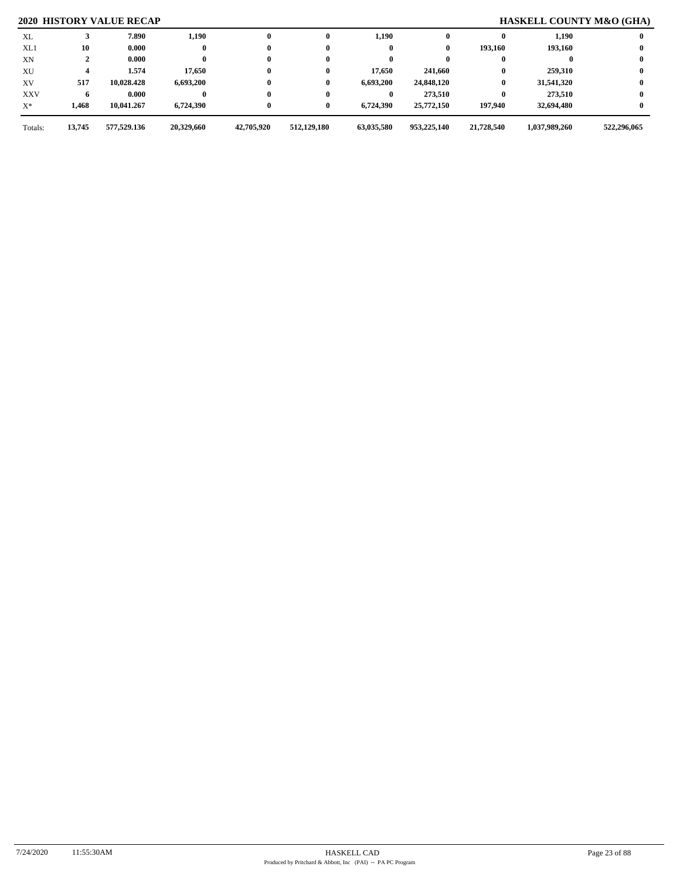# **2020 HISTORY VALUE RECAP HASKELL COUNTY M&O (GHA)**

| XL         |        | 7.890       | 1,190      | $\mathbf{0}$ | 0           | 1,190      |             |            | 1,190         |             |
|------------|--------|-------------|------------|--------------|-------------|------------|-------------|------------|---------------|-------------|
| XL1        | 10     | 0.000       |            | $\bf{0}$     |             |            | 0           | 193,160    | 193,160       |             |
| XN         |        | 0.000       |            | $\bf{0}$     |             |            |             |            |               |             |
| XU         |        | 1.574       | 17,650     | $\bf{0}$     | 0           | 17,650     | 241,660     |            | 259,310       |             |
| XV         | 517    | 10,028.428  | 6,693,200  | $\bf{0}$     | 0           | 6,693,200  | 24,848,120  | $\bf{0}$   | 31,541,320    |             |
| <b>XXV</b> |        | 0.000       |            | $\bf{0}$     |             |            | 273,510     | 0          | 273.510       |             |
| $X^*$      | 1,468  | 10,041.267  | 6,724,390  | $\bf{0}$     | 0           | 6,724,390  | 25,772,150  | 197,940    | 32,694,480    |             |
| Totals:    | 13,745 | 577,529.136 | 20,329,660 | 42,705,920   | 512,129,180 | 63,035,580 | 953,225,140 | 21,728,540 | 1,037,989,260 | 522,296,065 |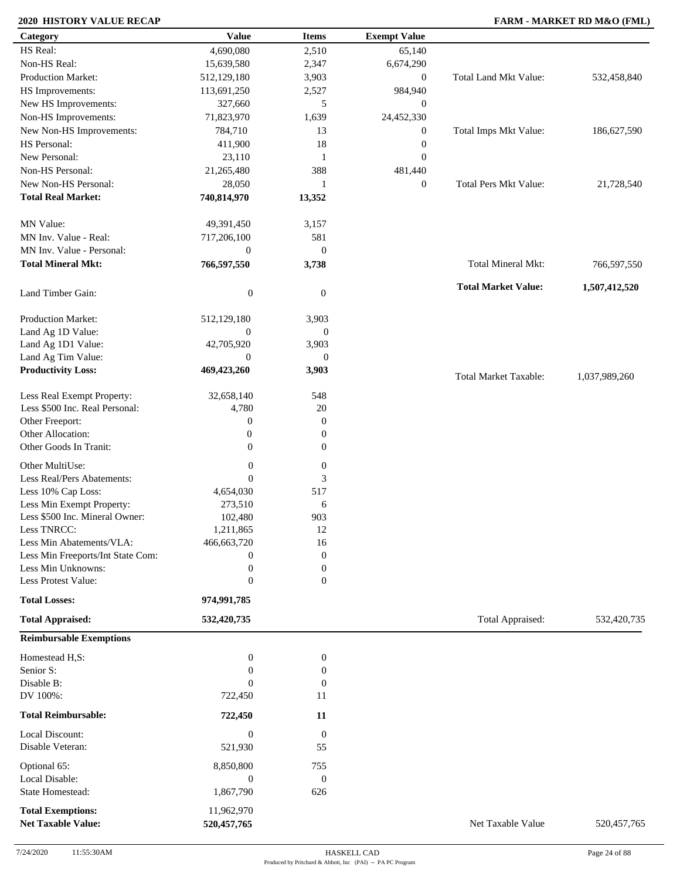# **2020 HISTORY VALUE RECAP FARM - MARKET RD M&O (FML)**

| Category                          | <b>Value</b>     | <b>Items</b>     | <b>Exempt Value</b> |                              |               |
|-----------------------------------|------------------|------------------|---------------------|------------------------------|---------------|
| HS Real:                          | 4,690,080        | 2,510            | 65,140              |                              |               |
| Non-HS Real:                      | 15,639,580       | 2,347            | 6,674,290           |                              |               |
| <b>Production Market:</b>         | 512,129,180      | 3,903            | $\boldsymbol{0}$    | Total Land Mkt Value:        | 532,458,840   |
| HS Improvements:                  | 113,691,250      | 2,527            | 984,940             |                              |               |
| New HS Improvements:              | 327,660          | 5                | $\boldsymbol{0}$    |                              |               |
| Non-HS Improvements:              | 71,823,970       | 1,639            | 24,452,330          |                              |               |
| New Non-HS Improvements:          | 784,710          | 13               | $\boldsymbol{0}$    | Total Imps Mkt Value:        | 186,627,590   |
| HS Personal:                      | 411,900          | 18               | $\boldsymbol{0}$    |                              |               |
| New Personal:                     |                  |                  |                     |                              |               |
|                                   | 23,110           | 1                | $\mathbf{0}$        |                              |               |
| Non-HS Personal:                  | 21,265,480       | 388              | 481,440             |                              |               |
| New Non-HS Personal:              | 28,050           | 1                | $\boldsymbol{0}$    | <b>Total Pers Mkt Value:</b> | 21,728,540    |
| <b>Total Real Market:</b>         | 740,814,970      | 13,352           |                     |                              |               |
| MN Value:                         | 49,391,450       | 3,157            |                     |                              |               |
| MN Inv. Value - Real:             | 717,206,100      | 581              |                     |                              |               |
| MN Inv. Value - Personal:         | $\boldsymbol{0}$ | $\mathbf{0}$     |                     |                              |               |
| <b>Total Mineral Mkt:</b>         | 766,597,550      | 3,738            |                     | Total Mineral Mkt:           | 766,597,550   |
|                                   |                  |                  |                     |                              |               |
| Land Timber Gain:                 | $\boldsymbol{0}$ | $\boldsymbol{0}$ |                     | <b>Total Market Value:</b>   | 1,507,412,520 |
| Production Market:                | 512,129,180      | 3,903            |                     |                              |               |
| Land Ag 1D Value:                 | $\boldsymbol{0}$ | $\boldsymbol{0}$ |                     |                              |               |
| Land Ag 1D1 Value:                | 42,705,920       | 3,903            |                     |                              |               |
| Land Ag Tim Value:                | $\theta$         | $\mathbf{0}$     |                     |                              |               |
| <b>Productivity Loss:</b>         | 469,423,260      | 3,903            |                     | <b>Total Market Taxable:</b> | 1,037,989,260 |
| Less Real Exempt Property:        | 32,658,140       | 548              |                     |                              |               |
| Less \$500 Inc. Real Personal:    | 4,780            | 20               |                     |                              |               |
| Other Freeport:                   | $\boldsymbol{0}$ | $\mathbf{0}$     |                     |                              |               |
| Other Allocation:                 | $\boldsymbol{0}$ | $\mathbf{0}$     |                     |                              |               |
| Other Goods In Tranit:            | $\mathbf{0}$     | $\boldsymbol{0}$ |                     |                              |               |
|                                   |                  |                  |                     |                              |               |
| Other MultiUse:                   | $\boldsymbol{0}$ | $\boldsymbol{0}$ |                     |                              |               |
| Less Real/Pers Abatements:        | $\overline{0}$   | $\mathfrak{Z}$   |                     |                              |               |
| Less 10% Cap Loss:                | 4,654,030        | 517              |                     |                              |               |
| Less Min Exempt Property:         | 273,510          | 6                |                     |                              |               |
| Less \$500 Inc. Mineral Owner:    | 102,480          | 903              |                     |                              |               |
| Less TNRCC:                       | 1,211,865        | 12               |                     |                              |               |
| Less Min Abatements/VLA:          | 466,663,720      | 16               |                     |                              |               |
| Less Min Freeports/Int State Com: | $\boldsymbol{0}$ | $\mathbf{0}$     |                     |                              |               |
| Less Min Unknowns:                | $\boldsymbol{0}$ | $\boldsymbol{0}$ |                     |                              |               |
| Less Protest Value:               | $\mathbf{0}$     | $\overline{0}$   |                     |                              |               |
| <b>Total Losses:</b>              | 974,991,785      |                  |                     |                              |               |
| <b>Total Appraised:</b>           | 532,420,735      |                  |                     | Total Appraised:             | 532,420,735   |
| <b>Reimbursable Exemptions</b>    |                  |                  |                     |                              |               |
| Homestead H,S:                    | $\boldsymbol{0}$ | $\boldsymbol{0}$ |                     |                              |               |
| Senior S:                         | $\boldsymbol{0}$ | $\boldsymbol{0}$ |                     |                              |               |
| Disable B:                        | $\theta$         | $\mathbf{0}$     |                     |                              |               |
| DV 100%:                          | 722,450          | 11               |                     |                              |               |
| <b>Total Reimbursable:</b>        | 722,450          | 11               |                     |                              |               |
|                                   |                  |                  |                     |                              |               |
| Local Discount:                   | $\boldsymbol{0}$ | $\boldsymbol{0}$ |                     |                              |               |
| Disable Veteran:                  | 521,930          | 55               |                     |                              |               |
| Optional 65:                      | 8,850,800        | 755              |                     |                              |               |
| Local Disable:                    | $\boldsymbol{0}$ | $\boldsymbol{0}$ |                     |                              |               |
| State Homestead:                  | 1,867,790        | 626              |                     |                              |               |
| <b>Total Exemptions:</b>          | 11,962,970       |                  |                     |                              |               |
| <b>Net Taxable Value:</b>         | 520, 457, 765    |                  |                     | Net Taxable Value            | 520, 457, 765 |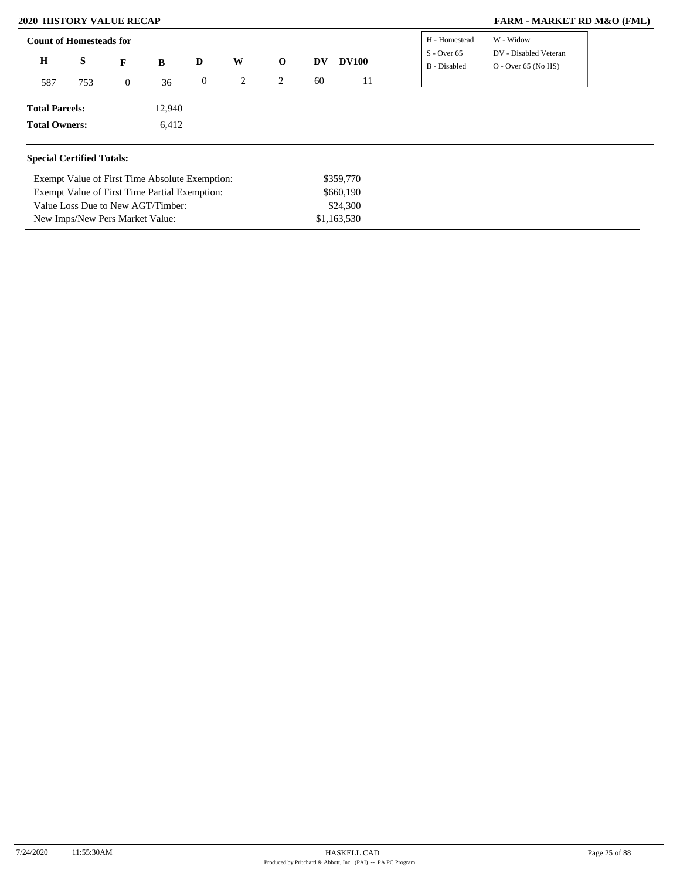Exempt Value of First Time Partial Exemption:

Value Loss Due to New AGT/Timber: New Imps/New Pers Market Value:

### **2020 HISTORY VALUE RECAP FARM - MARKET RD M&O (FML)**

| DV - Disabled Veteran<br>$S - Over 65$<br>H<br>S<br>W<br><b>DV100</b><br>$\mathbf{o}$<br>D<br>DV<br>$\mathbf{F}$<br>B<br>B - Disabled<br>$O - Over 65 (No HS)$<br>60<br>$\mathbf{0}$<br>2<br>2<br>11<br>36<br>753<br>587<br>$\mathbf{0}$ | 12,940<br>6,412 |
|------------------------------------------------------------------------------------------------------------------------------------------------------------------------------------------------------------------------------------------|-----------------|
|                                                                                                                                                                                                                                          |                 |
|                                                                                                                                                                                                                                          |                 |
| <b>Total Parcels:</b>                                                                                                                                                                                                                    |                 |
| <b>Total Owners:</b>                                                                                                                                                                                                                     |                 |

\$660,190 \$24,300 \$1,163,530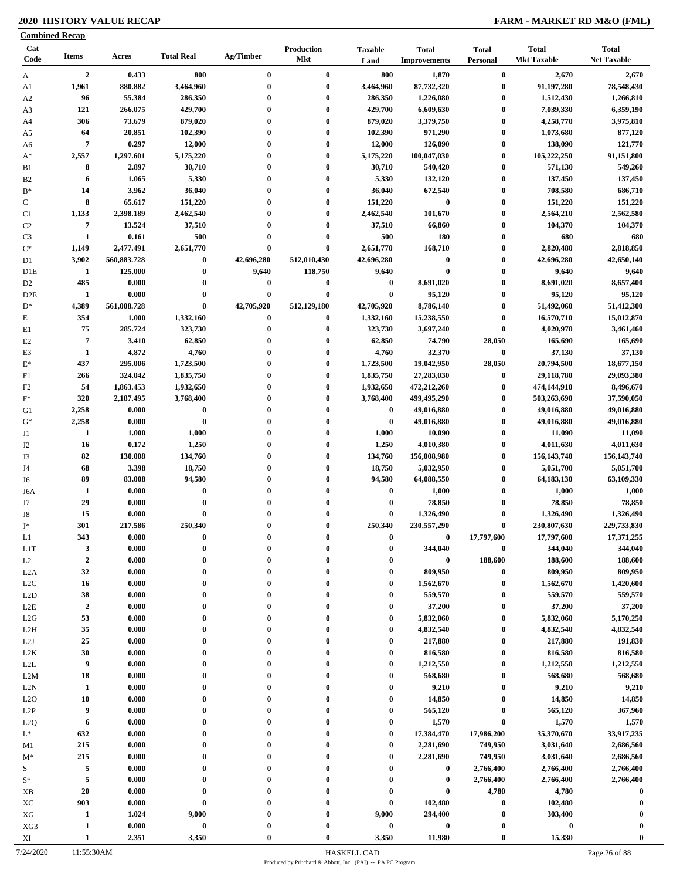# **2020 HISTORY VALUE RECAP FARM - MARKET RD M&O (FML)**

|                            | <b>Combined Recap</b> |                     |                      |                      |                      |                        |                                     |                              |                                    |                                    |
|----------------------------|-----------------------|---------------------|----------------------|----------------------|----------------------|------------------------|-------------------------------------|------------------------------|------------------------------------|------------------------------------|
| Cat<br>Code                | <b>Items</b>          | Acres               | <b>Total Real</b>    | Ag/Timber            | Production<br>Mkt    | <b>Taxable</b><br>Land | <b>Total</b><br><b>Improvements</b> | <b>Total</b><br>Personal     | <b>Total</b><br><b>Mkt Taxable</b> | <b>Total</b><br><b>Net Taxable</b> |
| $\mathbf{A}$               | $\overline{2}$        | 0.433               | 800                  | $\bf{0}$             | $\bf{0}$             | 800                    | 1,870                               | $\bf{0}$                     | 2,670                              | 2,670                              |
| A1                         | 1,961                 | 880.882             | 3,464,960            | $\bf{0}$             | $\bf{0}$             | 3,464,960              | 87,732,320                          | $\bf{0}$                     | 91,197,280                         | 78,548,430                         |
| A <sub>2</sub>             | 96                    | 55.384              | 286,350              | $\bf{0}$             | $\bf{0}$             | 286,350                | 1,226,080                           | $\boldsymbol{0}$             | 1,512,430                          | 1,266,810                          |
| A3                         | 121                   | 266.075             | 429,700              | 0                    | $\bf{0}$             | 429,700                | 6,609,630                           | $\boldsymbol{0}$             | 7,039,330                          | 6,359,190                          |
| A4                         | 306                   | 73.679              | 879,020              | 0                    | $\bf{0}$             | 879,020                | 3,379,750                           | $\bf{0}$                     | 4,258,770                          | 3,975,810                          |
| A5                         | 64                    | 20.851              | 102,390              | $\bf{0}$             | $\bf{0}$             | 102,390                | 971,290                             | $\bf{0}$                     | 1,073,680                          | 877,120                            |
| A6                         | $\overline{7}$        | 0.297               | 12,000               | $\bf{0}$             | $\bf{0}$             | 12,000                 | 126,090                             | $\boldsymbol{0}$             | 138,090                            | 121,770                            |
| $A^*$                      | 2,557                 | 1,297.601           | 5,175,220            | 0                    | $\bf{0}$             | 5,175,220              | 100,047,030                         | $\boldsymbol{0}$             | 105,222,250                        | 91,151,800                         |
| B1                         | 8                     | 2.897               | 30,710               | $\mathbf{0}$         | $\bf{0}$             | 30,710                 | 540,420                             | $\bf{0}$                     | 571,130                            | 549,260                            |
| B <sub>2</sub>             | 6                     | 1.065               | 5,330                | $\mathbf{0}$         | $\bf{0}$             | 5,330                  | 132,120                             | $\boldsymbol{0}$             | 137,450                            | 137,450                            |
| $B^*$                      | 14<br>8               | 3.962               | 36,040               | $\bf{0}$<br>0        | $\bf{0}$<br>$\bf{0}$ | 36,040                 | 672,540<br>$\bf{0}$                 | $\boldsymbol{0}$             | 708,580                            | 686,710                            |
| $\mathbf C$                | 1,133                 | 65.617<br>2,398.189 | 151,220<br>2,462,540 | $\bf{0}$             | $\bf{0}$             | 151,220<br>2,462,540   | 101,670                             | $\boldsymbol{0}$<br>$\bf{0}$ | 151,220<br>2,564,210               | 151,220<br>2,562,580               |
| C <sub>1</sub><br>$\rm C2$ | $\overline{7}$        | 13.524              | 37,510               | $\bf{0}$             | $\bf{0}$             | 37,510                 | 66,860                              | $\boldsymbol{0}$             | 104,370                            | 104,370                            |
| C <sub>3</sub>             | 1                     | 0.161               | 500                  | $\bf{0}$             | $\bf{0}$             | 500                    | 180                                 | $\bf{0}$                     | 680                                | 680                                |
| $\mathrm{C}^*$             | 1,149                 | 2,477.491           | 2,651,770            | $\bf{0}$             | $\bf{0}$             | 2,651,770              | 168,710                             | $\bf{0}$                     | 2,820,480                          | 2,818,850                          |
| D1                         | 3,902                 | 560,883.728         | $\bf{0}$             | 42,696,280           | 512,010,430          | 42,696,280             | $\bf{0}$                            | $\bf{0}$                     | 42,696,280                         | 42,650,140                         |
| D <sub>1</sub> E           | $\mathbf{1}$          | 125.000             | $\bf{0}$             | 9,640                | 118,750              | 9,640                  | $\bf{0}$                            | $\boldsymbol{0}$             | 9,640                              | 9,640                              |
| D <sub>2</sub>             | 485                   | 0.000               | $\bf{0}$             | 0                    | $\bf{0}$             | $\bf{0}$               | 8,691,020                           | $\boldsymbol{0}$             | 8,691,020                          | 8,657,400                          |
| D <sub>2</sub> E           | 1                     | 0.000               | $\bf{0}$             | $\bf{0}$             | $\bf{0}$             | $\bf{0}$               | 95,120                              | $\bf{0}$                     | 95,120                             | 95,120                             |
| $D^*$                      | 4,389                 | 561,008.728         | $\bf{0}$             | 42,705,920           | 512,129,180          | 42,705,920             | 8,786,140                           | $\bf{0}$                     | 51,492,060                         | 51,412,300                         |
| E                          | 354                   | 1.000               | 1,332,160            | $\bf{0}$             | $\bf{0}$             | 1,332,160              | 15,238,550                          | $\bf{0}$                     | 16,570,710                         | 15,012,870                         |
| E1                         | 75                    | 285.724             | 323,730              | $\bf{0}$             | $\bf{0}$             | 323,730                | 3,697,240                           | $\boldsymbol{0}$             | 4,020,970                          | 3,461,460                          |
| E2                         | $\overline{7}$        | 3.410               | 62,850               | 0                    | $\bf{0}$             | 62,850                 | 74,790                              | 28,050                       | 165,690                            | 165,690                            |
| E3                         | 1                     | 4.872               | 4,760                | 0                    | $\bf{0}$             | 4,760                  | 32,370                              | $\bf{0}$                     | 37,130                             | 37,130                             |
| $E^*$                      | 437                   | 295.006             | 1,723,500            | $\bf{0}$             | $\bf{0}$             | 1,723,500              | 19,042,950                          | 28,050                       | 20,794,500                         | 18,677,150                         |
| F1                         | 266                   | 324.042             | 1,835,750            | 0                    | $\bf{0}$             | 1,835,750              | 27,283,030                          | $\bf{0}$                     | 29,118,780                         | 29,093,380                         |
| F <sub>2</sub>             | 54                    | 1,863.453           | 1,932,650            | $\bf{0}$             | $\bf{0}$             | 1,932,650              | 472,212,260                         | $\bf{0}$                     | 474,144,910                        | 8,496,670                          |
| $\mathbf{F}^*$             | 320                   | 2,187.495           | 3,768,400            | 0                    | $\bf{0}$             | 3,768,400              | 499,495,290                         | $\boldsymbol{0}$             | 503,263,690                        | 37,590,050                         |
| G1                         | 2,258                 | 0.000               | $\bf{0}$             | 0                    | $\bf{0}$             | $\bf{0}$               | 49,016,880                          | $\bf{0}$                     | 49,016,880                         | 49,016,880                         |
| $G^*$                      | 2,258                 | 0.000               | $\bf{0}$             | 0                    | $\bf{0}$             | $\bf{0}$               | 49,016,880                          | $\bf{0}$                     | 49,016,880                         | 49,016,880                         |
| J1                         | 1                     | 1.000               | 1,000                | $\bf{0}$             | $\bf{0}$             | 1,000                  | 10,090                              | $\bf{0}$                     | 11,090                             | 11,090                             |
| J2                         | 16                    | 0.172               | 1,250                | $\bf{0}$             | $\bf{0}$             | 1,250                  | 4,010,380                           | $\boldsymbol{0}$             | 4,011,630                          | 4,011,630                          |
| J3                         | 82                    | 130.008             | 134,760              | 0                    | $\bf{0}$             | 134,760                | 156,008,980                         | $\bf{0}$                     | 156, 143, 740                      | 156, 143, 740                      |
| J4                         | 68                    | 3.398               | 18,750               | 0                    | $\bf{0}$             | 18,750                 | 5,032,950                           | $\bf{0}$                     | 5,051,700                          | 5,051,700                          |
| J6                         | 89                    | 83.008              | 94,580               | $\bf{0}$             | $\bf{0}$             | 94,580                 | 64,088,550                          | $\bf{0}$                     | 64, 183, 130                       | 63,109,330                         |
| J6A                        | 1                     | 0.000               | $\bf{0}$             | $\bf{0}$             | $\bf{0}$             | $\bf{0}$               | 1,000                               | $\boldsymbol{0}$             | 1,000                              | 1,000                              |
| J7                         | 29                    | 0.000               | $\bf{0}$             | $\bf{0}$             | $\bf{0}$             | $\bf{0}$               | 78,850                              | $\boldsymbol{0}$             | 78,850                             | 78,850                             |
| J8                         | 15                    | 0.000               | $\bf{0}$             | $\bf{0}$             | $\bf{0}$             | $\bf{0}$               | 1,326,490                           | $\bf{0}$                     | 1,326,490                          | 1,326,490                          |
| T*                         | 301                   | 217.586             | 250.340              |                      | $\mathbf{0}$         | 250.340                | 230.557.290                         | $\mathbf{0}$                 | 230,807,630                        | 229,733,830                        |
| L1                         | 343                   | 0.000               | $\bf{0}$             |                      | $\boldsymbol{0}$     | $\boldsymbol{0}$       | $\bf{0}$                            | 17,797,600                   | 17,797,600                         | 17,371,255                         |
| L <sub>1</sub> T           | $\mathbf{3}$          | 0.000               | $\bf{0}$             | $\bf{0}$             | $\bf{0}$             | $\bf{0}$               | 344,040                             | $\pmb{0}$                    | 344,040                            | 344,040                            |
| L2                         | $\boldsymbol{2}$      | 0.000               | $\bf{0}$<br>$\bf{0}$ | $\bf{0}$<br>$\bf{0}$ | $\bf{0}$<br>$\bf{0}$ | $\boldsymbol{0}$       | $\boldsymbol{0}$                    | 188,600                      | 188,600                            | 188,600                            |
| L2A                        | 32                    | 0.000               | $\bf{0}$             | $\bf{0}$             | $\bf{0}$             | $\bf{0}$               | 809,950                             | $\boldsymbol{0}$             | 809,950<br>1,562,670               | 809,950<br>1,420,600               |
| L2C<br>L2D                 | 16<br>38              | 0.000<br>0.000      | $\bf{0}$             | $\bf{0}$             | $\bf{0}$             | $\bf{0}$<br>$\bf{0}$   | 1,562,670<br>559,570                | $\boldsymbol{0}$<br>$\bf{0}$ | 559,570                            | 559,570                            |
| L2E                        | $\boldsymbol{2}$      | 0.000               | $\bf{0}$             | $\bf{0}$             | $\mathbf{0}$         | $\boldsymbol{0}$       | 37,200                              | $\bf{0}$                     | 37,200                             | 37,200                             |
| L2G                        | 53                    | 0.000               | $\mathbf{0}$         | $\bf{0}$             | $\bf{0}$             | $\bf{0}$               | 5,832,060                           | $\bf{0}$                     | 5,832,060                          | 5,170,250                          |
| L <sub>2</sub> H           | 35                    | 0.000               | $\bf{0}$             | 0                    | $\mathbf{0}$         | $\boldsymbol{0}$       | 4,832,540                           | $\bf{0}$                     | 4,832,540                          | 4,832,540                          |
| L2J                        | 25                    | 0.000               | $\bf{0}$             |                      | $\mathbf{0}$         | $\boldsymbol{0}$       | 217,880                             | $\bf{0}$                     | 217,880                            | 191,830                            |
| L2K                        | 30                    | 0.000               | $\bf{0}$             | 0                    | $\mathbf{0}$         | $\boldsymbol{0}$       | 816,580                             | $\bf{0}$                     | 816,580                            | 816,580                            |
| L2L                        | 9                     | 0.000               | $\bf{0}$             | 0                    | $\bf{0}$             | $\bf{0}$               | 1,212,550                           | $\bf{0}$                     | 1,212,550                          | 1,212,550                          |
| L2M                        | 18                    | 0.000               | $\bf{0}$             | $\bf{0}$             | $\boldsymbol{0}$     | $\boldsymbol{0}$       | 568,680                             | $\bf{0}$                     | 568,680                            | 568,680                            |
| L2N                        | 1                     | 0.000               | $\bf{0}$             | $\bf{0}$             | $\bf{0}$             | $\boldsymbol{0}$       | 9,210                               | $\bf{0}$                     | 9,210                              | 9,210                              |
| L2O                        | 10                    | 0.000               | $\bf{0}$             | $\bf{0}$             | $\mathbf{0}$         | $\boldsymbol{0}$       | 14,850                              | $\bf{0}$                     | 14,850                             | 14,850                             |
| L2P                        | 9                     | 0.000               | $\bf{0}$             | $\bf{0}$             | $\bf{0}$             | $\bf{0}$               | 565,120                             | $\bf{0}$                     | 565,120                            | 367,960                            |
| L <sub>2</sub> Q           | 6                     | 0.000               | $\bf{0}$             | $\bf{0}$             | $\bf{0}$             | $\bf{0}$               | 1,570                               | $\bf{0}$                     | 1,570                              | 1,570                              |
| $L^*$                      | 632                   | 0.000               | $\bf{0}$             | $\bf{0}$             | $\mathbf{0}$         | $\bf{0}$               | 17,384,470                          | 17,986,200                   | 35,370,670                         | 33,917,235                         |
| M1                         | 215                   | 0.000               | $\bf{0}$             | $\bf{0}$             | $\bf{0}$             | $\bf{0}$               | 2,281,690                           | 749,950                      | 3,031,640                          | 2,686,560                          |
| $M^*$                      | 215                   | 0.000               | $\bf{0}$             | $\bf{0}$             | $\bf{0}$             | $\bf{0}$               | 2,281,690                           | 749,950                      | 3,031,640                          | 2,686,560                          |
| S                          | 5                     | 0.000               | $\bf{0}$             | $\bf{0}$             | $\bf{0}$             | $\bf{0}$               | 0                                   | 2,766,400                    | 2,766,400                          | 2,766,400                          |
| $\mathbf{S}^*$             | $\sqrt{5}$            | 0.000               | $\bf{0}$             | $\bf{0}$             | $\mathbf{0}$         | $\bf{0}$               | $\bf{0}$                            | 2,766,400                    | 2,766,400                          | 2,766,400                          |
| XB                         | 20                    | 0.000               | $\bf{0}$             | $\bf{0}$             | $\bf{0}$             | $\mathbf 0$            | $\bf{0}$                            | 4,780                        | 4,780                              | $\bf{0}$                           |
| XC                         | 903                   | 0.000               | $\bf{0}$             | $\bf{0}$             | $\bf{0}$             | $\bf{0}$               | 102,480                             | $\bf{0}$                     | 102,480                            | $\boldsymbol{0}$                   |
| ${\rm XG}$                 | $\mathbf{1}$          | 1.024               | 9,000                | 0                    | $\bf{0}$             | 9,000                  | 294,400                             | $\bf{0}$                     | 303,400                            |                                    |
| XG3                        | 1                     | 0.000               | $\pmb{0}$            | 0                    | $\boldsymbol{0}$     | $\bf{0}$               | $\bf{0}$                            | $\boldsymbol{0}$             | $\bf{0}$                           | 0                                  |
| XI                         | $\mathbf{1}$          | 2.351               | 3,350                | $\mathbf{0}$         | $\boldsymbol{0}$     | 3,350                  | 11,980                              | $\boldsymbol{0}$             | 15,330                             | $\bf{0}$                           |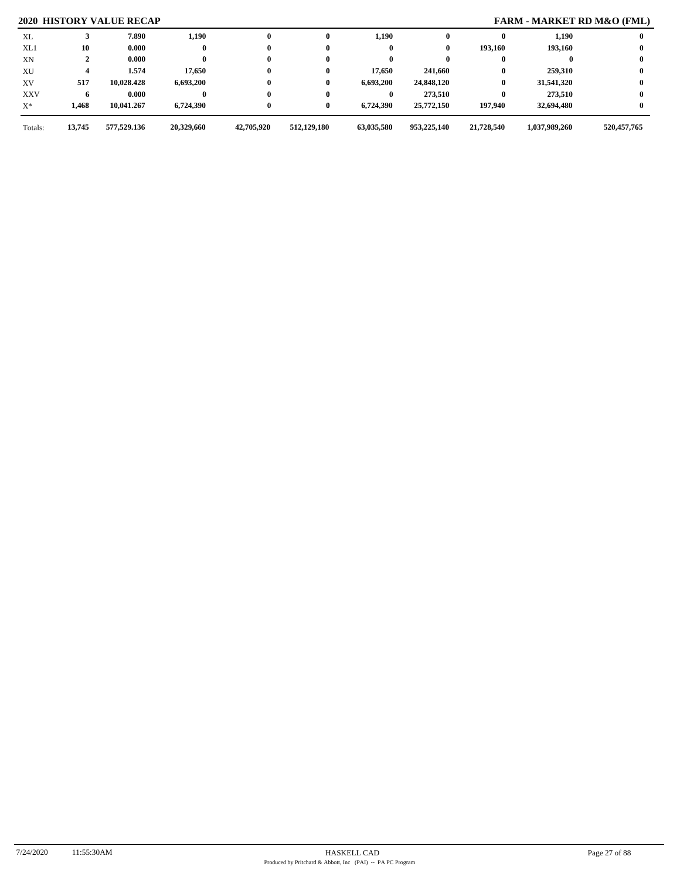# **2020 HISTORY VALUE RECAP FARM - MARKET RD M&O (FML)**

| XL         |        | 7.890       | 1,190      | $\mathbf{0}$ | 0           | 1,190      | 0           |            | 1,190         |             |
|------------|--------|-------------|------------|--------------|-------------|------------|-------------|------------|---------------|-------------|
| XL1        | 10     | 0.000       |            | $\bf{0}$     |             |            | 0           | 193,160    | 193,160       |             |
| XN         |        | 0.000       |            | $\bf{0}$     |             |            |             |            |               |             |
| XU         |        | 1.574       | 17,650     | $\bf{0}$     | 0           | 17,650     | 241,660     |            | 259,310       |             |
| XV         | 517    | 10.028.428  | 6,693,200  | $\bf{0}$     | 0           | 6,693,200  | 24,848,120  | $\bf{0}$   | 31,541,320    |             |
| <b>XXV</b> |        | 0.000       |            | $\bf{0}$     |             |            | 273,510     |            | 273,510       |             |
| $X^*$      | 1,468  | 10,041.267  | 6,724,390  | $\bf{0}$     | 0           | 6,724,390  | 25,772,150  | 197.940    | 32,694,480    |             |
| Totals:    | 13,745 | 577,529.136 | 20,329,660 | 42,705,920   | 512,129,180 | 63,035,580 | 953,225,140 | 21,728,540 | 1,037,989,260 | 520,457,765 |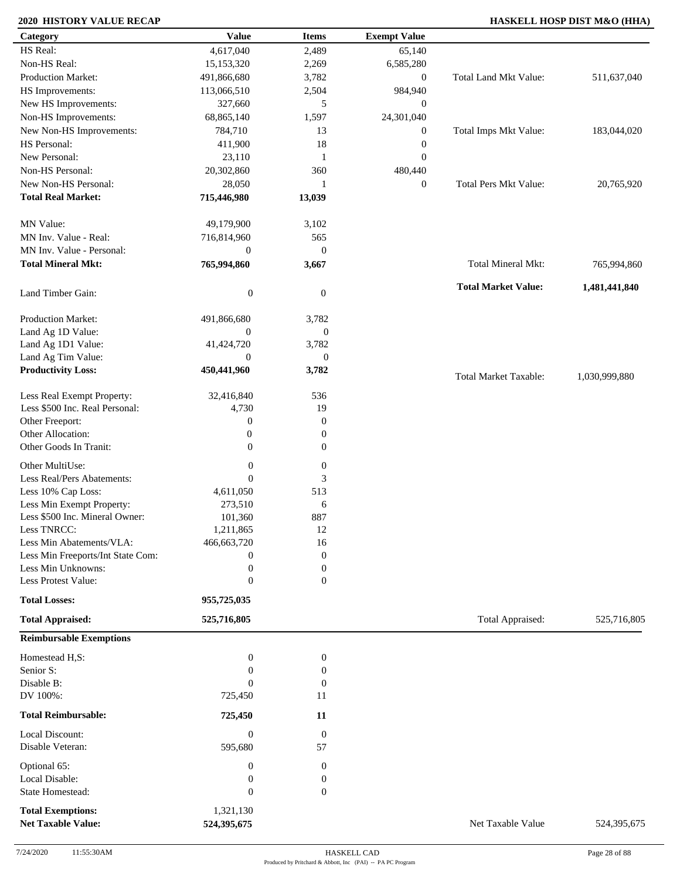# **2020 HISTORY VALUE RECAP HASKELL HOSP DIST M&O (HHA)**

| Category                            | <b>Value</b>                | <b>Items</b>           | <b>Exempt Value</b> |                              |               |
|-------------------------------------|-----------------------------|------------------------|---------------------|------------------------------|---------------|
| HS Real:                            | 4,617,040                   | 2,489                  | 65,140              |                              |               |
| Non-HS Real:                        | 15,153,320                  | 2,269                  | 6,585,280           |                              |               |
| <b>Production Market:</b>           | 491,866,680                 | 3,782                  | $\boldsymbol{0}$    | Total Land Mkt Value:        | 511,637,040   |
| HS Improvements:                    | 113,066,510                 | 2,504                  | 984,940             |                              |               |
| New HS Improvements:                | 327,660                     | 5                      | $\mathbf{0}$        |                              |               |
| Non-HS Improvements:                | 68,865,140                  | 1,597                  | 24,301,040          |                              |               |
| New Non-HS Improvements:            | 784,710                     | 13                     | $\boldsymbol{0}$    | Total Imps Mkt Value:        | 183,044,020   |
| HS Personal:                        | 411,900                     | 18                     | $\boldsymbol{0}$    |                              |               |
| New Personal:                       | 23,110                      | 1                      | $\boldsymbol{0}$    |                              |               |
| Non-HS Personal:                    | 20,302,860                  | 360                    | 480,440             |                              |               |
| New Non-HS Personal:                | 28,050                      | 1                      | $\mathbf{0}$        | <b>Total Pers Mkt Value:</b> | 20,765,920    |
| <b>Total Real Market:</b>           | 715,446,980                 | 13,039                 |                     |                              |               |
| MN Value:                           | 49,179,900                  | 3,102                  |                     |                              |               |
| MN Inv. Value - Real:               | 716,814,960                 | 565                    |                     |                              |               |
| MN Inv. Value - Personal:           | $\boldsymbol{0}$            | $\boldsymbol{0}$       |                     |                              |               |
| <b>Total Mineral Mkt:</b>           | 765,994,860                 | 3,667                  |                     | Total Mineral Mkt:           | 765,994,860   |
| Land Timber Gain:                   | $\boldsymbol{0}$            | $\mathbf{0}$           |                     | <b>Total Market Value:</b>   | 1,481,441,840 |
| Production Market:                  | 491,866,680                 | 3,782                  |                     |                              |               |
| Land Ag 1D Value:                   | $\mathbf{0}$                | $\boldsymbol{0}$       |                     |                              |               |
| Land Ag 1D1 Value:                  | 41,424,720                  | 3,782                  |                     |                              |               |
| Land Ag Tim Value:                  | $\overline{0}$              | $\boldsymbol{0}$       |                     |                              |               |
| <b>Productivity Loss:</b>           | 450,441,960                 | 3,782                  |                     | <b>Total Market Taxable:</b> | 1,030,999,880 |
| Less Real Exempt Property:          | 32,416,840                  | 536                    |                     |                              |               |
| Less \$500 Inc. Real Personal:      | 4,730                       | 19                     |                     |                              |               |
| Other Freeport:                     | $\boldsymbol{0}$            | $\boldsymbol{0}$       |                     |                              |               |
| Other Allocation:                   | $\boldsymbol{0}$            | $\mathbf{0}$           |                     |                              |               |
| Other Goods In Tranit:              | $\boldsymbol{0}$            | $\boldsymbol{0}$       |                     |                              |               |
| Other MultiUse:                     | $\boldsymbol{0}$            | $\boldsymbol{0}$       |                     |                              |               |
| Less Real/Pers Abatements:          | $\theta$                    | 3                      |                     |                              |               |
| Less 10% Cap Loss:                  | 4,611,050                   | 513                    |                     |                              |               |
| Less Min Exempt Property:           | 273,510                     | 6                      |                     |                              |               |
| Less \$500 Inc. Mineral Owner:      | 101,360                     | 887                    |                     |                              |               |
| Less TNRCC:                         | 1,211,865                   | 12                     |                     |                              |               |
| Less Min Abatements/VLA:            | 466,663,720                 | 16                     |                     |                              |               |
| Less Min Freeports/Int State Com:   | 0                           | $\mathbf{0}$           |                     |                              |               |
| Less Min Unknowns:                  | $\boldsymbol{0}$            | $\boldsymbol{0}$       |                     |                              |               |
| Less Protest Value:                 | $\mathbf{0}$                | $\overline{0}$         |                     |                              |               |
| <b>Total Losses:</b>                | 955,725,035                 |                        |                     |                              |               |
| <b>Total Appraised:</b>             | 525,716,805                 |                        |                     | Total Appraised:             | 525,716,805   |
| <b>Reimbursable Exemptions</b>      |                             |                        |                     |                              |               |
| Homestead H,S:                      | $\boldsymbol{0}$            | $\boldsymbol{0}$       |                     |                              |               |
| Senior S:<br>Disable B:             | $\mathbf{0}$                | $\boldsymbol{0}$       |                     |                              |               |
| DV 100%:                            | $\theta$                    | $\boldsymbol{0}$<br>11 |                     |                              |               |
|                                     | 725,450                     |                        |                     |                              |               |
| <b>Total Reimbursable:</b>          | 725,450                     | 11                     |                     |                              |               |
| Local Discount:<br>Disable Veteran: | $\boldsymbol{0}$<br>595,680 | $\boldsymbol{0}$<br>57 |                     |                              |               |
| Optional 65:                        | $\boldsymbol{0}$            | $\boldsymbol{0}$       |                     |                              |               |
| Local Disable:                      | $\boldsymbol{0}$            | $\boldsymbol{0}$       |                     |                              |               |
| State Homestead:                    | $\boldsymbol{0}$            | $\mathbf{0}$           |                     |                              |               |
| <b>Total Exemptions:</b>            | 1,321,130                   |                        |                     |                              |               |
| <b>Net Taxable Value:</b>           | 524,395,675                 |                        |                     | Net Taxable Value            | 524,395,675   |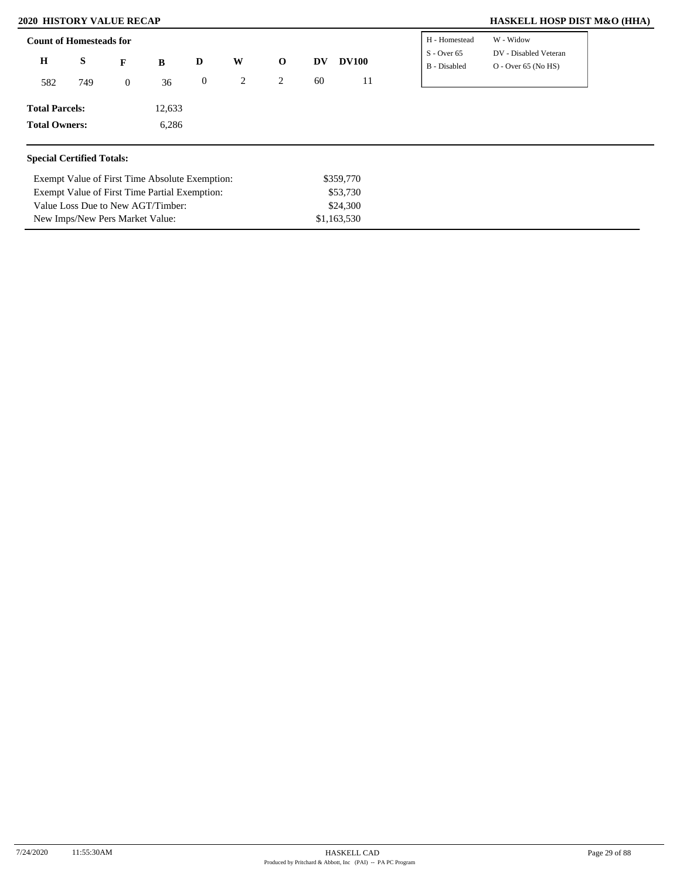New Imps/New Pers Market Value:

# **2020 HISTORY VALUE RECAP HASKELL HOSP DIST M&O (HHA)**

| <b>Count of Homesteads for</b>   |     |                |                                                |                  |   |              |    |              | H - Homestead                 | W - Widow                                      |
|----------------------------------|-----|----------------|------------------------------------------------|------------------|---|--------------|----|--------------|-------------------------------|------------------------------------------------|
| $\bf H$                          | S   | F              | B                                              | D                | W | $\mathbf{o}$ | DV | <b>DV100</b> | $S -$ Over 65<br>B - Disabled | DV - Disabled Veteran<br>$O - Over 65 (No HS)$ |
| 582                              | 749 | $\overline{0}$ | 36                                             | $\boldsymbol{0}$ | 2 | 2            | 60 | 11           |                               |                                                |
| <b>Total Parcels:</b>            |     |                | 12,633                                         |                  |   |              |    |              |                               |                                                |
| <b>Total Owners:</b>             |     |                | 6,286                                          |                  |   |              |    |              |                               |                                                |
| <b>Special Certified Totals:</b> |     |                |                                                |                  |   |              |    |              |                               |                                                |
|                                  |     |                | Exempt Value of First Time Absolute Exemption: |                  |   |              |    | \$359,770    |                               |                                                |
|                                  |     |                | Exempt Value of First Time Partial Exemption:  |                  |   |              |    | \$53,730     |                               |                                                |
|                                  |     |                | Value Loss Due to New AGT/Timber:              |                  |   |              |    | \$24,300     |                               |                                                |

\$1,163,530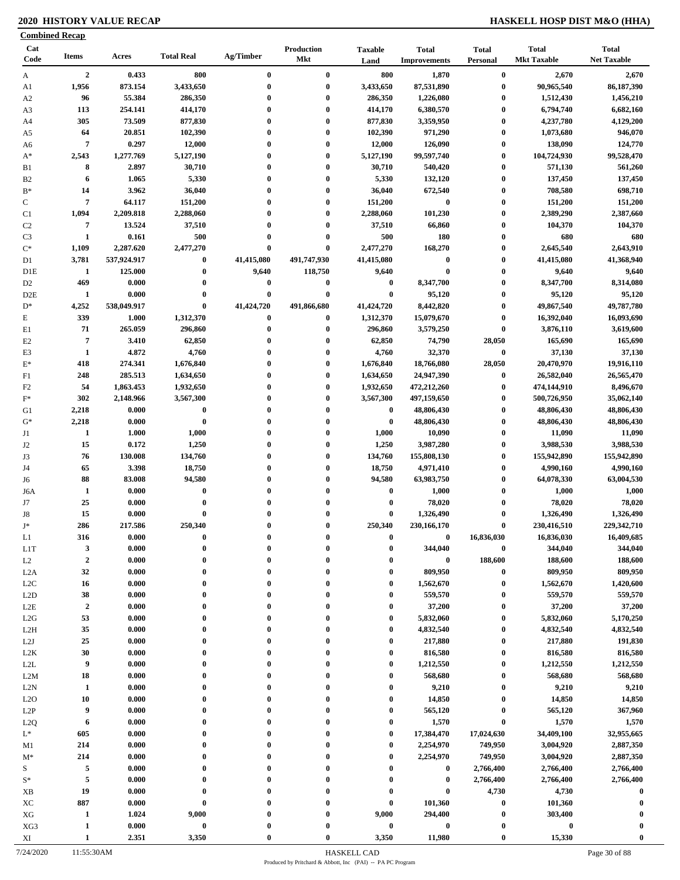# **2020 HISTORY VALUE RECAP HASKELL HOSP DIST M&O (HHA)**

|                      | <b>Combined Recap</b>            |                    |                      |                      |                          |                                      |                                     |                                      |                                    |                                    |
|----------------------|----------------------------------|--------------------|----------------------|----------------------|--------------------------|--------------------------------------|-------------------------------------|--------------------------------------|------------------------------------|------------------------------------|
| Cat<br>Code          | <b>Items</b>                     | Acres              | <b>Total Real</b>    | Ag/Timber            | Production<br><b>Mkt</b> | <b>Taxable</b><br>Land               | <b>Total</b><br><b>Improvements</b> | <b>Total</b><br>Personal             | <b>Total</b><br><b>Mkt Taxable</b> | <b>Total</b><br><b>Net Taxable</b> |
| A                    | $\overline{2}$                   | 0.433              | 800                  | $\bf{0}$             | $\bf{0}$                 | 800                                  | 1,870                               | $\bf{0}$                             | 2,670                              | 2,670                              |
| A1                   | 1,956                            | 873.154            | 3,433,650            | $\bf{0}$             | $\bf{0}$                 | 3,433,650                            | 87,531,890                          | $\bf{0}$                             | 90,965,540                         | 86,187,390                         |
| A <sub>2</sub>       | 96                               | 55.384             | 286,350              | $\bf{0}$             | $\bf{0}$                 | 286,350                              | 1,226,080                           | $\boldsymbol{0}$                     | 1,512,430                          | 1,456,210                          |
| A3                   | 113                              | 254.141            | 414,170              | $\bf{0}$             | $\bf{0}$                 | 414,170                              | 6,380,570                           | $\boldsymbol{0}$                     | 6,794,740                          | 6,682,160                          |
| A4                   | 305                              | 73.509             | 877,830              | 0                    | $\bf{0}$                 | 877,830                              | 3,359,950                           | $\boldsymbol{0}$                     | 4,237,780                          | 4,129,200                          |
| A5                   | 64                               | 20.851             | 102,390              | $\bf{0}$             | $\bf{0}$                 | 102,390                              | 971,290                             | $\boldsymbol{0}$                     | 1,073,680                          | 946,070                            |
| A6                   | $\overline{7}$                   | 0.297              | 12,000               | $\bf{0}$<br>$\bf{0}$ | $\bf{0}$                 | 12,000                               | 126,090                             | $\boldsymbol{0}$                     | 138,090                            | 124,770                            |
| $A^*$                | 2,543<br>8                       | 1,277.769<br>2.897 | 5,127,190<br>30,710  | $\bf{0}$             | $\bf{0}$<br>$\bf{0}$     | 5,127,190<br>30,710                  | 99,597,740<br>540,420               | $\boldsymbol{0}$<br>$\boldsymbol{0}$ | 104,724,930<br>571,130             | 99,528,470<br>561,260              |
| B1<br>B <sub>2</sub> | 6                                | 1.065              | 5,330                | $\bf{0}$             | $\bf{0}$                 | 5,330                                | 132,120                             | $\boldsymbol{0}$                     | 137,450                            | 137,450                            |
| $B*$                 | 14                               | 3.962              | 36,040               | 0                    | $\bf{0}$                 | 36,040                               | 672,540                             | $\boldsymbol{0}$                     | 708,580                            | 698,710                            |
| $\mathbf C$          | $\overline{7}$                   | 64.117             | 151,200              | $\bf{0}$             | $\bf{0}$                 | 151,200                              | $\bf{0}$                            | $\boldsymbol{0}$                     | 151,200                            | 151,200                            |
| C1                   | 1,094                            | 2,209.818          | 2,288,060            | $\bf{0}$             | $\bf{0}$                 | 2,288,060                            | 101,230                             | $\bf{0}$                             | 2,389,290                          | 2,387,660                          |
| C <sub>2</sub>       | $\overline{7}$                   | 13.524             | 37,510               | 0                    | $\bf{0}$                 | 37,510                               | 66,860                              | $\bf{0}$                             | 104,370                            | 104,370                            |
| C <sub>3</sub>       | $\mathbf{1}$                     | 0.161              | 500                  | $\bf{0}$             | $\bf{0}$                 | 500                                  | 180                                 | $\boldsymbol{0}$                     | 680                                | 680                                |
| $C^*$                | 1,109                            | 2,287.620          | 2,477,270            | $\bf{0}$             | $\bf{0}$                 | 2,477,270                            | 168,270                             | $\bf{0}$                             | 2,645,540                          | 2,643,910                          |
| D1                   | 3,781                            | 537,924.917        | $\bf{0}$             | 41,415,080           | 491,747,930              | 41,415,080                           | $\boldsymbol{0}$                    | $\bf{0}$                             | 41,415,080                         | 41,368,940                         |
| D <sub>1</sub> E     | -1                               | 125.000            | $\bf{0}$             | 9,640                | 118,750                  | 9,640                                | $\bf{0}$                            | $\boldsymbol{0}$                     | 9,640                              | 9,640                              |
| D <sub>2</sub>       | 469                              | 0.000              | $\bf{0}$             | 0                    | $\bf{0}$                 | $\boldsymbol{0}$                     | 8,347,700                           | $\bf{0}$                             | 8,347,700                          | 8,314,080                          |
| D <sub>2</sub> E     | 1                                | 0.000              | $\bf{0}$             | $\bf{0}$             | $\bf{0}$                 | $\bf{0}$                             | 95,120                              | $\boldsymbol{0}$                     | 95,120                             | 95,120                             |
| $D^*$                | 4,252                            | 538,049.917        | $\bf{0}$             | 41,424,720           | 491,866,680              | 41,424,720                           | 8,442,820                           | $\bf{0}$                             | 49,867,540                         | 49,787,780                         |
| $\mathbf E$          | 339                              | 1.000              | 1,312,370            | $\bf{0}$             | $\bf{0}$                 | 1,312,370                            | 15,079,670                          | $\bf{0}$                             | 16,392,040                         | 16,093,690                         |
| E1                   | 71                               | 265.059            | 296,860              | $\bf{0}$             | $\bf{0}$                 | 296,860                              | 3,579,250                           | $\bf{0}$                             | 3,876,110                          | 3,619,600                          |
| E2                   | $\overline{7}$                   | 3.410              | 62,850               | 0                    | $\bf{0}$                 | 62,850                               | 74,790                              | 28,050                               | 165,690                            | 165,690                            |
| E <sub>3</sub>       | $\mathbf{1}$                     | 4.872              | 4,760                | $\bf{0}$             | $\bf{0}$                 | 4,760                                | 32,370                              | $\boldsymbol{0}$                     | 37,130                             | 37,130                             |
| $E^*$                | 418                              | 274.341            | 1,676,840            | 0                    | $\bf{0}$                 | 1,676,840                            | 18,766,080                          | 28,050                               | 20,470,970                         | 19,916,110                         |
| F1                   | 248                              | 285.513            | 1,634,650            | $\bf{0}$             | $\bf{0}$                 | 1,634,650                            | 24,947,390                          | $\bf{0}$                             | 26,582,040                         | 26,565,470                         |
| F <sub>2</sub>       | 54                               | 1,863.453          | 1,932,650            | $\bf{0}$             | $\bf{0}$                 | 1,932,650                            | 472,212,260                         | $\bf{0}$                             | 474,144,910                        | 8,496,670                          |
| $F^*$                | 302                              | 2,148.966          | 3,567,300            | $\mathbf{0}$         | $\bf{0}$                 | 3,567,300                            | 497,159,650                         | $\bf{0}$                             | 500,726,950                        | 35,062,140                         |
| G1                   | 2,218                            | 0.000              | $\bf{0}$             | $\bf{0}$             | $\bf{0}$                 | $\bf{0}$                             | 48,806,430                          | $\bf{0}$                             | 48,806,430                         | 48,806,430                         |
| $G^*$                | 2,218                            | 0.000              | $\bf{0}$             | $\bf{0}$             | $\bf{0}$                 | $\bf{0}$                             | 48,806,430                          | $\bf{0}$                             | 48,806,430                         | 48,806,430                         |
| J1                   | 1                                | 1.000              | 1,000                | $\mathbf{0}$         | $\bf{0}$                 | 1,000                                | 10,090                              | $\bf{0}$                             | 11,090                             | 11,090                             |
| J2                   | 15                               | 0.172              | 1,250                | $\bf{0}$             | $\bf{0}$                 | 1,250                                | 3,987,280                           | $\boldsymbol{0}$                     | 3,988,530                          | 3,988,530                          |
| J3                   | 76                               | 130.008            | 134,760              | $\bf{0}$             | $\bf{0}$                 | 134,760                              | 155,808,130                         | $\boldsymbol{0}$                     | 155,942,890                        | 155,942,890                        |
| J4                   | 65                               | 3.398              | 18,750               | $\bf{0}$             | $\bf{0}$                 | 18,750                               | 4,971,410                           | $\boldsymbol{0}$                     | 4,990,160                          | 4,990,160                          |
| J6                   | 88                               | 83.008             | 94,580               | $\bf{0}$             | $\bf{0}$                 | 94,580                               | 63,983,750                          | $\bf{0}$                             | 64,078,330                         | 63,004,530                         |
| J6A                  | 1                                | 0.000              | $\bf{0}$             | $\bf{0}$             | $\bf{0}$                 | $\bf{0}$                             | 1,000                               | $\boldsymbol{0}$                     | 1,000                              | 1,000                              |
| J7                   | 25                               | 0.000              | $\bf{0}$             | $\bf{0}$             | $\bf{0}$                 | $\bf{0}$                             | 78,020                              | $\bf{0}$                             | 78,020                             | 78,020                             |
| J8                   | 15                               | 0.000              | $\bf{0}$             | $\bf{0}$             | $\bf{0}$                 | $\bf{0}$                             | 1,326,490                           | $\bf{0}$                             | 1,326,490                          | 1,326,490                          |
| $J^*$                | 286                              | 217.586            | 250,340              |                      | $\Omega$                 | 250,340                              | 230,166,170                         | $\boldsymbol{0}$                     | 230,416,510                        | 229,342,710                        |
| L1                   | 316                              | 0.000              | $\bf{0}$             | 0                    | $\mathbf{0}$             | $\bf{0}$                             | 0                                   | 16,836,030                           | 16,836,030                         | 16,409,685                         |
| L <sub>1</sub> T     | $\mathbf{3}$<br>$\boldsymbol{2}$ | 0.000              | $\bf{0}$<br>$\bf{0}$ | $\bf{0}$             | $\bf{0}$<br>$\bf{0}$     | $\boldsymbol{0}$<br>$\boldsymbol{0}$ | 344,040<br>$\boldsymbol{0}$         | $\boldsymbol{0}$<br>188,600          | 344,040<br>188,600                 | 344,040<br>188,600                 |
| L2                   | 32                               | 0.000<br>0.000     | $\bf{0}$             | 0                    | $\mathbf{0}$             | $\bf{0}$                             | 809,950                             | $\bf{0}$                             | 809,950                            | 809,950                            |
| L2A<br>L2C           | 16                               | 0.000              | $\bf{0}$             | $\bf{0}$             | $\bf{0}$                 | $\bf{0}$                             | 1,562,670                           | $\bf{0}$                             | 1,562,670                          | 1,420,600                          |
| L2D                  | 38                               | 0.000              | $\bf{0}$             | $\bf{0}$             | $\bf{0}$                 | $\bf{0}$                             | 559,570                             | $\bf{0}$                             | 559,570                            | 559,570                            |
| L2E                  | $\boldsymbol{2}$                 | 0.000              | $\bf{0}$             | $\bf{0}$             | $\bf{0}$                 | $\bf{0}$                             | 37,200                              | $\bf{0}$                             | 37,200                             | 37,200                             |
| L2G                  | 53                               | 0.000              | $\bf{0}$             | $\bf{0}$             | $\bf{0}$                 | $\bf{0}$                             | 5,832,060                           | $\bf{0}$                             | 5,832,060                          | 5,170,250                          |
| L <sub>2</sub> H     | 35                               | 0.000              | $\bf{0}$             | 0                    | $\bf{0}$                 | $\bf{0}$                             | 4,832,540                           | $\bf{0}$                             | 4,832,540                          | 4,832,540                          |
| L2J                  | 25                               | 0.000              | $\bf{0}$             | $\bf{0}$             | $\bf{0}$                 | $\boldsymbol{0}$                     | 217,880                             | $\bf{0}$                             | 217,880                            | 191,830                            |
| L <sub>2</sub> K     | 30                               | 0.000              | $\bf{0}$             | 0                    | $\bf{0}$                 | $\boldsymbol{0}$                     | 816,580                             | $\bf{0}$                             | 816,580                            | 816,580                            |
| $\mbox{L2L}$         | 9                                | 0.000              | $\bf{0}$             | $\bf{0}$             | $\bf{0}$                 | $\bf{0}$                             | 1,212,550                           | $\boldsymbol{0}$                     | 1,212,550                          | 1,212,550                          |
| L2M                  | 18                               | 0.000              | $\bf{0}$             | 0                    | $\bf{0}$                 | $\bf{0}$                             | 568,680                             | $\bf{0}$                             | 568,680                            | 568,680                            |
| L2N                  | 1                                | 0.000              | $\bf{0}$             | 0                    | $\bf{0}$                 | $\boldsymbol{0}$                     | 9,210                               | $\bf{0}$                             | 9,210                              | 9,210                              |
| L2O                  | 10                               | 0.000              | $\bf{0}$             | $\bf{0}$             | $\mathbf{0}$             | $\boldsymbol{0}$                     | 14,850                              | $\bf{0}$                             | 14,850                             | 14,850                             |
| L2P                  | 9                                | 0.000              | $\bf{0}$             | $\bf{0}$             | $\bf{0}$                 | $\bf{0}$                             | 565,120                             | $\bf{0}$                             | 565,120                            | 367,960                            |
| L <sub>2</sub> Q     | 6                                | 0.000              | $\bf{0}$             | 0                    | $\mathbf{0}$             | $\boldsymbol{0}$                     | 1,570                               | $\bf{0}$                             | 1,570                              | 1,570                              |
| $L^*$                | 605                              | 0.000              | $\bf{0}$             |                      | $\boldsymbol{0}$         | $\bf{0}$                             | 17,384,470                          | 17,024,630                           | 34,409,100                         | 32,955,665                         |
| M1                   | 214                              | 0.000              | $\bf{0}$             |                      | $\mathbf{0}$             | $\boldsymbol{0}$                     | 2,254,970                           | 749,950                              | 3,004,920                          | 2,887,350                          |
| $M^*$                | 214                              | 0.000              | $\bf{0}$             | 0                    | $\bf{0}$                 | $\bf{0}$                             | 2,254,970                           | 749,950                              | 3,004,920                          | 2,887,350                          |
| S                    | 5                                | 0.000              | $\bf{0}$             |                      | $\bf{0}$                 | $\bf{0}$                             | $\bf{0}$                            | 2,766,400                            | 2,766,400                          | 2,766,400                          |
| $S^*$                | $\sqrt{5}$                       | 0.000              | $\bf{0}$             |                      | $\bf{0}$                 | $\boldsymbol{0}$                     | $\bf{0}$                            | 2,766,400                            | 2,766,400                          | 2,766,400                          |
| XB                   | 19                               | 0.000              | $\bf{0}$             | $\mathbf{0}$         | $\bf{0}$                 | $\boldsymbol{0}$                     | $\bf{0}$                            | 4,730                                | 4,730                              | $\bf{0}$                           |
| XC                   | 887                              | 0.000              | $\bf{0}$             | 0                    | $\bf{0}$                 | $\boldsymbol{0}$                     | 101,360                             | $\bf{0}$                             | 101,360                            | $\mathbf 0$                        |
| ${\rm XG}$           | 1                                | 1.024              | 9,000                |                      | $\bf{0}$                 | 9,000                                | 294,400                             | $\boldsymbol{0}$                     | 303,400                            |                                    |
| XG3                  | $\mathbf{1}$                     | 0.000              | $\pmb{0}$            |                      | $\bf{0}$                 | $\bf{0}$                             | $\pmb{0}$                           | $\boldsymbol{0}$                     | $\boldsymbol{0}$                   |                                    |
| XI                   | $\mathbf{1}$                     | 2.351              | 3,350                | $\mathbf{0}$         | $\bf{0}$                 | 3,350                                | 11,980                              | $\boldsymbol{0}$                     | 15,330                             | $\bf{0}$                           |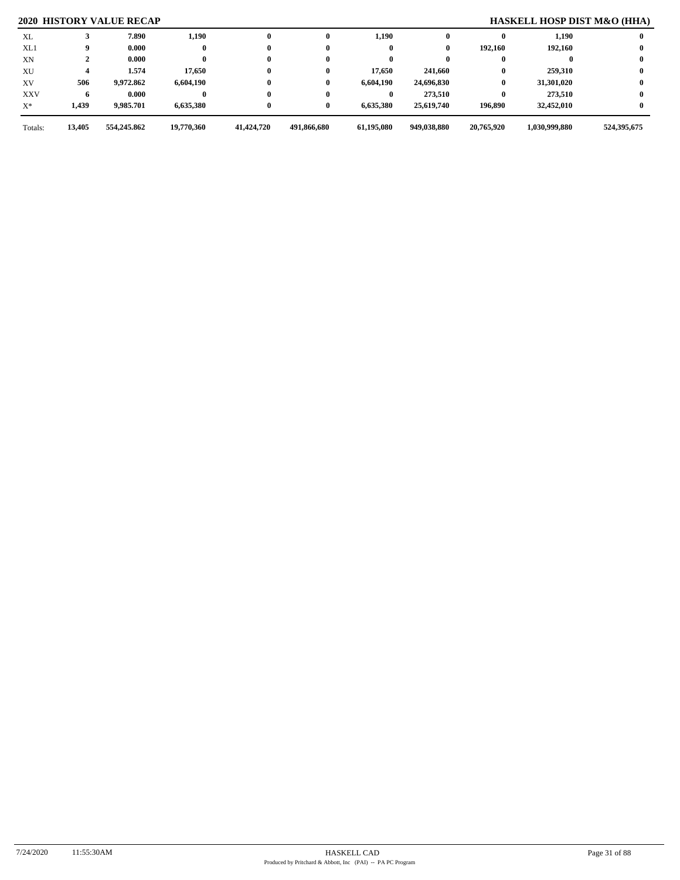# **2020 HISTORY VALUE RECAP HASKELL HOSP DIST M&O (HHA)**

| Totals:        | 13,405 | 554,245.862 | 19,770,360 | 41,424,720   | 491,866,680 | 61,195,080 | 949,038,880 | 20,765,920 | 1,030,999,880 | 524,395,675 |
|----------------|--------|-------------|------------|--------------|-------------|------------|-------------|------------|---------------|-------------|
| $\mathbf{X}^*$ | 1,439  | 9,985.701   | 6,635,380  | $\bf{0}$     | 0           | 6,635,380  | 25,619,740  | 196,890    | 32,452,010    |             |
| <b>XXV</b>     |        | 0.000       |            | $\bf{0}$     | 0           |            | 273,510     | 0          | 273.510       |             |
| XV             | 506    | 9,972.862   | 6,604,190  | $\bf{0}$     | 0           | 6,604,190  | 24,696,830  | $\bf{0}$   | 31,301,020    |             |
| XU             |        | 1.574       | 17,650     | $\bf{0}$     | 0           | 17,650     | 241,660     |            | 259,310       |             |
| XN             |        | 0.000       |            | $\bf{0}$     |             |            |             |            |               |             |
| XL1            |        | 0.000       |            | $\bf{0}$     |             |            | 0           | 192.160    | 192.160       |             |
| XL             |        | 7.890       | 1,190      | $\mathbf{0}$ | 0           | 1,190      |             |            | 1,190         |             |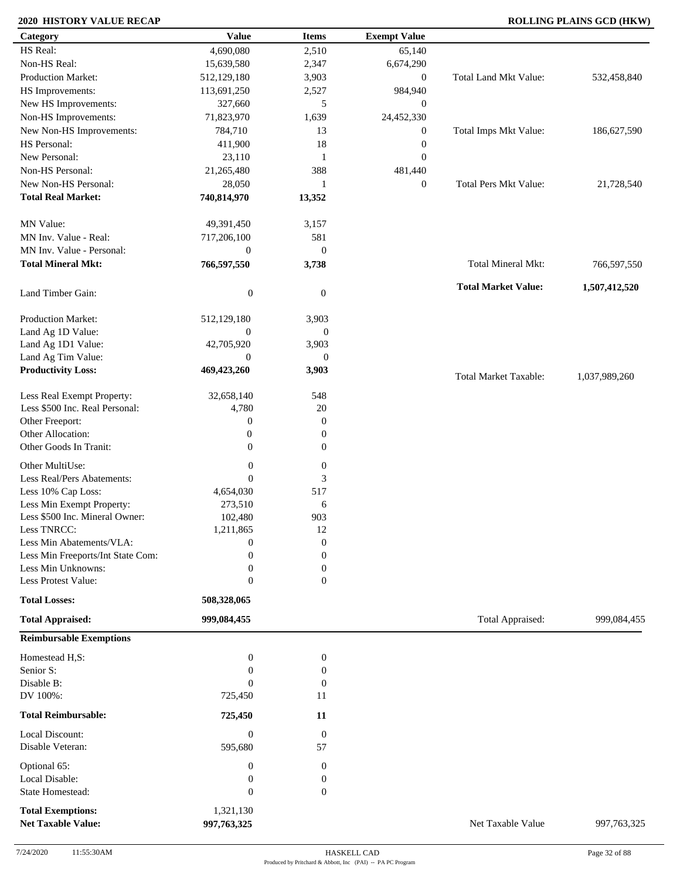# **2020 HISTORY VALUE RECAP ROLLING PLAINS GCD (HKW)**

| Category                                              | <b>Value</b>                | <b>Items</b>           | <b>Exempt Value</b> |                              |               |
|-------------------------------------------------------|-----------------------------|------------------------|---------------------|------------------------------|---------------|
| HS Real:                                              | 4,690,080                   | 2,510                  | 65,140              |                              |               |
| Non-HS Real:                                          | 15,639,580                  | 2,347                  | 6,674,290           |                              |               |
| Production Market:                                    | 512,129,180                 | 3,903                  | $\boldsymbol{0}$    | <b>Total Land Mkt Value:</b> | 532,458,840   |
| HS Improvements:                                      | 113,691,250                 | 2,527                  | 984,940             |                              |               |
| New HS Improvements:                                  | 327,660                     | 5                      | $\mathbf{0}$        |                              |               |
| Non-HS Improvements:                                  | 71,823,970                  | 1,639                  | 24,452,330          |                              |               |
| New Non-HS Improvements:                              | 784,710                     | 13                     | $\boldsymbol{0}$    | Total Imps Mkt Value:        | 186,627,590   |
| HS Personal:                                          | 411,900                     | 18                     | $\boldsymbol{0}$    |                              |               |
| New Personal:                                         | 23,110                      | 1                      | $\boldsymbol{0}$    |                              |               |
| Non-HS Personal:                                      | 21,265,480                  | 388                    | 481,440             |                              |               |
| New Non-HS Personal:                                  | 28,050                      | -1                     | $\boldsymbol{0}$    | <b>Total Pers Mkt Value:</b> | 21,728,540    |
| <b>Total Real Market:</b>                             | 740,814,970                 | 13,352                 |                     |                              |               |
| MN Value:                                             | 49,391,450                  | 3,157                  |                     |                              |               |
| MN Inv. Value - Real:                                 | 717,206,100                 | 581                    |                     |                              |               |
| MN Inv. Value - Personal:                             | $\boldsymbol{0}$            | $\boldsymbol{0}$       |                     |                              |               |
| <b>Total Mineral Mkt:</b>                             | 766,597,550                 | 3,738                  |                     | Total Mineral Mkt:           | 766,597,550   |
| Land Timber Gain:                                     | $\boldsymbol{0}$            | $\mathbf{0}$           |                     | <b>Total Market Value:</b>   | 1,507,412,520 |
| <b>Production Market:</b>                             | 512,129,180                 | 3,903                  |                     |                              |               |
| Land Ag 1D Value:                                     | $\mathbf{0}$                | $\boldsymbol{0}$       |                     |                              |               |
| Land Ag 1D1 Value:                                    | 42,705,920                  | 3,903                  |                     |                              |               |
| Land Ag Tim Value:                                    | $\mathbf{0}$                | $\boldsymbol{0}$       |                     |                              |               |
| <b>Productivity Loss:</b>                             | 469,423,260                 | 3,903                  |                     |                              |               |
|                                                       |                             |                        |                     | <b>Total Market Taxable:</b> | 1,037,989,260 |
| Less Real Exempt Property:                            | 32,658,140                  | 548                    |                     |                              |               |
| Less \$500 Inc. Real Personal:                        | 4,780                       | 20                     |                     |                              |               |
| Other Freeport:                                       | $\boldsymbol{0}$            | $\theta$               |                     |                              |               |
| Other Allocation:                                     | $\boldsymbol{0}$            | $\boldsymbol{0}$       |                     |                              |               |
| Other Goods In Tranit:                                | $\mathbf{0}$                | $\boldsymbol{0}$       |                     |                              |               |
| Other MultiUse:                                       | $\boldsymbol{0}$            | $\boldsymbol{0}$       |                     |                              |               |
| Less Real/Pers Abatements:                            | $\theta$                    | 3                      |                     |                              |               |
| Less 10% Cap Loss:                                    | 4,654,030                   | 517                    |                     |                              |               |
| Less Min Exempt Property:                             | 273,510                     | 6                      |                     |                              |               |
| Less \$500 Inc. Mineral Owner:                        | 102,480                     | 903                    |                     |                              |               |
| Less TNRCC:                                           | 1,211,865                   | 12                     |                     |                              |               |
| Less Min Abatements/VLA:                              | $\boldsymbol{0}$            | $\boldsymbol{0}$       |                     |                              |               |
| Less Min Freeports/Int State Com:                     | 0                           | $\theta$               |                     |                              |               |
| Less Min Unknowns:                                    | $\boldsymbol{0}$            | 0                      |                     |                              |               |
| Less Protest Value:                                   | $\boldsymbol{0}$            | $\overline{0}$         |                     |                              |               |
| <b>Total Losses:</b>                                  | 508,328,065                 |                        |                     |                              |               |
| <b>Total Appraised:</b>                               | 999,084,455                 |                        |                     | Total Appraised:             | 999,084,455   |
| <b>Reimbursable Exemptions</b>                        |                             |                        |                     |                              |               |
| Homestead H,S:                                        | $\boldsymbol{0}$            | $\boldsymbol{0}$       |                     |                              |               |
| Senior S:                                             | $\overline{0}$              | 0                      |                     |                              |               |
| Disable B:                                            | $\mathbf{0}$                | $\mathbf{0}$           |                     |                              |               |
| DV 100%:                                              | 725,450                     | 11                     |                     |                              |               |
| <b>Total Reimbursable:</b>                            | 725,450                     | 11                     |                     |                              |               |
|                                                       |                             |                        |                     |                              |               |
| Local Discount:<br>Disable Veteran:                   | $\boldsymbol{0}$<br>595,680 | $\boldsymbol{0}$<br>57 |                     |                              |               |
| Optional 65:                                          | $\boldsymbol{0}$            | $\boldsymbol{0}$       |                     |                              |               |
| Local Disable:                                        | $\boldsymbol{0}$            | $\boldsymbol{0}$       |                     |                              |               |
| State Homestead:                                      | $\boldsymbol{0}$            | $\mathbf{0}$           |                     |                              |               |
|                                                       |                             |                        |                     |                              |               |
| <b>Total Exemptions:</b><br><b>Net Taxable Value:</b> | 1,321,130<br>997,763,325    |                        |                     | Net Taxable Value            | 997,763,325   |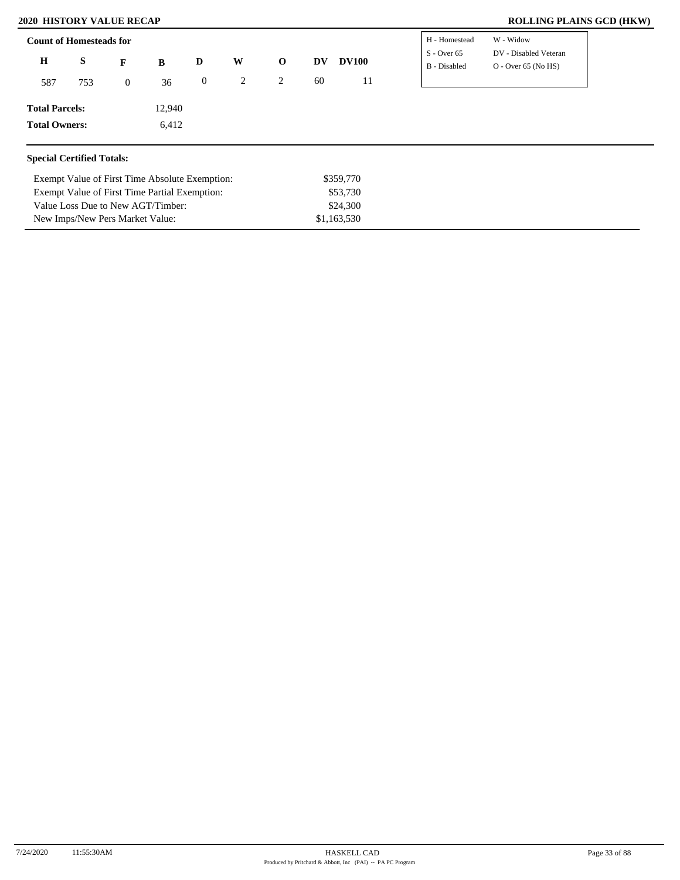Exempt Value of First Time Partial Exemption:

Value Loss Due to New AGT/Timber: New Imps/New Pers Market Value:

### **2020 HISTORY VALUE RECAP ROLLING PLAINS GCD (HKW)**

| <b>Count of Homesteads for</b>   |     |                |                                                |          |   |             |           |              | H - Homestead                 | W - Widow                                      |
|----------------------------------|-----|----------------|------------------------------------------------|----------|---|-------------|-----------|--------------|-------------------------------|------------------------------------------------|
| $\bf H$                          | S   | F              | B                                              | D        | W | $\mathbf 0$ | <b>DV</b> | <b>DV100</b> | $S -$ Over 65<br>B - Disabled | DV - Disabled Veteran<br>$O -$ Over 65 (No HS) |
| 587                              | 753 | $\overline{0}$ | 36                                             | $\bf{0}$ | 2 | 2           | 60        | 11           |                               |                                                |
| <b>Total Parcels:</b>            |     |                | 12,940                                         |          |   |             |           |              |                               |                                                |
| <b>Total Owners:</b>             |     |                | 6,412                                          |          |   |             |           |              |                               |                                                |
|                                  |     |                |                                                |          |   |             |           |              |                               |                                                |
| <b>Special Certified Totals:</b> |     |                |                                                |          |   |             |           |              |                               |                                                |
|                                  |     |                | Exempt Value of First Time Absolute Exemption: |          |   |             |           | \$359,770    |                               |                                                |

\$53,730 \$24,300 \$1,163,530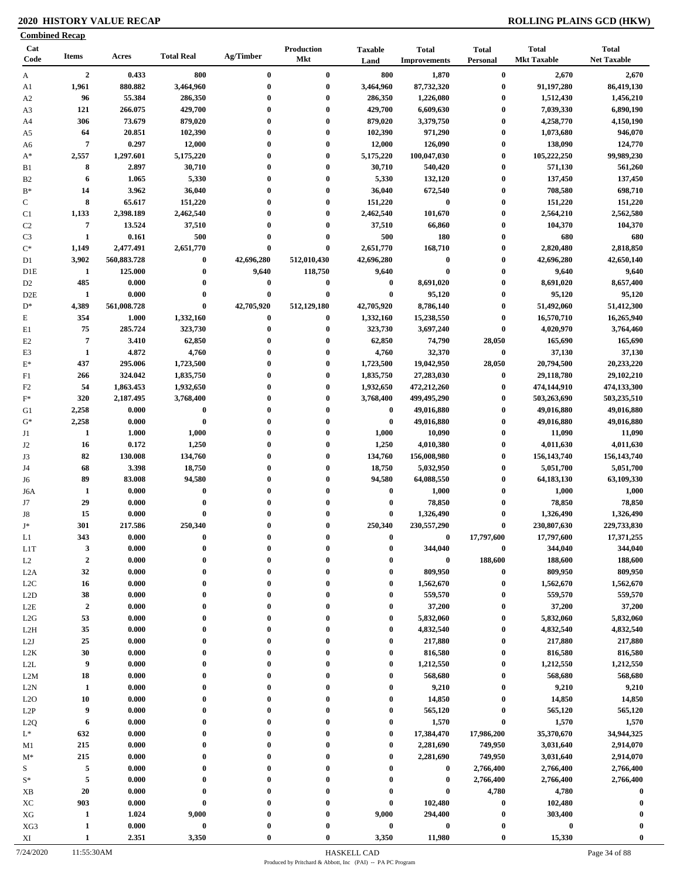# **2020 HISTORY VALUE RECAP ROLLING PLAINS GCD (HKW)**

|                      | <b>Combined Recap</b>            |                    |                      |                      |                                 |                                      |                                     |                                 |                                    |                                    |
|----------------------|----------------------------------|--------------------|----------------------|----------------------|---------------------------------|--------------------------------------|-------------------------------------|---------------------------------|------------------------------------|------------------------------------|
| Cat<br>Code          | <b>Items</b>                     | Acres              | <b>Total Real</b>    | Ag/Timber            | <b>Production</b><br><b>Mkt</b> | <b>Taxable</b><br>Land               | <b>Total</b><br><b>Improvements</b> | <b>Total</b><br><b>Personal</b> | <b>Total</b><br><b>Mkt Taxable</b> | <b>Total</b><br><b>Net Taxable</b> |
| A                    | $\overline{2}$                   | 0.433              | 800                  | $\bf{0}$             | $\bf{0}$                        | 800                                  | 1,870                               | $\bf{0}$                        | 2,670                              | 2,670                              |
| A1                   | 1,961                            | 880.882            | 3,464,960            | $\bf{0}$             | $\bf{0}$                        | 3,464,960                            | 87,732,320                          | $\bf{0}$                        | 91,197,280                         | 86,419,130                         |
| A <sub>2</sub>       | 96                               | 55.384             | 286,350              | $\bf{0}$             | $\bf{0}$                        | 286,350                              | 1,226,080                           | $\boldsymbol{0}$                | 1,512,430                          | 1,456,210                          |
| A3                   | 121                              | 266.075            | 429,700              | $\bf{0}$             | $\bf{0}$                        | 429,700                              | 6,609,630                           | $\boldsymbol{0}$                | 7,039,330                          | 6,890,190                          |
| A4                   | 306                              | 73.679             | 879,020              | 0                    | $\bf{0}$                        | 879,020                              | 3,379,750                           | $\boldsymbol{0}$                | 4,258,770                          | 4,150,190                          |
| A5                   | 64                               | 20.851             | 102,390              | $\bf{0}$             | $\bf{0}$                        | 102,390                              | 971,290                             | $\boldsymbol{0}$                | 1,073,680                          | 946,070                            |
| A6                   | $\overline{7}$                   | 0.297              | 12,000               | $\bf{0}$<br>$\bf{0}$ | $\bf{0}$                        | 12,000                               | 126,090                             | $\boldsymbol{0}$                | 138,090                            | 124,770                            |
| $A^*$                | 2,557<br>8                       | 1,297.601<br>2.897 | 5,175,220<br>30,710  | $\bf{0}$             | $\bf{0}$<br>$\bf{0}$            | 5,175,220<br>30,710                  | 100,047,030<br>540,420              | $\boldsymbol{0}$<br>$\bf{0}$    | 105,222,250<br>571,130             | 99,989,230<br>561,260              |
| B1<br>B <sub>2</sub> | 6                                | 1.065              | 5,330                | $\bf{0}$             | $\bf{0}$                        | 5,330                                | 132,120                             | $\boldsymbol{0}$                | 137,450                            | 137,450                            |
| $B*$                 | 14                               | 3.962              | 36,040               | 0                    | $\bf{0}$                        | 36,040                               | 672,540                             | $\boldsymbol{0}$                | 708,580                            | 698,710                            |
| $\mathbf C$          | 8                                | 65.617             | 151,220              | $\bf{0}$             | $\bf{0}$                        | 151,220                              | $\bf{0}$                            | $\boldsymbol{0}$                | 151,220                            | 151,220                            |
| C1                   | 1,133                            | 2,398.189          | 2,462,540            | $\mathbf{0}$         | $\bf{0}$                        | 2,462,540                            | 101,670                             | $\bf{0}$                        | 2,564,210                          | 2,562,580                          |
| C <sub>2</sub>       | $\overline{7}$                   | 13.524             | 37,510               | $\bf{0}$             | $\bf{0}$                        | 37,510                               | 66,860                              | $\bf{0}$                        | 104,370                            | 104,370                            |
| C <sub>3</sub>       | $\mathbf{1}$                     | 0.161              | 500                  | $\bf{0}$             | $\bf{0}$                        | 500                                  | 180                                 | $\boldsymbol{0}$                | 680                                | 680                                |
| $C^*$                | 1,149                            | 2,477.491          | 2,651,770            | $\bf{0}$             | $\bf{0}$                        | 2,651,770                            | 168,710                             | $\bf{0}$                        | 2,820,480                          | 2,818,850                          |
| D1                   | 3,902                            | 560,883.728        | $\bf{0}$             | 42,696,280           | 512,010,430                     | 42,696,280                           | $\boldsymbol{0}$                    | $\bf{0}$                        | 42,696,280                         | 42,650,140                         |
| D <sub>1</sub> E     | -1                               | 125.000            | $\bf{0}$             | 9,640                | 118,750                         | 9,640                                | $\bf{0}$                            | $\bf{0}$                        | 9,640                              | 9,640                              |
| D <sub>2</sub>       | 485                              | 0.000              | $\bf{0}$             | 0                    | $\bf{0}$                        | $\bf{0}$                             | 8,691,020                           | $\boldsymbol{0}$                | 8,691,020                          | 8,657,400                          |
| D <sub>2</sub> E     | 1                                | 0.000              | $\bf{0}$             | $\bf{0}$             | $\bf{0}$                        | $\bf{0}$                             | 95,120                              | $\bf{0}$                        | 95,120                             | 95,120                             |
| $D^*$                | 4,389                            | 561,008.728        | $\bf{0}$             | 42,705,920           | 512,129,180                     | 42,705,920                           | 8,786,140                           | $\bf{0}$                        | 51,492,060                         | 51,412,300                         |
| $\mathbf E$          | 354                              | 1.000              | 1,332,160            | $\bf{0}$             | $\bf{0}$                        | 1,332,160                            | 15,238,550                          | $\boldsymbol{0}$                | 16,570,710                         | 16,265,940                         |
| E1                   | 75                               | 285.724            | 323,730              | $\bf{0}$             | $\bf{0}$                        | 323,730                              | 3,697,240                           | $\boldsymbol{0}$                | 4,020,970                          | 3,764,460                          |
| E2                   | $\overline{7}$                   | 3.410              | 62,850               | 0                    | $\bf{0}$                        | 62,850                               | 74,790                              | 28,050                          | 165,690                            | 165,690                            |
| E3                   | $\mathbf{1}$                     | 4.872              | 4,760                | $\bf{0}$             | $\bf{0}$                        | 4,760                                | 32,370                              | $\boldsymbol{0}$                | 37,130                             | 37,130                             |
| $E^*$                | 437                              | 295.006            | 1,723,500            | 0                    | $\bf{0}$                        | 1,723,500                            | 19,042,950                          | 28,050                          | 20,794,500                         | 20,233,220                         |
| F1                   | 266                              | 324.042            | 1,835,750            | $\bf{0}$             | $\bf{0}$                        | 1,835,750                            | 27,283,030                          | $\bf{0}$                        | 29,118,780                         | 29,102,210                         |
| F <sub>2</sub>       | 54                               | 1,863.453          | 1,932,650            | $\bf{0}$             | $\bf{0}$                        | 1,932,650                            | 472,212,260                         | $\bf{0}$                        | 474,144,910                        | 474,133,300                        |
| $F^*$                | 320                              | 2,187.495          | 3,768,400            | $\bf{0}$             | $\bf{0}$                        | 3,768,400                            | 499,495,290                         | $\bf{0}$                        | 503,263,690                        | 503,235,510                        |
| G1                   | 2,258                            | 0.000              | $\bf{0}$             | $\bf{0}$             | $\bf{0}$                        | $\bf{0}$                             | 49,016,880                          | $\bf{0}$                        | 49,016,880                         | 49,016,880                         |
| $G^*$                | 2,258                            | 0.000              | $\bf{0}$             | $\bf{0}$             | $\bf{0}$                        | $\bf{0}$                             | 49,016,880                          | $\bf{0}$                        | 49,016,880                         | 49,016,880                         |
| J1                   | 1                                | 1.000              | 1,000                | $\bf{0}$             | $\bf{0}$                        | 1,000                                | 10,090                              | $\bf{0}$                        | 11,090                             | 11,090                             |
| J2                   | 16                               | 0.172              | 1,250                | $\bf{0}$             | $\bf{0}$                        | 1,250                                | 4,010,380                           | $\boldsymbol{0}$                | 4,011,630                          | 4,011,630                          |
| J3                   | 82                               | 130.008            | 134,760              | $\bf{0}$             | $\bf{0}$                        | 134,760                              | 156,008,980                         | $\boldsymbol{0}$                | 156, 143, 740                      | 156, 143, 740                      |
| J4                   | 68                               | 3.398              | 18,750               | $\bf{0}$             | $\bf{0}$                        | 18,750                               | 5,032,950                           | $\bf{0}$                        | 5,051,700                          | 5,051,700                          |
| J6                   | 89                               | 83.008             | 94,580               | $\bf{0}$             | $\bf{0}$                        | 94,580                               | 64,088,550                          | $\bf{0}$                        | 64,183,130                         | 63,109,330                         |
| J6A                  | 1                                | 0.000              | $\bf{0}$             | 0                    | $\bf{0}$                        | $\bf{0}$                             | 1,000                               | $\boldsymbol{0}$                | 1,000                              | 1,000                              |
| J7                   | 29                               | 0.000              | $\bf{0}$             | $\bf{0}$             | $\bf{0}$                        | $\bf{0}$                             | 78,850                              | $\bf{0}$                        | 78,850                             | 78,850                             |
| J8                   | 15                               | 0.000              | $\bf{0}$             | $\bf{0}$             | $\bf{0}$                        | $\bf{0}$                             | 1,326,490                           | $\bf{0}$                        | 1,326,490                          | 1,326,490                          |
| $J^*$                | 301                              | 217.586            | 250,340              |                      | $\Omega$                        | 250,340                              | 230,557,290                         | $\boldsymbol{0}$                | 230,807,630                        | 229,733,830                        |
| L1                   | 343                              | 0.000              | $\bf{0}$             | 0                    | $\mathbf{0}$                    | $\bf{0}$                             | 0                                   | 17,797,600                      | 17,797,600                         | 17,371,255                         |
| L <sub>1</sub> T     | $\mathbf{3}$<br>$\boldsymbol{2}$ | 0.000              | $\bf{0}$<br>$\bf{0}$ | $\bf{0}$<br>0        | $\bf{0}$<br>$\bf{0}$            | $\boldsymbol{0}$<br>$\boldsymbol{0}$ | 344,040<br>$\boldsymbol{0}$         | $\bf{0}$<br>188,600             | 344,040<br>188,600                 | 344,040<br>188,600                 |
| L2                   | 32                               | 0.000<br>0.000     | $\bf{0}$             | 0                    | $\mathbf{0}$                    | $\bf{0}$                             | 809,950                             | $\bf{0}$                        | 809,950                            | 809,950                            |
| L2A<br>L2C           | 16                               | 0.000              | $\bf{0}$             | $\bf{0}$             | $\bf{0}$                        | $\bf{0}$                             | 1,562,670                           | $\bf{0}$                        | 1,562,670                          | 1,562,670                          |
| L2D                  | 38                               | 0.000              | $\bf{0}$             | $\bf{0}$             | $\bf{0}$                        | $\bf{0}$                             | 559,570                             | $\bf{0}$                        | 559,570                            | 559,570                            |
| $_{\rm L2E}$         | $\boldsymbol{2}$                 | 0.000              | $\bf{0}$             | $\bf{0}$             | $\bf{0}$                        | $\boldsymbol{0}$                     | 37,200                              | $\bf{0}$                        | 37,200                             | 37,200                             |
| L2G                  | 53                               | 0.000              | $\bf{0}$             | $\bf{0}$             | $\bf{0}$                        | $\bf{0}$                             | 5,832,060                           | $\bf{0}$                        | 5,832,060                          | 5,832,060                          |
| L <sub>2</sub> H     | 35                               | 0.000              | $\bf{0}$             | $\bf{0}$             | $\bf{0}$                        | $\bf{0}$                             | 4,832,540                           | $\bf{0}$                        | 4,832,540                          | 4,832,540                          |
| L2J                  | 25                               | 0.000              | $\bf{0}$             | $\bf{0}$             | $\bf{0}$                        | $\boldsymbol{0}$                     | 217,880                             | $\bf{0}$                        | 217,880                            | 217,880                            |
| L <sub>2</sub> K     | 30                               | 0.000              | $\bf{0}$             | $\bf{0}$             | $\bf{0}$                        | $\boldsymbol{0}$                     | 816,580                             | $\bf{0}$                        | 816,580                            | 816,580                            |
| $\mbox{L2L}$         | 9                                | 0.000              | $\bf{0}$             | $\bf{0}$             | $\bf{0}$                        | $\bf{0}$                             | 1,212,550                           | $\boldsymbol{0}$                | 1,212,550                          | 1,212,550                          |
| L2M                  | 18                               | 0.000              | $\bf{0}$             | $\bf{0}$             | $\bf{0}$                        | $\bf{0}$                             | 568,680                             | $\bf{0}$                        | 568,680                            | 568,680                            |
| L2N                  | 1                                | 0.000              | $\bf{0}$             | $\bf{0}$             | $\bf{0}$                        | $\boldsymbol{0}$                     | 9,210                               | $\bf{0}$                        | 9,210                              | 9,210                              |
| L2O                  | 10                               | 0.000              | $\bf{0}$             | $\bf{0}$             | $\mathbf{0}$                    | $\boldsymbol{0}$                     | 14,850                              | $\bf{0}$                        | 14,850                             | 14,850                             |
| L2P                  | 9                                | 0.000              | $\bf{0}$             | $\bf{0}$             | $\bf{0}$                        | $\bf{0}$                             | 565,120                             | $\bf{0}$                        | 565,120                            | 565,120                            |
| L <sub>2</sub> Q     | 6                                | 0.000              | $\bf{0}$             | 0                    | $\boldsymbol{0}$                | $\boldsymbol{0}$                     | 1,570                               | $\bf{0}$                        | 1,570                              | 1,570                              |
| $L^*$                | 632                              | 0.000              | $\bf{0}$             |                      | $\boldsymbol{0}$                | $\bf{0}$                             | 17,384,470                          | 17,986,200                      | 35,370,670                         | 34,944,325                         |
| M1                   | 215                              | 0.000              | $\bf{0}$             | 0                    | $\mathbf{0}$                    | $\boldsymbol{0}$                     | 2,281,690                           | 749,950                         | 3,031,640                          | 2,914,070                          |
| $M^*$                | 215                              | 0.000              | $\bf{0}$             | 0                    | $\bf{0}$                        | $\bf{0}$                             | 2,281,690                           | 749,950                         | 3,031,640                          | 2,914,070                          |
| S                    | 5                                | 0.000              | $\bf{0}$             | 0                    | $\bf{0}$                        | $\bf{0}$                             | $\bf{0}$                            | 2,766,400                       | 2,766,400                          | 2,766,400                          |
| $S^*$                | $\sqrt{5}$                       | 0.000              | $\bf{0}$             |                      | $\bf{0}$                        | $\boldsymbol{0}$                     | $\bf{0}$                            | 2,766,400                       | 2,766,400                          | 2,766,400                          |
| XB                   | 20                               | 0.000              | $\bf{0}$             | $\mathbf{0}$         | $\bf{0}$                        | $\boldsymbol{0}$                     | $\bf{0}$                            | 4,780                           | 4,780                              | $\bf{0}$                           |
| XC                   | 903                              | 0.000              | $\bf{0}$             | 0                    | $\bf{0}$                        | $\boldsymbol{0}$                     | 102,480                             | $\bf{0}$                        | 102,480                            | $\mathbf 0$                        |
| ${\rm XG}$           | 1                                | 1.024              | 9,000                |                      | $\bf{0}$                        | 9,000                                | 294,400                             | $\boldsymbol{0}$                | 303,400                            |                                    |
| XG3                  | $\mathbf{1}$                     | 0.000              | $\pmb{0}$            |                      | $\bf{0}$                        | $\bf{0}$                             | $\pmb{0}$                           | $\boldsymbol{0}$                | $\boldsymbol{0}$                   |                                    |
| XI                   | $\mathbf{1}$                     | 2.351              | 3,350                | $\mathbf{0}$         | $\bf{0}$                        | 3,350                                | 11,980                              | $\boldsymbol{0}$                | 15,330                             | $\bf{0}$                           |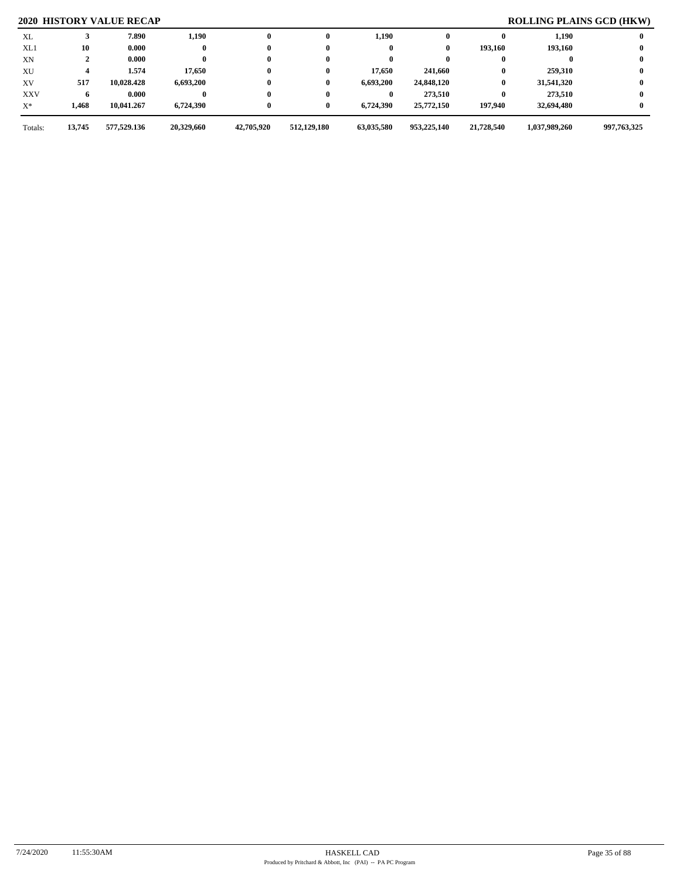# **2020 HISTORY VALUE RECAP ROLLING PLAINS GCD (HKW)**

| XL         |        | 7.890       | 1,190      | $\mathbf{0}$ | 0           | 1,190      |             |            | 1,190         |             |
|------------|--------|-------------|------------|--------------|-------------|------------|-------------|------------|---------------|-------------|
| XL1        | 10     | 0.000       |            | $\bf{0}$     |             |            | 0           | 193,160    | 193,160       |             |
| XN         |        | 0.000       |            | $\bf{0}$     |             |            |             |            |               |             |
| XU         |        | 1.574       | 17,650     | $\bf{0}$     | 0           | 17,650     | 241,660     | 0          | 259,310       |             |
| XV         | 517    | 10,028.428  | 6,693,200  | $\bf{0}$     | 0           | 6,693,200  | 24,848,120  | $\bf{0}$   | 31,541,320    |             |
| <b>XXV</b> |        | 0.000       |            | $\bf{0}$     |             |            | 273,510     | 0          | 273.510       |             |
| $X^*$      | 1,468  | 10,041.267  | 6,724,390  | $\bf{0}$     | 0           | 6,724,390  | 25,772,150  | 197,940    | 32,694,480    |             |
| Totals:    | 13,745 | 577,529.136 | 20,329,660 | 42,705,920   | 512,129,180 | 63,035,580 | 953,225,140 | 21,728,540 | 1,037,989,260 | 997,763,325 |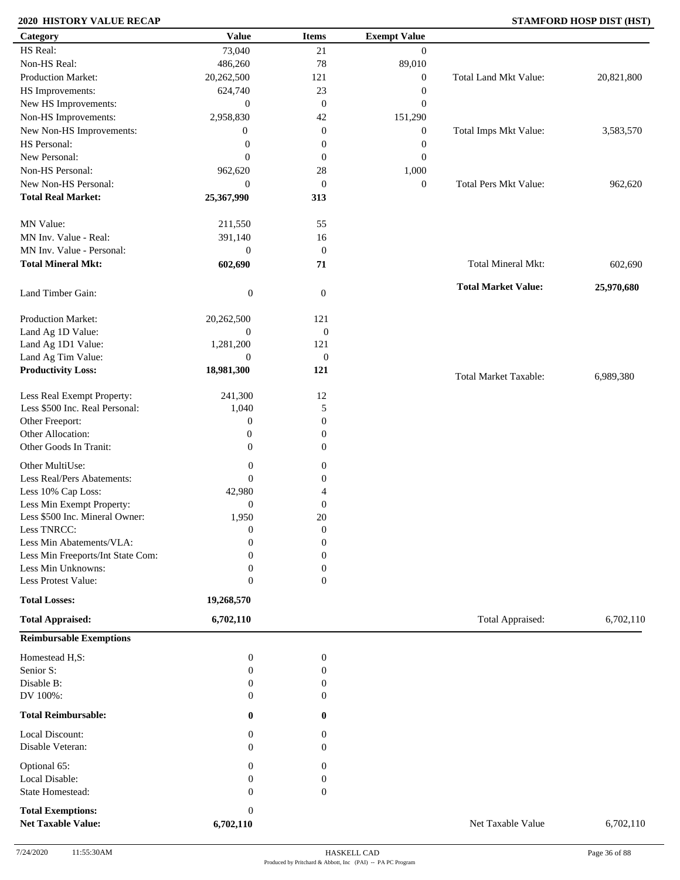# **2020 HISTORY VALUE RECAP STAMFORD HOSP DIST (HST)**

| Category                          | <b>Value</b>     | <b>Items</b>     | <b>Exempt Value</b> |                              |            |
|-----------------------------------|------------------|------------------|---------------------|------------------------------|------------|
| HS Real:                          | 73,040           | 21               | $\mathbf{0}$        |                              |            |
| Non-HS Real:                      | 486,260          | 78               | 89,010              |                              |            |
| Production Market:                | 20,262,500       | 121              | $\boldsymbol{0}$    | Total Land Mkt Value:        | 20,821,800 |
| HS Improvements:                  | 624,740          | 23               | $\boldsymbol{0}$    |                              |            |
| New HS Improvements:              | $\boldsymbol{0}$ | $\mathbf{0}$     | $\boldsymbol{0}$    |                              |            |
| Non-HS Improvements:              | 2,958,830        | 42               | 151,290             |                              |            |
| New Non-HS Improvements:          | $\boldsymbol{0}$ | $\mathbf{0}$     | $\boldsymbol{0}$    | Total Imps Mkt Value:        | 3,583,570  |
| HS Personal:                      | $\boldsymbol{0}$ | $\boldsymbol{0}$ | $\boldsymbol{0}$    |                              |            |
| New Personal:                     | $\overline{0}$   | $\mathbf{0}$     | $\boldsymbol{0}$    |                              |            |
| Non-HS Personal:                  |                  | 28               |                     |                              |            |
| New Non-HS Personal:              | 962,620          |                  | 1,000               |                              |            |
|                                   | $\overline{0}$   | $\boldsymbol{0}$ | $\boldsymbol{0}$    | <b>Total Pers Mkt Value:</b> | 962,620    |
| <b>Total Real Market:</b>         | 25,367,990       | 313              |                     |                              |            |
| MN Value:                         | 211,550          | 55               |                     |                              |            |
| MN Inv. Value - Real:             | 391,140          | 16               |                     |                              |            |
| MN Inv. Value - Personal:         | $\boldsymbol{0}$ | $\boldsymbol{0}$ |                     |                              |            |
| <b>Total Mineral Mkt:</b>         | 602,690          | 71               |                     | <b>Total Mineral Mkt:</b>    | 602,690    |
|                                   |                  |                  |                     |                              |            |
| Land Timber Gain:                 | $\boldsymbol{0}$ | $\mathbf{0}$     |                     | <b>Total Market Value:</b>   | 25,970,680 |
| Production Market:                | 20,262,500       | 121              |                     |                              |            |
| Land Ag 1D Value:                 | $\boldsymbol{0}$ | $\boldsymbol{0}$ |                     |                              |            |
| Land Ag 1D1 Value:                | 1,281,200        | 121              |                     |                              |            |
| Land Ag Tim Value:                | $\mathbf{0}$     | $\boldsymbol{0}$ |                     |                              |            |
| <b>Productivity Loss:</b>         | 18,981,300       | 121              |                     | <b>Total Market Taxable:</b> | 6,989,380  |
| Less Real Exempt Property:        | 241,300          | 12               |                     |                              |            |
| Less \$500 Inc. Real Personal:    | 1,040            | 5                |                     |                              |            |
| Other Freeport:                   | $\boldsymbol{0}$ | $\mathbf{0}$     |                     |                              |            |
| Other Allocation:                 | $\boldsymbol{0}$ | $\boldsymbol{0}$ |                     |                              |            |
| Other Goods In Tranit:            | $\overline{0}$   | $\boldsymbol{0}$ |                     |                              |            |
|                                   |                  |                  |                     |                              |            |
| Other MultiUse:                   | $\boldsymbol{0}$ | $\boldsymbol{0}$ |                     |                              |            |
| Less Real/Pers Abatements:        | $\theta$         | $\boldsymbol{0}$ |                     |                              |            |
| Less 10% Cap Loss:                | 42,980           | $\overline{4}$   |                     |                              |            |
| Less Min Exempt Property:         | $\mathbf{0}$     | $\mathbf{0}$     |                     |                              |            |
| Less \$500 Inc. Mineral Owner:    | 1,950            | 20               |                     |                              |            |
| Less TNRCC:                       | $\overline{0}$   | $\boldsymbol{0}$ |                     |                              |            |
| Less Min Abatements/VLA:          | $\boldsymbol{0}$ | $\boldsymbol{0}$ |                     |                              |            |
| Less Min Freeports/Int State Com: | 0                | $\Omega$         |                     |                              |            |
| Less Min Unknowns:                | $\theta$         | $\Omega$         |                     |                              |            |
| Less Protest Value:               | $\boldsymbol{0}$ | $\mathbf{0}$     |                     |                              |            |
| <b>Total Losses:</b>              | 19,268,570       |                  |                     |                              |            |
| <b>Total Appraised:</b>           | 6,702,110        |                  |                     | Total Appraised:             | 6,702,110  |
| <b>Reimbursable Exemptions</b>    |                  |                  |                     |                              |            |
| Homestead H,S:                    | $\boldsymbol{0}$ | $\boldsymbol{0}$ |                     |                              |            |
| Senior S:                         | $\mathbf{0}$     | $\boldsymbol{0}$ |                     |                              |            |
| Disable B:                        | $\mathbf{0}$     | $\mathbf{0}$     |                     |                              |            |
| DV 100%:                          | $\mathbf{0}$     | $\Omega$         |                     |                              |            |
| <b>Total Reimbursable:</b>        | 0                | $\bf{0}$         |                     |                              |            |
| Local Discount:                   | 0                | $\overline{0}$   |                     |                              |            |
| Disable Veteran:                  | $\mathbf{0}$     | $\overline{0}$   |                     |                              |            |
| Optional 65:                      | $\mathbf{0}$     | 0                |                     |                              |            |
| Local Disable:                    | $\mathbf{0}$     | $\boldsymbol{0}$ |                     |                              |            |
| State Homestead:                  | $\mathbf{0}$     | $\mathbf{0}$     |                     |                              |            |
|                                   |                  |                  |                     |                              |            |
| <b>Total Exemptions:</b>          | $\boldsymbol{0}$ |                  |                     |                              |            |
| <b>Net Taxable Value:</b>         | 6,702,110        |                  |                     | Net Taxable Value            | 6,702,110  |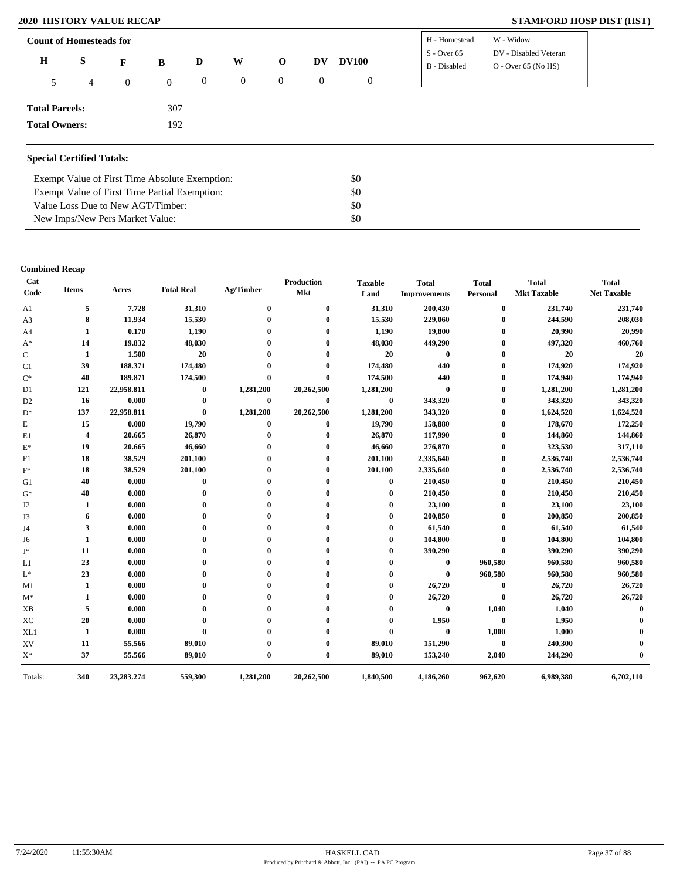### **2020 HISTORY VALUE RECAP STAMFORD HOSP DIST (HST)**

| <b>Count of Homesteads for</b> |   |                |                |                  |                |              |           |                | H - Homestead | W - Widow             |
|--------------------------------|---|----------------|----------------|------------------|----------------|--------------|-----------|----------------|---------------|-----------------------|
| $\bf H$                        | S | F              | B              | D                | W              | $\mathbf 0$  | <b>DV</b> | <b>DV100</b>   | $S - Over 65$ | DV - Disabled Veteran |
| 5                              | 4 | $\overline{0}$ | $\overline{0}$ | $\boldsymbol{0}$ | $\overline{0}$ | $\mathbf{0}$ | $\theta$  | $\overline{0}$ | B - Disabled  | $O -$ Over 65 (No HS) |
| <b>Total Parcels:</b>          |   |                | 307            |                  |                |              |           |                |               |                       |
| <b>Total Owners:</b>           |   |                | 192            |                  |                |              |           |                |               |                       |

### **Special Certified Totals:**

| Exempt Value of First Time Absolute Exemption: | \$0 |
|------------------------------------------------|-----|
| Exempt Value of First Time Partial Exemption:  | \$0 |
| Value Loss Due to New AGT/Timber:              | SO. |
| New Imps/New Pers Market Value:                | SO. |

### **Combined Recap**

| Cat<br>Code      | <b>Items</b>            | Acres      | <b>Total Real</b> | Ag/Timber    | Production<br>Mkt | <b>Taxable</b><br>Land | <b>Total</b><br><b>Improvements</b> | <b>Total</b><br>Personal | <b>Total</b><br><b>Mkt Taxable</b> | <b>Total</b><br><b>Net Taxable</b> |
|------------------|-------------------------|------------|-------------------|--------------|-------------------|------------------------|-------------------------------------|--------------------------|------------------------------------|------------------------------------|
| A1               | 5                       | 7.728      | 31,310            | $\bf{0}$     | $\bf{0}$          | 31,310                 | 200,430                             | $\bf{0}$                 | 231,740                            | 231,740                            |
| A <sub>3</sub>   | 8                       | 11.934     | 15,530            |              | $\bf{0}$          | 15,530                 | 229,060                             | $\bf{0}$                 | 244,590                            | 208,030                            |
| A <sub>4</sub>   | 1                       | 0.170      | 1,190             |              | $\mathbf 0$       | 1,190                  | 19,800                              | $\bf{0}$                 | 20,990                             | 20,990                             |
| $A^*$            | 14                      | 19.832     | 48,030            |              | 0                 | 48,030                 | 449,290                             | $\bf{0}$                 | 497,320                            | 460,760                            |
| C                | 1                       | 1.500      | 20                |              | $\mathbf 0$       | 20                     | $\bf{0}$                            | $\bf{0}$                 | 20                                 | 20                                 |
| C1               | 39                      | 188.371    | 174,480           |              | $\mathbf{0}$      | 174,480                | 440                                 | $\bf{0}$                 | 174,920                            | 174,920                            |
| $\mathrm{C}^*$   | 40                      | 189.871    | 174,500           | $\bf{0}$     | $\mathbf{0}$      | 174,500                | 440                                 | $\bf{0}$                 | 174,940                            | 174,940                            |
| D1               | 121                     | 22,958.811 | $\bf{0}$          | 1,281,200    | 20,262,500        | 1,281,200              | $\bf{0}$                            | $\bf{0}$                 | 1,281,200                          | 1,281,200                          |
| D <sub>2</sub>   | 16                      | 0.000      | $\bf{0}$          | $\bf{0}$     | $\bf{0}$          | $\bf{0}$               | 343,320                             | $\bf{0}$                 | 343,320                            | 343,320                            |
| $D^*$            | 137                     | 22,958.811 | $\bf{0}$          | 1,281,200    | 20,262,500        | 1,281,200              | 343,320                             | $\bf{0}$                 | 1,624,520                          | 1,624,520                          |
| Е                | 15                      | 0.000      | 19,790            | $\bf{0}$     | $\bf{0}$          | 19,790                 | 158,880                             | $\bf{0}$                 | 178,670                            | 172,250                            |
| E1               | $\overline{\mathbf{4}}$ | 20.665     | 26,870            | $\mathbf{0}$ | $\mathbf{0}$      | 26,870                 | 117,990                             | $\mathbf{0}$             | 144,860                            | 144,860                            |
| $E^*$            | 19                      | 20.665     | 46,660            |              | $\mathbf{0}$      | 46,660                 | 276,870                             | $\mathbf{0}$             | 323,530                            | 317,110                            |
| F1               | 18                      | 38.529     | 201,100           |              | $\mathbf 0$       | 201,100                | 2,335,640                           | $\bf{0}$                 | 2,536,740                          | 2,536,740                          |
| $F^*$            | 18                      | 38.529     | 201,100           |              | $\mathbf{0}$      | 201,100                | 2,335,640                           | $\bf{0}$                 | 2,536,740                          | 2,536,740                          |
| G1               | 40                      | 0.000      | $\boldsymbol{0}$  |              | 0                 | $\bf{0}$               | 210,450                             | $\bf{0}$                 | 210,450                            | 210,450                            |
| $G^*$            | 40                      | 0.000      | $\mathbf{0}$      |              | 0                 | $\mathbf 0$            | 210,450                             | $\bf{0}$                 | 210,450                            | 210,450                            |
| J2               | 1                       | 0.000      | 0                 |              | 0                 | 0                      | 23,100                              | $\bf{0}$                 | 23,100                             | 23,100                             |
| J3               | 6                       | 0.000      |                   |              |                   | 0                      | 200,850                             | $\bf{0}$                 | 200,850                            | 200,850                            |
| J4               | 3                       | 0.000      | 0                 |              | 0                 | 0                      | 61,540                              | $\bf{0}$                 | 61,540                             | 61,540                             |
| J6               | 1                       | 0.000      |                   |              | 0                 | 0                      | 104,800                             | 0                        | 104,800                            | 104,800                            |
| J*               | 11                      | 0.000      | 0                 |              | $\mathbf 0$       | 0                      | 390,290                             | $\mathbf{0}$             | 390,290                            | 390,290                            |
| L1               | 23                      | 0.000      |                   |              | 0                 | 0                      | $\bf{0}$                            | 960,580                  | 960,580                            | 960,580                            |
| $L^*$            | 23                      | 0.000      |                   |              |                   |                        | $\bf{0}$                            | 960,580                  | 960,580                            | 960,580                            |
| M1               | 1                       | 0.000      |                   |              |                   |                        | 26,720                              | $\bf{0}$                 | 26,720                             | 26,720                             |
| $M^*$            | 1                       | 0.000      |                   |              |                   | 0                      | 26,720                              | $\bf{0}$                 | 26,720                             | 26,720                             |
| <b>XB</b>        | 5                       | 0.000      |                   |              |                   |                        | $\bf{0}$                            | 1,040                    | 1,040                              |                                    |
| XC               | 20                      | 0.000      |                   |              |                   | 0                      | 1,950                               | $\mathbf{0}$             | 1,950                              |                                    |
| XL1              | 1                       | 0.000      | $\mathbf{0}$      |              | 0                 | $\mathbf{0}$           | $\mathbf{0}$                        | 1,000                    | 1,000                              |                                    |
| ${\bf X}{\bf V}$ | 11                      | 55.566     | 89,010            |              | $\mathbf{0}$      | 89,010                 | 151,290                             | $\bf{0}$                 | 240,300                            |                                    |
| $X^*$            | 37                      | 55.566     | 89,010            | $\mathbf{0}$ | $\bf{0}$          | 89,010                 | 153,240                             | 2,040                    | 244,290                            |                                    |
| Totals:          | 340                     | 23,283,274 | 559,300           | 1,281,200    | 20,262,500        | 1,840,500              | 4,186,260                           | 962,620                  | 6,989,380                          | 6,702,110                          |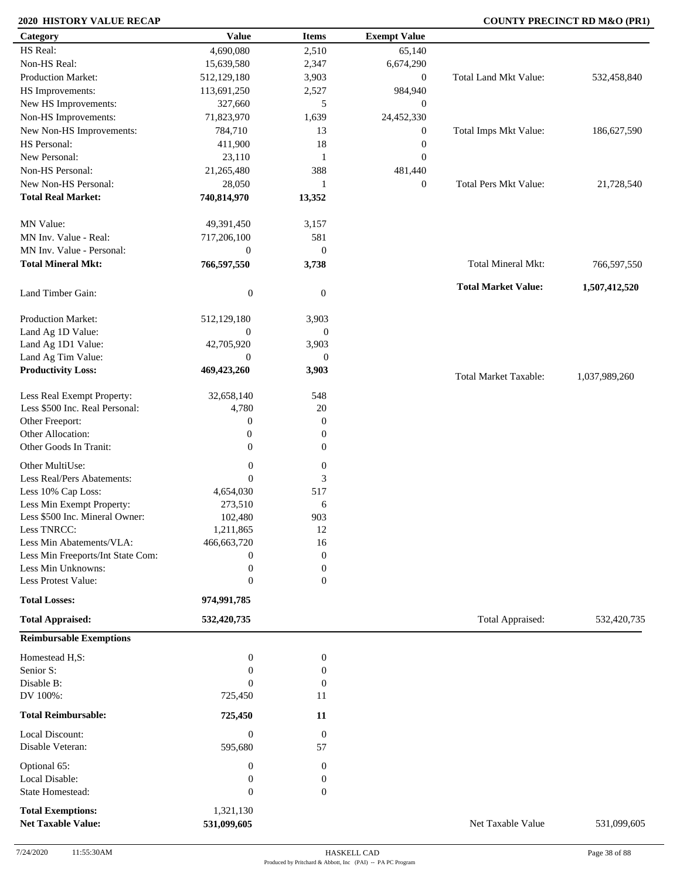### **2020 HISTORY VALUE RECAP COUNTY PRECINCT RD M&O (PR1)**

| HS Real:<br>4,690,080<br>2,510<br>65,140<br>Non-HS Real:<br>2,347<br>6,674,290<br>15,639,580<br>Production Market:<br>Total Land Mkt Value:<br>3,903<br>532,458,840<br>512,129,180<br>$\boldsymbol{0}$<br>HS Improvements:<br>2,527<br>113,691,250<br>984,940<br>New HS Improvements:<br>327,660<br>5<br>$\boldsymbol{0}$<br>Non-HS Improvements:<br>1,639<br>24,452,330<br>71,823,970<br>Total Imps Mkt Value:<br>New Non-HS Improvements:<br>784,710<br>13<br>$\boldsymbol{0}$<br>186,627,590<br>HS Personal:<br>18<br>411,900<br>$\boldsymbol{0}$<br>New Personal:<br>23,110<br>$\mathbf{0}$<br>$\mathbf{1}$<br>Non-HS Personal:<br>21,265,480<br>388<br>481,440<br>New Non-HS Personal:<br><b>Total Pers Mkt Value:</b><br>28,050<br>$\mathbf{0}$<br>$\mathbf{1}$<br><b>Total Real Market:</b><br>740,814,970<br>13,352<br>MN Value:<br>3,157<br>49,391,450<br>MN Inv. Value - Real:<br>581<br>717,206,100<br>MN Inv. Value - Personal:<br>$\boldsymbol{0}$<br>$\mathbf{0}$<br><b>Total Mineral Mkt:</b><br>Total Mineral Mkt:<br>766,597,550<br>3,738<br><b>Total Market Value:</b><br>1,507,412,520<br>$\boldsymbol{0}$<br>Land Timber Gain:<br>$\overline{0}$<br>Production Market:<br>512,129,180<br>3,903<br>Land Ag 1D Value:<br>$\overline{0}$<br>$\boldsymbol{0}$<br>Land Ag 1D1 Value:<br>42,705,920<br>3,903<br>Land Ag Tim Value:<br>$\mathbf{0}$<br>$\overline{0}$<br><b>Productivity Loss:</b><br>469,423,260<br>3,903<br><b>Total Market Taxable:</b><br>1,037,989,260<br>Less Real Exempt Property:<br>32,658,140<br>548<br>Less \$500 Inc. Real Personal:<br>4,780<br>20<br>Other Freeport:<br>$\boldsymbol{0}$<br>$\boldsymbol{0}$<br>Other Allocation:<br>$\mathbf{0}$<br>$\boldsymbol{0}$<br>Other Goods In Tranit:<br>$\overline{0}$<br>$\overline{0}$<br>Other MultiUse:<br>$\boldsymbol{0}$<br>$\boldsymbol{0}$<br>Less Real/Pers Abatements:<br>3<br>$\Omega$<br>Less 10% Cap Loss:<br>517<br>4,654,030<br>Less Min Exempt Property:<br>273,510<br>6<br>Less \$500 Inc. Mineral Owner:<br>102,480<br>903<br>Less TNRCC:<br>1,211,865<br>12<br>Less Min Abatements/VLA:<br>466,663,720<br>16<br>Less Min Freeports/Int State Com:<br>$\boldsymbol{0}$<br>0<br>Less Min Unknowns:<br>0<br>$\boldsymbol{0}$<br>Less Protest Value:<br>$\overline{0}$<br>$\mathbf{0}$<br><b>Total Losses:</b><br>974,991,785<br><b>Total Appraised:</b><br>Total Appraised:<br>532,420,735<br>532,420,735<br><b>Reimbursable Exemptions</b><br>$\boldsymbol{0}$<br>$\boldsymbol{0}$<br>Homestead H,S:<br>Senior S:<br>$\overline{0}$<br>$\boldsymbol{0}$<br>Disable B:<br>$\Omega$<br>$\boldsymbol{0}$<br>DV 100%:<br>725,450<br>11<br><b>Total Reimbursable:</b><br>725,450<br>11<br>Local Discount:<br>$\boldsymbol{0}$<br>$\boldsymbol{0}$<br>Disable Veteran:<br>57<br>595,680<br>Optional 65:<br>$\boldsymbol{0}$<br>$\boldsymbol{0}$<br>Local Disable:<br>$\boldsymbol{0}$<br>0<br>State Homestead:<br>$\mathbf{0}$<br>$\boldsymbol{0}$<br>1,321,130<br><b>Total Exemptions:</b><br><b>Net Taxable Value:</b><br>531,099,605<br>Net Taxable Value | Category | <b>Value</b> | <b>Items</b> | <b>Exempt Value</b> |             |
|----------------------------------------------------------------------------------------------------------------------------------------------------------------------------------------------------------------------------------------------------------------------------------------------------------------------------------------------------------------------------------------------------------------------------------------------------------------------------------------------------------------------------------------------------------------------------------------------------------------------------------------------------------------------------------------------------------------------------------------------------------------------------------------------------------------------------------------------------------------------------------------------------------------------------------------------------------------------------------------------------------------------------------------------------------------------------------------------------------------------------------------------------------------------------------------------------------------------------------------------------------------------------------------------------------------------------------------------------------------------------------------------------------------------------------------------------------------------------------------------------------------------------------------------------------------------------------------------------------------------------------------------------------------------------------------------------------------------------------------------------------------------------------------------------------------------------------------------------------------------------------------------------------------------------------------------------------------------------------------------------------------------------------------------------------------------------------------------------------------------------------------------------------------------------------------------------------------------------------------------------------------------------------------------------------------------------------------------------------------------------------------------------------------------------------------------------------------------------------------------------------------------------------------------------------------------------------------------------------------------------------------------------------------------------------------------------------------------------------------------------------------------------------------------------------------------------------------------------------------------------------------------------------------------------------------------------------------------------------------------------------------------------------------------------------------|----------|--------------|--------------|---------------------|-------------|
|                                                                                                                                                                                                                                                                                                                                                                                                                                                                                                                                                                                                                                                                                                                                                                                                                                                                                                                                                                                                                                                                                                                                                                                                                                                                                                                                                                                                                                                                                                                                                                                                                                                                                                                                                                                                                                                                                                                                                                                                                                                                                                                                                                                                                                                                                                                                                                                                                                                                                                                                                                                                                                                                                                                                                                                                                                                                                                                                                                                                                                                                |          |              |              |                     |             |
|                                                                                                                                                                                                                                                                                                                                                                                                                                                                                                                                                                                                                                                                                                                                                                                                                                                                                                                                                                                                                                                                                                                                                                                                                                                                                                                                                                                                                                                                                                                                                                                                                                                                                                                                                                                                                                                                                                                                                                                                                                                                                                                                                                                                                                                                                                                                                                                                                                                                                                                                                                                                                                                                                                                                                                                                                                                                                                                                                                                                                                                                |          |              |              |                     |             |
|                                                                                                                                                                                                                                                                                                                                                                                                                                                                                                                                                                                                                                                                                                                                                                                                                                                                                                                                                                                                                                                                                                                                                                                                                                                                                                                                                                                                                                                                                                                                                                                                                                                                                                                                                                                                                                                                                                                                                                                                                                                                                                                                                                                                                                                                                                                                                                                                                                                                                                                                                                                                                                                                                                                                                                                                                                                                                                                                                                                                                                                                |          |              |              |                     |             |
|                                                                                                                                                                                                                                                                                                                                                                                                                                                                                                                                                                                                                                                                                                                                                                                                                                                                                                                                                                                                                                                                                                                                                                                                                                                                                                                                                                                                                                                                                                                                                                                                                                                                                                                                                                                                                                                                                                                                                                                                                                                                                                                                                                                                                                                                                                                                                                                                                                                                                                                                                                                                                                                                                                                                                                                                                                                                                                                                                                                                                                                                |          |              |              |                     |             |
|                                                                                                                                                                                                                                                                                                                                                                                                                                                                                                                                                                                                                                                                                                                                                                                                                                                                                                                                                                                                                                                                                                                                                                                                                                                                                                                                                                                                                                                                                                                                                                                                                                                                                                                                                                                                                                                                                                                                                                                                                                                                                                                                                                                                                                                                                                                                                                                                                                                                                                                                                                                                                                                                                                                                                                                                                                                                                                                                                                                                                                                                |          |              |              |                     |             |
|                                                                                                                                                                                                                                                                                                                                                                                                                                                                                                                                                                                                                                                                                                                                                                                                                                                                                                                                                                                                                                                                                                                                                                                                                                                                                                                                                                                                                                                                                                                                                                                                                                                                                                                                                                                                                                                                                                                                                                                                                                                                                                                                                                                                                                                                                                                                                                                                                                                                                                                                                                                                                                                                                                                                                                                                                                                                                                                                                                                                                                                                |          |              |              |                     |             |
|                                                                                                                                                                                                                                                                                                                                                                                                                                                                                                                                                                                                                                                                                                                                                                                                                                                                                                                                                                                                                                                                                                                                                                                                                                                                                                                                                                                                                                                                                                                                                                                                                                                                                                                                                                                                                                                                                                                                                                                                                                                                                                                                                                                                                                                                                                                                                                                                                                                                                                                                                                                                                                                                                                                                                                                                                                                                                                                                                                                                                                                                |          |              |              |                     |             |
|                                                                                                                                                                                                                                                                                                                                                                                                                                                                                                                                                                                                                                                                                                                                                                                                                                                                                                                                                                                                                                                                                                                                                                                                                                                                                                                                                                                                                                                                                                                                                                                                                                                                                                                                                                                                                                                                                                                                                                                                                                                                                                                                                                                                                                                                                                                                                                                                                                                                                                                                                                                                                                                                                                                                                                                                                                                                                                                                                                                                                                                                |          |              |              |                     |             |
|                                                                                                                                                                                                                                                                                                                                                                                                                                                                                                                                                                                                                                                                                                                                                                                                                                                                                                                                                                                                                                                                                                                                                                                                                                                                                                                                                                                                                                                                                                                                                                                                                                                                                                                                                                                                                                                                                                                                                                                                                                                                                                                                                                                                                                                                                                                                                                                                                                                                                                                                                                                                                                                                                                                                                                                                                                                                                                                                                                                                                                                                |          |              |              |                     |             |
|                                                                                                                                                                                                                                                                                                                                                                                                                                                                                                                                                                                                                                                                                                                                                                                                                                                                                                                                                                                                                                                                                                                                                                                                                                                                                                                                                                                                                                                                                                                                                                                                                                                                                                                                                                                                                                                                                                                                                                                                                                                                                                                                                                                                                                                                                                                                                                                                                                                                                                                                                                                                                                                                                                                                                                                                                                                                                                                                                                                                                                                                |          |              |              |                     |             |
|                                                                                                                                                                                                                                                                                                                                                                                                                                                                                                                                                                                                                                                                                                                                                                                                                                                                                                                                                                                                                                                                                                                                                                                                                                                                                                                                                                                                                                                                                                                                                                                                                                                                                                                                                                                                                                                                                                                                                                                                                                                                                                                                                                                                                                                                                                                                                                                                                                                                                                                                                                                                                                                                                                                                                                                                                                                                                                                                                                                                                                                                |          |              |              |                     |             |
|                                                                                                                                                                                                                                                                                                                                                                                                                                                                                                                                                                                                                                                                                                                                                                                                                                                                                                                                                                                                                                                                                                                                                                                                                                                                                                                                                                                                                                                                                                                                                                                                                                                                                                                                                                                                                                                                                                                                                                                                                                                                                                                                                                                                                                                                                                                                                                                                                                                                                                                                                                                                                                                                                                                                                                                                                                                                                                                                                                                                                                                                |          |              |              |                     | 21,728,540  |
|                                                                                                                                                                                                                                                                                                                                                                                                                                                                                                                                                                                                                                                                                                                                                                                                                                                                                                                                                                                                                                                                                                                                                                                                                                                                                                                                                                                                                                                                                                                                                                                                                                                                                                                                                                                                                                                                                                                                                                                                                                                                                                                                                                                                                                                                                                                                                                                                                                                                                                                                                                                                                                                                                                                                                                                                                                                                                                                                                                                                                                                                |          |              |              |                     |             |
|                                                                                                                                                                                                                                                                                                                                                                                                                                                                                                                                                                                                                                                                                                                                                                                                                                                                                                                                                                                                                                                                                                                                                                                                                                                                                                                                                                                                                                                                                                                                                                                                                                                                                                                                                                                                                                                                                                                                                                                                                                                                                                                                                                                                                                                                                                                                                                                                                                                                                                                                                                                                                                                                                                                                                                                                                                                                                                                                                                                                                                                                |          |              |              |                     |             |
|                                                                                                                                                                                                                                                                                                                                                                                                                                                                                                                                                                                                                                                                                                                                                                                                                                                                                                                                                                                                                                                                                                                                                                                                                                                                                                                                                                                                                                                                                                                                                                                                                                                                                                                                                                                                                                                                                                                                                                                                                                                                                                                                                                                                                                                                                                                                                                                                                                                                                                                                                                                                                                                                                                                                                                                                                                                                                                                                                                                                                                                                |          |              |              |                     |             |
|                                                                                                                                                                                                                                                                                                                                                                                                                                                                                                                                                                                                                                                                                                                                                                                                                                                                                                                                                                                                                                                                                                                                                                                                                                                                                                                                                                                                                                                                                                                                                                                                                                                                                                                                                                                                                                                                                                                                                                                                                                                                                                                                                                                                                                                                                                                                                                                                                                                                                                                                                                                                                                                                                                                                                                                                                                                                                                                                                                                                                                                                |          |              |              |                     |             |
|                                                                                                                                                                                                                                                                                                                                                                                                                                                                                                                                                                                                                                                                                                                                                                                                                                                                                                                                                                                                                                                                                                                                                                                                                                                                                                                                                                                                                                                                                                                                                                                                                                                                                                                                                                                                                                                                                                                                                                                                                                                                                                                                                                                                                                                                                                                                                                                                                                                                                                                                                                                                                                                                                                                                                                                                                                                                                                                                                                                                                                                                |          |              |              |                     | 766,597,550 |
|                                                                                                                                                                                                                                                                                                                                                                                                                                                                                                                                                                                                                                                                                                                                                                                                                                                                                                                                                                                                                                                                                                                                                                                                                                                                                                                                                                                                                                                                                                                                                                                                                                                                                                                                                                                                                                                                                                                                                                                                                                                                                                                                                                                                                                                                                                                                                                                                                                                                                                                                                                                                                                                                                                                                                                                                                                                                                                                                                                                                                                                                |          |              |              |                     |             |
|                                                                                                                                                                                                                                                                                                                                                                                                                                                                                                                                                                                                                                                                                                                                                                                                                                                                                                                                                                                                                                                                                                                                                                                                                                                                                                                                                                                                                                                                                                                                                                                                                                                                                                                                                                                                                                                                                                                                                                                                                                                                                                                                                                                                                                                                                                                                                                                                                                                                                                                                                                                                                                                                                                                                                                                                                                                                                                                                                                                                                                                                |          |              |              |                     |             |
|                                                                                                                                                                                                                                                                                                                                                                                                                                                                                                                                                                                                                                                                                                                                                                                                                                                                                                                                                                                                                                                                                                                                                                                                                                                                                                                                                                                                                                                                                                                                                                                                                                                                                                                                                                                                                                                                                                                                                                                                                                                                                                                                                                                                                                                                                                                                                                                                                                                                                                                                                                                                                                                                                                                                                                                                                                                                                                                                                                                                                                                                |          |              |              |                     |             |
|                                                                                                                                                                                                                                                                                                                                                                                                                                                                                                                                                                                                                                                                                                                                                                                                                                                                                                                                                                                                                                                                                                                                                                                                                                                                                                                                                                                                                                                                                                                                                                                                                                                                                                                                                                                                                                                                                                                                                                                                                                                                                                                                                                                                                                                                                                                                                                                                                                                                                                                                                                                                                                                                                                                                                                                                                                                                                                                                                                                                                                                                |          |              |              |                     |             |
|                                                                                                                                                                                                                                                                                                                                                                                                                                                                                                                                                                                                                                                                                                                                                                                                                                                                                                                                                                                                                                                                                                                                                                                                                                                                                                                                                                                                                                                                                                                                                                                                                                                                                                                                                                                                                                                                                                                                                                                                                                                                                                                                                                                                                                                                                                                                                                                                                                                                                                                                                                                                                                                                                                                                                                                                                                                                                                                                                                                                                                                                |          |              |              |                     |             |
|                                                                                                                                                                                                                                                                                                                                                                                                                                                                                                                                                                                                                                                                                                                                                                                                                                                                                                                                                                                                                                                                                                                                                                                                                                                                                                                                                                                                                                                                                                                                                                                                                                                                                                                                                                                                                                                                                                                                                                                                                                                                                                                                                                                                                                                                                                                                                                                                                                                                                                                                                                                                                                                                                                                                                                                                                                                                                                                                                                                                                                                                |          |              |              |                     |             |
|                                                                                                                                                                                                                                                                                                                                                                                                                                                                                                                                                                                                                                                                                                                                                                                                                                                                                                                                                                                                                                                                                                                                                                                                                                                                                                                                                                                                                                                                                                                                                                                                                                                                                                                                                                                                                                                                                                                                                                                                                                                                                                                                                                                                                                                                                                                                                                                                                                                                                                                                                                                                                                                                                                                                                                                                                                                                                                                                                                                                                                                                |          |              |              |                     |             |
|                                                                                                                                                                                                                                                                                                                                                                                                                                                                                                                                                                                                                                                                                                                                                                                                                                                                                                                                                                                                                                                                                                                                                                                                                                                                                                                                                                                                                                                                                                                                                                                                                                                                                                                                                                                                                                                                                                                                                                                                                                                                                                                                                                                                                                                                                                                                                                                                                                                                                                                                                                                                                                                                                                                                                                                                                                                                                                                                                                                                                                                                |          |              |              |                     |             |
|                                                                                                                                                                                                                                                                                                                                                                                                                                                                                                                                                                                                                                                                                                                                                                                                                                                                                                                                                                                                                                                                                                                                                                                                                                                                                                                                                                                                                                                                                                                                                                                                                                                                                                                                                                                                                                                                                                                                                                                                                                                                                                                                                                                                                                                                                                                                                                                                                                                                                                                                                                                                                                                                                                                                                                                                                                                                                                                                                                                                                                                                |          |              |              |                     |             |
|                                                                                                                                                                                                                                                                                                                                                                                                                                                                                                                                                                                                                                                                                                                                                                                                                                                                                                                                                                                                                                                                                                                                                                                                                                                                                                                                                                                                                                                                                                                                                                                                                                                                                                                                                                                                                                                                                                                                                                                                                                                                                                                                                                                                                                                                                                                                                                                                                                                                                                                                                                                                                                                                                                                                                                                                                                                                                                                                                                                                                                                                |          |              |              |                     |             |
|                                                                                                                                                                                                                                                                                                                                                                                                                                                                                                                                                                                                                                                                                                                                                                                                                                                                                                                                                                                                                                                                                                                                                                                                                                                                                                                                                                                                                                                                                                                                                                                                                                                                                                                                                                                                                                                                                                                                                                                                                                                                                                                                                                                                                                                                                                                                                                                                                                                                                                                                                                                                                                                                                                                                                                                                                                                                                                                                                                                                                                                                |          |              |              |                     |             |
|                                                                                                                                                                                                                                                                                                                                                                                                                                                                                                                                                                                                                                                                                                                                                                                                                                                                                                                                                                                                                                                                                                                                                                                                                                                                                                                                                                                                                                                                                                                                                                                                                                                                                                                                                                                                                                                                                                                                                                                                                                                                                                                                                                                                                                                                                                                                                                                                                                                                                                                                                                                                                                                                                                                                                                                                                                                                                                                                                                                                                                                                |          |              |              |                     |             |
|                                                                                                                                                                                                                                                                                                                                                                                                                                                                                                                                                                                                                                                                                                                                                                                                                                                                                                                                                                                                                                                                                                                                                                                                                                                                                                                                                                                                                                                                                                                                                                                                                                                                                                                                                                                                                                                                                                                                                                                                                                                                                                                                                                                                                                                                                                                                                                                                                                                                                                                                                                                                                                                                                                                                                                                                                                                                                                                                                                                                                                                                |          |              |              |                     |             |
|                                                                                                                                                                                                                                                                                                                                                                                                                                                                                                                                                                                                                                                                                                                                                                                                                                                                                                                                                                                                                                                                                                                                                                                                                                                                                                                                                                                                                                                                                                                                                                                                                                                                                                                                                                                                                                                                                                                                                                                                                                                                                                                                                                                                                                                                                                                                                                                                                                                                                                                                                                                                                                                                                                                                                                                                                                                                                                                                                                                                                                                                |          |              |              |                     |             |
|                                                                                                                                                                                                                                                                                                                                                                                                                                                                                                                                                                                                                                                                                                                                                                                                                                                                                                                                                                                                                                                                                                                                                                                                                                                                                                                                                                                                                                                                                                                                                                                                                                                                                                                                                                                                                                                                                                                                                                                                                                                                                                                                                                                                                                                                                                                                                                                                                                                                                                                                                                                                                                                                                                                                                                                                                                                                                                                                                                                                                                                                |          |              |              |                     |             |
|                                                                                                                                                                                                                                                                                                                                                                                                                                                                                                                                                                                                                                                                                                                                                                                                                                                                                                                                                                                                                                                                                                                                                                                                                                                                                                                                                                                                                                                                                                                                                                                                                                                                                                                                                                                                                                                                                                                                                                                                                                                                                                                                                                                                                                                                                                                                                                                                                                                                                                                                                                                                                                                                                                                                                                                                                                                                                                                                                                                                                                                                |          |              |              |                     |             |
|                                                                                                                                                                                                                                                                                                                                                                                                                                                                                                                                                                                                                                                                                                                                                                                                                                                                                                                                                                                                                                                                                                                                                                                                                                                                                                                                                                                                                                                                                                                                                                                                                                                                                                                                                                                                                                                                                                                                                                                                                                                                                                                                                                                                                                                                                                                                                                                                                                                                                                                                                                                                                                                                                                                                                                                                                                                                                                                                                                                                                                                                |          |              |              |                     |             |
|                                                                                                                                                                                                                                                                                                                                                                                                                                                                                                                                                                                                                                                                                                                                                                                                                                                                                                                                                                                                                                                                                                                                                                                                                                                                                                                                                                                                                                                                                                                                                                                                                                                                                                                                                                                                                                                                                                                                                                                                                                                                                                                                                                                                                                                                                                                                                                                                                                                                                                                                                                                                                                                                                                                                                                                                                                                                                                                                                                                                                                                                |          |              |              |                     |             |
|                                                                                                                                                                                                                                                                                                                                                                                                                                                                                                                                                                                                                                                                                                                                                                                                                                                                                                                                                                                                                                                                                                                                                                                                                                                                                                                                                                                                                                                                                                                                                                                                                                                                                                                                                                                                                                                                                                                                                                                                                                                                                                                                                                                                                                                                                                                                                                                                                                                                                                                                                                                                                                                                                                                                                                                                                                                                                                                                                                                                                                                                |          |              |              |                     |             |
|                                                                                                                                                                                                                                                                                                                                                                                                                                                                                                                                                                                                                                                                                                                                                                                                                                                                                                                                                                                                                                                                                                                                                                                                                                                                                                                                                                                                                                                                                                                                                                                                                                                                                                                                                                                                                                                                                                                                                                                                                                                                                                                                                                                                                                                                                                                                                                                                                                                                                                                                                                                                                                                                                                                                                                                                                                                                                                                                                                                                                                                                |          |              |              |                     |             |
|                                                                                                                                                                                                                                                                                                                                                                                                                                                                                                                                                                                                                                                                                                                                                                                                                                                                                                                                                                                                                                                                                                                                                                                                                                                                                                                                                                                                                                                                                                                                                                                                                                                                                                                                                                                                                                                                                                                                                                                                                                                                                                                                                                                                                                                                                                                                                                                                                                                                                                                                                                                                                                                                                                                                                                                                                                                                                                                                                                                                                                                                |          |              |              |                     |             |
|                                                                                                                                                                                                                                                                                                                                                                                                                                                                                                                                                                                                                                                                                                                                                                                                                                                                                                                                                                                                                                                                                                                                                                                                                                                                                                                                                                                                                                                                                                                                                                                                                                                                                                                                                                                                                                                                                                                                                                                                                                                                                                                                                                                                                                                                                                                                                                                                                                                                                                                                                                                                                                                                                                                                                                                                                                                                                                                                                                                                                                                                |          |              |              |                     |             |
|                                                                                                                                                                                                                                                                                                                                                                                                                                                                                                                                                                                                                                                                                                                                                                                                                                                                                                                                                                                                                                                                                                                                                                                                                                                                                                                                                                                                                                                                                                                                                                                                                                                                                                                                                                                                                                                                                                                                                                                                                                                                                                                                                                                                                                                                                                                                                                                                                                                                                                                                                                                                                                                                                                                                                                                                                                                                                                                                                                                                                                                                |          |              |              |                     |             |
|                                                                                                                                                                                                                                                                                                                                                                                                                                                                                                                                                                                                                                                                                                                                                                                                                                                                                                                                                                                                                                                                                                                                                                                                                                                                                                                                                                                                                                                                                                                                                                                                                                                                                                                                                                                                                                                                                                                                                                                                                                                                                                                                                                                                                                                                                                                                                                                                                                                                                                                                                                                                                                                                                                                                                                                                                                                                                                                                                                                                                                                                |          |              |              |                     |             |
|                                                                                                                                                                                                                                                                                                                                                                                                                                                                                                                                                                                                                                                                                                                                                                                                                                                                                                                                                                                                                                                                                                                                                                                                                                                                                                                                                                                                                                                                                                                                                                                                                                                                                                                                                                                                                                                                                                                                                                                                                                                                                                                                                                                                                                                                                                                                                                                                                                                                                                                                                                                                                                                                                                                                                                                                                                                                                                                                                                                                                                                                |          |              |              |                     |             |
|                                                                                                                                                                                                                                                                                                                                                                                                                                                                                                                                                                                                                                                                                                                                                                                                                                                                                                                                                                                                                                                                                                                                                                                                                                                                                                                                                                                                                                                                                                                                                                                                                                                                                                                                                                                                                                                                                                                                                                                                                                                                                                                                                                                                                                                                                                                                                                                                                                                                                                                                                                                                                                                                                                                                                                                                                                                                                                                                                                                                                                                                |          |              |              |                     |             |
|                                                                                                                                                                                                                                                                                                                                                                                                                                                                                                                                                                                                                                                                                                                                                                                                                                                                                                                                                                                                                                                                                                                                                                                                                                                                                                                                                                                                                                                                                                                                                                                                                                                                                                                                                                                                                                                                                                                                                                                                                                                                                                                                                                                                                                                                                                                                                                                                                                                                                                                                                                                                                                                                                                                                                                                                                                                                                                                                                                                                                                                                |          |              |              |                     |             |
|                                                                                                                                                                                                                                                                                                                                                                                                                                                                                                                                                                                                                                                                                                                                                                                                                                                                                                                                                                                                                                                                                                                                                                                                                                                                                                                                                                                                                                                                                                                                                                                                                                                                                                                                                                                                                                                                                                                                                                                                                                                                                                                                                                                                                                                                                                                                                                                                                                                                                                                                                                                                                                                                                                                                                                                                                                                                                                                                                                                                                                                                |          |              |              |                     |             |
|                                                                                                                                                                                                                                                                                                                                                                                                                                                                                                                                                                                                                                                                                                                                                                                                                                                                                                                                                                                                                                                                                                                                                                                                                                                                                                                                                                                                                                                                                                                                                                                                                                                                                                                                                                                                                                                                                                                                                                                                                                                                                                                                                                                                                                                                                                                                                                                                                                                                                                                                                                                                                                                                                                                                                                                                                                                                                                                                                                                                                                                                |          |              |              |                     |             |
|                                                                                                                                                                                                                                                                                                                                                                                                                                                                                                                                                                                                                                                                                                                                                                                                                                                                                                                                                                                                                                                                                                                                                                                                                                                                                                                                                                                                                                                                                                                                                                                                                                                                                                                                                                                                                                                                                                                                                                                                                                                                                                                                                                                                                                                                                                                                                                                                                                                                                                                                                                                                                                                                                                                                                                                                                                                                                                                                                                                                                                                                |          |              |              |                     |             |
|                                                                                                                                                                                                                                                                                                                                                                                                                                                                                                                                                                                                                                                                                                                                                                                                                                                                                                                                                                                                                                                                                                                                                                                                                                                                                                                                                                                                                                                                                                                                                                                                                                                                                                                                                                                                                                                                                                                                                                                                                                                                                                                                                                                                                                                                                                                                                                                                                                                                                                                                                                                                                                                                                                                                                                                                                                                                                                                                                                                                                                                                |          |              |              |                     |             |
|                                                                                                                                                                                                                                                                                                                                                                                                                                                                                                                                                                                                                                                                                                                                                                                                                                                                                                                                                                                                                                                                                                                                                                                                                                                                                                                                                                                                                                                                                                                                                                                                                                                                                                                                                                                                                                                                                                                                                                                                                                                                                                                                                                                                                                                                                                                                                                                                                                                                                                                                                                                                                                                                                                                                                                                                                                                                                                                                                                                                                                                                |          |              |              |                     |             |
|                                                                                                                                                                                                                                                                                                                                                                                                                                                                                                                                                                                                                                                                                                                                                                                                                                                                                                                                                                                                                                                                                                                                                                                                                                                                                                                                                                                                                                                                                                                                                                                                                                                                                                                                                                                                                                                                                                                                                                                                                                                                                                                                                                                                                                                                                                                                                                                                                                                                                                                                                                                                                                                                                                                                                                                                                                                                                                                                                                                                                                                                |          |              |              |                     |             |
|                                                                                                                                                                                                                                                                                                                                                                                                                                                                                                                                                                                                                                                                                                                                                                                                                                                                                                                                                                                                                                                                                                                                                                                                                                                                                                                                                                                                                                                                                                                                                                                                                                                                                                                                                                                                                                                                                                                                                                                                                                                                                                                                                                                                                                                                                                                                                                                                                                                                                                                                                                                                                                                                                                                                                                                                                                                                                                                                                                                                                                                                |          |              |              |                     |             |
|                                                                                                                                                                                                                                                                                                                                                                                                                                                                                                                                                                                                                                                                                                                                                                                                                                                                                                                                                                                                                                                                                                                                                                                                                                                                                                                                                                                                                                                                                                                                                                                                                                                                                                                                                                                                                                                                                                                                                                                                                                                                                                                                                                                                                                                                                                                                                                                                                                                                                                                                                                                                                                                                                                                                                                                                                                                                                                                                                                                                                                                                |          |              |              |                     |             |
|                                                                                                                                                                                                                                                                                                                                                                                                                                                                                                                                                                                                                                                                                                                                                                                                                                                                                                                                                                                                                                                                                                                                                                                                                                                                                                                                                                                                                                                                                                                                                                                                                                                                                                                                                                                                                                                                                                                                                                                                                                                                                                                                                                                                                                                                                                                                                                                                                                                                                                                                                                                                                                                                                                                                                                                                                                                                                                                                                                                                                                                                |          |              |              |                     |             |
|                                                                                                                                                                                                                                                                                                                                                                                                                                                                                                                                                                                                                                                                                                                                                                                                                                                                                                                                                                                                                                                                                                                                                                                                                                                                                                                                                                                                                                                                                                                                                                                                                                                                                                                                                                                                                                                                                                                                                                                                                                                                                                                                                                                                                                                                                                                                                                                                                                                                                                                                                                                                                                                                                                                                                                                                                                                                                                                                                                                                                                                                |          |              |              |                     | 531,099,605 |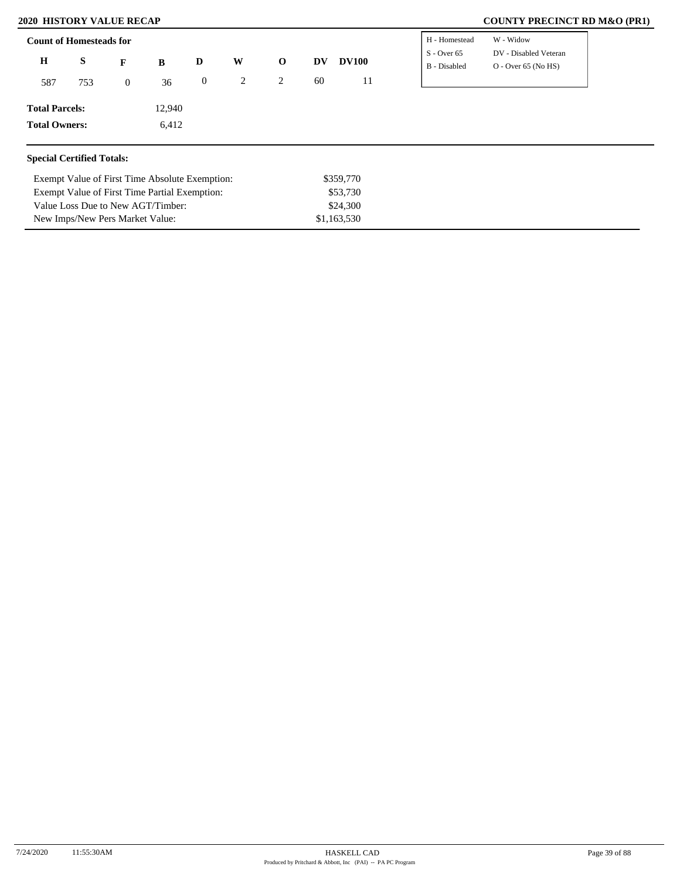Value Loss Due to New AGT/Timber: New Imps/New Pers Market Value:

### **2020 HISTORY VALUE RECAP COUNTY PRECINCT RD M&O (PR1)**

| <b>Count of Homesteads for</b>                 |     |                |        |                  |   |             |           |              | H - Homestead                 | W - Widow                                      |
|------------------------------------------------|-----|----------------|--------|------------------|---|-------------|-----------|--------------|-------------------------------|------------------------------------------------|
| $\bf H$                                        | S   | F              | B      | D                | W | $\mathbf 0$ | DV        | <b>DV100</b> | $S -$ Over 65<br>B - Disabled | DV - Disabled Veteran<br>$O - Over 65 (No HS)$ |
| 587                                            | 753 | $\overline{0}$ | 36     | $\boldsymbol{0}$ | 2 | 2           | 60        | 11           |                               |                                                |
| <b>Total Parcels:</b>                          |     |                | 12,940 |                  |   |             |           |              |                               |                                                |
| <b>Total Owners:</b>                           |     |                | 6,412  |                  |   |             |           |              |                               |                                                |
| <b>Special Certified Totals:</b>               |     |                |        |                  |   |             |           |              |                               |                                                |
| Exempt Value of First Time Absolute Exemption: |     |                |        |                  |   |             | \$359,770 |              |                               |                                                |
| Exempt Value of First Time Partial Exemption:  |     |                |        |                  |   |             | \$53,730  |              |                               |                                                |

\$24,300 \$1,163,530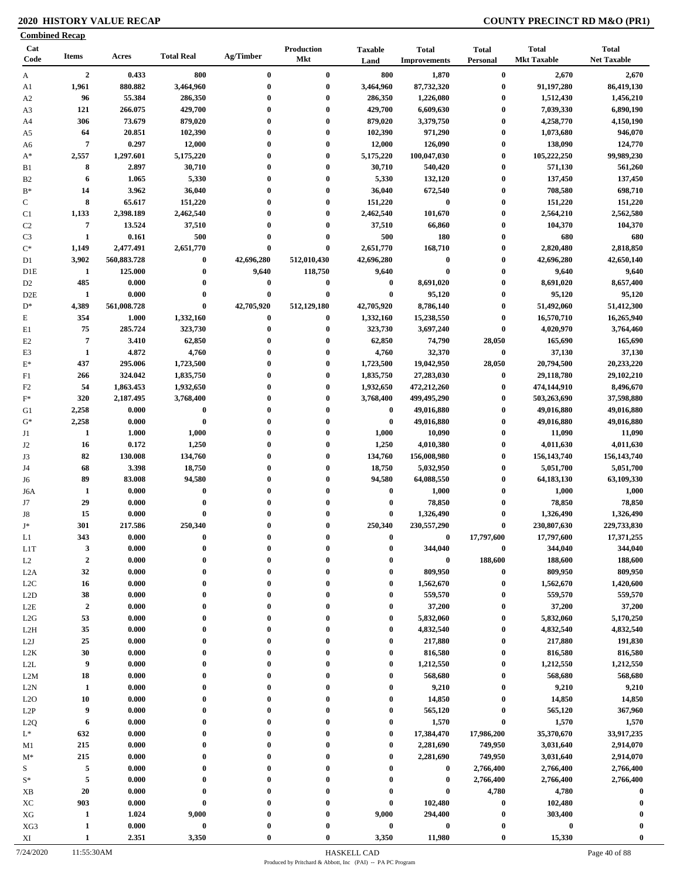### **2020 HISTORY VALUE RECAP COUNTY PRECINCT RD M&O (PR1)**

|                            | <b>Combined Recap</b> |                     |                      |               |                              |                                      |                                     |                              |                                    |                                    |
|----------------------------|-----------------------|---------------------|----------------------|---------------|------------------------------|--------------------------------------|-------------------------------------|------------------------------|------------------------------------|------------------------------------|
| Cat<br>Code                | <b>Items</b>          | Acres               | <b>Total Real</b>    | Ag/Timber     | Production<br>Mkt            | <b>Taxable</b><br>Land               | <b>Total</b><br><b>Improvements</b> | <b>Total</b><br>Personal     | <b>Total</b><br><b>Mkt Taxable</b> | <b>Total</b><br><b>Net Taxable</b> |
| $\mathbf{A}$               | $\overline{2}$        | 0.433               | 800                  | $\bf{0}$      | $\bf{0}$                     | 800                                  | 1,870                               | $\bf{0}$                     | 2,670                              | 2,670                              |
| A1                         | 1,961                 | 880.882             | 3,464,960            | $\bf{0}$      | $\bf{0}$                     | 3,464,960                            | 87,732,320                          | $\bf{0}$                     | 91,197,280                         | 86,419,130                         |
| A <sub>2</sub>             | 96                    | 55.384              | 286,350              | $\bf{0}$      | $\bf{0}$                     | 286,350                              | 1,226,080                           | $\boldsymbol{0}$             | 1,512,430                          | 1,456,210                          |
| A3                         | 121                   | 266.075             | 429,700              | 0             | $\bf{0}$                     | 429,700                              | 6,609,630                           | $\bf{0}$                     | 7,039,330                          | 6,890,190                          |
| A4                         | 306                   | 73.679              | 879,020              | 0             | $\bf{0}$                     | 879,020                              | 3,379,750                           | $\bf{0}$                     | 4,258,770                          | 4,150,190                          |
| A5                         | 64                    | 20.851              | 102,390              | $\bf{0}$      | $\bf{0}$                     | 102,390                              | 971,290                             | $\bf{0}$                     | 1,073,680                          | 946,070                            |
| A6                         | $\overline{7}$        | 0.297               | 12,000               | $\bf{0}$      | $\bf{0}$                     | 12,000                               | 126,090                             | $\bf{0}$                     | 138,090                            | 124,770                            |
| $A^*$                      | 2,557                 | 1,297.601           | 5,175,220            | 0             | $\bf{0}$                     | 5,175,220                            | 100,047,030                         | $\boldsymbol{0}$             | 105,222,250                        | 99,989,230                         |
| B1                         | 8                     | 2.897               | 30,710               | $\mathbf{0}$  | $\bf{0}$                     | 30,710                               | 540,420                             | $\bf{0}$                     | 571,130                            | 561,260                            |
| B <sub>2</sub>             | 6                     | 1.065               | 5,330                | $\mathbf{0}$  | $\bf{0}$                     | 5,330                                | 132,120                             | $\boldsymbol{0}$             | 137,450                            | 137,450                            |
| $B^*$                      | 14<br>8               | 3.962               | 36,040               | $\bf{0}$<br>0 | $\bf{0}$<br>$\bf{0}$         | 36,040                               | 672,540<br>$\bf{0}$                 | $\bf{0}$                     | 708,580                            | 698,710                            |
| $\mathbf C$                | 1,133                 | 65.617<br>2,398.189 | 151,220<br>2,462,540 | $\bf{0}$      | $\bf{0}$                     | 151,220<br>2,462,540                 | 101,670                             | $\boldsymbol{0}$<br>$\bf{0}$ | 151,220<br>2,564,210               | 151,220<br>2,562,580               |
| C <sub>1</sub><br>$\rm C2$ | $\overline{7}$        | 13.524              | 37,510               | $\bf{0}$      | $\bf{0}$                     | 37,510                               | 66,860                              | $\boldsymbol{0}$             | 104,370                            | 104,370                            |
| C <sub>3</sub>             | 1                     | 0.161               | 500                  | $\bf{0}$      | $\bf{0}$                     | 500                                  | 180                                 | $\bf{0}$                     | 680                                | 680                                |
| $\mathrm{C}^*$             | 1,149                 | 2,477.491           | 2,651,770            | $\bf{0}$      | $\bf{0}$                     | 2,651,770                            | 168,710                             | $\bf{0}$                     | 2,820,480                          | 2,818,850                          |
| D1                         | 3,902                 | 560,883.728         | $\bf{0}$             | 42,696,280    | 512,010,430                  | 42,696,280                           | $\bf{0}$                            | $\bf{0}$                     | 42,696,280                         | 42,650,140                         |
| D <sub>1</sub> E           | $\mathbf{1}$          | 125.000             | $\bf{0}$             | 9,640         | 118,750                      | 9,640                                | $\bf{0}$                            | $\boldsymbol{0}$             | 9,640                              | 9,640                              |
| D <sub>2</sub>             | 485                   | 0.000               | $\bf{0}$             | 0             | $\bf{0}$                     | $\bf{0}$                             | 8,691,020                           | $\boldsymbol{0}$             | 8,691,020                          | 8,657,400                          |
| D <sub>2</sub> E           | 1                     | 0.000               | $\bf{0}$             | $\bf{0}$      | $\bf{0}$                     | $\bf{0}$                             | 95,120                              | $\bf{0}$                     | 95,120                             | 95,120                             |
| $D^*$                      | 4,389                 | 561,008.728         | $\bf{0}$             | 42,705,920    | 512,129,180                  | 42,705,920                           | 8,786,140                           | $\bf{0}$                     | 51,492,060                         | 51,412,300                         |
| E                          | 354                   | 1.000               | 1,332,160            | $\bf{0}$      | $\bf{0}$                     | 1,332,160                            | 15,238,550                          | $\boldsymbol{0}$             | 16,570,710                         | 16,265,940                         |
| E1                         | 75                    | 285.724             | 323,730              | $\bf{0}$      | $\bf{0}$                     | 323,730                              | 3,697,240                           | $\boldsymbol{0}$             | 4,020,970                          | 3,764,460                          |
| E2                         | $\overline{7}$        | 3.410               | 62,850               | $\bf{0}$      | $\bf{0}$                     | 62,850                               | 74,790                              | 28,050                       | 165,690                            | 165,690                            |
| E3                         | 1                     | 4.872               | 4,760                | $\bf{0}$      | $\bf{0}$                     | 4,760                                | 32,370                              | $\bf{0}$                     | 37,130                             | 37,130                             |
| $E^*$                      | 437                   | 295.006             | 1,723,500            | $\bf{0}$      | $\bf{0}$                     | 1,723,500                            | 19,042,950                          | 28,050                       | 20,794,500                         | 20,233,220                         |
| F1                         | 266                   | 324.042             | 1,835,750            | $\bf{0}$      | $\bf{0}$                     | 1,835,750                            | 27,283,030                          | $\boldsymbol{0}$             | 29,118,780                         | 29,102,210                         |
| F <sub>2</sub>             | 54                    | 1,863.453           | 1,932,650            | $\bf{0}$      | $\bf{0}$                     | 1,932,650                            | 472,212,260                         | $\bf{0}$                     | 474,144,910                        | 8,496,670                          |
|                            | 320                   | 2,187.495           | 3,768,400            | $\bf{0}$      | $\bf{0}$                     | 3,768,400                            | 499,495,290                         | $\boldsymbol{0}$             | 503,263,690                        | 37,598,880                         |
| G1                         | 2,258                 | 0.000               | $\boldsymbol{0}$     | $\bf{0}$      | $\bf{0}$                     | $\bf{0}$                             | 49,016,880                          | $\bf{0}$                     | 49,016,880                         | 49,016,880                         |
| $G^*$                      | 2,258                 | 0.000               | $\bf{0}$             | $\bf{0}$      | $\bf{0}$                     | $\bf{0}$                             | 49,016,880                          | $\bf{0}$                     | 49,016,880                         | 49,016,880                         |
|                            | 1                     | 1.000               | 1,000                | $\bf{0}$      | $\bf{0}$                     | 1,000                                | 10,090                              | $\bf{0}$                     | 11,090                             | 11,090                             |
| J2                         | 16                    | 0.172               | 1,250                | $\bf{0}$      | $\bf{0}$                     | 1,250                                | 4,010,380                           | $\boldsymbol{0}$             | 4,011,630                          | 4,011,630                          |
|                            | 82                    | 130.008             | 134,760              | 0             | $\bf{0}$                     | 134,760                              | 156,008,980                         | $\bf{0}$                     | 156, 143, 740                      | 156, 143, 740                      |
|                            | 68                    | 3.398               | 18,750               | $\bf{0}$      | $\bf{0}$                     | 18,750                               | 5,032,950                           | $\bf{0}$                     | 5,051,700                          | 5,051,700                          |
| J6                         | 89                    | 83.008              | 94,580               | $\bf{0}$      | $\bf{0}$                     | 94,580                               | 64,088,550                          | $\bf{0}$                     | 64, 183, 130                       | 63,109,330                         |
| J6A                        | 1                     | 0.000               | $\bf{0}$             | $\bf{0}$      | $\bf{0}$                     | $\bf{0}$                             | 1,000                               | $\boldsymbol{0}$             | 1,000                              | 1,000                              |
| J7                         | 29                    | 0.000               | $\bf{0}$             | $\bf{0}$      | $\bf{0}$                     | $\bf{0}$                             | 78,850                              | $\boldsymbol{0}$             | 78,850                             | 78,850                             |
| J8                         | 15                    | 0.000               | $\bf{0}$             | $\bf{0}$      | $\bf{0}$                     | $\bf{0}$                             | 1,326,490                           | $\bf{0}$                     | 1,326,490                          | 1,326,490                          |
| T*                         | 301                   | 217.586             | 250.340              |               | $\mathbf{0}$                 | 250.340                              | 230,557,290                         | $\mathbf{0}$                 | 230,807,630                        | 229,733,830                        |
| L1                         | 343                   | 0.000               | $\bf{0}$             |               | $\boldsymbol{0}$             | $\boldsymbol{0}$                     | $\bf{0}$                            | 17,797,600                   | 17,797,600                         | 17,371,255                         |
| L <sub>1</sub> T           | $\mathbf{3}$          | 0.000               | $\bf{0}$             | $\bf{0}$      | $\bf{0}$                     | $\bf{0}$                             | 344,040                             | $\pmb{0}$                    | 344,040                            | 344,040                            |
| L2                         | $\mathbf 2$           | 0.000               | $\bf{0}$             | $\bf{0}$      | $\bf{0}$                     | $\boldsymbol{0}$                     | $\boldsymbol{0}$                    | 188,600                      | 188,600                            | 188,600                            |
| L2A                        | 32                    | 0.000               | $\bf{0}$             | $\bf{0}$      | $\bf{0}$                     | $\bf{0}$                             | 809,950                             | $\boldsymbol{0}$             | 809,950                            | 809,950                            |
| L2C                        | 16                    | 0.000               | $\bf{0}$             | $\bf{0}$      | $\bf{0}$                     | $\bf{0}$                             | 1,562,670                           | $\boldsymbol{0}$             | 1,562,670                          | 1,420,600                          |
| L2D                        | 38                    | 0.000               | $\bf{0}$             | $\bf{0}$      | $\bf{0}$                     | $\bf{0}$                             | 559,570                             | $\bf{0}$                     | 559,570                            | 559,570                            |
| L2E                        | $\boldsymbol{2}$      | 0.000               | $\bf{0}$             | $\bf{0}$      | $\mathbf{0}$                 | $\boldsymbol{0}$                     | 37,200                              | $\bf{0}$                     | 37,200                             | 37,200                             |
| L2G                        | 53                    | 0.000               | $\mathbf{0}$         | $\bf{0}$      | $\bf{0}$                     | $\bf{0}$                             | 5,832,060                           | $\bf{0}$                     | 5,832,060                          | 5,170,250                          |
| L <sub>2</sub> H           | 35<br>25              | 0.000               | $\bf{0}$<br>$\bf{0}$ | 0             | $\mathbf{0}$<br>$\mathbf{0}$ | $\boldsymbol{0}$<br>$\bf{0}$         | 4,832,540                           | $\bf{0}$<br>$\bf{0}$         | 4,832,540<br>217,880               | 4,832,540<br>191,830               |
| L2J                        | 30                    | 0.000               | $\bf{0}$             | 0             | $\mathbf{0}$                 | $\boldsymbol{0}$                     | 217,880                             | $\bf{0}$                     | 816,580                            |                                    |
| L2K                        | 9                     | 0.000<br>0.000      | $\bf{0}$             | $\bf{0}$      | $\bf{0}$                     | $\bf{0}$                             | 816,580                             | $\bf{0}$                     | 1,212,550                          | 816,580<br>1,212,550               |
| L2L                        | 18                    |                     | $\bf{0}$             | $\bf{0}$      | $\boldsymbol{0}$             |                                      | 1,212,550<br>568,680                | $\bf{0}$                     |                                    |                                    |
| L2M                        | 1                     | 0.000<br>0.000      | $\bf{0}$             | $\bf{0}$      | $\bf{0}$                     | $\boldsymbol{0}$<br>$\boldsymbol{0}$ | 9,210                               | $\bf{0}$                     | 568,680<br>9,210                   | 568,680<br>9,210                   |
| L2N                        | 10                    | 0.000               | $\bf{0}$             | $\bf{0}$      | $\mathbf{0}$                 | $\boldsymbol{0}$                     | 14,850                              | $\bf{0}$                     | 14,850                             |                                    |
| L2O                        | 9                     | 0.000               | $\bf{0}$             | $\bf{0}$      | $\bf{0}$                     | $\bf{0}$                             |                                     | $\bf{0}$                     | 565,120                            | 14,850<br>367,960                  |
| L2P                        | 6                     | 0.000               | $\bf{0}$             | $\bf{0}$      | $\bf{0}$                     | $\bf{0}$                             | 565,120<br>1,570                    | $\bf{0}$                     | 1,570                              | 1,570                              |
| L <sub>2</sub> Q           | 632                   | 0.000               | $\bf{0}$             | $\bf{0}$      | $\bf{0}$                     | $\bf{0}$                             | 17,384,470                          | 17,986,200                   | 35,370,670                         | 33,917,235                         |
| $L^*$                      | 215                   | 0.000               | $\bf{0}$             | $\bf{0}$      | $\bf{0}$                     | $\bf{0}$                             | 2,281,690                           | 749,950                      | 3,031,640                          | 2,914,070                          |
| M1                         | 215                   | 0.000               | $\bf{0}$             | $\bf{0}$      | $\bf{0}$                     | $\bf{0}$                             | 2,281,690                           | 749,950                      | 3,031,640                          |                                    |
| $M^*$                      | 5                     | 0.000               | $\bf{0}$             | $\bf{0}$      | $\bf{0}$                     | $\bf{0}$                             | 0                                   | 2,766,400                    | 2,766,400                          | 2,914,070<br>2,766,400             |
| S<br>$\mathbf{S}^*$        | $\sqrt{5}$            | 0.000               | $\bf{0}$             | $\bf{0}$      | $\bf{0}$                     | $\bf{0}$                             | $\bf{0}$                            | 2,766,400                    | 2,766,400                          | 2,766,400                          |
| XB                         | 20                    | 0.000               | $\bf{0}$             | $\mathbf{0}$  | $\bf{0}$                     | $\mathbf 0$                          | $\bf{0}$                            | 4,780                        | 4,780                              | $\bf{0}$                           |
| XC                         | 903                   | 0.000               | $\bf{0}$             | $\bf{0}$      | $\bf{0}$                     | $\bf{0}$                             | 102,480                             | $\bf{0}$                     | 102,480                            | $\bf{0}$                           |
| ${\rm XG}$                 | $\mathbf{1}$          | 1.024               | 9,000                | 0             | $\bf{0}$                     | 9,000                                | 294,400                             | $\bf{0}$                     | 303,400                            |                                    |
| XG3                        | 1                     | 0.000               | $\pmb{0}$            | 0             | $\boldsymbol{0}$             | $\bf{0}$                             | $\bf{0}$                            | $\boldsymbol{0}$             | $\bf{0}$                           | 0                                  |
|                            | $\mathbf{1}$          | 2.351               | 3,350                | $\mathbf{0}$  | $\boldsymbol{0}$             | 3,350                                | 11,980                              | $\boldsymbol{0}$             | 15,330                             | $\bf{0}$                           |
| XI                         |                       |                     |                      |               |                              |                                      |                                     |                              |                                    |                                    |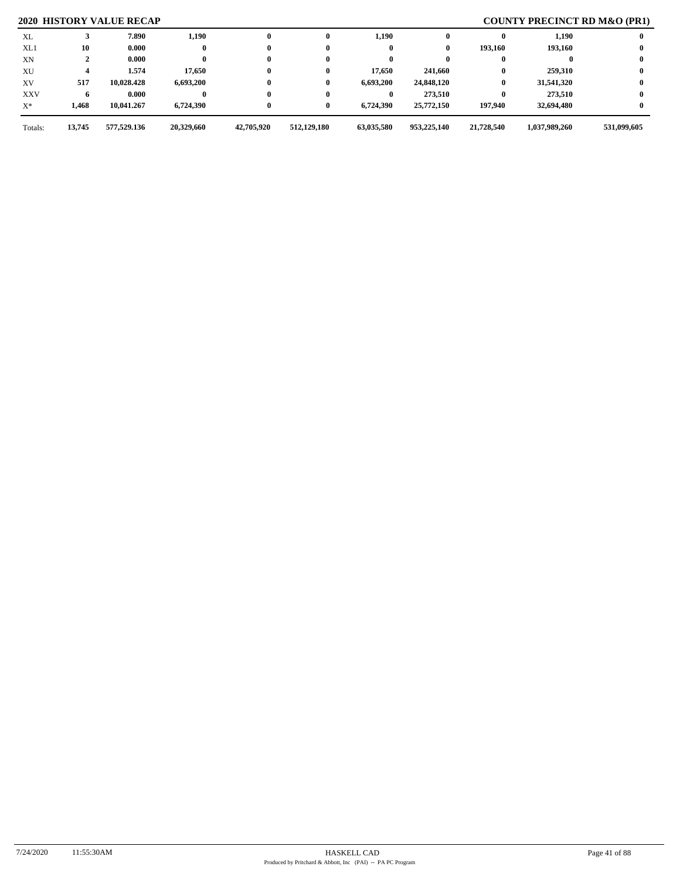## **2020 HISTORY VALUE RECAP COUNTY PRECINCT RD M&O (PR1)**

| Totals:    | 13,745 | 577,529.136 | 20,329,660 | 42,705,920   | 512,129,180 | 63,035,580 | 953,225,140 | 21,728,540 | 1,037,989,260 | 531,099,605 |
|------------|--------|-------------|------------|--------------|-------------|------------|-------------|------------|---------------|-------------|
| $X^*$      | 1,468  | 10,041.267  | 6,724,390  | $\bf{0}$     | 0           | 6,724,390  | 25,772,150  | 197.940    | 32,694,480    |             |
| <b>XXV</b> | 6      | 0.000       |            | $\bf{0}$     |             |            | 273,510     | 0          | 273.510       |             |
| XV         | 517    | 10,028.428  | 6,693,200  | $\bf{0}$     | 0           | 6,693,200  | 24,848,120  | 0          | 31,541,320    |             |
| XU         |        | 1.574       | 17,650     | $\bf{0}$     | 0           | 17.650     | 241,660     |            | 259,310       |             |
| XN         |        | 0.000       |            | $\bf{0}$     |             |            | 0           |            |               |             |
| XL1        | 10     | 0.000       |            | $\bf{0}$     |             |            | 0           | 193.160    | 193.160       |             |
| XL         |        | 7.890       | 1,190      | $\mathbf{0}$ | 0           | 1,190      |             |            | 1,190         |             |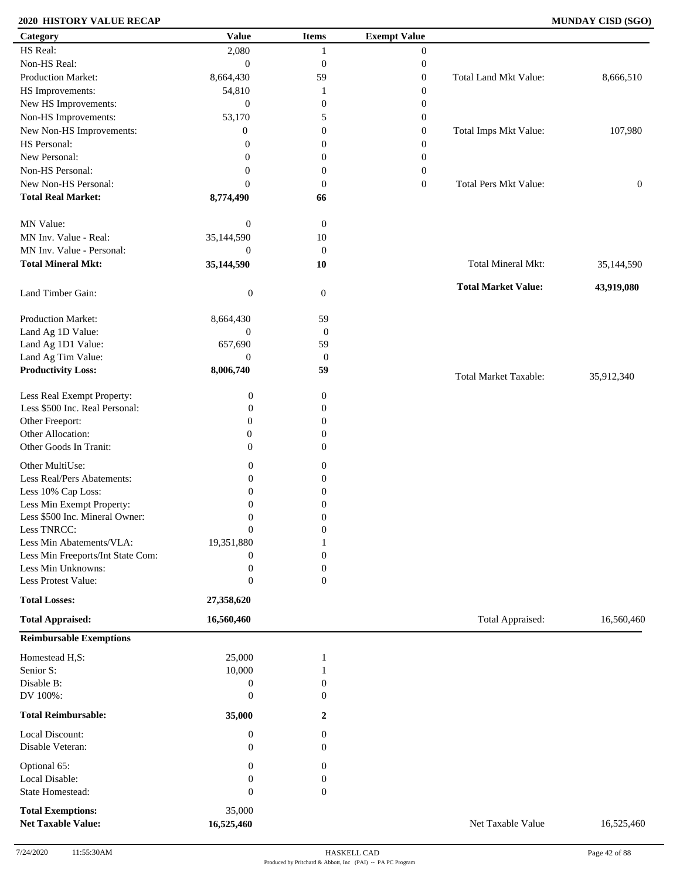### **2020 HISTORY VALUE RECAP MUNDAY CISD (SGO)**

| Category                                              | <b>Value</b>              | <b>Items</b>     | <b>Exempt Value</b> |                              |                  |
|-------------------------------------------------------|---------------------------|------------------|---------------------|------------------------------|------------------|
| HS Real:                                              | 2,080                     |                  | $\mathbf{0}$        |                              |                  |
| Non-HS Real:                                          | $\mathbf{0}$              | $\boldsymbol{0}$ | $\boldsymbol{0}$    |                              |                  |
| Production Market:                                    | 8,664,430                 | 59               | $\boldsymbol{0}$    | Total Land Mkt Value:        | 8,666,510        |
| HS Improvements:                                      | 54,810                    | 1                | $\boldsymbol{0}$    |                              |                  |
| New HS Improvements:                                  | $\mathbf{0}$              | $\boldsymbol{0}$ | $\boldsymbol{0}$    |                              |                  |
| Non-HS Improvements:                                  | 53,170                    | 5                | $\boldsymbol{0}$    |                              |                  |
| New Non-HS Improvements:                              | $\overline{0}$            | $\boldsymbol{0}$ | $\boldsymbol{0}$    | Total Imps Mkt Value:        | 107,980          |
| HS Personal:                                          | $\overline{0}$            | $\boldsymbol{0}$ |                     |                              |                  |
|                                                       |                           |                  | $\boldsymbol{0}$    |                              |                  |
| New Personal:                                         | $\overline{0}$            | $\boldsymbol{0}$ | $\boldsymbol{0}$    |                              |                  |
| Non-HS Personal:                                      | $\overline{0}$            | $\boldsymbol{0}$ | $\boldsymbol{0}$    |                              |                  |
| New Non-HS Personal:                                  | $\overline{0}$            | $\boldsymbol{0}$ | $\mathbf{0}$        | <b>Total Pers Mkt Value:</b> | $\boldsymbol{0}$ |
| <b>Total Real Market:</b>                             | 8,774,490                 | 66               |                     |                              |                  |
| MN Value:                                             | $\boldsymbol{0}$          | $\boldsymbol{0}$ |                     |                              |                  |
| MN Inv. Value - Real:                                 | 35,144,590                | $10\,$           |                     |                              |                  |
| MN Inv. Value - Personal:                             | $\theta$                  | $\mathbf{0}$     |                     |                              |                  |
| <b>Total Mineral Mkt:</b>                             | 35,144,590                | 10               |                     | Total Mineral Mkt:           | 35,144,590       |
| Land Timber Gain:                                     | $\boldsymbol{0}$          | $\mathbf{0}$     |                     | <b>Total Market Value:</b>   | 43,919,080       |
| Production Market:                                    |                           |                  |                     |                              |                  |
|                                                       | 8,664,430<br>$\mathbf{0}$ | 59               |                     |                              |                  |
| Land Ag 1D Value:                                     |                           | $\boldsymbol{0}$ |                     |                              |                  |
| Land Ag 1D1 Value:                                    | 657,690                   | 59               |                     |                              |                  |
| Land Ag Tim Value:                                    | $\theta$                  | $\boldsymbol{0}$ |                     |                              |                  |
| <b>Productivity Loss:</b>                             | 8,006,740                 | 59               |                     | <b>Total Market Taxable:</b> | 35,912,340       |
| Less Real Exempt Property:                            | $\boldsymbol{0}$          | $\boldsymbol{0}$ |                     |                              |                  |
| Less \$500 Inc. Real Personal:                        | $\boldsymbol{0}$          | $\boldsymbol{0}$ |                     |                              |                  |
| Other Freeport:                                       | $\mathbf{0}$              | $\boldsymbol{0}$ |                     |                              |                  |
| Other Allocation:                                     | $\theta$                  | $\theta$         |                     |                              |                  |
| Other Goods In Tranit:                                | $\overline{0}$            | $\theta$         |                     |                              |                  |
|                                                       |                           |                  |                     |                              |                  |
| Other MultiUse:                                       | $\boldsymbol{0}$          | $\boldsymbol{0}$ |                     |                              |                  |
| Less Real/Pers Abatements:                            | $\boldsymbol{0}$          | $\boldsymbol{0}$ |                     |                              |                  |
| Less 10% Cap Loss:                                    | $\boldsymbol{0}$          | $\boldsymbol{0}$ |                     |                              |                  |
| Less Min Exempt Property:                             | $\overline{0}$            | $\theta$         |                     |                              |                  |
| Less \$500 Inc. Mineral Owner:                        | $\boldsymbol{0}$          | $\boldsymbol{0}$ |                     |                              |                  |
| Less TNRCC:                                           | $\boldsymbol{0}$          | $\boldsymbol{0}$ |                     |                              |                  |
| Less Min Abatements/VLA:                              | 19,351,880                |                  |                     |                              |                  |
| Less Min Freeports/Int State Com:                     | $\boldsymbol{0}$          | $\overline{0}$   |                     |                              |                  |
| Less Min Unknowns:                                    | $\boldsymbol{0}$          | $\boldsymbol{0}$ |                     |                              |                  |
| Less Protest Value:                                   | $\boldsymbol{0}$          | $\overline{0}$   |                     |                              |                  |
| <b>Total Losses:</b>                                  | 27,358,620                |                  |                     |                              |                  |
| <b>Total Appraised:</b>                               | 16,560,460                |                  |                     | Total Appraised:             | 16,560,460       |
| <b>Reimbursable Exemptions</b>                        |                           |                  |                     |                              |                  |
| Homestead H,S:                                        | 25,000                    |                  |                     |                              |                  |
| Senior S:                                             | 10,000                    |                  |                     |                              |                  |
| Disable B:                                            | $\boldsymbol{0}$          | $\boldsymbol{0}$ |                     |                              |                  |
| DV 100%:                                              | $\overline{0}$            | $\Omega$         |                     |                              |                  |
| <b>Total Reimbursable:</b>                            | 35,000                    | 2                |                     |                              |                  |
| Local Discount:                                       |                           |                  |                     |                              |                  |
|                                                       | $\boldsymbol{0}$          | 0                |                     |                              |                  |
| Disable Veteran:                                      | $\overline{0}$            | $\overline{0}$   |                     |                              |                  |
| Optional 65:                                          | $\overline{0}$            | $\boldsymbol{0}$ |                     |                              |                  |
| Local Disable:                                        | $\overline{0}$            | $\boldsymbol{0}$ |                     |                              |                  |
| <b>State Homestead:</b>                               | $\boldsymbol{0}$          | $\boldsymbol{0}$ |                     |                              |                  |
|                                                       |                           |                  |                     |                              |                  |
| <b>Total Exemptions:</b><br><b>Net Taxable Value:</b> | 35,000<br>16,525,460      |                  |                     | Net Taxable Value            | 16,525,460       |
|                                                       |                           |                  |                     |                              |                  |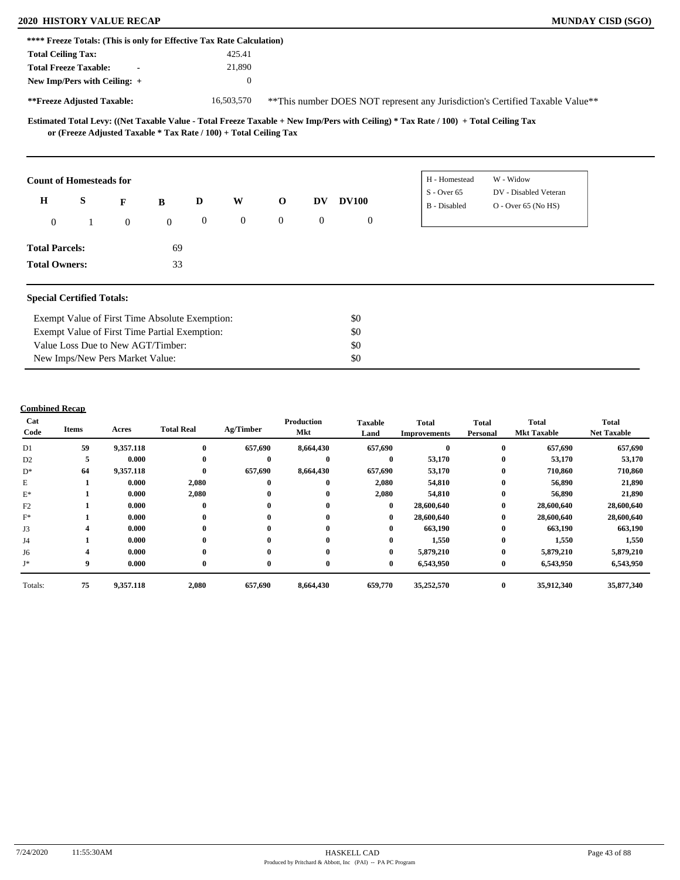### **2020 HISTORY VALUE RECAP MUNDAY CISD (SGO)**

| **** Freeze Totals: (This is only for Effective Tax Rate Calculation) |                            |                                                |              |                  |              |                                                                   |                |              |                                                                                                                                     |                                                                                |
|-----------------------------------------------------------------------|----------------------------|------------------------------------------------|--------------|------------------|--------------|-------------------------------------------------------------------|----------------|--------------|-------------------------------------------------------------------------------------------------------------------------------------|--------------------------------------------------------------------------------|
| <b>Total Ceiling Tax:</b>                                             |                            |                                                |              |                  | 425.41       |                                                                   |                |              |                                                                                                                                     |                                                                                |
| <b>Total Freeze Taxable:</b>                                          |                            |                                                |              |                  | 21,890       |                                                                   |                |              |                                                                                                                                     |                                                                                |
| New Imp/Pers with Ceiling: +                                          |                            |                                                |              |                  | $\mathbf{0}$ |                                                                   |                |              |                                                                                                                                     |                                                                                |
|                                                                       | **Freeze Adjusted Taxable: |                                                |              |                  | 16,503,570   |                                                                   |                |              |                                                                                                                                     | ** This number DOES NOT represent any Jurisdiction's Certified Taxable Value** |
|                                                                       |                            |                                                |              |                  |              | or (Freeze Adjusted Taxable * Tax Rate / 100) + Total Ceiling Tax |                |              | Estimated Total Levy: ((Net Taxable Value - Total Freeze Taxable + New Imp/Pers with Ceiling) * Tax Rate / 100) + Total Ceiling Tax |                                                                                |
| <b>Count of Homesteads for</b>                                        |                            |                                                |              |                  |              |                                                                   |                |              | H - Homestead                                                                                                                       | W - Widow                                                                      |
| S<br>$\mathbf H$<br>D<br>W<br>F<br>$\bf{B}$                           |                            |                                                |              |                  |              | $\mathbf{o}$                                                      | DV             | <b>DV100</b> | $S -$ Over 65<br>B - Disabled                                                                                                       | DV - Disabled Veteran<br>$O -$ Over 65 (No HS)                                 |
| $\mathbf{0}$                                                          | $\mathbf{1}$               | $\mathbf{0}$                                   | $\mathbf{0}$ | $\boldsymbol{0}$ | $\mathbf{0}$ | $\overline{0}$                                                    | $\overline{0}$ | $\mathbf{0}$ |                                                                                                                                     |                                                                                |
| <b>Total Parcels:</b>                                                 |                            |                                                | 69           |                  |              |                                                                   |                |              |                                                                                                                                     |                                                                                |
| <b>Total Owners:</b>                                                  |                            |                                                | 33           |                  |              |                                                                   |                |              |                                                                                                                                     |                                                                                |
| <b>Special Certified Totals:</b>                                      |                            |                                                |              |                  |              |                                                                   |                |              |                                                                                                                                     |                                                                                |
|                                                                       |                            | Exempt Value of First Time Absolute Exemption: |              |                  |              |                                                                   |                | \$0          |                                                                                                                                     |                                                                                |
|                                                                       |                            | Exempt Value of First Time Partial Exemption:  |              |                  |              |                                                                   |                | \$0          |                                                                                                                                     |                                                                                |
|                                                                       |                            | Value Loss Due to New AGT/Timber:              |              |                  |              |                                                                   |                | \$0          |                                                                                                                                     |                                                                                |

### **Combined Recap**

New Imps/New Pers Market Value:

| Cat<br>Code    | Items | Acres     | <b>Total Real</b> | Ag/Timber    | <b>Production</b><br>Mkt | <b>Taxable</b><br>Land | <b>Total</b><br><b>Improvements</b> | <b>Total</b><br>Personal | Total<br><b>Mkt Taxable</b> | <b>Total</b><br><b>Net Taxable</b> |
|----------------|-------|-----------|-------------------|--------------|--------------------------|------------------------|-------------------------------------|--------------------------|-----------------------------|------------------------------------|
| D1             | 59    | 9,357.118 | $\mathbf{0}$      | 657,690      | 8,664,430                | 657,690                |                                     | $\bf{0}$                 | 657,690                     | 657,690                            |
| D <sub>2</sub> | 5     | 0.000     | $\mathbf{0}$      | $\bf{0}$     | $\mathbf{0}$             | $\bf{0}$               | 53,170                              | $\bf{0}$                 | 53,170                      | 53,170                             |
| $D^*$          | 64    | 9,357.118 | $\bf{0}$          | 657,690      | 8,664,430                | 657,690                | 53,170                              | $\bf{0}$                 | 710,860                     | 710,860                            |
| E              |       | 0.000     | 2,080             | $\bf{0}$     | $\mathbf{0}$             | 2,080                  | 54,810                              | $\bf{0}$                 | 56,890                      | 21,890                             |
| $E^*$          |       | 0.000     | 2,080             | $\bf{0}$     | 0                        | 2,080                  | 54,810                              | $\bf{0}$                 | 56,890                      | 21,890                             |
| F2             |       | 0.000     | $\bf{0}$          | $\bf{0}$     | 0                        | $\bf{0}$               | 28,600,640                          | $\bf{0}$                 | 28,600,640                  | 28,600,640                         |
| $F^*$          |       | 0.000     | $\mathbf{0}$      | $\mathbf{0}$ | 0                        | $\mathbf{0}$           | 28,600,640                          | $\bf{0}$                 | 28,600,640                  | 28,600,640                         |
| J3             |       | 0.000     | 0                 | $\mathbf{0}$ | 0                        | $\mathbf{0}$           | 663,190                             | $\bf{0}$                 | 663,190                     | 663,190                            |
| J4             |       | 0.000     | $\mathbf{0}$      | $\mathbf{0}$ | 0                        | $\mathbf{0}$           | 1,550                               | $\bf{0}$                 | 1,550                       | 1,550                              |
| J6             |       | 0.000     | $\mathbf{0}$      | $\bf{0}$     | 0                        | $\bf{0}$               | 5,879,210                           | $\bf{0}$                 | 5,879,210                   | 5,879,210                          |
| J*             | 9     | 0.000     | $\mathbf{0}$      | $\bf{0}$     | $\mathbf{0}$             | $\bf{0}$               | 6,543,950                           | $\bf{0}$                 | 6,543,950                   | 6,543,950                          |
| Totals:        | 75    | 9,357.118 | 2,080             | 657,690      | 8,664,430                | 659,770                | 35,252,570                          | $\bf{0}$                 | 35,912,340                  | 35,877,340                         |

\$0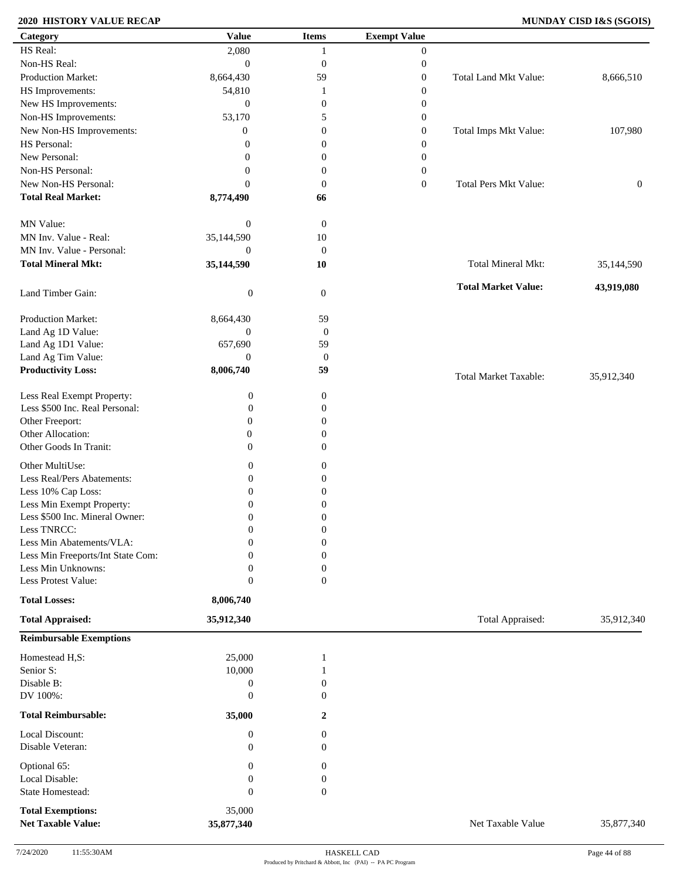### **2020 HISTORY VALUE RECAP MUNDAY CISD I&S (SGOIS)**

| Category                                              | <b>Value</b>         | <b>Items</b>     | <b>Exempt Value</b> |                              |                  |
|-------------------------------------------------------|----------------------|------------------|---------------------|------------------------------|------------------|
| HS Real:                                              | 2,080                | 1                | $\mathbf{0}$        |                              |                  |
| Non-HS Real:                                          | $\boldsymbol{0}$     | $\boldsymbol{0}$ | $\boldsymbol{0}$    |                              |                  |
| Production Market:                                    | 8,664,430            | 59               | $\boldsymbol{0}$    | <b>Total Land Mkt Value:</b> | 8,666,510        |
| HS Improvements:                                      | 54,810               | 1                | $\boldsymbol{0}$    |                              |                  |
| New HS Improvements:                                  | $\boldsymbol{0}$     | $\boldsymbol{0}$ | $\boldsymbol{0}$    |                              |                  |
| Non-HS Improvements:                                  | 53,170               | 5                | $\boldsymbol{0}$    |                              |                  |
| New Non-HS Improvements:                              | $\overline{0}$       | $\mathbf{0}$     | $\boldsymbol{0}$    | Total Imps Mkt Value:        | 107,980          |
| HS Personal:                                          | $\overline{0}$       | $\mathbf{0}$     | $\boldsymbol{0}$    |                              |                  |
| New Personal:                                         | $\theta$             | $\mathbf{0}$     | $\boldsymbol{0}$    |                              |                  |
| Non-HS Personal:                                      | $\theta$             | $\boldsymbol{0}$ | $\boldsymbol{0}$    |                              |                  |
| New Non-HS Personal:                                  | $\theta$             | $\mathbf{0}$     | $\boldsymbol{0}$    | <b>Total Pers Mkt Value:</b> | $\boldsymbol{0}$ |
| <b>Total Real Market:</b>                             | 8,774,490            | 66               |                     |                              |                  |
|                                                       |                      |                  |                     |                              |                  |
| MN Value:                                             | $\boldsymbol{0}$     | $\boldsymbol{0}$ |                     |                              |                  |
| MN Inv. Value - Real:                                 | 35,144,590           | $10\,$           |                     |                              |                  |
| MN Inv. Value - Personal:                             | $\boldsymbol{0}$     | $\boldsymbol{0}$ |                     |                              |                  |
| <b>Total Mineral Mkt:</b>                             | 35,144,590           | 10               |                     | Total Mineral Mkt:           | 35,144,590       |
|                                                       |                      |                  |                     |                              |                  |
| Land Timber Gain:                                     | $\boldsymbol{0}$     | $\mathbf{0}$     |                     | <b>Total Market Value:</b>   | 43,919,080       |
| Production Market:                                    | 8,664,430            | 59               |                     |                              |                  |
| Land Ag 1D Value:                                     | $\mathbf{0}$         | $\boldsymbol{0}$ |                     |                              |                  |
| Land Ag 1D1 Value:                                    | 657,690              | 59               |                     |                              |                  |
| Land Ag Tim Value:                                    | $\mathbf{0}$         | $\boldsymbol{0}$ |                     |                              |                  |
| <b>Productivity Loss:</b>                             | 8,006,740            | 59               |                     |                              |                  |
|                                                       |                      |                  |                     | <b>Total Market Taxable:</b> | 35,912,340       |
| Less Real Exempt Property:                            | $\boldsymbol{0}$     | $\boldsymbol{0}$ |                     |                              |                  |
| Less \$500 Inc. Real Personal:                        | 0                    | $\boldsymbol{0}$ |                     |                              |                  |
| Other Freeport:                                       | $\overline{0}$       | $\overline{0}$   |                     |                              |                  |
| Other Allocation:                                     | $\mathbf{0}$         | $\mathbf{0}$     |                     |                              |                  |
| Other Goods In Tranit:                                | $\boldsymbol{0}$     | $\mathbf{0}$     |                     |                              |                  |
| Other MultiUse:                                       | 0                    | $\boldsymbol{0}$ |                     |                              |                  |
| Less Real/Pers Abatements:                            | 0                    | $\boldsymbol{0}$ |                     |                              |                  |
| Less 10% Cap Loss:                                    | $\boldsymbol{0}$     | $\boldsymbol{0}$ |                     |                              |                  |
| Less Min Exempt Property:                             | $\boldsymbol{0}$     | 0                |                     |                              |                  |
| Less \$500 Inc. Mineral Owner:                        | 0                    | $\boldsymbol{0}$ |                     |                              |                  |
| Less TNRCC:                                           | 0                    | $\boldsymbol{0}$ |                     |                              |                  |
| Less Min Abatements/VLA:                              | 0                    | $\boldsymbol{0}$ |                     |                              |                  |
| Less Min Freeports/Int State Com:                     | $\Omega$             | $\overline{0}$   |                     |                              |                  |
| Less Min Unknowns:                                    | 0                    | $\boldsymbol{0}$ |                     |                              |                  |
| Less Protest Value:                                   | $\mathbf{0}$         | $\mathbf{0}$     |                     |                              |                  |
| <b>Total Losses:</b>                                  | 8,006,740            |                  |                     |                              |                  |
| <b>Total Appraised:</b>                               | 35,912,340           |                  |                     | Total Appraised:             | 35,912,340       |
| <b>Reimbursable Exemptions</b>                        |                      |                  |                     |                              |                  |
|                                                       |                      |                  |                     |                              |                  |
| Homestead H,S:                                        | 25,000               | 1                |                     |                              |                  |
| Senior S:                                             | 10,000               |                  |                     |                              |                  |
| Disable B:                                            | $\boldsymbol{0}$     | $\boldsymbol{0}$ |                     |                              |                  |
| DV 100%:                                              | $\boldsymbol{0}$     | $\overline{0}$   |                     |                              |                  |
| <b>Total Reimbursable:</b>                            | 35,000               | 2                |                     |                              |                  |
| Local Discount:                                       | $\boldsymbol{0}$     | $\mathbf{0}$     |                     |                              |                  |
| Disable Veteran:                                      | 0                    | $\overline{0}$   |                     |                              |                  |
| Optional 65:                                          | 0                    | $\boldsymbol{0}$ |                     |                              |                  |
| Local Disable:                                        | 0                    | $\boldsymbol{0}$ |                     |                              |                  |
| State Homestead:                                      | $\overline{0}$       | $\mathbf{0}$     |                     |                              |                  |
|                                                       |                      |                  |                     |                              |                  |
| <b>Total Exemptions:</b><br><b>Net Taxable Value:</b> | 35,000<br>35,877,340 |                  |                     | Net Taxable Value            | 35,877,340       |
|                                                       |                      |                  |                     |                              |                  |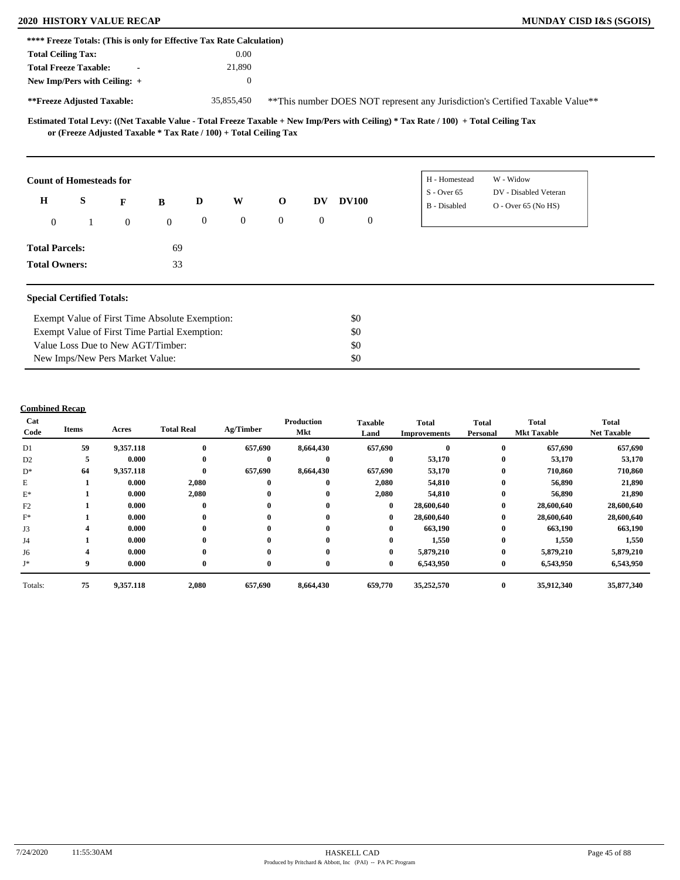## **2020 HISTORY VALUE RECAP MUNDAY CISD I&S (SGOIS)**

| MUNDAY CISD I&S (SGOIS) |  |  |  |
|-------------------------|--|--|--|
|-------------------------|--|--|--|

| **** Freeze Totals: (This is only for Effective Tax Rate Calculation) |   |                                                                   |              |              |                  |                |              |                  |                                                                                                                                     |                                                                                |  |
|-----------------------------------------------------------------------|---|-------------------------------------------------------------------|--------------|--------------|------------------|----------------|--------------|------------------|-------------------------------------------------------------------------------------------------------------------------------------|--------------------------------------------------------------------------------|--|
| <b>Total Ceiling Tax:</b>                                             |   |                                                                   |              |              | 0.00             |                |              |                  |                                                                                                                                     |                                                                                |  |
| <b>Total Freeze Taxable:</b>                                          |   | $\blacksquare$                                                    |              |              | 21,890           |                |              |                  |                                                                                                                                     |                                                                                |  |
| New Imp/Pers with Ceiling: +                                          |   |                                                                   |              |              | $\boldsymbol{0}$ |                |              |                  |                                                                                                                                     |                                                                                |  |
| **Freeze Adjusted Taxable:                                            |   |                                                                   |              |              | 35,855,450       |                |              |                  |                                                                                                                                     | ** This number DOES NOT represent any Jurisdiction's Certified Taxable Value** |  |
|                                                                       |   | or (Freeze Adjusted Taxable * Tax Rate / 100) + Total Ceiling Tax |              |              |                  |                |              |                  | Estimated Total Levy: ((Net Taxable Value - Total Freeze Taxable + New Imp/Pers with Ceiling) * Tax Rate / 100) + Total Ceiling Tax |                                                                                |  |
| <b>Count of Homesteads for</b>                                        |   |                                                                   |              |              |                  |                |              |                  | H - Homestead                                                                                                                       | W - Widow                                                                      |  |
| $\mathbf H$                                                           | S | F                                                                 | $\bf{B}$     | D            | W                | $\mathbf 0$    | DV           | <b>DV100</b>     | $S - Over 65$<br>B - Disabled                                                                                                       | DV - Disabled Veteran<br>$O -$ Over 65 (No HS)                                 |  |
| $\overline{0}$                                                        |   | $\overline{0}$                                                    | $\mathbf{0}$ | $\mathbf{0}$ | $\overline{0}$   | $\overline{0}$ | $\mathbf{0}$ | $\boldsymbol{0}$ |                                                                                                                                     |                                                                                |  |
| <b>Total Parcels:</b>                                                 |   |                                                                   | 69           |              |                  |                |              |                  |                                                                                                                                     |                                                                                |  |
| <b>Total Owners:</b>                                                  |   |                                                                   | 33           |              |                  |                |              |                  |                                                                                                                                     |                                                                                |  |
| <b>Special Certified Totals:</b>                                      |   |                                                                   |              |              |                  |                |              |                  |                                                                                                                                     |                                                                                |  |
|                                                                       |   | Exempt Value of First Time Absolute Exemption:                    |              |              |                  |                |              | \$0              |                                                                                                                                     |                                                                                |  |
|                                                                       |   | Exempt Value of First Time Partial Exemption:                     |              |              |                  |                |              | \$0              |                                                                                                                                     |                                                                                |  |
|                                                                       |   | Value Loss Due to New AGT/Timber:                                 |              |              |                  |                |              | \$0              |                                                                                                                                     |                                                                                |  |
|                                                                       |   | New Imps/New Pers Market Value:                                   |              |              |                  |                |              | \$0              |                                                                                                                                     |                                                                                |  |

### **Combined Recap**

| Cat<br>Code    | <b>Items</b> | Acres     | <b>Total Real</b> | Ag/Timber    | Production<br>Mkt | <b>Taxable</b><br>Land | <b>Total</b><br><b>Improvements</b> | <b>Total</b><br>Personal | Total<br><b>Mkt Taxable</b> | <b>Total</b><br><b>Net Taxable</b> |
|----------------|--------------|-----------|-------------------|--------------|-------------------|------------------------|-------------------------------------|--------------------------|-----------------------------|------------------------------------|
| D1             | 59           | 9,357.118 | $\mathbf{0}$      | 657,690      | 8,664,430         | 657,690                |                                     | $\bf{0}$                 | 657,690                     | 657,690                            |
| D <sub>2</sub> | 5            | 0.000     | $\mathbf{0}$      | $\bf{0}$     | 0                 | $\bf{0}$               | 53,170                              | $\bf{0}$                 | 53,170                      | 53,170                             |
| $D^*$          | 64           | 9,357.118 | $\mathbf{0}$      | 657,690      | 8,664,430         | 657,690                | 53,170                              | $\bf{0}$                 | 710,860                     | 710,860                            |
| E              |              | 0.000     | 2,080             | $\bf{0}$     | 0                 | 2,080                  | 54,810                              | $\bf{0}$                 | 56,890                      | 21,890                             |
| $E^*$          |              | 0.000     | 2,080             | $\bf{0}$     | 0                 | 2,080                  | 54,810                              | $\bf{0}$                 | 56,890                      | 21,890                             |
| F2             |              | 0.000     | $\mathbf{0}$      | $\bf{0}$     | 0                 | $\bf{0}$               | 28,600,640                          | $\bf{0}$                 | 28,600,640                  | 28,600,640                         |
| $F^*$          |              | 0.000     | $\mathbf{0}$      | $\bf{0}$     | 0                 | $\bf{0}$               | 28,600,640                          | $\bf{0}$                 | 28,600,640                  | 28,600,640                         |
| J3             |              | 0.000     | $\mathbf{0}$      | $\bf{0}$     | 0                 | $\bf{0}$               | 663,190                             | $\bf{0}$                 | 663,190                     | 663,190                            |
| J4             |              | 0.000     | $\mathbf{0}$      | $\mathbf{0}$ | 0                 | $\bf{0}$               | 1,550                               | $\bf{0}$                 | 1,550                       | 1,550                              |
| J6             |              | 0.000     | $\mathbf{0}$      | $\bf{0}$     | 0                 | $\bf{0}$               | 5,879,210                           | $\bf{0}$                 | 5,879,210                   | 5,879,210                          |
| $J^*$          | 9            | 0.000     | $\mathbf{0}$      | $\bf{0}$     | 0                 | $\bf{0}$               | 6,543,950                           | $\bf{0}$                 | 6,543,950                   | 6,543,950                          |
| Totals:        | 75           | 9,357.118 | 2,080             | 657,690      | 8,664,430         | 659,770                | 35,252,570                          | $\bf{0}$                 | 35,912,340                  | 35,877,340                         |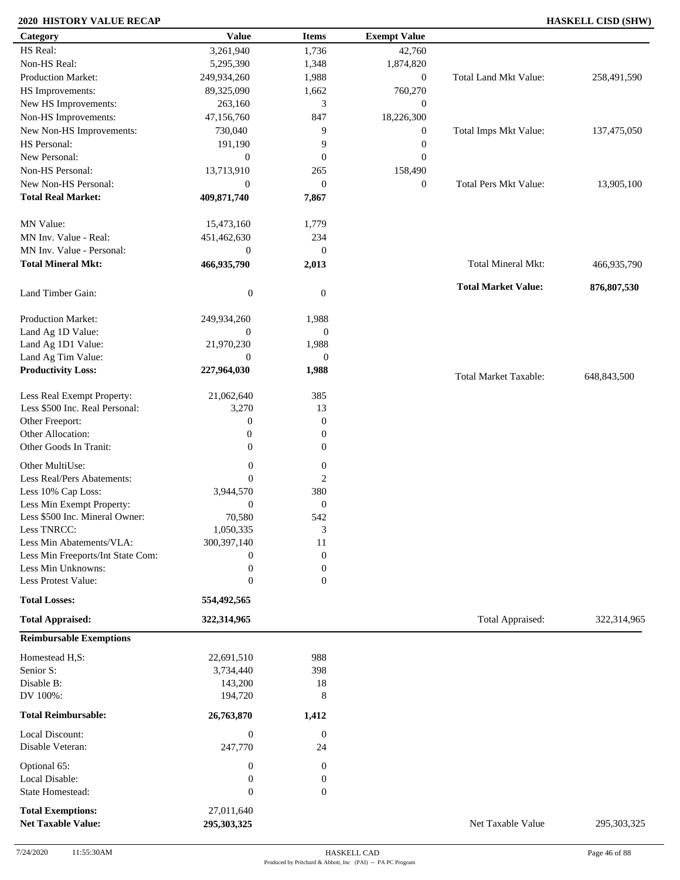### **2020 HISTORY VALUE RECAP HASKELL CISD (SHW)**

| Category                            | <b>Value</b>                | <b>Items</b>           | <b>Exempt Value</b> |                              |             |
|-------------------------------------|-----------------------------|------------------------|---------------------|------------------------------|-------------|
| HS Real:                            | 3,261,940                   | 1,736                  | 42,760              |                              |             |
| Non-HS Real:                        | 5,295,390                   | 1,348                  | 1,874,820           |                              |             |
| Production Market:                  | 249,934,260                 | 1,988                  | $\boldsymbol{0}$    | Total Land Mkt Value:        | 258,491,590 |
| HS Improvements:                    | 89,325,090                  | 1,662                  | 760,270             |                              |             |
| New HS Improvements:                | 263,160                     | 3                      | $\mathbf{0}$        |                              |             |
| Non-HS Improvements:                | 47,156,760                  | 847                    | 18,226,300          |                              |             |
| New Non-HS Improvements:            | 730,040                     | 9                      | $\boldsymbol{0}$    | Total Imps Mkt Value:        | 137,475,050 |
| HS Personal:                        | 191,190                     | 9                      | $\boldsymbol{0}$    |                              |             |
| New Personal:                       | $\mathbf{0}$                | $\boldsymbol{0}$       | $\boldsymbol{0}$    |                              |             |
| Non-HS Personal:                    |                             |                        |                     |                              |             |
|                                     | 13,713,910                  | 265                    | 158,490             |                              |             |
| New Non-HS Personal:                | $\boldsymbol{0}$            | $\boldsymbol{0}$       | $\boldsymbol{0}$    | <b>Total Pers Mkt Value:</b> | 13,905,100  |
| <b>Total Real Market:</b>           | 409,871,740                 | 7,867                  |                     |                              |             |
| MN Value:                           | 15,473,160                  | 1,779                  |                     |                              |             |
| MN Inv. Value - Real:               | 451,462,630                 | 234                    |                     |                              |             |
| MN Inv. Value - Personal:           | $\boldsymbol{0}$            | $\boldsymbol{0}$       |                     |                              |             |
| <b>Total Mineral Mkt:</b>           | 466,935,790                 | 2,013                  |                     | Total Mineral Mkt:           | 466,935,790 |
| Land Timber Gain:                   | $\boldsymbol{0}$            | $\mathbf{0}$           |                     | <b>Total Market Value:</b>   | 876,807,530 |
|                                     |                             |                        |                     |                              |             |
| Production Market:                  | 249,934,260                 | 1,988                  |                     |                              |             |
| Land Ag 1D Value:                   | $\overline{0}$              | $\boldsymbol{0}$       |                     |                              |             |
| Land Ag 1D1 Value:                  | 21,970,230                  | 1,988                  |                     |                              |             |
| Land Ag Tim Value:                  | $\overline{0}$              | $\boldsymbol{0}$       |                     |                              |             |
| <b>Productivity Loss:</b>           | 227,964,030                 | 1,988                  |                     | <b>Total Market Taxable:</b> | 648,843,500 |
| Less Real Exempt Property:          | 21,062,640                  | 385                    |                     |                              |             |
| Less \$500 Inc. Real Personal:      | 3,270                       | 13                     |                     |                              |             |
| Other Freeport:                     | $\boldsymbol{0}$            | $\boldsymbol{0}$       |                     |                              |             |
| Other Allocation:                   | $\boldsymbol{0}$            | $\boldsymbol{0}$       |                     |                              |             |
| Other Goods In Tranit:              | $\mathbf{0}$                | $\boldsymbol{0}$       |                     |                              |             |
| Other MultiUse:                     | $\boldsymbol{0}$            | $\boldsymbol{0}$       |                     |                              |             |
| Less Real/Pers Abatements:          | $\mathbf{0}$                | $\overline{2}$         |                     |                              |             |
| Less 10% Cap Loss:                  | 3,944,570                   | 380                    |                     |                              |             |
| Less Min Exempt Property:           | $\mathbf{0}$                | $\boldsymbol{0}$       |                     |                              |             |
| Less \$500 Inc. Mineral Owner:      | 70,580                      | 542                    |                     |                              |             |
| Less TNRCC:                         | 1,050,335                   | 3                      |                     |                              |             |
| Less Min Abatements/VLA:            | 300, 397, 140               | 11                     |                     |                              |             |
| Less Min Freeports/Int State Com:   | 0                           | $\mathbf{0}$           |                     |                              |             |
| Less Min Unknowns:                  | $\boldsymbol{0}$            | $\boldsymbol{0}$       |                     |                              |             |
| Less Protest Value:                 | $\mathbf{0}$                | $\overline{0}$         |                     |                              |             |
| <b>Total Losses:</b>                | 554,492,565                 |                        |                     |                              |             |
| <b>Total Appraised:</b>             | 322,314,965                 |                        |                     | Total Appraised:             | 322,314,965 |
| <b>Reimbursable Exemptions</b>      |                             |                        |                     |                              |             |
| Homestead H,S:                      | 22,691,510                  | 988                    |                     |                              |             |
| Senior S:                           | 3,734,440                   | 398                    |                     |                              |             |
| Disable B:                          | 143,200                     | 18                     |                     |                              |             |
| DV 100%:                            | 194,720                     | 8                      |                     |                              |             |
| <b>Total Reimbursable:</b>          | 26,763,870                  | 1,412                  |                     |                              |             |
|                                     |                             |                        |                     |                              |             |
| Local Discount:<br>Disable Veteran: | $\boldsymbol{0}$<br>247,770 | $\boldsymbol{0}$<br>24 |                     |                              |             |
|                                     |                             |                        |                     |                              |             |
| Optional 65:                        | $\boldsymbol{0}$            | $\boldsymbol{0}$       |                     |                              |             |
| Local Disable:                      | $\boldsymbol{0}$            | $\boldsymbol{0}$       |                     |                              |             |
| State Homestead:                    | $\boldsymbol{0}$            | $\boldsymbol{0}$       |                     |                              |             |
| <b>Total Exemptions:</b>            | 27,011,640                  |                        |                     |                              |             |
| <b>Net Taxable Value:</b>           | 295,303,325                 |                        |                     | Net Taxable Value            | 295,303,325 |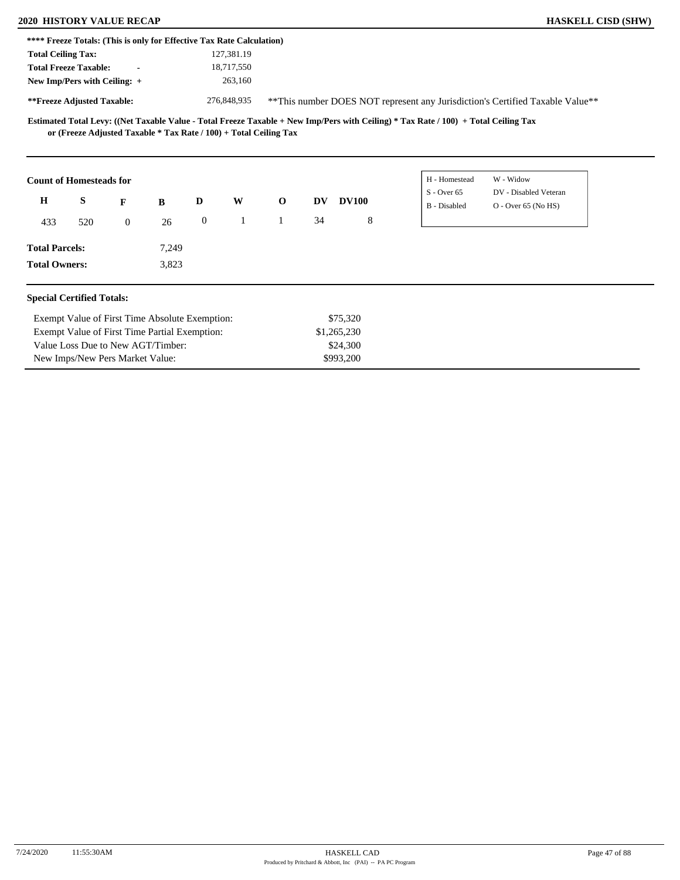|                           | <b>2020 HISTORY VALUE RECAP</b>                                       |              |       |                  |             |                                                                     |           |              |                                                                                                                                     |                       | <b>HASKELL CISD (SHW)</b> |
|---------------------------|-----------------------------------------------------------------------|--------------|-------|------------------|-------------|---------------------------------------------------------------------|-----------|--------------|-------------------------------------------------------------------------------------------------------------------------------------|-----------------------|---------------------------|
|                           | **** Freeze Totals: (This is only for Effective Tax Rate Calculation) |              |       |                  |             |                                                                     |           |              |                                                                                                                                     |                       |                           |
| <b>Total Ceiling Tax:</b> |                                                                       |              |       |                  | 127,381.19  |                                                                     |           |              |                                                                                                                                     |                       |                           |
|                           | <b>Total Freeze Taxable:</b>                                          |              |       |                  | 18,717,550  |                                                                     |           |              |                                                                                                                                     |                       |                           |
|                           | New Imp/Pers with Ceiling: +                                          |              |       |                  | 263,160     |                                                                     |           |              |                                                                                                                                     |                       |                           |
|                           | **Freeze Adjusted Taxable:                                            |              |       |                  | 276,848,935 |                                                                     |           |              | **This number DOES NOT represent any Jurisdiction's Certified Taxable Value**                                                       |                       |                           |
|                           |                                                                       |              |       |                  |             | or (Freeze Adjusted Taxable $*$ Tax Rate / 100) + Total Ceiling Tax |           |              | Estimated Total Levy: ((Net Taxable Value - Total Freeze Taxable + New Imp/Pers with Ceiling) * Tax Rate / 100) + Total Ceiling Tax |                       |                           |
|                           |                                                                       |              |       |                  |             |                                                                     |           |              | H - Homestead                                                                                                                       | W - Widow             |                           |
|                           | <b>Count of Homesteads for</b>                                        |              |       |                  |             |                                                                     |           |              | $S -$ Over 65                                                                                                                       | DV - Disabled Veteran |                           |
| $\mathbf H$               | S                                                                     | F            | B     | D                | W           | $\mathbf{o}$                                                        | <b>DV</b> | <b>DV100</b> | <b>B</b> - Disabled                                                                                                                 | $O -$ Over 65 (No HS) |                           |
| 433                       | 520                                                                   | $\mathbf{0}$ | 26    | $\boldsymbol{0}$ |             | $\mathbf{1}$                                                        | 34        | 8            |                                                                                                                                     |                       |                           |
| <b>Total Parcels:</b>     |                                                                       |              | 7,249 |                  |             |                                                                     |           |              |                                                                                                                                     |                       |                           |

| Exempt Value of First Time Absolute Exemption: | \$75.320    |
|------------------------------------------------|-------------|
| Exempt Value of First Time Partial Exemption:  | \$1,265,230 |
| Value Loss Due to New AGT/Timber:              | \$24,300    |
| New Imps/New Pers Market Value:                | \$993.200   |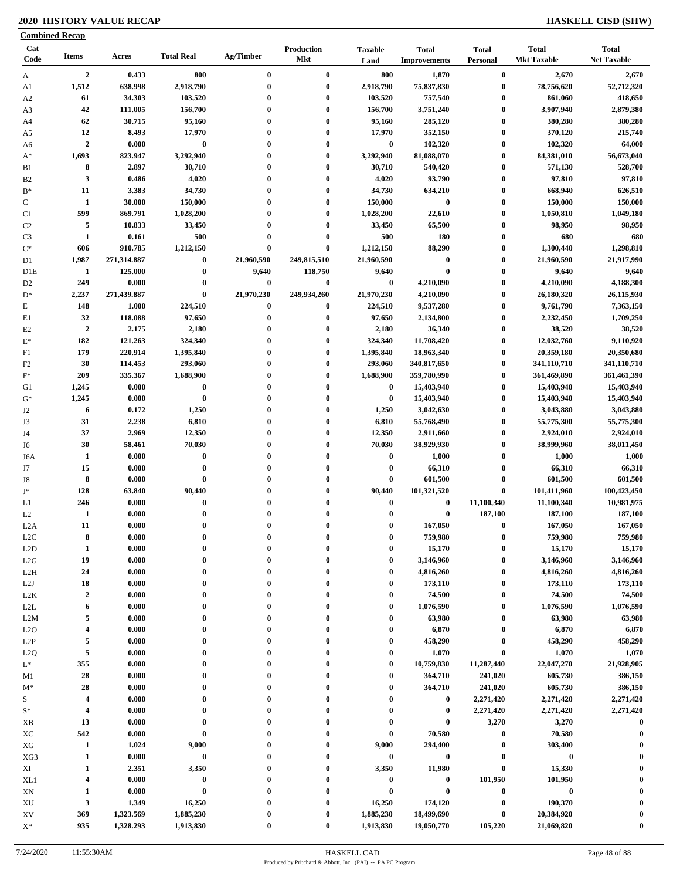### **2020 HISTORY VALUE RECAP HASKELL CISD (SHW)**

| <b>Combined Recap</b> |                         |             |                   |                  |                   |                        |                                     |                          |                                    |                                    |
|-----------------------|-------------------------|-------------|-------------------|------------------|-------------------|------------------------|-------------------------------------|--------------------------|------------------------------------|------------------------------------|
| Cat<br>Code           | <b>Items</b>            | Acres       | <b>Total Real</b> | Ag/Timber        | Production<br>Mkt | <b>Taxable</b><br>Land | <b>Total</b><br><b>Improvements</b> | <b>Total</b><br>Personal | <b>Total</b><br><b>Mkt Taxable</b> | <b>Total</b><br><b>Net Taxable</b> |
| A                     | $\overline{2}$          | 0.433       | 800               | $\bf{0}$         | $\bf{0}$          | 800                    | 1,870                               | $\boldsymbol{0}$         | 2,670                              | 2,670                              |
| A1                    | 1,512                   | 638.998     | 2,918,790         | $\bf{0}$         | $\bf{0}$          | 2,918,790              | 75,837,830                          | $\boldsymbol{0}$         | 78,756,620                         | 52,712,320                         |
| A <sub>2</sub>        | 61                      | 34.303      | 103,520           | $\bf{0}$         | $\bf{0}$          | 103,520                | 757,540                             | $\bf{0}$                 | 861,060                            | 418,650                            |
| A3                    | 42                      | 111.005     | 156,700           | $\bf{0}$         | $\bf{0}$          | 156,700                | 3,751,240                           | $\boldsymbol{0}$         | 3,907,940                          | 2,879,380                          |
| A4                    | 62                      | 30.715      | 95,160            | $\bf{0}$         | $\bf{0}$          | 95,160                 | 285,120                             | $\boldsymbol{0}$         | 380,280                            | 380,280                            |
| A5                    | 12                      | 8.493       | 17,970            | $\bf{0}$         | $\bf{0}$          | 17,970                 | 352,150                             | $\bf{0}$                 | 370,120                            | 215,740                            |
| A6                    | $\overline{2}$          | 0.000       | $\bf{0}$          | $\bf{0}$         | $\bf{0}$          | $\bf{0}$               | 102,320                             | $\bf{0}$                 | 102,320                            | 64,000                             |
| $A^*$                 | 1,693                   | 823.947     | 3,292,940         | $\bf{0}$         | $\bf{0}$          | 3,292,940              | 81,088,070                          | $\boldsymbol{0}$         | 84,381,010                         | 56,673,040                         |
| B1                    | 8                       | 2.897       | 30,710            | $\bf{0}$         | $\bf{0}$          | 30,710                 | 540,420                             | $\boldsymbol{0}$         | 571,130                            | 528,700                            |
| B <sub>2</sub>        | $\mathbf{3}$            | 0.486       | 4,020             | $\bf{0}$         | $\bf{0}$          | 4,020                  | 93,790                              | $\bf{0}$                 | 97,810                             | 97,810                             |
| $\mathbf{B}^*$        | 11                      | 3.383       | 34,730            | $\bf{0}$         | $\bf{0}$          | 34,730                 | 634,210                             | $\boldsymbol{0}$         | 668,940                            | 626,510                            |
| $\mathbf C$           | $\mathbf{1}$            | 30.000      | 150,000           | $\bf{0}$         | $\bf{0}$          | 150,000                | $\boldsymbol{0}$                    | $\boldsymbol{0}$         | 150,000                            | 150,000                            |
| C1                    | 599                     | 869.791     | 1,028,200         | $\bf{0}$         | $\bf{0}$          | 1,028,200              | 22,610                              | $\bf{0}$                 | 1,050,810                          | 1,049,180                          |
| C <sub>2</sub>        | 5                       | 10.833      | 33,450            | $\bf{0}$         | $\bf{0}$          | 33,450                 | 65,500                              | $\bf{0}$                 | 98,950                             | 98,950                             |
| C <sub>3</sub>        | $\mathbf{1}$            | 0.161       | 500               | $\bf{0}$         | $\bf{0}$          | 500                    | <b>180</b>                          | $\bf{0}$                 | 680                                | 680                                |
| $\mathrm{C}^*$        | 606                     | 910.785     | 1,212,150         | $\bf{0}$         | $\bf{0}$          | 1,212,150              | 88,290                              | $\bf{0}$                 | 1,300,440                          | 1,298,810                          |
| D1                    | 1,987                   | 271,314.887 | $\bf{0}$          | 21,960,590       | 249,815,510       | 21,960,590             | $\boldsymbol{0}$                    | $\bf{0}$                 | 21,960,590                         | 21,917,990                         |
| D1E                   | $\mathbf{1}$            | 125.000     | $\pmb{0}$         | 9,640            | 118,750           | 9,640                  | $\bf{0}$                            | $\boldsymbol{0}$         | 9,640                              | 9,640                              |
| D <sub>2</sub>        | 249                     | 0.000       | $\pmb{0}$         | $\bf{0}$         | $\pmb{0}$         | $\boldsymbol{0}$       | 4,210,090                           | $\bf{0}$                 | 4,210,090                          | 4,188,300                          |
| $D^*$                 | 2,237                   | 271,439.887 | $\bf{0}$          | 21,970,230       | 249,934,260       | 21,970,230             | 4,210,090                           | $\bf{0}$                 | 26,180,320                         | 26,115,930                         |
| E                     | 148                     | 1.000       | 224,510           | $\bf{0}$         | $\bf{0}$          | 224,510                | 9,537,280                           | $\bf{0}$                 | 9,761,790                          | 7,363,150                          |
| E1                    | 32                      | 118.088     | 97,650            | $\bf{0}$         | $\bf{0}$          | 97,650                 | 2,134,800                           | $\bf{0}$                 | 2,232,450                          | 1,709,250                          |
| E <sub>2</sub>        | $\overline{2}$          | 2.175       | 2,180             | $\bf{0}$         | $\bf{0}$          | 2,180                  | 36,340                              | $\bf{0}$                 | 38,520                             | 38,520                             |
| $\mathbf{E}^*$        | 182                     | 121.263     | 324,340           | $\bf{0}$         | $\bf{0}$          | 324,340                | 11,708,420                          | $\bf{0}$                 | 12,032,760                         | 9,110,920                          |
| F1                    | 179                     | 220.914     | 1,395,840         | $\bf{0}$         | $\bf{0}$          | 1,395,840              | 18,963,340                          | $\bf{0}$                 | 20,359,180                         | 20,350,680                         |
| F <sub>2</sub>        | 30                      | 114.453     | 293,060           | $\bf{0}$         | $\bf{0}$          | 293,060                | 340,817,650                         | $\bf{0}$                 | 341,110,710                        | 341,110,710                        |
| $\mathbf{F}^*$        | 209                     | 335.367     | 1,688,900         | $\bf{0}$         | $\bf{0}$          | 1,688,900              | 359,780,990                         | $\bf{0}$                 | 361,469,890                        | 361,461,390                        |
| G1                    | 1,245                   | 0.000       | $\bf{0}$          | $\bf{0}$         | $\bf{0}$          | $\bf{0}$               | 15,403,940                          | $\boldsymbol{0}$         | 15,403,940                         | 15,403,940                         |
| $G^*$                 | 1,245                   | 0.000       | $\bf{0}$          | $\bf{0}$         | $\bf{0}$          | $\bf{0}$               | 15,403,940                          | $\bf{0}$                 | 15,403,940                         | 15,403,940                         |
| J <sub>2</sub>        | 6                       | 0.172       | 1,250             | $\bf{0}$         | $\bf{0}$          | 1,250                  | 3,042,630                           | $\bf{0}$                 | 3,043,880                          | 3,043,880                          |
| J3                    | 31                      | 2.238       | 6,810             | $\bf{0}$         | $\bf{0}$          | 6,810                  | 55,768,490                          | $\bf{0}$                 | 55,775,300                         | 55,775,300                         |
| J4                    | 37                      | 2.969       | 12,350            | $\bf{0}$         | $\bf{0}$          | 12,350                 | 2,911,660                           | $\bf{0}$                 | 2,924,010                          | 2,924,010                          |
| J6                    | 30                      | 58.461      | 70,030            | $\bf{0}$         | $\bf{0}$          | 70,030                 | 38,929,930                          | $\boldsymbol{0}$         | 38,999,960                         | 38,011,450                         |
| J6A                   | 1                       | 0.000       | $\bf{0}$          | $\bf{0}$         | $\bf{0}$          | $\bf{0}$               | 1,000                               | $\boldsymbol{0}$         | 1,000                              | 1,000                              |
| J7                    | 15                      | 0.000       | $\bf{0}$          | $\bf{0}$         | $\bf{0}$          | $\bf{0}$               | 66,310                              | $\bf{0}$                 | 66,310                             | 66,310                             |
| J8                    | 8                       | 0.000       | $\bf{0}$          | $\bf{0}$         | $\bf{0}$          | $\bf{0}$               | 601,500                             | $\bf{0}$                 | 601,500                            | 601,500                            |
| $\mathbf{J}^*$        | 128                     | 63.840      | 90,440            | $\bf{0}$         | $\bf{0}$          | 90,440                 | 101,321,520                         | $\bf{0}$                 | 101,411,960                        | 100,423,450                        |
| L1                    | 246                     | 0.000       | $\bf{0}$          | $\bf{0}$         | $\bf{0}$          | $\bf{0}$               | $\bf{0}$                            | 11,100,340               | 11,100,340                         | 10,981,975                         |
| L2                    | $\mathbf{1}$            | 0.000       | $\bf{0}$          | $\bf{0}$         | $\bf{0}$          | $\bf{0}$               | $\bf{0}$                            | 187,100                  | 187,100                            | 187,100                            |
| L2A                   | 11                      | 0.000       | $\bf{0}$          | $\bf{0}$         | $\bf{0}$          | $\bf{0}$               | 167,050                             | $\bf{0}$                 | 167,050                            | 167,050                            |
| L <sub>2</sub> C      | 8                       | 0.000       | 0                 | $\bf{0}$         | $\bf{0}$          | $\bf{0}$               | 759,980                             | $\bf{0}$                 | 759,980                            | 759,980                            |
| L2D                   | $\mathbf{1}$            | 0.000       | $\mathbf{0}$      | $\bf{0}$         | $\bf{0}$          | 0                      | 15,170                              | $\bf{0}$                 | 15,170                             | 15,170                             |
| L2G                   | 19                      | 0.000       | $\bf{0}$          | $\bf{0}$         | 0                 | $\bf{0}$               | 3,146,960                           | $\boldsymbol{0}$         | 3,146,960                          | 3,146,960                          |
| L2H                   | 24                      | 0.000       | $\bf{0}$          | $\boldsymbol{0}$ | $\bf{0}$          | $\bf{0}$               | 4,816,260                           | $\bf{0}$                 | 4,816,260                          | 4,816,260                          |
| L2J                   | 18                      | 0.000       | $\bf{0}$          | $\bf{0}$         | 0                 | $\bf{0}$               | 173,110                             | $\boldsymbol{0}$         | 173,110                            | 173,110                            |
| L2K                   | $\overline{2}$          | 0.000       | $\bf{0}$          | $\bf{0}$         | $\bf{0}$          | $\bf{0}$               | 74,500                              | $\bf{0}$                 | 74,500                             | 74,500                             |
| L2L                   | 6                       | 0.000       | 0                 | $\bf{0}$         | 0                 | $\bf{0}$               | 1,076,590                           | $\bf{0}$                 | 1,076,590                          | 1,076,590                          |
| L2M                   | 5                       | 0.000       | $\bf{0}$          | $\bf{0}$         | $\bf{0}$          | $\bf{0}$               | 63,980                              | $\boldsymbol{0}$         | 63,980                             | 63,980                             |
| L2O                   | $\overline{\mathbf{4}}$ | 0.000       | $\bf{0}$          | $\bf{0}$         | $\bf{0}$          | $\bf{0}$               | 6,870                               | $\bf{0}$                 | 6,870                              | 6,870                              |
| L2P                   | 5                       | 0.000       | $\bf{0}$          | $\bf{0}$         | $\bf{0}$          | $\bf{0}$               | 458,290                             | $\bf{0}$                 | 458,290                            | 458,290                            |
| L <sub>2</sub> Q      | 5                       | 0.000       | $\bf{0}$          | $\bf{0}$         | $\bf{0}$          | $\bf{0}$               | 1,070                               | $\bf{0}$                 | 1,070                              | 1,070                              |
| $\mathrm{L}^*$        | 355                     | 0.000       | $\bf{0}$          | $\bf{0}$         | $\bf{0}$          | $\bf{0}$               | 10,759,830                          | 11,287,440               | 22,047,270                         | 21,928,905                         |
| M1                    | 28                      | 0.000       | $\bf{0}$          | $\bf{0}$         | $\bf{0}$          | $\bf{0}$               | 364,710                             | 241,020                  | 605,730                            | 386,150                            |
| $M^*$                 | 28                      | 0.000       | $\bf{0}$          | $\bf{0}$         | 0                 | $\bf{0}$               | 364,710                             | 241,020                  | 605,730                            | 386,150                            |
| S                     | 4                       | 0.000       | $\bf{0}$          | $\bf{0}$         | 0                 | $\bf{0}$               | $\bf{0}$                            | 2,271,420                | 2,271,420                          | 2,271,420                          |
| $\mathbf{S}^*$        | 4                       | 0.000       | 0                 | $\bf{0}$         | $\bf{0}$          | $\bf{0}$               | $\bf{0}$                            | 2,271,420                | 2,271,420                          | 2,271,420                          |
| XB                    | 13                      | 0.000       | $\bf{0}$          | $\bf{0}$         | $\bf{0}$          | 0                      | $\bf{0}$                            | 3,270                    | 3,270                              | $\bf{0}$                           |
| XC                    | 542                     | 0.000       | $\bf{0}$          | $\bf{0}$         | 0                 | $\bf{0}$               | 70,580                              | $\boldsymbol{0}$         | 70,580                             | $\mathbf 0$                        |
| XG                    | $\mathbf{1}$            | 1.024       | 9,000             | $\boldsymbol{0}$ | $\bf{0}$          | 9,000                  | 294,400                             | $\bf{0}$                 | 303,400                            |                                    |
| XG3                   | 1                       | 0.000       | $\bf{0}$          | $\bf{0}$         | 0                 | $\bf{0}$               | $\bf{0}$                            | $\boldsymbol{0}$         | $\pmb{0}$                          | $\mathbf 0$                        |
| XI                    | $\mathbf{1}$            | 2.351       | 3,350             | $\bf{0}$         | $\bf{0}$          | 3,350                  | 11,980                              | $\bf{0}$                 | 15,330                             | $\mathbf{0}$                       |
| XL1                   | 4                       | 0.000       | $\pmb{0}$         | $\bf{0}$         | $\bf{0}$          | $\bf{0}$               | $\bf{0}$                            | 101,950                  | 101,950                            |                                    |
| XN                    | $\mathbf{1}$            | 0.000       | $\bf{0}$          | $\bf{0}$         | $\bf{0}$          | $\bf{0}$               | $\bf{0}$                            | $\boldsymbol{0}$         | $\pmb{0}$                          |                                    |
| <b>XU</b>             | $\mathbf{3}$            | 1.349       | 16,250            | $\bf{0}$         | $\bf{0}$          | 16,250                 | 174,120                             | $\bf{0}$                 | 190,370                            | $\mathbf 0$                        |
| XV                    | 369                     | 1,323.569   | 1,885,230         | $\bf{0}$         | $\bf{0}$          | 1,885,230              | 18,499,690                          | $\bf{0}$                 | 20,384,920                         | $\boldsymbol{0}$                   |
| $\mathbf{X}^*$        | 935                     | 1,328.293   | 1,913,830         | $\bf{0}$         | $\bf{0}$          | 1,913,830              | 19,050,770                          | 105,220                  | 21,069,820                         | $\bf{0}$                           |
|                       |                         |             |                   |                  |                   |                        |                                     |                          |                                    |                                    |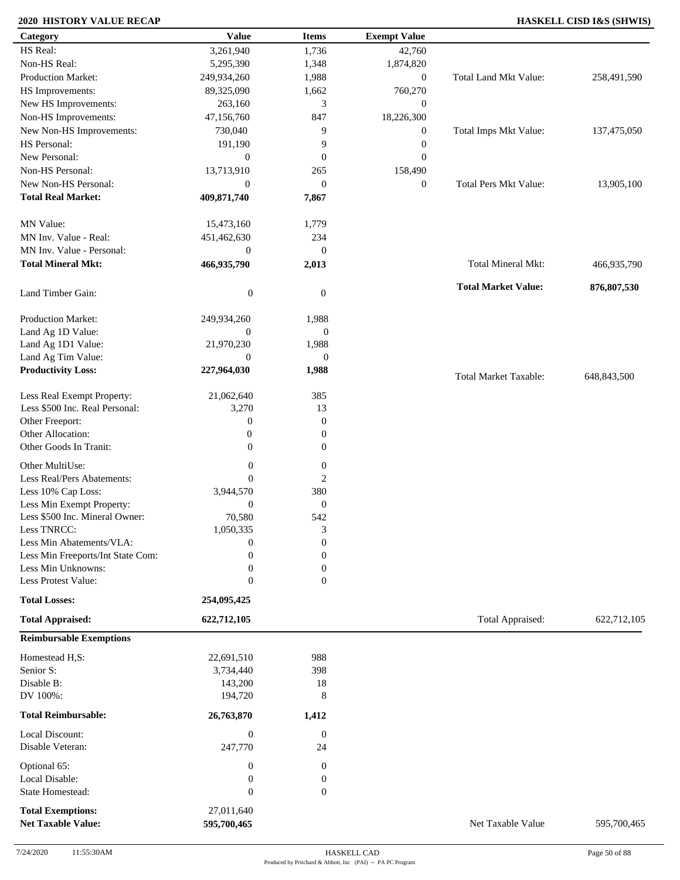### **2020 HISTORY VALUE RECAP HASKELL CISD I&S (SHWIS)**

| Category                                              | <b>Value</b>              | <b>Items</b>     | <b>Exempt Value</b> |                              |             |
|-------------------------------------------------------|---------------------------|------------------|---------------------|------------------------------|-------------|
| HS Real:                                              | 3,261,940                 | 1,736            | 42,760              |                              |             |
| Non-HS Real:                                          | 5,295,390                 | 1,348            | 1,874,820           |                              |             |
| Production Market:                                    | 249,934,260               | 1,988            | $\boldsymbol{0}$    | Total Land Mkt Value:        | 258,491,590 |
| HS Improvements:                                      | 89,325,090                | 1,662            | 760,270             |                              |             |
| New HS Improvements:                                  | 263,160                   | 3                | $\mathbf{0}$        |                              |             |
| Non-HS Improvements:                                  | 47,156,760                | 847              | 18,226,300          |                              |             |
| New Non-HS Improvements:                              | 730,040                   | 9                | $\boldsymbol{0}$    | Total Imps Mkt Value:        | 137,475,050 |
| HS Personal:                                          | 191,190                   | 9                | $\boldsymbol{0}$    |                              |             |
| New Personal:                                         | $\boldsymbol{0}$          | $\mathbf{0}$     | $\boldsymbol{0}$    |                              |             |
| Non-HS Personal:                                      | 13,713,910                |                  |                     |                              |             |
| New Non-HS Personal:                                  |                           | 265              | 158,490             | Total Pers Mkt Value:        |             |
|                                                       | $\boldsymbol{0}$          | $\mathbf{0}$     | $\boldsymbol{0}$    |                              | 13,905,100  |
| <b>Total Real Market:</b>                             | 409,871,740               | 7,867            |                     |                              |             |
| MN Value:                                             | 15,473,160                | 1,779            |                     |                              |             |
| MN Inv. Value - Real:                                 | 451,462,630               | 234              |                     |                              |             |
| MN Inv. Value - Personal:                             | $\boldsymbol{0}$          | $\mathbf{0}$     |                     |                              |             |
| <b>Total Mineral Mkt:</b>                             | 466,935,790               | 2,013            |                     | Total Mineral Mkt:           | 466,935,790 |
| Land Timber Gain:                                     | $\boldsymbol{0}$          | $\mathbf{0}$     |                     | <b>Total Market Value:</b>   | 876,807,530 |
|                                                       |                           |                  |                     |                              |             |
| Production Market:                                    | 249,934,260               | 1,988            |                     |                              |             |
| Land Ag 1D Value:                                     | $\overline{0}$            | $\boldsymbol{0}$ |                     |                              |             |
| Land Ag 1D1 Value:                                    | 21,970,230                | 1,988            |                     |                              |             |
| Land Ag Tim Value:                                    | $\overline{0}$            | $\boldsymbol{0}$ |                     |                              |             |
| <b>Productivity Loss:</b>                             | 227,964,030               | 1,988            |                     | <b>Total Market Taxable:</b> | 648,843,500 |
| Less Real Exempt Property:                            | 21,062,640                | 385              |                     |                              |             |
| Less \$500 Inc. Real Personal:                        | 3,270                     | 13               |                     |                              |             |
| Other Freeport:                                       | $\boldsymbol{0}$          | $\mathbf{0}$     |                     |                              |             |
| Other Allocation:                                     | $\boldsymbol{0}$          | $\boldsymbol{0}$ |                     |                              |             |
| Other Goods In Tranit:                                | $\overline{0}$            | $\boldsymbol{0}$ |                     |                              |             |
| Other MultiUse:                                       | $\boldsymbol{0}$          | $\boldsymbol{0}$ |                     |                              |             |
| Less Real/Pers Abatements:                            | $\mathbf{0}$              | $\overline{2}$   |                     |                              |             |
| Less 10% Cap Loss:                                    | 3,944,570                 | 380              |                     |                              |             |
| Less Min Exempt Property:                             | $\mathbf{0}$              | $\mathbf{0}$     |                     |                              |             |
| Less \$500 Inc. Mineral Owner:                        | 70,580                    | 542              |                     |                              |             |
| Less TNRCC:                                           | 1,050,335                 | 3                |                     |                              |             |
| Less Min Abatements/VLA:                              | $\boldsymbol{0}$          | $\boldsymbol{0}$ |                     |                              |             |
| Less Min Freeports/Int State Com:                     | $\theta$                  | $\mathbf{0}$     |                     |                              |             |
| Less Min Unknowns:                                    | $\boldsymbol{0}$          | $\Omega$         |                     |                              |             |
| Less Protest Value:                                   | $\boldsymbol{0}$          | $\mathbf{0}$     |                     |                              |             |
| <b>Total Losses:</b>                                  | 254,095,425               |                  |                     |                              |             |
| <b>Total Appraised:</b>                               | 622,712,105               |                  |                     | Total Appraised:             | 622,712,105 |
| <b>Reimbursable Exemptions</b>                        |                           |                  |                     |                              |             |
| Homestead H,S:                                        | 22,691,510                | 988              |                     |                              |             |
| Senior S:                                             | 3,734,440                 | 398              |                     |                              |             |
| Disable B:                                            | 143,200                   | 18               |                     |                              |             |
| DV 100%:                                              | 194,720                   | 8                |                     |                              |             |
| <b>Total Reimbursable:</b>                            | 26,763,870                | 1,412            |                     |                              |             |
| Local Discount:                                       | $\boldsymbol{0}$          | $\overline{0}$   |                     |                              |             |
| Disable Veteran:                                      | 247,770                   | 24               |                     |                              |             |
| Optional 65:                                          | $\boldsymbol{0}$          | $\boldsymbol{0}$ |                     |                              |             |
| Local Disable:                                        | $\boldsymbol{0}$          | $\boldsymbol{0}$ |                     |                              |             |
| State Homestead:                                      | $\boldsymbol{0}$          | $\mathbf{0}$     |                     |                              |             |
|                                                       |                           |                  |                     |                              |             |
| <b>Total Exemptions:</b><br><b>Net Taxable Value:</b> | 27,011,640<br>595,700,465 |                  |                     | Net Taxable Value            | 595,700,465 |
|                                                       |                           |                  |                     |                              |             |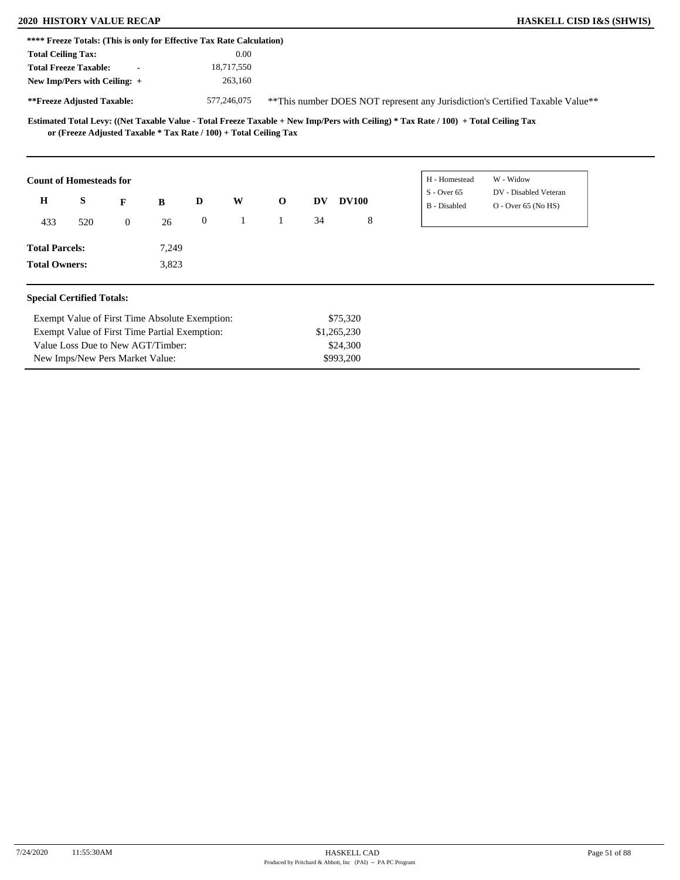Value Loss Due to New AGT/Timber: New Imps/New Pers Market Value:

| <b>HASKELL CISD I&amp;S (SHWIS)</b> |  |  |  |
|-------------------------------------|--|--|--|
|-------------------------------------|--|--|--|

|                                                                       | <b>2020 HISTORY VALUE RECAP</b> |       |                  |              |              |    |              |                                                                                                                                     |                                                                                | <b>HASKELL CISD I&amp;S (SHWIS)</b> |
|-----------------------------------------------------------------------|---------------------------------|-------|------------------|--------------|--------------|----|--------------|-------------------------------------------------------------------------------------------------------------------------------------|--------------------------------------------------------------------------------|-------------------------------------|
| **** Freeze Totals: (This is only for Effective Tax Rate Calculation) |                                 |       |                  |              |              |    |              |                                                                                                                                     |                                                                                |                                     |
| <b>Total Ceiling Tax:</b>                                             |                                 |       |                  | 0.00         |              |    |              |                                                                                                                                     |                                                                                |                                     |
| <b>Total Freeze Taxable:</b>                                          |                                 |       |                  | 18,717,550   |              |    |              |                                                                                                                                     |                                                                                |                                     |
| New Imp/Pers with Ceiling: +                                          |                                 |       |                  | 263,160      |              |    |              |                                                                                                                                     |                                                                                |                                     |
| **Freeze Adjusted Taxable:                                            |                                 |       |                  | 577,246,075  |              |    |              |                                                                                                                                     | ** This number DOES NOT represent any Jurisdiction's Certified Taxable Value** |                                     |
| or (Freeze Adjusted Taxable * Tax Rate / 100) + Total Ceiling Tax     |                                 |       |                  |              |              |    |              | Estimated Total Levy: ((Net Taxable Value - Total Freeze Taxable + New Imp/Pers with Ceiling) * Tax Rate / 100) + Total Ceiling Tax |                                                                                |                                     |
|                                                                       |                                 |       |                  |              |              |    |              |                                                                                                                                     |                                                                                |                                     |
| <b>Count of Homesteads for</b>                                        |                                 |       |                  |              |              |    |              | H - Homestead                                                                                                                       | W - Widow                                                                      |                                     |
| S<br>$\mathbf H$                                                      | F                               | B     | D                | W            | $\mathbf 0$  | DV | <b>DV100</b> | $S -$ Over 65<br><b>B</b> - Disabled                                                                                                | DV - Disabled Veteran<br>$O -$ Over 65 (No HS)                                 |                                     |
| 433<br>520                                                            | $\overline{0}$                  | 26    | $\boldsymbol{0}$ | $\mathbf{1}$ | $\mathbf{1}$ | 34 | 8            |                                                                                                                                     |                                                                                |                                     |
| <b>Total Parcels:</b>                                                 |                                 | 7,249 |                  |              |              |    |              |                                                                                                                                     |                                                                                |                                     |

\$24,300 \$993,200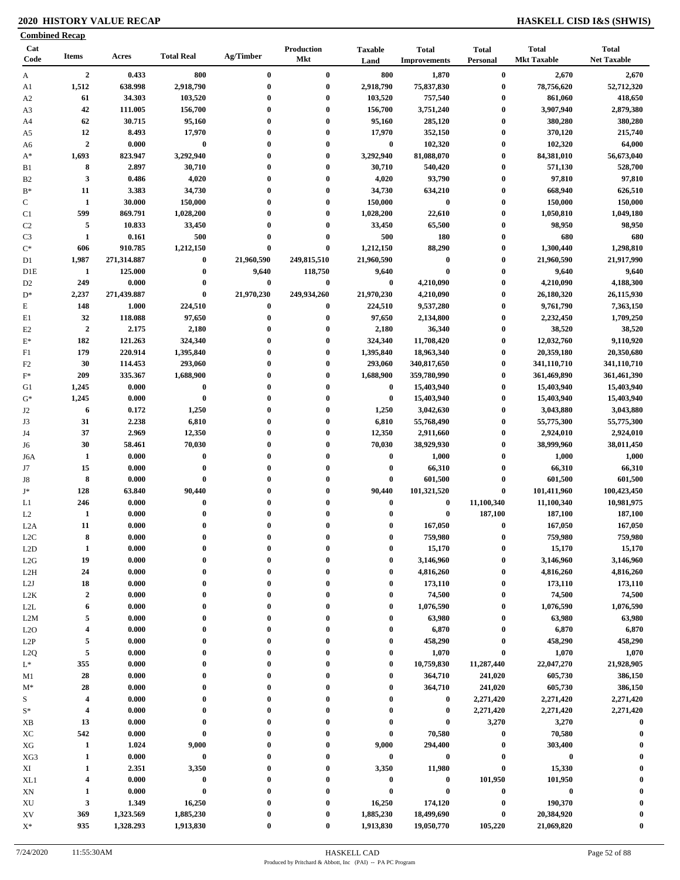### **2020 HISTORY VALUE RECAP HASKELL CISD I&S (SHWIS)**

|                                  | <b>Combined Recap</b>   |             |                   |                  |                   |                        |                                     |                          |                                    |                                    |
|----------------------------------|-------------------------|-------------|-------------------|------------------|-------------------|------------------------|-------------------------------------|--------------------------|------------------------------------|------------------------------------|
| Cat<br>Code                      | <b>Items</b>            | Acres       | <b>Total Real</b> | Ag/Timber        | Production<br>Mkt | <b>Taxable</b><br>Land | <b>Total</b><br><b>Improvements</b> | <b>Total</b><br>Personal | <b>Total</b><br><b>Mkt Taxable</b> | <b>Total</b><br><b>Net Taxable</b> |
| A                                | $\boldsymbol{2}$        | 0.433       | 800               | $\bf{0}$         | $\bf{0}$          | 800                    | 1,870                               | $\boldsymbol{0}$         | 2,670                              | 2,670                              |
| A1                               | 1,512                   | 638.998     | 2,918,790         | $\bf{0}$         | $\bf{0}$          | 2,918,790              | 75,837,830                          | $\bf{0}$                 | 78,756,620                         | 52,712,320                         |
| A <sub>2</sub>                   | 61                      | 34.303      | 103,520           | $\boldsymbol{0}$ | $\bf{0}$          | 103,520                | 757,540                             | $\bf{0}$                 | 861,060                            | 418,650                            |
| A3                               | 42                      | 111.005     | 156,700           | $\mathbf 0$      | $\bf{0}$          | 156,700                | 3,751,240                           | $\bf{0}$                 | 3,907,940                          | 2,879,380                          |
| A4                               | 62                      | 30.715      | 95,160            | $\mathbf 0$      | $\bf{0}$          | 95,160                 | 285,120                             | 0                        | 380,280                            | 380,280                            |
| A5                               | 12                      | 8.493       | 17,970            | $\boldsymbol{0}$ | $\bf{0}$          | 17,970                 | 352,150                             | 0                        | 370,120                            | 215,740                            |
| A6                               | $\overline{2}$          | 0.000       | $\bf{0}$          | $\mathbf 0$      | $\bf{0}$          | $\bf{0}$               | 102,320                             | 0                        | 102,320                            | 64,000                             |
| $A^*$                            | 1,693                   | 823.947     | 3,292,940         | $\mathbf 0$      | $\bf{0}$          | 3,292,940              | 81,088,070                          | $\bf{0}$                 | 84,381,010                         | 56,673,040                         |
| B1                               | 8                       | 2.897       | 30,710            | $\boldsymbol{0}$ | $\bf{0}$          | 30,710                 | 540,420                             | $\bf{0}$                 | 571,130                            | 528,700                            |
| B <sub>2</sub>                   | 3                       | 0.486       | 4,020             | $\boldsymbol{0}$ | $\bf{0}$          | 4,020                  | 93,790                              | 0                        | 97,810                             | 97,810                             |
| $B*$                             | 11                      | 3.383       | 34,730            | $\mathbf 0$      | $\bf{0}$          | 34,730                 | 634,210                             | 0                        | 668,940                            | 626,510                            |
| $\mathbf C$                      | $\mathbf{1}$            | 30.000      | 150,000           | $\mathbf{0}$     | $\bf{0}$          | 150,000                | $\bf{0}$                            | $\bf{0}$                 | 150,000                            | 150,000                            |
| C1                               | 599                     | 869.791     | 1,028,200         | 0                | $\bf{0}$          | 1,028,200              | 22,610                              | 0                        | 1,050,810                          | 1,049,180                          |
| C <sub>2</sub>                   | 5                       | 10.833      | 33,450            | 0                | $\bf{0}$          | 33,450                 | 65,500                              | $\bf{0}$                 | 98,950                             | 98,950                             |
|                                  | $\mathbf{1}$            | 0.161       | 500               | $\mathbf 0$      | $\bf{0}$          | 500                    | 180                                 | 0                        | 680                                | 680                                |
| C <sub>3</sub><br>$\mathrm{C}^*$ | 606                     | 910.785     | 1,212,150         | $\bf{0}$         | $\bf{0}$          | 1,212,150              | 88,290                              | $\boldsymbol{0}$         | 1,300,440                          | 1,298,810                          |
|                                  | 1,987                   |             |                   | 21,960,590       | 249,815,510       | 21,960,590             |                                     | 0                        |                                    | 21,917,990                         |
| D1                               |                         | 271,314.887 | $\bf{0}$          |                  |                   |                        | $\bf{0}$                            |                          | 21,960,590                         |                                    |
| D1E                              | 1                       | 125.000     | $\bf{0}$          | 9,640            | 118,750           | 9,640                  | $\bf{0}$                            | $\bf{0}$                 | 9,640                              | 9,640                              |
| D <sub>2</sub>                   | 249                     | 0.000       | $\bf{0}$          | $\bf{0}$         | $\bf{0}$          | $\bf{0}$               | 4,210,090                           | $\bf{0}$                 | 4,210,090                          | 4,188,300                          |
| $D^*$                            | 2,237                   | 271,439.887 | $\bf{0}$          | 21,970,230       | 249,934,260       | 21,970,230             | 4,210,090                           | $\bf{0}$                 | 26,180,320                         | 26,115,930                         |
| $\mathbf E$                      | 148                     | 1.000       | 224,510           | $\bf{0}$         | $\bf{0}$          | 224,510                | 9,537,280                           | $\bf{0}$                 | 9,761,790                          | 7,363,150                          |
| E1                               | 32                      | 118.088     | 97,650            | $\bf{0}$         | $\bf{0}$          | 97,650                 | 2,134,800                           | $\bf{0}$                 | 2,232,450                          | 1,709,250                          |
| E2                               | $\overline{2}$          | 2.175       | 2,180             | $\bf{0}$         | $\bf{0}$          | 2,180                  | 36,340                              | 0                        | 38,520                             | 38,520                             |
| $\mathbf{E}^*$                   | 182                     | 121.263     | 324,340           | $\boldsymbol{0}$ | $\bf{0}$          | 324,340                | 11,708,420                          | $\bf{0}$                 | 12,032,760                         | 9,110,920                          |
| F1                               | 179                     | 220.914     | 1,395,840         | $\mathbf 0$      | $\bf{0}$          | 1,395,840              | 18,963,340                          | $\bf{0}$                 | 20,359,180                         | 20,350,680                         |
| F2                               | 30                      | 114.453     | 293,060           | $\mathbf 0$      | $\bf{0}$          | 293,060                | 340,817,650                         | $\mathbf{0}$             | 341,110,710                        | 341,110,710                        |
| $F^*$                            | 209                     | 335.367     | 1,688,900         | $\mathbf{0}$     | $\bf{0}$          | 1,688,900              | 359,780,990                         | $\bf{0}$                 | 361,469,890                        | 361,461,390                        |
| G1                               | 1,245                   | 0.000       | $\bf{0}$          | $\mathbf 0$      | $\bf{0}$          | $\bf{0}$               | 15,403,940                          | $\bf{0}$                 | 15,403,940                         | 15,403,940                         |
| $G^*$                            | 1,245                   | 0.000       | $\bf{0}$          | 0                | $\bf{0}$          | $\bf{0}$               | 15,403,940                          | $\bf{0}$                 | 15,403,940                         | 15,403,940                         |
| J2                               | 6                       | 0.172       | 1,250             |                  | $\bf{0}$          | 1,250                  | 3,042,630                           | $\bf{0}$                 | 3,043,880                          | 3,043,880                          |
| J3                               | 31                      | 2.238       | 6,810             | $\mathbf 0$      | $\bf{0}$          | 6,810                  | 55,768,490                          | 0                        | 55,775,300                         | 55,775,300                         |
| J4                               | 37                      | 2.969       | 12,350            | $\mathbf 0$      | $\bf{0}$          | 12,350                 | 2,911,660                           | $\bf{0}$                 | 2,924,010                          | 2,924,010                          |
| J6                               | 30                      | 58.461      | 70,030            | $\mathbf 0$      | $\bf{0}$          | 70,030                 | 38,929,930                          | $\bf{0}$                 | 38,999,960                         | 38,011,450                         |
| J6A                              | 1                       | 0.000       | $\bf{0}$          | $\mathbf 0$      | $\bf{0}$          | $\bf{0}$               | 1,000                               | $\bf{0}$                 | 1,000                              | 1,000                              |
| J7                               | 15                      | 0.000       | $\bf{0}$          | $\mathbf 0$      | $\bf{0}$          | $\bf{0}$               | 66,310                              | $\bf{0}$                 | 66,310                             | 66,310                             |
| J8                               | 8                       | 0.000       | $\bf{0}$          | $\mathbf 0$      | $\bf{0}$          | $\bf{0}$               | 601,500                             | $\bf{0}$                 | 601,500                            | 601,500                            |
| $\mathbf{J}^*$                   | 128                     | 63.840      | 90,440            |                  | $\bf{0}$          | 90,440                 | 101,321,520                         | 0                        | 101,411,960                        | 100,423,450                        |
| L1                               | 246                     | 0.000       | $\bf{0}$          |                  | $\bf{0}$          | $\bf{0}$               | $\bf{0}$                            | 11,100,340               | 11,100,340                         | 10,981,975                         |
| L2                               | $\mathbf{1}$            | 0.000       | $\bf{0}$          | $\mathbf 0$      | $\bf{0}$          | $\bf{0}$               | $\bf{0}$                            | 187,100                  | 187,100                            | 187,100                            |
| L2A                              | 11                      | 0.000       | $\bf{0}$          | $\bf{0}$         | $\bf{0}$          | $\bf{0}$               | 167,050                             | $\bf{0}$                 | 167,050                            | 167,050                            |
|                                  | 8                       | 0.000       | $\bf{0}$          | $\mathbf 0$      | $\bf{0}$          | $\bf{0}$               | 759,980                             | $\bf{0}$                 | 759,980                            | 759,980                            |
| L <sub>2</sub> C                 |                         |             | $\bf{0}$          | $\mathbf{0}$     | $\bf{0}$          | $\bf{0}$               |                                     | $\mathbf{0}$             |                                    |                                    |
| L2D                              | $\mathbf{1}$            | 0.000       |                   |                  |                   |                        | 15,170                              |                          | 15,170                             | 15,170                             |
| L2G                              | 19                      | 0.000       | $\bf{0}$          | 0                | $\bf{0}$          | 0                      | 3,146,960                           | 0                        | 3,146,960                          | 3,146,960                          |
| L2H                              | 24                      | 0.000       | $\bf{0}$          | 0                | $\bf{0}$          | 0                      | 4,816,260                           | 0                        | 4,816,260                          | 4,816,260                          |
| L2J                              | 18                      | 0.000       | $\bf{0}$          | $\mathbf 0$      | $\bf{0}$          | $\bf{0}$               | 173,110                             | 0                        | 173,110                            | 173,110                            |
| L2K                              | $\boldsymbol{2}$        | 0.000       | $\bf{0}$          | $\mathbf 0$      | $\bf{0}$          | $\bf{0}$               | 74,500                              | 0                        | 74,500                             | 74,500                             |
| L2L                              | 6                       | 0.000       | $\bf{0}$          | 0                | $\bf{0}$          | 0                      | 1,076,590                           | 0                        | 1,076,590                          | 1,076,590                          |
| L2M                              | 5                       | 0.000       | $\bf{0}$          |                  | $\bf{0}$          | $\bf{0}$               | 63,980                              | $\bf{0}$                 | 63,980                             | 63,980                             |
| L2O                              | $\overline{4}$          | 0.000       | $\bf{0}$          | $\mathbf 0$      | $\bf{0}$          | $\bf{0}$               | 6,870                               | 0                        | 6,870                              | 6,870                              |
| L2P                              | 5                       | 0.000       | $\bf{0}$          | $\boldsymbol{0}$ | $\bf{0}$          | 0                      | 458,290                             | 0                        | 458,290                            | 458,290                            |
| L2Q                              | $\sqrt{5}$              | 0.000       | $\bf{0}$          | $\boldsymbol{0}$ | $\bf{0}$          | 0                      | 1,070                               | 0                        | 1,070                              | 1,070                              |
| $\mathcal{L}^*$                  | 355                     | 0.000       | $\bf{0}$          | $\boldsymbol{0}$ | $\bf{0}$          | $\bf{0}$               | 10,759,830                          | 11,287,440               | 22,047,270                         | 21,928,905                         |
| M1                               | 28                      | 0.000       | $\bf{0}$          | $\boldsymbol{0}$ | $\bf{0}$          | $\bf{0}$               | 364,710                             | 241,020                  | 605,730                            | 386,150                            |
| $M^*$                            | 28                      | 0.000       | $\bf{0}$          | $\boldsymbol{0}$ | $\bf{0}$          | 0                      | 364,710                             | 241,020                  | 605,730                            | 386,150                            |
| S                                | $\overline{4}$          | 0.000       | $\bf{0}$          |                  | $\bf{0}$          | 0                      | $\bf{0}$                            | 2,271,420                | 2,271,420                          | 2,271,420                          |
| $S^*$                            | $\overline{4}$          | 0.000       | $\bf{0}$          |                  | $\bf{0}$          | $\bf{0}$               | $\bf{0}$                            | 2,271,420                | 2,271,420                          | 2,271,420                          |
| XB                               | 13                      | 0.000       | $\bf{0}$          | $\mathbf 0$      | $\bf{0}$          | $\bf{0}$               | $\bf{0}$                            | 3,270                    | 3,270                              | $\bf{0}$                           |
| XC                               | 542                     | 0.000       | $\bf{0}$          | 0                | 0                 | $\bf{0}$               | 70,580                              | 0                        | 70,580                             | $\mathbf 0$                        |
| XG                               | $\mathbf{1}$            | 1.024       | 9,000             | 0                | $\bf{0}$          | 9,000                  | 294,400                             | $\boldsymbol{0}$         | 303,400                            |                                    |
| XG3                              | $\mathbf{1}$            | 0.000       | $\bf{0}$          | $\mathbf 0$      | $\bf{0}$          | $\bf{0}$               | $\bf{0}$                            | 0                        | $\pmb{0}$                          |                                    |
| XI                               | 1                       | 2.351       | 3,350             | $\mathbf 0$      | $\bf{0}$          | 3,350                  | 11,980                              | $\bf{0}$                 | 15,330                             | $\mathbf{0}$                       |
| XL1                              | $\overline{\mathbf{4}}$ | 0.000       | $\bf{0}$          | $\boldsymbol{0}$ | $\bf{0}$          | $\pmb{0}$              | $\bf{0}$                            | 101,950                  | 101,950                            |                                    |
|                                  | 1                       | 0.000       | $\bf{0}$          |                  | $\bf{0}$          | $\bf{0}$               | $\bf{0}$                            | $\bf{0}$                 | $\pmb{0}$                          |                                    |
| XN                               |                         |             |                   |                  |                   |                        |                                     | $\bf{0}$                 |                                    | $\mathbf 0$                        |
| XU                               | $\mathbf{3}$            | 1.349       | 16,250            |                  | $\bf{0}$          | 16,250                 | 174,120                             |                          | 190,370                            |                                    |
| XV                               | 369                     | 1,323.569   | 1,885,230         |                  | 0                 | 1,885,230              | 18,499,690                          | $\bf{0}$                 | 20,384,920                         |                                    |
| $\mathbf{X}^*$                   | 935                     | 1,328.293   | 1,913,830         | $\bf{0}$         | $\bf{0}$          | 1,913,830              | 19,050,770                          | 105,220                  | 21,069,820                         | $\boldsymbol{0}$                   |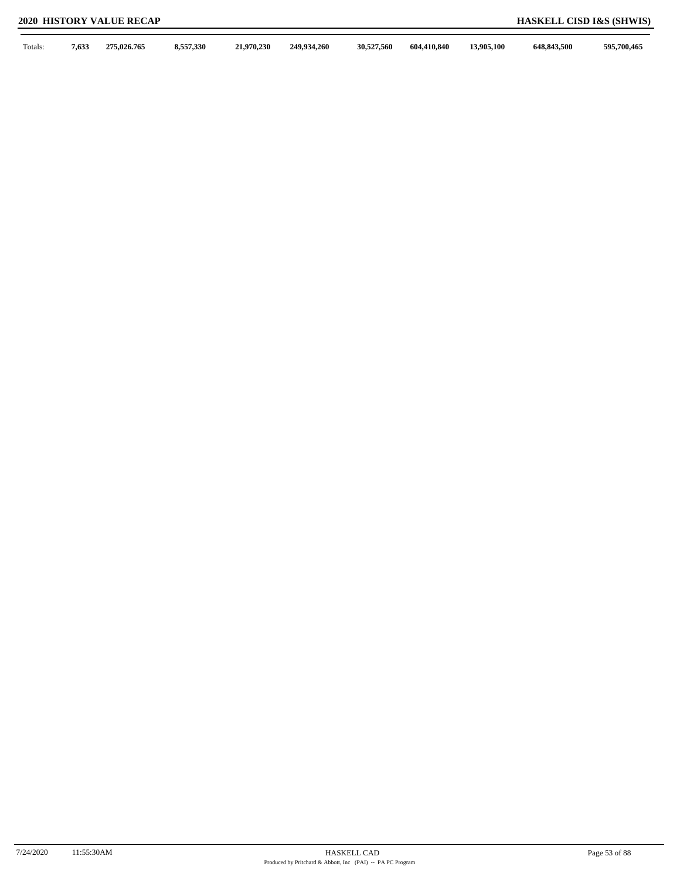Totals: **7,633 275,026.765 8,557,330 21,970,230 249,934,260 30,527,560 604,410,840 13,905,100 648,843,500 595,700,465**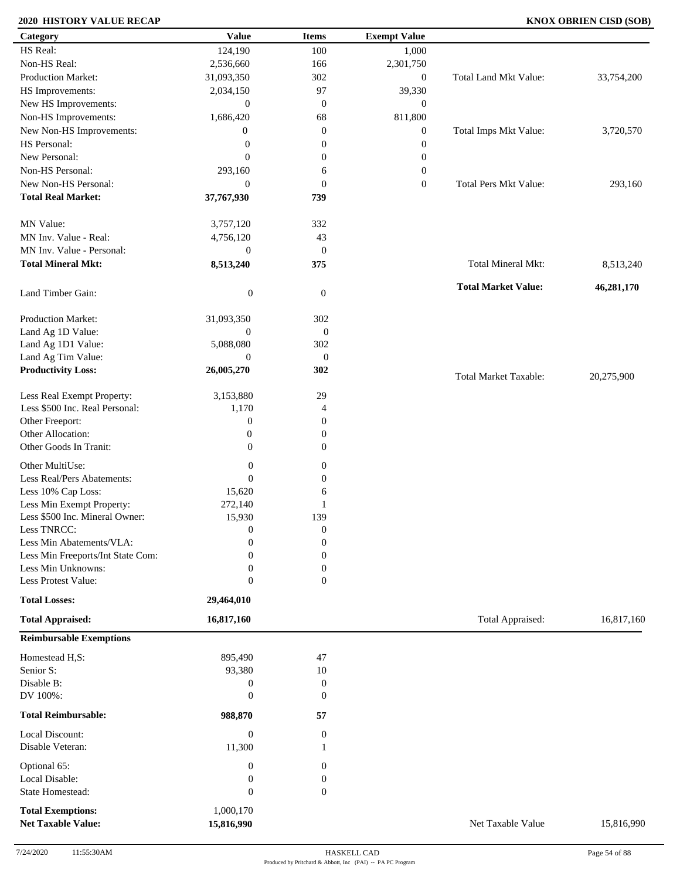### **2020 HISTORY VALUE RECAP KNOX OBRIEN CISD (SOB)**

| Category                                              | <b>Value</b>                         | <b>Items</b>                         | <b>Exempt Value</b> |                              |            |
|-------------------------------------------------------|--------------------------------------|--------------------------------------|---------------------|------------------------------|------------|
| HS Real:                                              | 124,190                              | 100                                  | 1,000               |                              |            |
| Non-HS Real:                                          | 2,536,660                            | 166                                  | 2,301,750           |                              |            |
| Production Market:                                    | 31,093,350                           | 302                                  | $\boldsymbol{0}$    | Total Land Mkt Value:        | 33,754,200 |
| HS Improvements:                                      | 2,034,150                            | 97                                   | 39,330              |                              |            |
| New HS Improvements:                                  | $\mathbf{0}$                         | $\mathbf{0}$                         | $\boldsymbol{0}$    |                              |            |
| Non-HS Improvements:                                  | 1,686,420                            | 68                                   | 811,800             |                              |            |
| New Non-HS Improvements:                              | $\boldsymbol{0}$                     | $\mathbf{0}$                         | $\boldsymbol{0}$    | Total Imps Mkt Value:        | 3,720,570  |
| HS Personal:                                          | $\boldsymbol{0}$                     | $\boldsymbol{0}$                     | $\boldsymbol{0}$    |                              |            |
| New Personal:                                         | $\mathbf{0}$                         | $\boldsymbol{0}$                     | $\boldsymbol{0}$    |                              |            |
| Non-HS Personal:                                      | 293,160                              | 6                                    | $\boldsymbol{0}$    |                              |            |
| New Non-HS Personal:                                  | $\theta$                             | $\boldsymbol{0}$                     | $\boldsymbol{0}$    | <b>Total Pers Mkt Value:</b> | 293,160    |
| <b>Total Real Market:</b>                             | 37,767,930                           | 739                                  |                     |                              |            |
| MN Value:                                             | 3,757,120                            | 332                                  |                     |                              |            |
| MN Inv. Value - Real:                                 | 4,756,120                            | 43                                   |                     |                              |            |
| MN Inv. Value - Personal:                             | $\boldsymbol{0}$                     | $\boldsymbol{0}$                     |                     |                              |            |
| <b>Total Mineral Mkt:</b>                             | 8,513,240                            | 375                                  |                     | <b>Total Mineral Mkt:</b>    | 8,513,240  |
|                                                       |                                      |                                      |                     | <b>Total Market Value:</b>   | 46,281,170 |
| Land Timber Gain:                                     | $\boldsymbol{0}$                     | $\mathbf{0}$                         |                     |                              |            |
| Production Market:                                    | 31,093,350                           | 302                                  |                     |                              |            |
| Land Ag 1D Value:                                     | $\boldsymbol{0}$                     | $\mathbf{0}$                         |                     |                              |            |
| Land Ag 1D1 Value:                                    | 5,088,080                            | 302                                  |                     |                              |            |
| Land Ag Tim Value:                                    | $\mathbf{0}$                         | $\mathbf{0}$                         |                     |                              |            |
| <b>Productivity Loss:</b>                             | 26,005,270                           | 302                                  |                     | <b>Total Market Taxable:</b> | 20,275,900 |
| Less Real Exempt Property:                            | 3,153,880                            | 29                                   |                     |                              |            |
| Less \$500 Inc. Real Personal:                        | 1,170                                | 4                                    |                     |                              |            |
| Other Freeport:                                       | $\boldsymbol{0}$                     | $\boldsymbol{0}$                     |                     |                              |            |
| Other Allocation:                                     | $\boldsymbol{0}$                     | $\boldsymbol{0}$                     |                     |                              |            |
| Other Goods In Tranit:                                | $\boldsymbol{0}$                     | $\boldsymbol{0}$                     |                     |                              |            |
| Other MultiUse:                                       |                                      |                                      |                     |                              |            |
| Less Real/Pers Abatements:                            | $\boldsymbol{0}$<br>$\mathbf{0}$     | $\boldsymbol{0}$                     |                     |                              |            |
|                                                       |                                      | $\boldsymbol{0}$                     |                     |                              |            |
| Less 10% Cap Loss:                                    | 15,620                               | 6                                    |                     |                              |            |
| Less Min Exempt Property:                             | 272,140                              | 1                                    |                     |                              |            |
| Less \$500 Inc. Mineral Owner:                        | 15,930                               | 139                                  |                     |                              |            |
| Less TNRCC:<br>Less Min Abatements/VLA:               | $\mathbf{0}$<br>$\mathbf{0}$         | $\mathbf{0}$<br>$\boldsymbol{0}$     |                     |                              |            |
| Less Min Freeports/Int State Com:                     | 0                                    | $\theta$                             |                     |                              |            |
| Less Min Unknowns:                                    | 0                                    | $\boldsymbol{0}$                     |                     |                              |            |
| Less Protest Value:                                   | $\mathbf{0}$                         | $\overline{0}$                       |                     |                              |            |
| <b>Total Losses:</b>                                  | 29,464,010                           |                                      |                     |                              |            |
| <b>Total Appraised:</b>                               | 16,817,160                           |                                      |                     | Total Appraised:             | 16,817,160 |
| <b>Reimbursable Exemptions</b>                        |                                      |                                      |                     |                              |            |
| Homestead H,S:                                        | 895,490                              | 47                                   |                     |                              |            |
| Senior S:                                             | 93,380                               | 10                                   |                     |                              |            |
| Disable B:                                            | $\boldsymbol{0}$                     | $\boldsymbol{0}$                     |                     |                              |            |
| DV 100%:                                              | $\boldsymbol{0}$                     | $\overline{0}$                       |                     |                              |            |
| <b>Total Reimbursable:</b>                            | 988,870                              | 57                                   |                     |                              |            |
| Local Discount:                                       | $\boldsymbol{0}$                     | $\boldsymbol{0}$                     |                     |                              |            |
| Disable Veteran:                                      | 11,300                               | -1                                   |                     |                              |            |
|                                                       |                                      |                                      |                     |                              |            |
| Optional 65:<br>Local Disable:                        | $\boldsymbol{0}$                     | $\boldsymbol{0}$                     |                     |                              |            |
| State Homestead:                                      | $\boldsymbol{0}$<br>$\boldsymbol{0}$ | $\boldsymbol{0}$<br>$\boldsymbol{0}$ |                     |                              |            |
|                                                       |                                      |                                      |                     |                              |            |
| <b>Total Exemptions:</b><br><b>Net Taxable Value:</b> | 1,000,170<br>15,816,990              |                                      |                     | Net Taxable Value            | 15,816,990 |
|                                                       |                                      |                                      |                     |                              |            |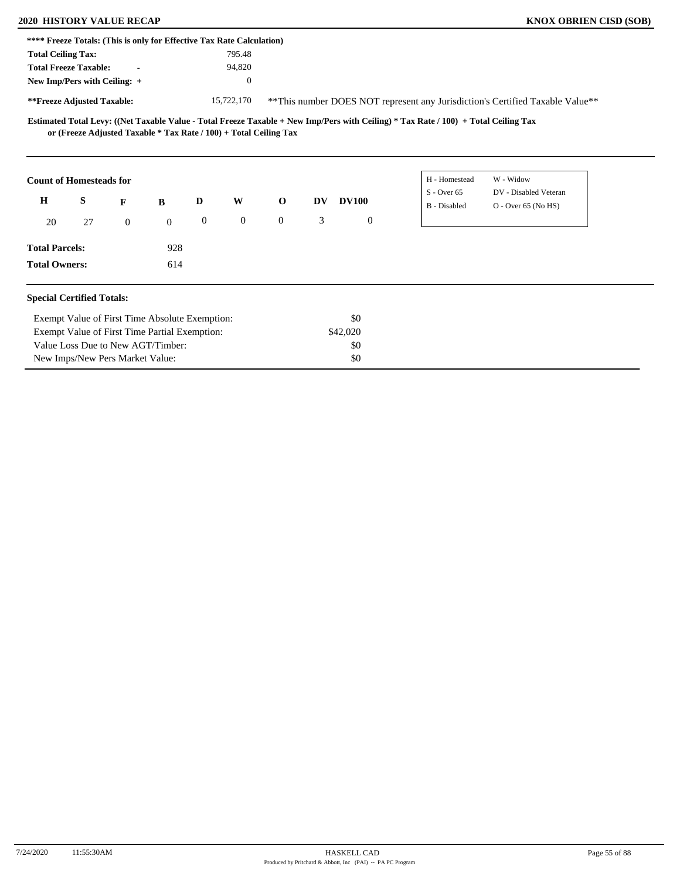### **2020 HISTORY VALUE RECAP KNOX OBRIEN CISD (SOB)**

| **** Freeze Totals: (This is only for Effective Tax Rate Calculation) |                                 |              |                                                |                  |                                                                   |                |    |              |                  |                                                                                                                                     |                                                                               |  |
|-----------------------------------------------------------------------|---------------------------------|--------------|------------------------------------------------|------------------|-------------------------------------------------------------------|----------------|----|--------------|------------------|-------------------------------------------------------------------------------------------------------------------------------------|-------------------------------------------------------------------------------|--|
| <b>Total Ceiling Tax:</b>                                             |                                 |              |                                                |                  | 795.48                                                            |                |    |              |                  |                                                                                                                                     |                                                                               |  |
| <b>Total Freeze Taxable:</b>                                          |                                 |              |                                                |                  | 94,820                                                            |                |    |              |                  |                                                                                                                                     |                                                                               |  |
| New Imp/Pers with Ceiling: +                                          |                                 |              |                                                |                  | $\overline{0}$                                                    |                |    |              |                  |                                                                                                                                     |                                                                               |  |
| **Freeze Adjusted Taxable:                                            |                                 |              |                                                |                  | 15,722,170                                                        |                |    |              |                  |                                                                                                                                     | **This number DOES NOT represent any Jurisdiction's Certified Taxable Value** |  |
|                                                                       |                                 |              |                                                |                  | or (Freeze Adjusted Taxable * Tax Rate / 100) + Total Ceiling Tax |                |    |              |                  | Estimated Total Levy: ((Net Taxable Value - Total Freeze Taxable + New Imp/Pers with Ceiling) * Tax Rate / 100) + Total Ceiling Tax |                                                                               |  |
| <b>Count of Homesteads for</b>                                        |                                 |              |                                                |                  |                                                                   |                |    |              |                  | H - Homestead<br>$S -$ Over 65                                                                                                      | W - Widow<br>DV - Disabled Veteran                                            |  |
| $\bf H$                                                               | S                               | F            | B                                              | D                | W                                                                 | $\mathbf 0$    | DV | <b>DV100</b> |                  | B - Disabled                                                                                                                        | O - Over 65 (No HS)                                                           |  |
| 20                                                                    | 27                              | $\mathbf{0}$ | $\boldsymbol{0}$                               | $\boldsymbol{0}$ | $\overline{0}$                                                    | $\overline{0}$ | 3  |              | $\boldsymbol{0}$ |                                                                                                                                     |                                                                               |  |
| <b>Total Parcels:</b>                                                 |                                 |              | 928                                            |                  |                                                                   |                |    |              |                  |                                                                                                                                     |                                                                               |  |
| <b>Total Owners:</b>                                                  |                                 |              | 614                                            |                  |                                                                   |                |    |              |                  |                                                                                                                                     |                                                                               |  |
| <b>Special Certified Totals:</b>                                      |                                 |              |                                                |                  |                                                                   |                |    |              |                  |                                                                                                                                     |                                                                               |  |
|                                                                       |                                 |              | Exempt Value of First Time Absolute Exemption: |                  |                                                                   |                |    | \$0          |                  |                                                                                                                                     |                                                                               |  |
|                                                                       |                                 |              | Exempt Value of First Time Partial Exemption:  |                  |                                                                   |                |    | \$42,020     |                  |                                                                                                                                     |                                                                               |  |
|                                                                       |                                 |              | Value Loss Due to New AGT/Timber:              |                  |                                                                   |                |    | \$0          |                  |                                                                                                                                     |                                                                               |  |
|                                                                       | New Imps/New Pers Market Value: |              |                                                |                  |                                                                   |                |    | \$0          |                  |                                                                                                                                     |                                                                               |  |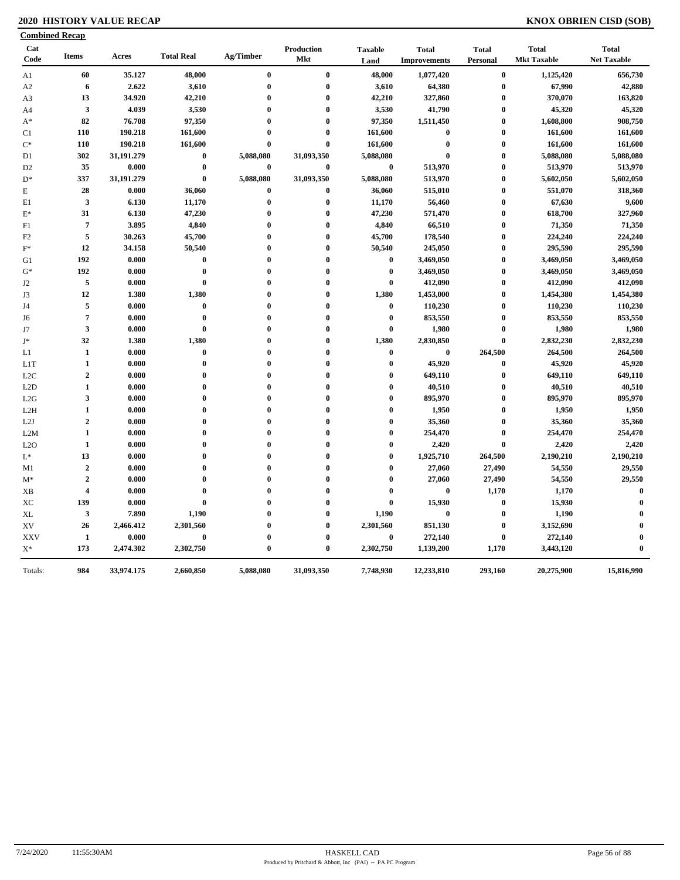### **2020 HISTORY VALUE RECAP KNOX OBRIEN CISD (SOB)**

|                  | <b>Combined Recap</b>   |            |                   |                  |                   |                        |                                     |                          |                                    |                                    |
|------------------|-------------------------|------------|-------------------|------------------|-------------------|------------------------|-------------------------------------|--------------------------|------------------------------------|------------------------------------|
| Cat<br>Code      | <b>Items</b>            | Acres      | <b>Total Real</b> | Ag/Timber        | Production<br>Mkt | <b>Taxable</b><br>Land | <b>Total</b><br><b>Improvements</b> | <b>Total</b><br>Personal | <b>Total</b><br><b>Mkt Taxable</b> | <b>Total</b><br><b>Net Taxable</b> |
| A1               | 60                      | 35.127     | 48,000            | $\bf{0}$         | $\bf{0}$          | 48,000                 | 1,077,420                           | $\bf{0}$                 | 1,125,420                          | 656,730                            |
| A2               | 6                       | 2.622      | 3,610             | $\bf{0}$         | $\bf{0}$          | 3,610                  | 64,380                              | $\bf{0}$                 | 67,990                             | 42,880                             |
| A3               | 13                      | 34.920     | 42,210            | $\boldsymbol{0}$ | $\bf{0}$          | 42,210                 | 327,860                             | $\bf{0}$                 | 370,070                            | 163,820                            |
| A4               | $\mathbf{3}$            | 4.039      | 3,530             | $\bf{0}$         | $\bf{0}$          | 3,530                  | 41,790                              | $\bf{0}$                 | 45,320                             | 45,320                             |
| $A^*$            | 82                      | 76.708     | 97,350            | $\bf{0}$         | $\bf{0}$          | 97,350                 | 1,511,450                           | $\bf{0}$                 | 1,608,800                          | 908,750                            |
| C1               | 110                     | 190.218    | 161,600           | $\bf{0}$         | $\bf{0}$          | 161,600                | $\bf{0}$                            | $\bf{0}$                 | 161,600                            | 161,600                            |
| $\mathrm{C}^*$   | 110                     | 190.218    | 161,600           | $\bf{0}$         | $\bf{0}$          | 161,600                | $\bf{0}$                            | $\bf{0}$                 | 161,600                            | 161,600                            |
| D1               | 302                     | 31,191.279 | $\bf{0}$          | 5,088,080        | 31,093,350        | 5,088,080              | $\bf{0}$                            | $\bf{0}$                 | 5,088,080                          | 5,088,080                          |
| D <sub>2</sub>   | 35                      | 0.000      | $\bf{0}$          | $\bf{0}$         | $\bf{0}$          | $\bf{0}$               | 513,970                             | $\bf{0}$                 | 513,970                            | 513,970                            |
| $D^*$            | 337                     | 31,191.279 | $\bf{0}$          | 5,088,080        | 31,093,350        | 5,088,080              | 513,970                             | $\bf{0}$                 | 5,602,050                          | 5,602,050                          |
| E                | 28                      | 0.000      | 36,060            | $\pmb{0}$        | $\bf{0}$          | 36,060                 | 515,010                             | $\pmb{0}$                | 551,070                            | 318,360                            |
| E1               | $\mathbf{3}$            | 6.130      | 11,170            | $\bf{0}$         | $\pmb{0}$         | 11,170                 | 56,460                              | $\bf{0}$                 | 67,630                             | 9,600                              |
| $E^*$            | 31                      | 6.130      | 47,230            | $\bf{0}$         | $\bf{0}$          | 47,230                 | 571,470                             | $\bf{0}$                 | 618,700                            | 327,960                            |
| F1               | $\overline{7}$          | 3.895      | 4,840             | $\bf{0}$         | $\bf{0}$          | 4,840                  | 66,510                              | $\pmb{0}$                | 71,350                             | 71,350                             |
| F <sub>2</sub>   | 5                       | 30.263     | 45,700            | $\bf{0}$         | $\bf{0}$          | 45,700                 | 178,540                             | $\bf{0}$                 | 224,240                            | 224,240                            |
| $F^*$            | 12                      | 34.158     | 50,540            | $\bf{0}$         | $\bf{0}$          | 50,540                 | 245,050                             | $\bf{0}$                 | 295,590                            | 295,590                            |
| G1               | 192                     | 0.000      | $\bf{0}$          | $\bf{0}$         | $\boldsymbol{0}$  | $\bf{0}$               | 3,469,050                           | $\bf{0}$                 | 3,469,050                          | 3,469,050                          |
| $G^*$            | 192                     | 0.000      | $\bf{0}$          | $\boldsymbol{0}$ | $\bf{0}$          | $\bf{0}$               | 3,469,050                           | $\bf{0}$                 | 3,469,050                          | 3,469,050                          |
| J2               | 5                       | 0.000      | $\bf{0}$          | $\bf{0}$         | $\bf{0}$          | $\bf{0}$               | 412,090                             | $\bf{0}$                 | 412,090                            | 412,090                            |
| J3               | 12                      | 1.380      | 1,380             | $\mathbf{0}$     | $\bf{0}$          | 1,380                  | 1,453,000                           | $\pmb{0}$                | 1,454,380                          | 1,454,380                          |
| J4               | 5                       | 0.000      | $\bf{0}$          | $\bf{0}$         | $\bf{0}$          | $\bf{0}$               | 110,230                             | $\bf{0}$                 | 110,230                            | 110,230                            |
| J6               | $\overline{7}$          | 0.000      | $\bf{0}$          | $\bf{0}$         | $\bf{0}$          | $\bf{0}$               | 853,550                             | $\bf{0}$                 | 853,550                            | 853,550                            |
| J7               | $\mathbf{3}$            | 0.000      | $\bf{0}$          | $\boldsymbol{0}$ | $\bf{0}$          | $\bf{0}$               | 1,980                               | $\bf{0}$                 | 1,980                              | 1,980                              |
| J*               | 32                      | 1.380      | 1,380             | $\bf{0}$         | $\bf{0}$          | 1,380                  | 2,830,850                           | $\bf{0}$                 | 2,832,230                          | 2,832,230                          |
| L1               | $\mathbf{1}$            | 0.000      | $\bf{0}$          | $\bf{0}$         | $\bf{0}$          | $\bf{0}$               | $\bf{0}$                            | 264,500                  | 264,500                            | 264,500                            |
| L1T              | $\mathbf{1}$            | 0.000      | $\bf{0}$          | $\bf{0}$         | $\bf{0}$          | $\bf{0}$               | 45,920                              | $\bf{0}$                 | 45,920                             | 45,920                             |
| L <sub>2</sub> C | $\overline{2}$          | 0.000      | $\bf{0}$          | $\bf{0}$         | $\bf{0}$          | $\bf{0}$               | 649,110                             | $\bf{0}$                 | 649,110                            | 649,110                            |
| L2D              | $\mathbf{1}$            | 0.000      | $\bf{0}$          | $\bf{0}$         | $\bf{0}$          | $\bf{0}$               | 40,510                              | $\bf{0}$                 | 40,510                             | 40,510                             |
| L2G              | $\mathbf{3}$            | 0.000      | $\bf{0}$          | $\bf{0}$         | $\bf{0}$          | $\bf{0}$               | 895,970                             | $\pmb{0}$                | 895,970                            | 895,970                            |
| L2H              | $\mathbf{1}$            | 0.000      | $\bf{0}$          | $\bf{0}$         | $\bf{0}$          | $\bf{0}$               | 1,950                               | $\bf{0}$                 | 1,950                              | 1,950                              |
| L2J              | $\boldsymbol{2}$        | 0.000      | $\bf{0}$          | $\bf{0}$         | $\bf{0}$          | $\bf{0}$               | 35,360                              | $\bf{0}$                 | 35,360                             | 35,360                             |
| L2M              | $\mathbf{1}$            | 0.000      | $\bf{0}$          | $\bf{0}$         | $\bf{0}$          | $\bf{0}$               | 254,470                             | $\bf{0}$                 | 254,470                            | 254,470                            |
| L2O              | $\mathbf{1}$            | 0.000      | $\bf{0}$          | $\bf{0}$         | $\bf{0}$          | $\bf{0}$               | 2,420                               | $\bf{0}$                 | 2,420                              | 2,420                              |
| $L^*$            | 13                      | 0.000      | $\bf{0}$          | $\mathbf{0}$     | $\boldsymbol{0}$  | $\bf{0}$               | 1,925,710                           | 264,500                  | 2,190,210                          | 2,190,210                          |
| M1               | $\overline{2}$          | 0.000      | $\bf{0}$          | $\bf{0}$         | $\bf{0}$          | $\bf{0}$               | 27,060                              | 27,490                   | 54,550                             | 29,550                             |
| $M^*$            | $\boldsymbol{2}$        | 0.000      | $\bf{0}$          | $\bf{0}$         | $\bf{0}$          | $\bf{0}$               | 27,060                              | 27,490                   | 54,550                             | 29,550                             |
| <b>XB</b>        | $\overline{\mathbf{4}}$ | 0.000      | $\bf{0}$          | $\mathbf{0}$     | $\bf{0}$          | $\bf{0}$               | $\bf{0}$                            | 1,170                    | 1,170                              | $\bf{0}$                           |
| XС               | 139                     | 0.000      | $\bf{0}$          | $\mathbf{0}$     | $\bf{0}$          | $\bf{0}$               | 15,930                              | $\bf{0}$                 | 15,930                             | $\bf{0}$                           |
| XL               | $\mathbf{3}$            | 7.890      | 1,190             | $\mathbf 0$      | $\bf{0}$          | 1,190                  | $\bf{0}$                            | $\bf{0}$                 | 1,190                              | $\mathbf 0$                        |
| XV               | 26                      | 2,466.412  | 2,301,560         | $\bf{0}$         | $\bf{0}$          | 2,301,560              | 851,130                             | $\bf{0}$                 | 3,152,690                          | $\bf{0}$                           |
| <b>XXV</b>       | $\mathbf{1}$            | 0.000      | $\bf{0}$          | $\bf{0}$         | $\bf{0}$          | $\bf{0}$               | 272,140                             | $\bf{0}$                 | 272,140                            | $\boldsymbol{0}$                   |
| $\mathbf{X}^*$   | 173                     | 2,474.302  | 2,302,750         | $\bf{0}$         | $\bf{0}$          | 2,302,750              | 1,139,200                           | 1,170                    | 3,443,120                          | $\bf{0}$                           |
| Totals:          | 984                     | 33,974.175 | 2,660,850         | 5,088,080        | 31,093,350        | 7,748,930              | 12,233,810                          | 293,160                  | 20,275,900                         | 15,816,990                         |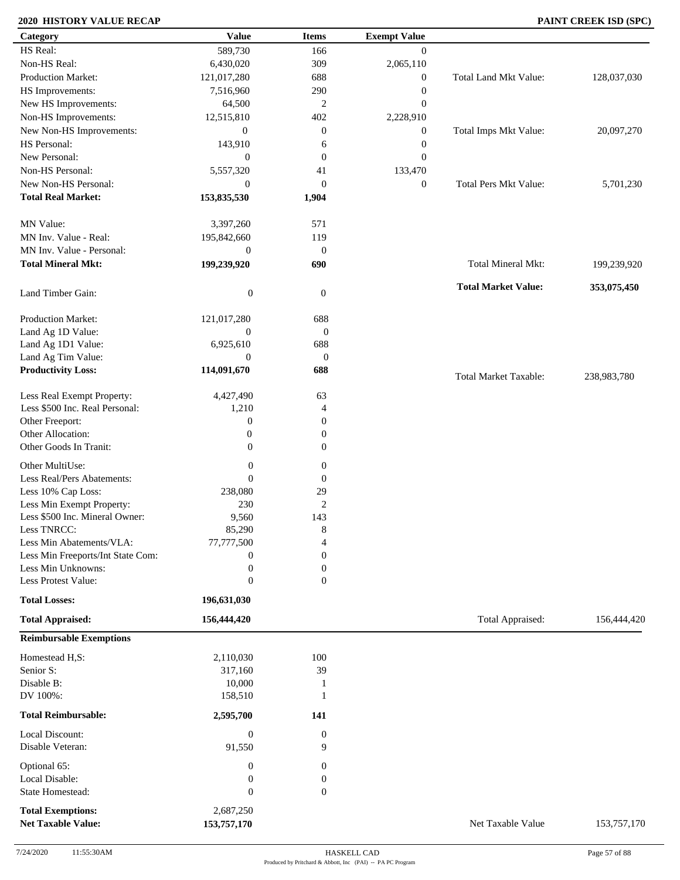### **2020 HISTORY VALUE RECAP PAINT CREEK ISD (SPC)**

| Category                          | <b>Value</b>     | <b>Items</b>     | <b>Exempt Value</b> |                              |             |
|-----------------------------------|------------------|------------------|---------------------|------------------------------|-------------|
| HS Real:                          | 589,730          | 166              | $\mathbf{0}$        |                              |             |
| Non-HS Real:                      | 6,430,020        | 309              | 2,065,110           |                              |             |
| Production Market:                | 121,017,280      | 688              | $\mathbf{0}$        | Total Land Mkt Value:        | 128,037,030 |
| HS Improvements:                  | 7,516,960        | 290              | $\boldsymbol{0}$    |                              |             |
| New HS Improvements:              | 64,500           | $\overline{c}$   | $\boldsymbol{0}$    |                              |             |
| Non-HS Improvements:              | 12,515,810       | 402              | 2,228,910           |                              |             |
| New Non-HS Improvements:          | $\mathbf{0}$     | $\boldsymbol{0}$ | $\boldsymbol{0}$    | Total Imps Mkt Value:        | 20,097,270  |
| HS Personal:                      | 143,910          | 6                | $\boldsymbol{0}$    |                              |             |
| New Personal:                     | $\mathbf{0}$     | $\mathbf{0}$     | $\boldsymbol{0}$    |                              |             |
| Non-HS Personal:                  | 5,557,320        | 41               | 133,470             |                              |             |
| New Non-HS Personal:              |                  |                  |                     | <b>Total Pers Mkt Value:</b> |             |
|                                   | $\mathbf{0}$     | $\mathbf{0}$     | $\boldsymbol{0}$    |                              | 5,701,230   |
| <b>Total Real Market:</b>         | 153,835,530      | 1,904            |                     |                              |             |
| MN Value:                         | 3,397,260        | 571              |                     |                              |             |
| MN Inv. Value - Real:             | 195,842,660      | 119              |                     |                              |             |
| MN Inv. Value - Personal:         | $\boldsymbol{0}$ | $\mathbf{0}$     |                     |                              |             |
| <b>Total Mineral Mkt:</b>         | 199,239,920      | 690              |                     | <b>Total Mineral Mkt:</b>    | 199,239,920 |
|                                   |                  |                  |                     |                              |             |
| Land Timber Gain:                 | $\boldsymbol{0}$ | $\boldsymbol{0}$ |                     | <b>Total Market Value:</b>   | 353,075,450 |
| <b>Production Market:</b>         | 121,017,280      | 688              |                     |                              |             |
| Land Ag 1D Value:                 | $\mathbf{0}$     | $\boldsymbol{0}$ |                     |                              |             |
| Land Ag 1D1 Value:                | 6,925,610        | 688              |                     |                              |             |
| Land Ag Tim Value:                | $\mathbf{0}$     | $\boldsymbol{0}$ |                     |                              |             |
| <b>Productivity Loss:</b>         | 114,091,670      | 688              |                     |                              |             |
|                                   |                  |                  |                     | <b>Total Market Taxable:</b> | 238,983,780 |
| Less Real Exempt Property:        | 4,427,490        | 63               |                     |                              |             |
| Less \$500 Inc. Real Personal:    | 1,210            | $\overline{4}$   |                     |                              |             |
| Other Freeport:                   | $\boldsymbol{0}$ | $\overline{0}$   |                     |                              |             |
| Other Allocation:                 | $\boldsymbol{0}$ | $\mathbf{0}$     |                     |                              |             |
| Other Goods In Tranit:            | $\boldsymbol{0}$ | $\mathbf{0}$     |                     |                              |             |
| Other MultiUse:                   | $\boldsymbol{0}$ | $\boldsymbol{0}$ |                     |                              |             |
| Less Real/Pers Abatements:        | $\theta$         |                  |                     |                              |             |
|                                   |                  | $\boldsymbol{0}$ |                     |                              |             |
| Less 10% Cap Loss:                | 238,080          | 29               |                     |                              |             |
| Less Min Exempt Property:         | 230              | $\overline{c}$   |                     |                              |             |
| Less \$500 Inc. Mineral Owner:    | 9,560            | 143              |                     |                              |             |
| Less TNRCC:                       | 85,290           | 8                |                     |                              |             |
| Less Min Abatements/VLA:          | 77,777,500       | 4                |                     |                              |             |
| Less Min Freeports/Int State Com: | $\boldsymbol{0}$ | $\mathbf{0}$     |                     |                              |             |
| Less Min Unknowns:                | $\boldsymbol{0}$ | $\mathbf{0}$     |                     |                              |             |
| Less Protest Value:               | $\boldsymbol{0}$ | $\overline{0}$   |                     |                              |             |
| <b>Total Losses:</b>              | 196,631,030      |                  |                     |                              |             |
| <b>Total Appraised:</b>           | 156,444,420      |                  |                     | Total Appraised:             | 156,444,420 |
| <b>Reimbursable Exemptions</b>    |                  |                  |                     |                              |             |
| Homestead H,S:                    | 2,110,030        | 100              |                     |                              |             |
| Senior S:                         | 317,160          | 39               |                     |                              |             |
| Disable B:                        | 10,000           | 1                |                     |                              |             |
| DV 100%:                          | 158,510          | 1                |                     |                              |             |
| <b>Total Reimbursable:</b>        | 2,595,700        | 141              |                     |                              |             |
|                                   |                  |                  |                     |                              |             |
| Local Discount:                   | $\boldsymbol{0}$ | $\boldsymbol{0}$ |                     |                              |             |
| Disable Veteran:                  | 91,550           | 9                |                     |                              |             |
| Optional 65:                      | $\boldsymbol{0}$ | $\mathbf{0}$     |                     |                              |             |
| Local Disable:                    | $\boldsymbol{0}$ | $\boldsymbol{0}$ |                     |                              |             |
| State Homestead:                  | $\boldsymbol{0}$ | $\boldsymbol{0}$ |                     |                              |             |
| <b>Total Exemptions:</b>          | 2,687,250        |                  |                     |                              |             |
| <b>Net Taxable Value:</b>         | 153,757,170      |                  |                     | Net Taxable Value            | 153,757,170 |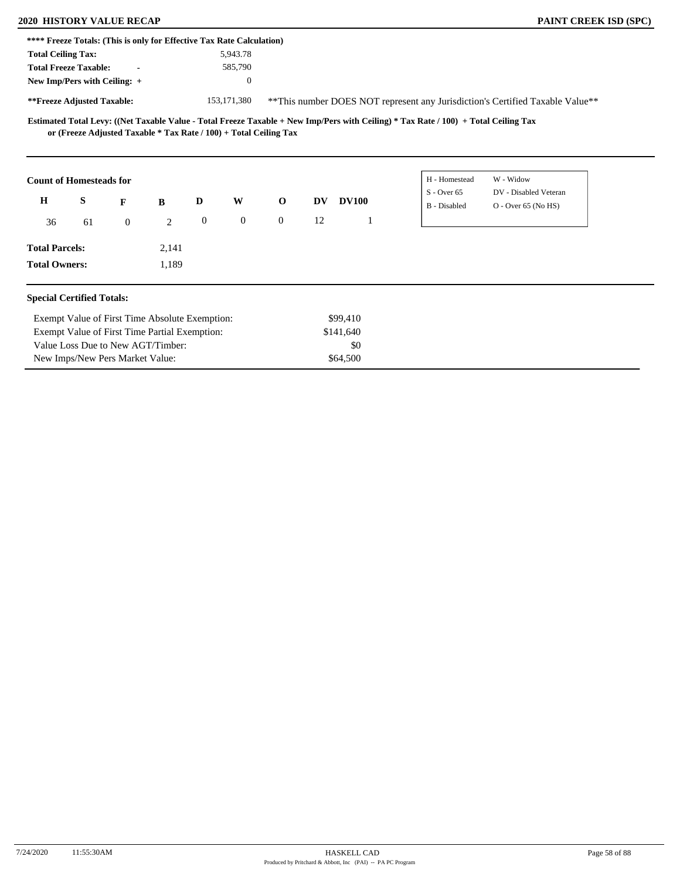| <b>PAINT CREEK ISD (SI</b> |  |  |  |  |  |
|----------------------------|--|--|--|--|--|
|----------------------------|--|--|--|--|--|

| <b>2020 HISTORY VALUE RECAP</b>                                       |    |                                                                   |       |                  |               |              |    |              |                                                                                                                                     | PAINT CREEK ISD (SPC)                                                          |
|-----------------------------------------------------------------------|----|-------------------------------------------------------------------|-------|------------------|---------------|--------------|----|--------------|-------------------------------------------------------------------------------------------------------------------------------------|--------------------------------------------------------------------------------|
| **** Freeze Totals: (This is only for Effective Tax Rate Calculation) |    |                                                                   |       |                  |               |              |    |              |                                                                                                                                     |                                                                                |
| <b>Total Ceiling Tax:</b>                                             |    |                                                                   |       |                  | 5,943.78      |              |    |              |                                                                                                                                     |                                                                                |
| <b>Total Freeze Taxable:</b>                                          |    |                                                                   |       |                  | 585,790       |              |    |              |                                                                                                                                     |                                                                                |
| New Imp/Pers with Ceiling: +                                          |    |                                                                   |       |                  | $\mathbf{0}$  |              |    |              |                                                                                                                                     |                                                                                |
| **Freeze Adjusted Taxable:                                            |    |                                                                   |       |                  | 153, 171, 380 |              |    |              |                                                                                                                                     | ** This number DOES NOT represent any Jurisdiction's Certified Taxable Value** |
|                                                                       |    | or (Freeze Adjusted Taxable * Tax Rate / 100) + Total Ceiling Tax |       |                  |               |              |    |              | Estimated Total Levy: ((Net Taxable Value - Total Freeze Taxable + New Imp/Pers with Ceiling) * Tax Rate / 100) + Total Ceiling Tax |                                                                                |
| <b>Count of Homesteads for</b>                                        |    |                                                                   |       |                  |               |              |    |              | H - Homestead                                                                                                                       | W - Widow                                                                      |
|                                                                       |    |                                                                   |       |                  |               |              |    |              | $S - Over 65$                                                                                                                       | DV - Disabled Veteran                                                          |
| $\bf H$                                                               | S  | F                                                                 | B     | D                | W             | $\mathbf{o}$ | DV | <b>DV100</b> | B - Disabled                                                                                                                        | $O -$ Over 65 (No HS)                                                          |
| 36                                                                    | 61 | $\mathbf{0}$                                                      | 2     | $\boldsymbol{0}$ | $\mathbf{0}$  | $\mathbf{0}$ | 12 |              |                                                                                                                                     |                                                                                |
| <b>Total Parcels:</b>                                                 |    |                                                                   | 2,141 |                  |               |              |    |              |                                                                                                                                     |                                                                                |
| <b>Total Owners:</b>                                                  |    |                                                                   | 1,189 |                  |               |              |    |              |                                                                                                                                     |                                                                                |
|                                                                       |    |                                                                   |       |                  |               |              |    |              |                                                                                                                                     |                                                                                |
| <b>Special Certified Totals:</b>                                      |    |                                                                   |       |                  |               |              |    |              |                                                                                                                                     |                                                                                |
|                                                                       |    | Exempt Value of First Time Absolute Exemption:                    |       |                  |               |              |    | \$99,410     |                                                                                                                                     |                                                                                |
|                                                                       |    | Exempt Value of First Time Partial Exemption:                     |       |                  |               |              |    | \$141,640    |                                                                                                                                     |                                                                                |
|                                                                       |    | Value Loss Due to New AGT/Timber:                                 |       |                  |               |              |    | \$0          |                                                                                                                                     |                                                                                |
|                                                                       |    | New Imps/New Pers Market Value:                                   |       |                  |               |              |    | \$64,500     |                                                                                                                                     |                                                                                |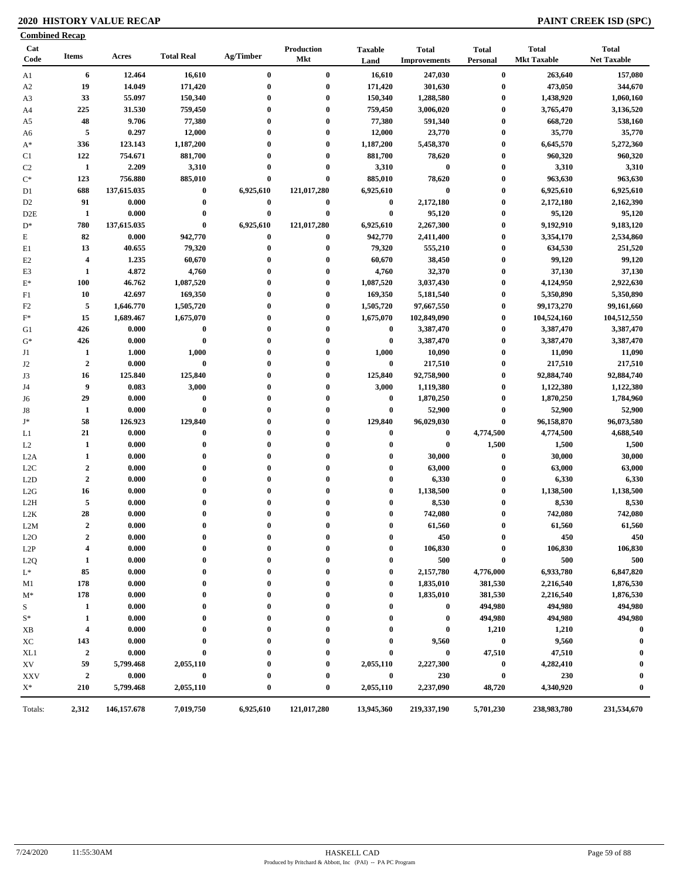### **2020 HISTORY VALUE RECAP PAINT CREEK ISD (SPC)**

| <b>Combined Recap</b> |                         |               |                   |              |                          |                        |                                     |                          |                                    |                                    |
|-----------------------|-------------------------|---------------|-------------------|--------------|--------------------------|------------------------|-------------------------------------|--------------------------|------------------------------------|------------------------------------|
| Cat<br>Code           | Items                   | Acres         | <b>Total Real</b> | Ag/Timber    | Production<br><b>Mkt</b> | <b>Taxable</b><br>Land | <b>Total</b><br><b>Improvements</b> | <b>Total</b><br>Personal | <b>Total</b><br><b>Mkt Taxable</b> | <b>Total</b><br><b>Net Taxable</b> |
| A1                    | 6                       | 12.464        | 16,610            | $\bf{0}$     | $\bf{0}$                 | 16,610                 | 247,030                             | $\boldsymbol{0}$         | 263,640                            | 157,080                            |
| A <sub>2</sub>        | 19                      | 14.049        | 171,420           | $\bf{0}$     | $\bf{0}$                 | 171,420                | 301,630                             | $\bf{0}$                 | 473,050                            | 344,670                            |
| A3                    | 33                      | 55.097        | 150,340           | $\bf{0}$     | $\bf{0}$                 | 150,340                | 1,288,580                           | $\boldsymbol{0}$         | 1,438,920                          | 1,060,160                          |
| A4                    | 225                     | 31.530        | 759,450           | $\bf{0}$     | $\bf{0}$                 | 759,450                | 3,006,020                           | $\bf{0}$                 | 3,765,470                          | 3,136,520                          |
| A5                    | 48                      | 9.706         | 77,380            | 0            | $\bf{0}$                 | 77,380                 | 591,340                             | $\boldsymbol{0}$         | 668,720                            | 538,160                            |
| A6                    | 5                       | 0.297         | 12,000            | $\bf{0}$     | $\bf{0}$                 | 12,000                 | 23,770                              | $\bf{0}$                 | 35,770                             | 35,770                             |
| $A^*$                 | 336                     | 123.143       | 1,187,200         | $\bf{0}$     | $\bf{0}$                 | 1,187,200              | 5,458,370                           | $\boldsymbol{0}$         | 6,645,570                          | 5,272,360                          |
| C1                    | 122                     | 754.671       | 881,700           | $\bf{0}$     | $\bf{0}$                 | 881,700                | 78,620                              | $\boldsymbol{0}$         | 960,320                            | 960,320                            |
| C <sub>2</sub>        | 1                       | 2.209         | 3,310             | $\bf{0}$     | $\bf{0}$                 | 3,310                  | $\bf{0}$                            | $\boldsymbol{0}$         | 3,310                              | 3,310                              |
| $C^*$                 | 123                     | 756.880       | 885,010           | 0            | $\bf{0}$                 | 885,010                | 78,620                              | $\boldsymbol{0}$         | 963,630                            | 963,630                            |
| D1                    | 688                     | 137,615.035   | $\bf{0}$          | 6,925,610    | 121,017,280              | 6,925,610              | $\bf{0}$                            | $\boldsymbol{0}$         | 6,925,610                          | 6,925,610                          |
| D <sub>2</sub>        | 91                      | 0.000         | $\boldsymbol{0}$  | $\bf{0}$     | $\bf{0}$                 | $\bf{0}$               | 2,172,180                           | $\boldsymbol{0}$         | 2,172,180                          | 2,162,390                          |
| D <sub>2</sub> E      | $\mathbf{1}$            | 0.000         | $\bf{0}$          | $\bf{0}$     | $\bf{0}$                 | $\bf{0}$               | 95,120                              | $\bf{0}$                 | 95,120                             | 95,120                             |
| $D^*$                 | 780                     | 137,615.035   | $\bf{0}$          | 6,925,610    | 121,017,280              | 6,925,610              | 2,267,300                           | $\boldsymbol{0}$         | 9,192,910                          | 9,183,120                          |
| E                     | 82                      | 0.000         | 942,770           | 0            | $\bf{0}$                 | 942,770                | 2,411,400                           | $\boldsymbol{0}$         | 3,354,170                          | 2,534,860                          |
| E1                    | 13                      | 40.655        | 79,320            | $\bf{0}$     | $\bf{0}$                 | 79,320                 | 555,210                             | $\bf{0}$                 | 634,530                            | 251,520                            |
| E2                    | $\overline{\mathbf{4}}$ | 1.235         | 60,670            | 0            | $\bf{0}$                 | 60,670                 | 38,450                              | $\bf{0}$                 | 99,120                             | 99,120                             |
| E3                    | 1                       | 4.872         | 4,760             | $\bf{0}$     | $\bf{0}$                 | 4,760                  | 32,370                              | $\bf{0}$                 | 37,130                             | 37,130                             |
| $E^*$                 | 100                     | 46.762        | 1,087,520         | $\bf{0}$     | $\bf{0}$                 | 1,087,520              | 3,037,430                           | $\bf{0}$                 | 4,124,950                          | 2,922,630                          |
| F1                    | 10                      | 42.697        | 169,350           | 0            | $\bf{0}$                 | 169,350                | 5,181,540                           | $\bf{0}$                 | 5,350,890                          | 5,350,890                          |
| F <sub>2</sub>        | 5                       | 1,646.770     | 1,505,720         | $\bf{0}$     | $\bf{0}$                 | 1,505,720              | 97,667,550                          | $\bf{0}$                 | 99,173,270                         | 99,161,660                         |
| $\mathbf{F}^*$        | 15                      | 1,689.467     | 1,675,070         | $\bf{0}$     | $\bf{0}$                 | 1,675,070              | 102,849,090                         | $\bf{0}$                 | 104,524,160                        | 104,512,550                        |
| G1                    | 426                     | 0.000         | $\bf{0}$          | $\bf{0}$     | $\bf{0}$                 | $\bf{0}$               | 3,387,470                           | $\bf{0}$                 | 3,387,470                          | 3,387,470                          |
| $G^*$                 | 426                     | 0.000         | $\bf{0}$          | $\bf{0}$     | $\bf{0}$                 | $\bf{0}$               | 3,387,470                           | $\boldsymbol{0}$         | 3,387,470                          | 3,387,470                          |
| J1                    | 1                       | 1.000         | 1,000             | $\bf{0}$     | $\bf{0}$                 | 1,000                  | 10,090                              | $\boldsymbol{0}$         | 11,090                             | 11,090                             |
| J2                    | $\overline{2}$          | 0.000         | $\bf{0}$          | $\bf{0}$     | $\bf{0}$                 | $\bf{0}$               | 217,510                             | $\boldsymbol{0}$         | 217,510                            | 217,510                            |
| J3                    | 16                      | 125.840       | 125,840           | $\bf{0}$     | $\bf{0}$                 | 125,840                | 92,758,900                          | $\bf{0}$                 | 92,884,740                         | 92,884,740                         |
| J4                    | 9                       | 0.083         | 3,000             | $\bf{0}$     | $\bf{0}$                 | 3,000                  | 1,119,380                           | $\bf{0}$                 | 1,122,380                          | 1,122,380                          |
| J6                    | 29                      | 0.000         | $\bf{0}$          | $\mathbf{0}$ | $\bf{0}$                 | $\bf{0}$               | 1,870,250                           | $\bf{0}$                 | 1,870,250                          | 1,784,960                          |
| J8                    | $\mathbf{1}$            | 0.000         | $\bf{0}$          | $\mathbf{0}$ | $\bf{0}$                 | $\boldsymbol{0}$       | 52,900                              | $\bf{0}$                 | 52,900                             | 52,900                             |
| $J^*$                 | 58                      | 126.923       | 129,840           | $\bf{0}$     | $\bf{0}$                 | 129,840                | 96,029,030                          | $\pmb{0}$                | 96,158,870                         | 96,073,580                         |
| L1                    | 21                      | 0.000         | $\bf{0}$          | $\mathbf{0}$ | $\bf{0}$                 | $\boldsymbol{0}$       | $\bf{0}$                            | 4,774,500                | 4,774,500                          | 4,688,540                          |
| L2                    | 1                       | 0.000         | $\bf{0}$          | $\mathbf{0}$ | $\bf{0}$                 | $\bf{0}$               | $\bf{0}$                            | 1,500                    | 1,500                              | 1,500                              |
| L2A                   | $\mathbf{1}$            | 0.000         | $\bf{0}$          | $\bf{0}$     | $\bf{0}$                 | $\boldsymbol{0}$       | 30,000                              | $\bf{0}$                 | 30,000                             | 30,000                             |
| L2C                   | $\boldsymbol{2}$        | 0.000         | $\bf{0}$          | $\bf{0}$     | $\bf{0}$                 | $\bf{0}$               | 63,000                              | $\bf{0}$                 | 63,000                             | 63,000                             |
| L2D                   | $\boldsymbol{2}$        | 0.000         | $\bf{0}$          | $\mathbf{0}$ | $\bf{0}$                 | $\bf{0}$               | 6,330                               | $\bf{0}$                 | 6,330                              | 6,330                              |
| L2G                   | 16                      | 0.000         | $\bf{0}$          | 0            | $\bf{0}$                 | $\bf{0}$               | 1,138,500                           | $\boldsymbol{0}$         | 1,138,500                          | 1,138,500                          |
| L2H                   | 5                       | 0.000         | $\bf{0}$          | $\bf{0}$     | $\bf{0}$                 | $\boldsymbol{0}$       | 8,530                               | $\bf{0}$                 | 8,530                              | 8,530                              |
| L2K                   | 28                      | 0.000         | $\bf{0}$          | $\bf{0}$     | $\bf{0}$                 | $\bf{0}$               | 742,080                             | $\bf{0}$                 | 742,080                            | 742,080                            |
| L2M                   | $\overline{2}$          | 0.000         | $\mathbf{0}$      |              | $\mathbf{0}$             | $\theta$               | 61,560                              | $\bf{0}$                 | 61,560                             | 61,560                             |
| L2O                   | $\boldsymbol{2}$        | 0.000         | $\bf{0}$          | 0            | $\boldsymbol{0}$         | $\boldsymbol{0}$       | 450                                 | $\boldsymbol{0}$         | 450                                | 450                                |
| L2P                   | 4                       | 0.000         | $\bf{0}$          | 0            | $\bf{0}$                 | $\bf{0}$               | 106,830                             | $\bf{0}$                 | 106,830                            | 106,830                            |
| L2Q                   | 1                       | 0.000         | $\bf{0}$          | 0            | $\boldsymbol{0}$         | $\boldsymbol{0}$       | 500                                 | $\bf{0}$                 | 500                                | 500                                |
| $L^*$                 | 85                      | 0.000         | $\bf{0}$          | 0            | $\mathbf{0}$             | $\boldsymbol{0}$       | 2,157,780                           | 4,776,000                | 6,933,780                          | 6,847,820                          |
| M1                    | 178                     | 0.000         | $\bf{0}$          | 0            | $\bf{0}$                 | $\bf{0}$               | 1,835,010                           | 381,530                  | 2,216,540                          | 1,876,530                          |
| $M^*$                 | 178                     | 0.000         | $\bf{0}$          | 0            | $\boldsymbol{0}$         | $\bf{0}$               | 1,835,010                           | 381,530                  | 2,216,540                          | 1,876,530                          |
| S                     | 1                       | 0.000         | $\bf{0}$          |              | $\boldsymbol{0}$         | $\bf{0}$               | $\bf{0}$                            | 494,980                  | 494,980                            | 494,980                            |
| $S^*$                 | 1                       | 0.000         | $\bf{0}$          | 0            | $\mathbf{0}$             | $\bf{0}$               | $\bf{0}$                            | 494,980                  | 494,980                            | 494,980                            |
| XВ                    | $\overline{\mathbf{4}}$ | 0.000         | $\bf{0}$          |              | $\boldsymbol{0}$         | $\bf{0}$               | $\bf{0}$                            | 1,210                    | 1,210                              | $\bf{0}$                           |
| ХC                    | 143                     | 0.000         | 0                 |              | 0                        | $\bf{0}$               | 9,560                               | $\boldsymbol{0}$         | 9,560                              | $\bf{0}$                           |
| XL1                   | $\boldsymbol{2}$        | 0.000         | $\bf{0}$          |              | $\mathbf{0}$             | $\bf{0}$               | $\bf{0}$                            | 47,510                   | 47,510                             |                                    |
| XV                    | 59                      | 5,799.468     | 2,055,110         | 0            | $\bf{0}$                 | 2,055,110              | 2,227,300                           | $\boldsymbol{0}$         | 4,282,410                          | $\bf{0}$                           |
| <b>XXV</b>            | $\boldsymbol{2}$        | 0.000         | $\bf{0}$          |              | 0                        | $\boldsymbol{0}$       | 230                                 | $\boldsymbol{0}$         | 230                                | $\bf{0}$                           |
| $X^*$                 | 210                     | 5,799.468     | 2,055,110         | 0            | $\bf{0}$                 | 2,055,110              | 2,237,090                           | 48,720                   | 4,340,920                          | $\bf{0}$                           |
| Totals:               | 2,312                   | 146, 157. 678 | 7,019,750         | 6,925,610    | 121,017,280              | 13,945,360             | 219,337,190                         | 5,701,230                | 238,983,780                        | 231,534,670                        |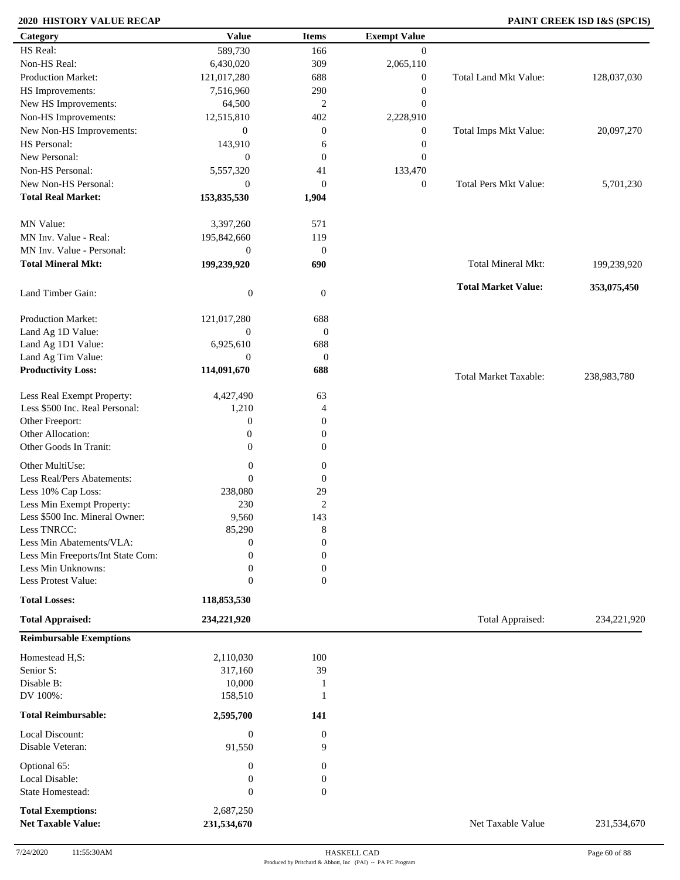### **2020 HISTORY VALUE RECAP PAINT CREEK ISD I&S (SPCIS)**

| Category                          | <b>Value</b>     | <b>Items</b>     | <b>Exempt Value</b> |                              |             |
|-----------------------------------|------------------|------------------|---------------------|------------------------------|-------------|
| HS Real:                          | 589,730          | 166              | $\overline{0}$      |                              |             |
| Non-HS Real:                      | 6,430,020        | 309              | 2,065,110           |                              |             |
| Production Market:                | 121,017,280      | 688              | $\boldsymbol{0}$    | Total Land Mkt Value:        | 128,037,030 |
| HS Improvements:                  | 7,516,960        | 290              | $\boldsymbol{0}$    |                              |             |
| New HS Improvements:              | 64,500           | $\boldsymbol{2}$ | $\mathbf{0}$        |                              |             |
| Non-HS Improvements:              | 12,515,810       | 402              | 2,228,910           |                              |             |
| New Non-HS Improvements:          | $\boldsymbol{0}$ | $\boldsymbol{0}$ | $\boldsymbol{0}$    | Total Imps Mkt Value:        | 20,097,270  |
| HS Personal:                      | 143,910          | 6                | $\boldsymbol{0}$    |                              |             |
| New Personal:                     | $\boldsymbol{0}$ | $\boldsymbol{0}$ | $\boldsymbol{0}$    |                              |             |
| Non-HS Personal:                  | 5,557,320        | 41               | 133,470             |                              |             |
| New Non-HS Personal:              | $\boldsymbol{0}$ | $\boldsymbol{0}$ |                     | <b>Total Pers Mkt Value:</b> | 5,701,230   |
| <b>Total Real Market:</b>         |                  |                  | $\boldsymbol{0}$    |                              |             |
|                                   | 153,835,530      | 1,904            |                     |                              |             |
| MN Value:                         | 3,397,260        | 571              |                     |                              |             |
| MN Inv. Value - Real:             |                  | 119              |                     |                              |             |
| MN Inv. Value - Personal:         | 195,842,660      |                  |                     |                              |             |
|                                   | $\boldsymbol{0}$ | $\mathbf{0}$     |                     |                              |             |
| <b>Total Mineral Mkt:</b>         | 199,239,920      | 690              |                     | Total Mineral Mkt:           | 199,239,920 |
|                                   |                  |                  |                     | <b>Total Market Value:</b>   | 353,075,450 |
| Land Timber Gain:                 | $\boldsymbol{0}$ | $\mathbf{0}$     |                     |                              |             |
|                                   |                  |                  |                     |                              |             |
| Production Market:                | 121,017,280      | 688              |                     |                              |             |
| Land Ag 1D Value:                 | $\boldsymbol{0}$ | $\mathbf{0}$     |                     |                              |             |
| Land Ag 1D1 Value:                | 6,925,610        | 688              |                     |                              |             |
| Land Ag Tim Value:                | $\mathbf{0}$     | $\mathbf{0}$     |                     |                              |             |
| <b>Productivity Loss:</b>         | 114,091,670      | 688              |                     | <b>Total Market Taxable:</b> | 238,983,780 |
| Less Real Exempt Property:        | 4,427,490        | 63               |                     |                              |             |
| Less \$500 Inc. Real Personal:    | 1,210            | 4                |                     |                              |             |
| Other Freeport:                   | $\boldsymbol{0}$ | $\boldsymbol{0}$ |                     |                              |             |
| Other Allocation:                 | $\boldsymbol{0}$ | $\boldsymbol{0}$ |                     |                              |             |
| Other Goods In Tranit:            | $\boldsymbol{0}$ | $\boldsymbol{0}$ |                     |                              |             |
|                                   |                  |                  |                     |                              |             |
| Other MultiUse:                   | $\boldsymbol{0}$ | $\boldsymbol{0}$ |                     |                              |             |
| Less Real/Pers Abatements:        | $\theta$         | $\mathbf{0}$     |                     |                              |             |
| Less 10% Cap Loss:                | 238,080          | 29               |                     |                              |             |
| Less Min Exempt Property:         | 230              | $\overline{2}$   |                     |                              |             |
| Less \$500 Inc. Mineral Owner:    | 9,560            | 143              |                     |                              |             |
| Less TNRCC:                       | 85,290           | 8                |                     |                              |             |
| Less Min Abatements/VLA:          | $\boldsymbol{0}$ | $\boldsymbol{0}$ |                     |                              |             |
| Less Min Freeports/Int State Com: | 0                | $\overline{0}$   |                     |                              |             |
| Less Min Unknowns:                | $\mathbf{0}$     | $\boldsymbol{0}$ |                     |                              |             |
| Less Protest Value:               | $\mathbf{0}$     | $\overline{0}$   |                     |                              |             |
| <b>Total Losses:</b>              | 118,853,530      |                  |                     |                              |             |
| <b>Total Appraised:</b>           | 234,221,920      |                  |                     | Total Appraised:             | 234,221,920 |
| <b>Reimbursable Exemptions</b>    |                  |                  |                     |                              |             |
|                                   |                  |                  |                     |                              |             |
| Homestead H,S:                    | 2,110,030        | 100              |                     |                              |             |
| Senior S:                         | 317,160          | 39               |                     |                              |             |
| Disable B:                        | 10,000           | -1               |                     |                              |             |
| DV 100%:                          | 158,510          | -1               |                     |                              |             |
| <b>Total Reimbursable:</b>        | 2,595,700        | 141              |                     |                              |             |
| Local Discount:                   | $\boldsymbol{0}$ | $\boldsymbol{0}$ |                     |                              |             |
| Disable Veteran:                  | 91,550           | 9                |                     |                              |             |
|                                   |                  |                  |                     |                              |             |
| Optional 65:                      | $\boldsymbol{0}$ | $\boldsymbol{0}$ |                     |                              |             |
| Local Disable:                    | $\boldsymbol{0}$ | $\boldsymbol{0}$ |                     |                              |             |
| State Homestead:                  | $\boldsymbol{0}$ | $\boldsymbol{0}$ |                     |                              |             |
| <b>Total Exemptions:</b>          | 2,687,250        |                  |                     |                              |             |
| <b>Net Taxable Value:</b>         | 231,534,670      |                  |                     | Net Taxable Value            | 231,534,670 |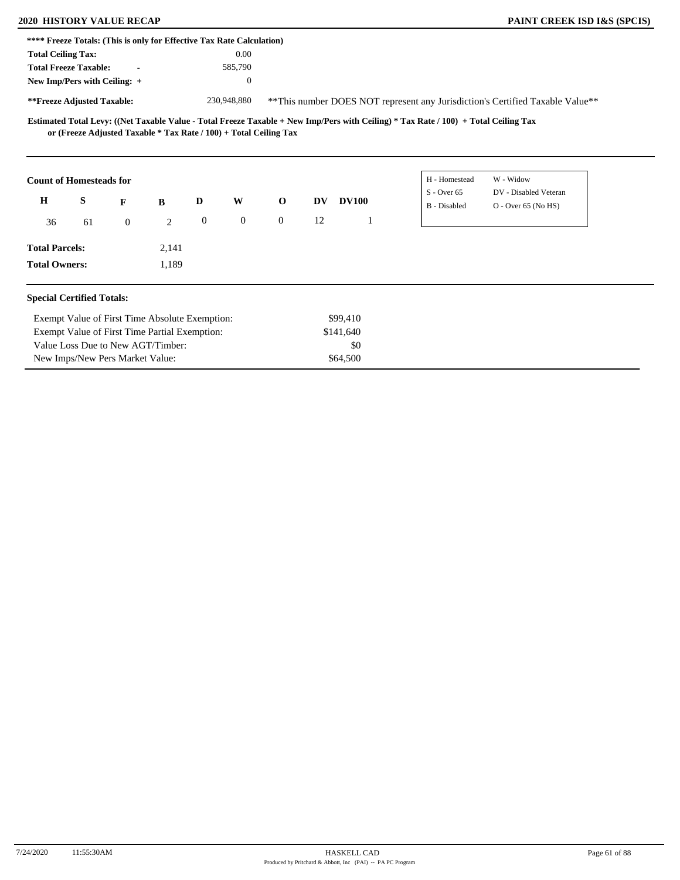| **** Freeze Totals: (This is only for Effective Tax Rate Calculation) |    |                                                                   |       |                  |                  |                |           |              |                                                                                                                                     |                                                                                |  |
|-----------------------------------------------------------------------|----|-------------------------------------------------------------------|-------|------------------|------------------|----------------|-----------|--------------|-------------------------------------------------------------------------------------------------------------------------------------|--------------------------------------------------------------------------------|--|
| <b>Total Ceiling Tax:</b>                                             |    |                                                                   |       |                  | 0.00             |                |           |              |                                                                                                                                     |                                                                                |  |
| <b>Total Freeze Taxable:</b>                                          |    | $\blacksquare$                                                    |       |                  | 585,790          |                |           |              |                                                                                                                                     |                                                                                |  |
| New Imp/Pers with Ceiling: +                                          |    |                                                                   |       |                  | $\mathbf{0}$     |                |           |              |                                                                                                                                     |                                                                                |  |
| **Freeze Adjusted Taxable:                                            |    |                                                                   |       |                  | 230,948,880      |                |           |              |                                                                                                                                     | ** This number DOES NOT represent any Jurisdiction's Certified Taxable Value** |  |
|                                                                       |    | or (Freeze Adjusted Taxable * Tax Rate / 100) + Total Ceiling Tax |       |                  |                  |                |           |              | Estimated Total Levy: ((Net Taxable Value - Total Freeze Taxable + New Imp/Pers with Ceiling) * Tax Rate / 100) + Total Ceiling Tax |                                                                                |  |
| <b>Count of Homesteads for</b>                                        |    |                                                                   |       |                  |                  |                |           |              | H - Homestead                                                                                                                       | W - Widow                                                                      |  |
| $\mathbf H$                                                           | S  | F                                                                 | B     | D                | W                | $\mathbf 0$    | <b>DV</b> | <b>DV100</b> | $S -$ Over 65<br>B - Disabled                                                                                                       | DV - Disabled Veteran<br>O - Over 65 (No HS)                                   |  |
| 36                                                                    | 61 | $\overline{0}$                                                    | 2     | $\boldsymbol{0}$ | $\boldsymbol{0}$ | $\overline{0}$ | 12        | -1           |                                                                                                                                     |                                                                                |  |
| <b>Total Parcels:</b>                                                 |    |                                                                   | 2,141 |                  |                  |                |           |              |                                                                                                                                     |                                                                                |  |
| <b>Total Owners:</b>                                                  |    |                                                                   | 1,189 |                  |                  |                |           |              |                                                                                                                                     |                                                                                |  |
| <b>Special Certified Totals:</b>                                      |    |                                                                   |       |                  |                  |                |           |              |                                                                                                                                     |                                                                                |  |
|                                                                       |    | Exempt Value of First Time Absolute Exemption:                    |       |                  |                  |                |           | \$99,410     |                                                                                                                                     |                                                                                |  |
|                                                                       |    | Exempt Value of First Time Partial Exemption:                     |       |                  |                  |                |           | \$141,640    |                                                                                                                                     |                                                                                |  |
|                                                                       |    | Value Loss Due to New AGT/Timber:                                 |       |                  |                  |                |           | \$0          |                                                                                                                                     |                                                                                |  |
|                                                                       |    | New Imps/New Pers Market Value:                                   |       |                  |                  |                |           | \$64,500     |                                                                                                                                     |                                                                                |  |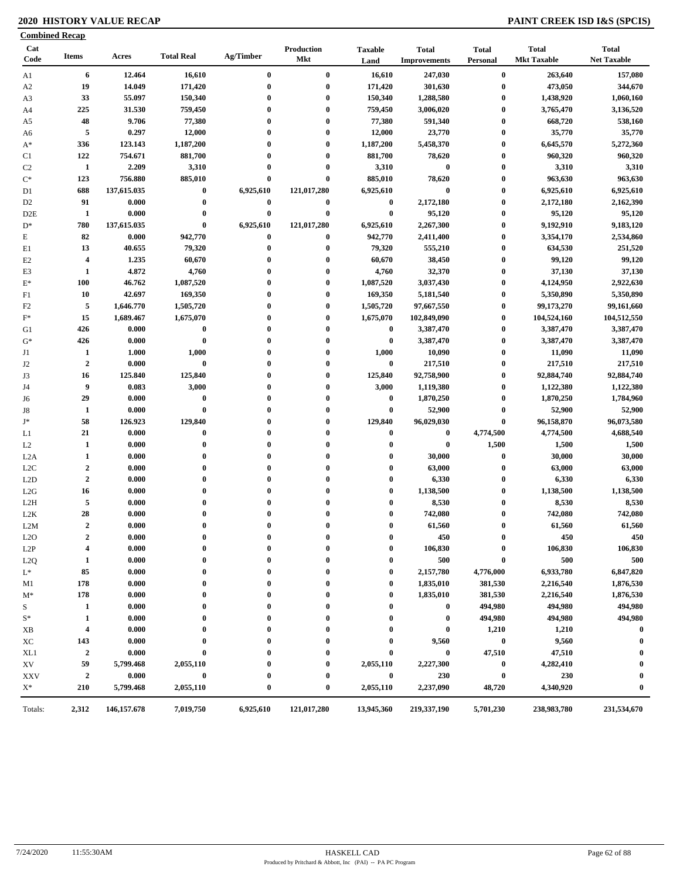### **2020 HISTORY VALUE RECAP PAINT CREEK ISD I&S (SPCIS)**

| Cat<br>Code      | <b>Items</b>                         | Acres         | <b>Total Real</b>        | Ag/Timber        | Production<br>Mkt     | <b>Taxable</b><br>Land | <b>Total</b><br><b>Improvements</b> | <b>Total</b><br>Personal | <b>Total</b><br><b>Mkt Taxable</b> | <b>Total</b><br><b>Net Taxable</b> |
|------------------|--------------------------------------|---------------|--------------------------|------------------|-----------------------|------------------------|-------------------------------------|--------------------------|------------------------------------|------------------------------------|
| Al               | 6                                    | 12.464        | 16,610                   | $\bf{0}$         | $\bf{0}$              | 16,610                 | 247,030                             | $\pmb{0}$                | 263,640                            | 157,080                            |
| A2               | 19                                   | 14.049        | 171,420                  | $\bf{0}$         | $\bf{0}$              | 171,420                | 301,630                             | $\bf{0}$                 | 473,050                            | 344,670                            |
| A3               | 33                                   | 55.097        | 150,340                  | $\boldsymbol{0}$ | $\bf{0}$              | 150,340                | 1,288,580                           | $\bf{0}$                 | 1,438,920                          | 1,060,160                          |
| A4               | 225                                  | 31.530        | 759,450                  | $\boldsymbol{0}$ | $\bf{0}$              | 759,450                | 3,006,020                           | $\boldsymbol{0}$         | 3,765,470                          | 3,136,520                          |
| A5               | 48                                   | 9.706         | 77,380                   | $\mathbf 0$      | $\boldsymbol{0}$      | 77,380                 | 591,340                             | $\bf{0}$                 | 668,720                            | 538,160                            |
| A6               | 5                                    | 0.297         | 12,000                   | $\boldsymbol{0}$ | $\bf{0}$              | 12,000                 | 23,770                              | $\bf{0}$                 | 35,770                             | 35,770                             |
| $A^*$            | 336                                  | 123.143       | 1,187,200                |                  | $\boldsymbol{0}$      | 1,187,200              | 5,458,370                           | $\bf{0}$                 | 6,645,570                          | 5,272,360                          |
| C1               | 122                                  | 754.671       | 881,700                  | $\mathbf 0$      | $\mathbf 0$           | 881,700                | 78,620                              | $\bf{0}$                 | 960,320                            | 960,320                            |
| C <sub>2</sub>   | -1                                   | 2.209         | 3,310                    | $\bf{0}$         | $\mathbf 0$           | 3,310                  | $\bf{0}$                            | $\bf{0}$                 | 3,310                              | 3,310                              |
| $\mathrm{C}^*$   | 123                                  | 756.880       | 885,010                  | $\bf{0}$         | $\bf{0}$              | 885,010                | 78,620                              | $\bf{0}$                 | 963,630                            | 963,630                            |
| D1               | 688                                  | 137,615.035   | $\boldsymbol{0}$         | 6,925,610        | 121,017,280           | 6,925,610              | $\bf{0}$                            | $\bf{0}$                 | 6,925,610                          | 6,925,610                          |
| D <sub>2</sub>   | 91                                   | 0.000         | $\boldsymbol{0}$         | $\bf{0}$         | $\bf{0}$              | $\bf{0}$               | 2,172,180                           | $\bf{0}$                 | 2,172,180                          | 2,162,390                          |
| D2E              | 1                                    | 0.000         | $\boldsymbol{0}$         | $\bf{0}$         | $\bf{0}$              | $\bf{0}$               | 95,120                              | $\bf{0}$                 | 95,120                             | 95,120                             |
| $D^*$            | 780                                  | 137,615.035   | $\bf{0}$                 | 6,925,610        | 121,017,280           | 6,925,610              | 2,267,300                           | $\bf{0}$                 | 9,192,910                          | 9,183,120                          |
| E                | 82                                   | 0.000         | 942,770                  | $\bf{0}$         | $\bf{0}$              | 942,770                | 2,411,400                           | $\bf{0}$                 | 3,354,170                          | 2,534,860                          |
| E1               | 13                                   | 40.655        | 79,320                   | $\boldsymbol{0}$ | $\bf{0}$              | 79,320                 | 555,210                             | $\bf{0}$                 | 634,530                            | 251,520                            |
| E <sub>2</sub>   | 4                                    | 1.235         | 60,670                   | $\boldsymbol{0}$ | $\bf{0}$              | 60,670                 | 38,450                              | $\bf{0}$                 | 99,120                             | 99,120                             |
| E3               | 1                                    | 4.872         | 4,760                    | $\boldsymbol{0}$ | $\mathbf 0$           | 4,760                  | 32,370                              | $\bf{0}$                 | 37,130                             | 37,130                             |
| $\mathbf{E}^*$   | 100                                  | 46.762        | 1,087,520                | $\mathbf 0$      | $\bf{0}$              | 1,087,520              | 3,037,430                           | $\boldsymbol{0}$         | 4,124,950                          | 2,922,630                          |
| F1               | 10                                   | 42.697        | 169,350                  | $\mathbf 0$      | $\mathbf 0$           | 169,350                | 5,181,540                           | $\bf{0}$                 | 5,350,890                          | 5,350,890                          |
| F2               | 5                                    | 1,646.770     | 1,505,720                | $\mathbf 0$      | $\bf{0}$              | 1,505,720              | 97,667,550                          | $\bf{0}$                 | 99,173,270                         | 99,161,660                         |
| $\mathbf{F}^*$   | 15                                   | 1,689.467     | 1,675,070                | $\mathbf 0$      | $\boldsymbol{0}$      | 1,675,070              | 102,849,090                         | $\bf{0}$                 | 104,524,160                        | 104,512,550                        |
| G1               | 426                                  | 0.000         | $\bf{0}$                 | $\mathbf 0$      | $\mathbf 0$           | $\bf{0}$               | 3,387,470                           | $\bf{0}$                 | 3,387,470                          | 3,387,470                          |
| $G^*$            | 426                                  | 0.000         | $\boldsymbol{0}$         | $\mathbf 0$      | $\boldsymbol{0}$      | $\bf{0}$               | 3,387,470                           | $\bf{0}$                 | 3,387,470                          | 3,387,470                          |
| J1               | 1                                    | 1.000         | 1,000                    | $\mathbf 0$      | $\bf{0}$              | 1,000                  | 10,090                              | $\bf{0}$                 | 11,090                             | 11,090                             |
| J <sub>2</sub>   | $\overline{2}$                       | 0.000         | $\bf{0}$                 | $\mathbf 0$      | $\boldsymbol{0}$      | $\bf{0}$               | 217,510                             | $\bf{0}$                 | 217,510                            | 217,510                            |
| J3               | 16                                   | 125.840       | 125,840                  | $\mathbf{0}$     | $\bf{0}$              | 125,840                | 92,758,900                          | $\bf{0}$                 | 92,884,740                         | 92,884,740                         |
| J4               | 9                                    | 0.083         | 3,000                    | 0                | $\boldsymbol{0}$      | 3,000                  | 1,119,380                           | $\bf{0}$                 | 1,122,380                          | 1,122,380                          |
| J6               | 29                                   | 0.000         | $\boldsymbol{0}$         | $\mathbf 0$      | $\mathbf 0$           | $\bf{0}$               | 1,870,250                           | $\bf{0}$                 | 1,870,250                          | 1,784,960                          |
| J8               | 1                                    | 0.000         | $\boldsymbol{0}$         | $\mathbf 0$      | $\boldsymbol{0}$      | $\bf{0}$               | 52,900                              | $\bf{0}$                 | 52,900                             | 52,900                             |
| J*               | 58                                   | 126.923       | 129,840                  | $\mathbf 0$      | $\bf{0}$              | 129,840                | 96,029,030                          | $\bf{0}$                 | 96,158,870                         | 96,073,580                         |
| L1               | 21                                   | 0.000         | $\boldsymbol{0}$         | $\mathbf 0$      | $\mathbf{0}$          | $\bf{0}$               | $\bf{0}$                            | 4,774,500                | 4,774,500                          | 4,688,540                          |
| L2               | 1                                    | 0.000         | $\bf{0}$                 | $\mathbf 0$      | $\mathbf 0$           | $\bf{0}$               | $\bf{0}$                            | 1,500                    | 1,500                              | 1,500                              |
| L <sub>2</sub> A | 1                                    | 0.000         | $\boldsymbol{0}$         | $\mathbf 0$      | $\bf{0}$              | $\bf{0}$               | 30,000                              | $\boldsymbol{0}$         | 30,000                             | 30,000                             |
| L <sub>2</sub> C | $\boldsymbol{2}$                     | 0.000         | $\boldsymbol{0}$         | $\mathbf 0$      | $\mathbf 0$           | $\bf{0}$               | 63,000                              | $\bf{0}$                 | 63,000                             | 63,000                             |
| L <sub>2</sub> D | $\overline{2}$                       | 0.000         | $\boldsymbol{0}$         | $\mathbf 0$      | $\mathbf 0$           | $\bf{0}$               | 6,330                               | $\bf{0}$                 | 6,330                              | 6,330                              |
|                  | 16                                   | 0.000         | $\bf{0}$                 |                  | $\mathbf 0$           | $\bf{0}$               | 1,138,500                           | $\bf{0}$                 | 1,138,500                          | 1,138,500                          |
| L2G<br>L2H       | 5                                    | 0.000         | $\boldsymbol{0}$         |                  | $\mathbf 0$           | $\bf{0}$               | 8,530                               | $\bf{0}$                 | 8,530                              | 8,530                              |
|                  | 28                                   | 0.000         | $\boldsymbol{0}$         | 0                |                       | $\bf{0}$               | 742,080                             | $\bf{0}$                 | 742,080                            | 742,080                            |
| L2K<br>L2M       | $\overline{2}$                       | 0.000         | $\bf{0}$                 | $\bf{0}$         | $\mathbf{0}$          | $\bf{0}$               | 61,560                              | $\bf{0}$                 | 61,560                             | 61,560                             |
|                  |                                      |               |                          | $\mathbf 0$      |                       |                        |                                     | $\bf{0}$                 |                                    |                                    |
| L2O              | $\boldsymbol{2}$<br>$\boldsymbol{4}$ | 0.000         | $\bf{0}$<br>$\mathbf{0}$ | 0                | $\boldsymbol{0}$<br>0 | $\bf{0}$               | 450                                 |                          | 450<br>106,830                     | 450<br>106,830                     |
| L <sub>2</sub> P |                                      | 0.000         |                          |                  |                       | $\bf{0}$               | 106,830                             |                          |                                    |                                    |
| L2Q              | 1                                    | 0.000         | $\boldsymbol{0}$         | 0                | 0                     | $\bf{0}$               | 500                                 | 0                        | 500                                | 500                                |
| $L^*$            | 85                                   | 0.000         | $\boldsymbol{0}$         | $\boldsymbol{0}$ | 0                     | $\bf{0}$               | 2,157,780                           | 4,776,000                | 6,933,780                          | 6,847,820                          |
| M1               | 178                                  | 0.000         | $\boldsymbol{0}$         | $\boldsymbol{0}$ | 0                     | $\bf{0}$               | 1,835,010                           | 381,530                  | 2,216,540                          | 1,876,530                          |
| M*               | 178                                  | 0.000         | $\bf{0}$                 | $\mathbf 0$      |                       | $\bf{0}$               | 1,835,010                           | 381,530                  | 2,216,540                          | 1,876,530                          |
| S                | 1                                    | 0.000         | 0                        | $\boldsymbol{0}$ |                       | $\bf{0}$               | $\bf{0}$                            | 494,980                  | 494,980                            | 494,980                            |
| $\mathbf{S}^*$   | 1                                    | 0.000         | 0                        |                  |                       | 0                      | $\bf{0}$                            | 494,980                  | 494,980                            | 494,980                            |
| XВ               | 4                                    | 0.000         | $\mathbf 0$              | 0                |                       | 0                      | $\bf{0}$                            | 1,210                    | 1,210                              | $\bf{0}$                           |
| XC               | 143                                  | 0.000         | $\boldsymbol{0}$         | $\boldsymbol{0}$ |                       | 0                      | 9,560                               | $\bf{0}$                 | 9,560                              | $\mathbf{0}$                       |
| XL1              | $\boldsymbol{2}$                     | 0.000         | $\bf{0}$                 |                  |                       | 0                      | $\bf{0}$                            | 47,510                   | 47,510                             |                                    |
| XV               | 59                                   | 5,799.468     | 2,055,110                | $\boldsymbol{0}$ | 0                     | 2,055,110              | 2,227,300                           | $\bf{0}$                 | 4,282,410                          | $\boldsymbol{0}$                   |
| XXV              | $\boldsymbol{2}$                     | 0.000         | $\pmb{0}$                | $\boldsymbol{0}$ | $\boldsymbol{0}$      | $\bf{0}$               | 230                                 | $\bf{0}$                 | 230                                | $\mathbf{0}$                       |
| $X^*$            | 210                                  | 5,799.468     | 2,055,110                | $\boldsymbol{0}$ | $\bf{0}$              | 2,055,110              | 2,237,090                           | 48,720                   | 4,340,920                          | $\mathbf{0}$                       |
| Totals:          | 2,312                                | 146, 157. 678 | 7,019,750                | 6,925,610        | 121,017,280           | 13,945,360             | 219,337,190                         | 5,701,230                | 238,983,780                        | 231,534,670                        |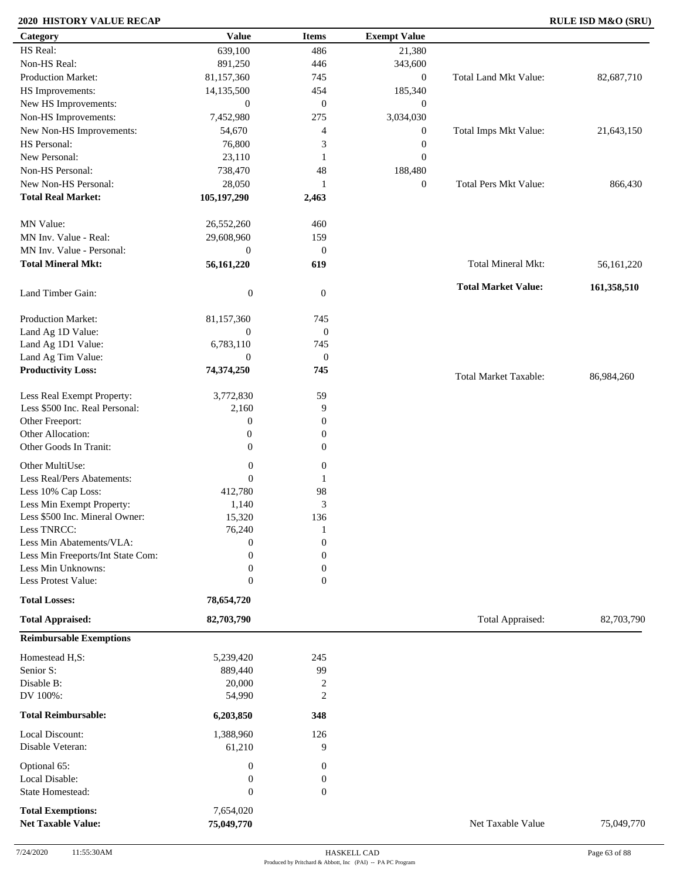### **2020 HISTORY VALUE RECAP RULE ISD M&O (SRU)**

| Category                                              | <b>Value</b>            | <b>Items</b>                | <b>Exempt Value</b> |                              |             |
|-------------------------------------------------------|-------------------------|-----------------------------|---------------------|------------------------------|-------------|
| HS Real:                                              | 639,100                 | 486                         | 21,380              |                              |             |
| Non-HS Real:                                          | 891,250                 | 446                         | 343,600             |                              |             |
| <b>Production Market:</b>                             | 81,157,360              | 745                         | $\boldsymbol{0}$    | Total Land Mkt Value:        | 82,687,710  |
| HS Improvements:                                      | 14,135,500              | 454                         | 185,340             |                              |             |
| New HS Improvements:                                  | $\boldsymbol{0}$        | $\mathbf{0}$                | $\boldsymbol{0}$    |                              |             |
| Non-HS Improvements:                                  | 7,452,980               | 275                         | 3,034,030           |                              |             |
| New Non-HS Improvements:                              | 54,670                  | $\overline{4}$              | $\boldsymbol{0}$    | Total Imps Mkt Value:        | 21,643,150  |
| HS Personal:                                          | 76,800                  | 3                           | $\boldsymbol{0}$    |                              |             |
| New Personal:                                         | 23,110                  | 1                           | $\boldsymbol{0}$    |                              |             |
| Non-HS Personal:                                      | 738,470                 | 48                          |                     |                              |             |
| New Non-HS Personal:                                  |                         |                             | 188,480             |                              |             |
|                                                       | 28,050                  | 1                           | $\boldsymbol{0}$    | <b>Total Pers Mkt Value:</b> | 866,430     |
| <b>Total Real Market:</b>                             | 105,197,290             | 2,463                       |                     |                              |             |
| MN Value:                                             | 26,552,260              | 460                         |                     |                              |             |
| MN Inv. Value - Real:                                 | 29,608,960              | 159                         |                     |                              |             |
| MN Inv. Value - Personal:                             | $\mathbf{0}$            | $\mathbf{0}$                |                     |                              |             |
| <b>Total Mineral Mkt:</b>                             |                         |                             |                     | Total Mineral Mkt:           |             |
|                                                       | 56,161,220              | 619                         |                     |                              | 56,161,220  |
| Land Timber Gain:                                     | $\boldsymbol{0}$        | $\mathbf{0}$                |                     | <b>Total Market Value:</b>   | 161,358,510 |
|                                                       |                         |                             |                     |                              |             |
| Production Market:                                    | 81,157,360              | 745                         |                     |                              |             |
| Land Ag 1D Value:                                     | $\mathbf{0}$            | $\boldsymbol{0}$            |                     |                              |             |
| Land Ag 1D1 Value:                                    | 6,783,110               | 745                         |                     |                              |             |
| Land Ag Tim Value:                                    | $\boldsymbol{0}$        | $\boldsymbol{0}$            |                     |                              |             |
| <b>Productivity Loss:</b>                             | 74,374,250              | 745                         |                     | <b>Total Market Taxable:</b> | 86,984,260  |
|                                                       |                         |                             |                     |                              |             |
| Less Real Exempt Property:                            | 3,772,830               | 59                          |                     |                              |             |
| Less \$500 Inc. Real Personal:                        | 2,160                   | 9                           |                     |                              |             |
| Other Freeport:                                       | $\boldsymbol{0}$        | $\boldsymbol{0}$            |                     |                              |             |
| Other Allocation:                                     | $\boldsymbol{0}$        | $\boldsymbol{0}$            |                     |                              |             |
| Other Goods In Tranit:                                | $\mathbf{0}$            | $\mathbf{0}$                |                     |                              |             |
| Other MultiUse:                                       | $\boldsymbol{0}$        | $\boldsymbol{0}$            |                     |                              |             |
| Less Real/Pers Abatements:                            | $\overline{0}$          | 1                           |                     |                              |             |
| Less 10% Cap Loss:                                    | 412,780                 | 98                          |                     |                              |             |
| Less Min Exempt Property:                             | 1,140                   | $\ensuremath{\mathfrak{Z}}$ |                     |                              |             |
| Less \$500 Inc. Mineral Owner:                        | 15,320                  | 136                         |                     |                              |             |
| Less TNRCC:                                           | 76,240                  | -1                          |                     |                              |             |
| Less Min Abatements/VLA:                              | $\boldsymbol{0}$        | $\boldsymbol{0}$            |                     |                              |             |
| Less Min Freeports/Int State Com:                     | $\Omega$                | $\boldsymbol{0}$            |                     |                              |             |
| Less Min Unknowns:                                    | $\boldsymbol{0}$        | $\boldsymbol{0}$            |                     |                              |             |
| Less Protest Value:                                   | $\mathbf{0}$            | $\overline{0}$              |                     |                              |             |
| <b>Total Losses:</b>                                  | 78,654,720              |                             |                     |                              |             |
|                                                       |                         |                             |                     |                              |             |
| <b>Total Appraised:</b>                               | 82,703,790              |                             |                     | Total Appraised:             | 82,703,790  |
| <b>Reimbursable Exemptions</b>                        |                         |                             |                     |                              |             |
| Homestead H,S:                                        | 5,239,420               | 245                         |                     |                              |             |
| Senior S:                                             | 889,440                 | 99                          |                     |                              |             |
| Disable B:                                            | 20,000                  | $\overline{2}$              |                     |                              |             |
| DV 100%:                                              | 54,990                  | $\overline{2}$              |                     |                              |             |
| <b>Total Reimbursable:</b>                            | 6,203,850               | 348                         |                     |                              |             |
|                                                       |                         |                             |                     |                              |             |
| Local Discount:                                       | 1,388,960               | 126                         |                     |                              |             |
| Disable Veteran:                                      | 61,210                  | 9                           |                     |                              |             |
| Optional 65:                                          | $\boldsymbol{0}$        | $\boldsymbol{0}$            |                     |                              |             |
| Local Disable:                                        | $\boldsymbol{0}$        | $\boldsymbol{0}$            |                     |                              |             |
| State Homestead:                                      | $\boldsymbol{0}$        | $\mathbf{0}$                |                     |                              |             |
|                                                       |                         |                             |                     |                              |             |
| <b>Total Exemptions:</b><br><b>Net Taxable Value:</b> | 7,654,020<br>75,049,770 |                             |                     | Net Taxable Value            | 75,049,770  |
|                                                       |                         |                             |                     |                              |             |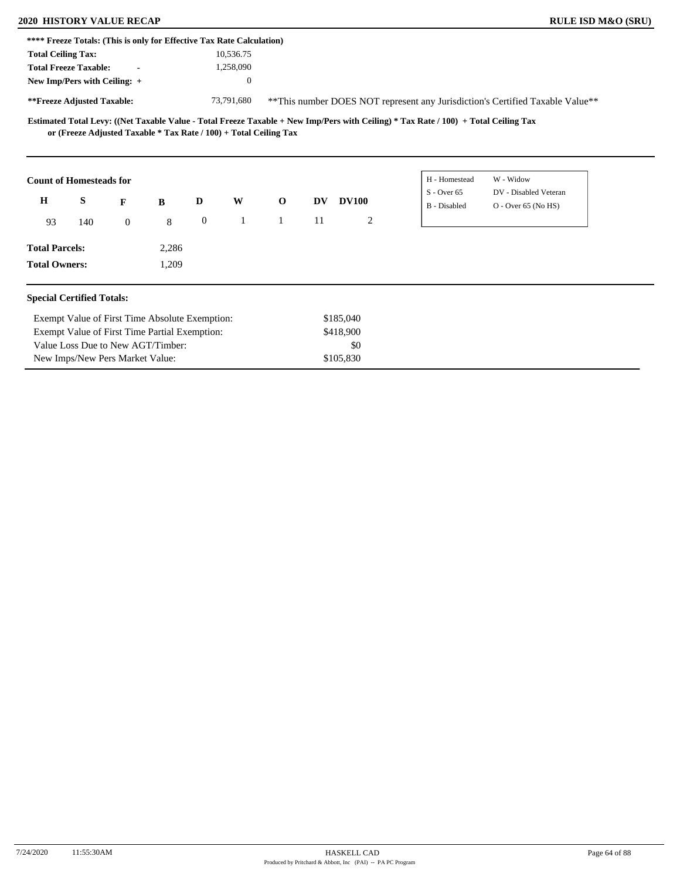New Imps/New Pers Market Value:

| <b>2020 HISTORY VALUE RECAP</b>                                       |     |                                                |       |                  |              |                                                                   |    |              |                                                                                                                                     | <b>RULE ISD M&amp;O (SRU)</b>                                                  |
|-----------------------------------------------------------------------|-----|------------------------------------------------|-------|------------------|--------------|-------------------------------------------------------------------|----|--------------|-------------------------------------------------------------------------------------------------------------------------------------|--------------------------------------------------------------------------------|
| **** Freeze Totals: (This is only for Effective Tax Rate Calculation) |     |                                                |       |                  |              |                                                                   |    |              |                                                                                                                                     |                                                                                |
| <b>Total Ceiling Tax:</b>                                             |     |                                                |       |                  | 10,536.75    |                                                                   |    |              |                                                                                                                                     |                                                                                |
| <b>Total Freeze Taxable:</b>                                          |     |                                                |       |                  | 1,258,090    |                                                                   |    |              |                                                                                                                                     |                                                                                |
| New Imp/Pers with Ceiling: +                                          |     |                                                |       |                  | $\mathbf{0}$ |                                                                   |    |              |                                                                                                                                     |                                                                                |
| **Freeze Adjusted Taxable:                                            |     |                                                |       |                  | 73,791,680   |                                                                   |    |              |                                                                                                                                     | ** This number DOES NOT represent any Jurisdiction's Certified Taxable Value** |
|                                                                       |     |                                                |       |                  |              | or (Freeze Adjusted Taxable * Tax Rate / 100) + Total Ceiling Tax |    |              | Estimated Total Levy: ((Net Taxable Value - Total Freeze Taxable + New Imp/Pers with Ceiling) * Tax Rate / 100) + Total Ceiling Tax |                                                                                |
| <b>Count of Homesteads for</b>                                        |     |                                                |       |                  |              |                                                                   |    |              | H - Homestead<br>$S -$ Over 65                                                                                                      | W - Widow<br>DV - Disabled Veteran                                             |
| $\bf H$                                                               | S   | F                                              | B     | D                | W            | $\mathbf{o}$                                                      | DV | <b>DV100</b> | B - Disabled                                                                                                                        | $O -$ Over 65 (No HS)                                                          |
| 93                                                                    | 140 | $\overline{0}$                                 | 8     | $\boldsymbol{0}$ | $\mathbf{1}$ | $\mathbf{1}$                                                      | 11 | 2            |                                                                                                                                     |                                                                                |
| <b>Total Parcels:</b>                                                 |     |                                                | 2,286 |                  |              |                                                                   |    |              |                                                                                                                                     |                                                                                |
| <b>Total Owners:</b>                                                  |     |                                                | 1,209 |                  |              |                                                                   |    |              |                                                                                                                                     |                                                                                |
| <b>Special Certified Totals:</b>                                      |     |                                                |       |                  |              |                                                                   |    |              |                                                                                                                                     |                                                                                |
|                                                                       |     | Exempt Value of First Time Absolute Exemption: |       |                  |              |                                                                   |    | \$185,040    |                                                                                                                                     |                                                                                |
|                                                                       |     | Exempt Value of First Time Partial Exemption:  |       |                  |              |                                                                   |    | \$418,900    |                                                                                                                                     |                                                                                |
|                                                                       |     | Value Loss Due to New AGT/Timber:              |       |                  |              |                                                                   |    | \$0          |                                                                                                                                     |                                                                                |
|                                                                       |     | New Imps/New Pers Market Value:                |       |                  |              |                                                                   |    | \$105.830    |                                                                                                                                     |                                                                                |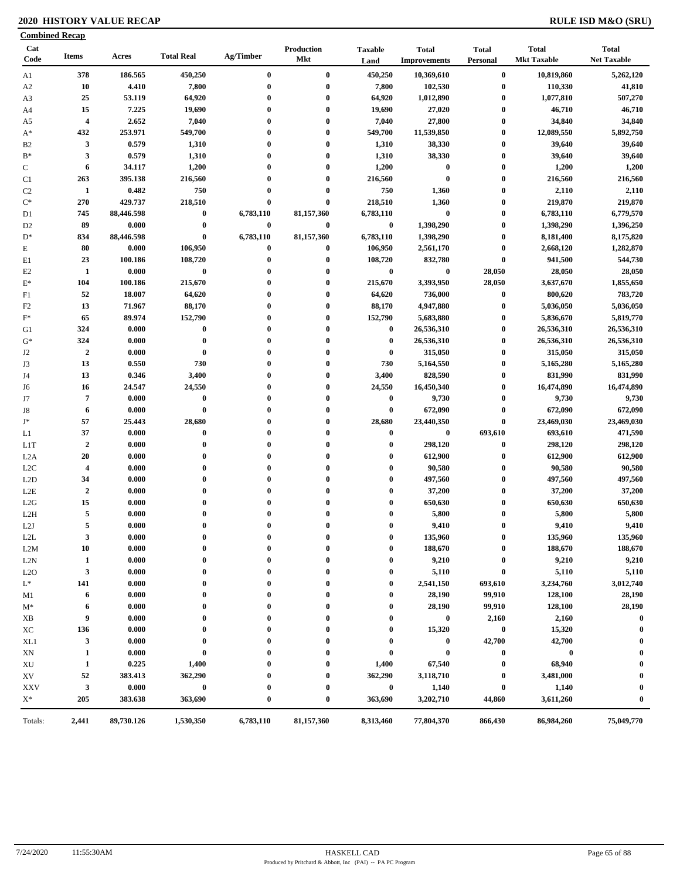### **2020 HISTORY VALUE RECAP RULE ISD M&O (SRU)**

| <b>Combined Recap</b> |                         |            |                   |              |                          |                        |                                     |                          |                                    |                                    |
|-----------------------|-------------------------|------------|-------------------|--------------|--------------------------|------------------------|-------------------------------------|--------------------------|------------------------------------|------------------------------------|
| Cat<br>Code           | Items                   | Acres      | <b>Total Real</b> | Ag/Timber    | Production<br><b>Mkt</b> | <b>Taxable</b><br>Land | <b>Total</b><br><b>Improvements</b> | <b>Total</b><br>Personal | <b>Total</b><br><b>Mkt Taxable</b> | <b>Total</b><br><b>Net Taxable</b> |
| A1                    | 378                     | 186.565    | 450,250           | $\bf{0}$     | $\bf{0}$                 | 450,250                | 10,369,610                          | $\bf{0}$                 | 10,819,860                         | 5,262,120                          |
| A <sub>2</sub>        | 10                      | 4.410      | 7,800             | $\bf{0}$     | $\bf{0}$                 | 7,800                  | 102,530                             | $\bf{0}$                 | 110,330                            | 41,810                             |
| A <sub>3</sub>        | 25                      | 53.119     | 64,920            | $\bf{0}$     | $\bf{0}$                 | 64,920                 | 1,012,890                           | $\bf{0}$                 | 1,077,810                          | 507,270                            |
| A4                    | 15                      | 7.225      | 19,690            | 0            | $\bf{0}$                 | 19,690                 | 27,020                              | $\bf{0}$                 | 46,710                             | 46,710                             |
| A5                    | $\overline{\mathbf{4}}$ | 2.652      | 7,040             | 0            | $\bf{0}$                 | 7,040                  | 27,800                              | $\bf{0}$                 | 34,840                             | 34,840                             |
| $A^*$                 | 432                     | 253.971    | 549,700           | $\bf{0}$     | $\bf{0}$                 | 549,700                | 11,539,850                          | $\bf{0}$                 | 12,089,550                         | 5,892,750                          |
| B <sub>2</sub>        | $\mathbf{3}$            | 0.579      | 1,310             | $\bf{0}$     | $\bf{0}$                 | 1,310                  | 38,330                              | $\boldsymbol{0}$         | 39,640                             | 39,640                             |
| $\mathbf{B}^*$        | 3                       | 0.579      | 1,310             | $\bf{0}$     | $\bf{0}$                 | 1,310                  | 38,330                              | $\boldsymbol{0}$         | 39,640                             | 39,640                             |
| $\mathbf C$           | 6                       | 34.117     | 1,200             | $\bf{0}$     | $\bf{0}$                 | 1,200                  | $\bf{0}$                            | $\boldsymbol{0}$         | 1,200                              | 1,200                              |
| C <sub>1</sub>        | 263                     | 395.138    | 216,560           | $\bf{0}$     | $\bf{0}$                 | 216,560                | $\bf{0}$                            | $\boldsymbol{0}$         | 216,560                            | 216,560                            |
| C <sub>2</sub>        | $\mathbf{1}$            | 0.482      | 750               | $\bf{0}$     | $\bf{0}$                 | 750                    | 1,360                               | $\boldsymbol{0}$         | 2,110                              | 2,110                              |
| $\mathrm{C}^*$        | 270                     | 429.737    | 218,510           | 0            | $\bf{0}$                 | 218,510                | 1,360                               | $\bf{0}$                 | 219,870                            | 219,870                            |
| D1                    | 745                     | 88,446.598 | $\bf{0}$          | 6,783,110    | 81,157,360               | 6,783,110              | $\bf{0}$                            | $\bf{0}$                 | 6,783,110                          | 6,779,570                          |
| D <sub>2</sub>        | 89                      | 0.000      | $\bf{0}$          | $\bf{0}$     | $\bf{0}$                 | $\bf{0}$               | 1,398,290                           | $\bf{0}$                 | 1,398,290                          | 1,396,250                          |
| $D^*$                 | 834                     | 88,446.598 | $\bf{0}$          | 6,783,110    | 81,157,360               | 6,783,110              | 1,398,290                           | $\bf{0}$                 | 8,181,400                          | 8,175,820                          |
| E                     | 80                      | 0.000      | 106,950           | 0            | $\bf{0}$                 | 106,950                | 2,561,170                           | $\boldsymbol{0}$         | 2,668,120                          | 1,282,870                          |
| E1                    | 23                      | 100.186    | 108,720           | $\bf{0}$     | $\bf{0}$                 | 108,720                | 832,780                             | $\pmb{0}$                | 941,500                            | 544,730                            |
| E <sub>2</sub>        | 1                       | 0.000      | $\bf{0}$          | 0            | $\bf{0}$                 | $\bf{0}$               | $\bf{0}$                            | 28,050                   | 28,050                             | 28,050                             |
| $E^*$                 | 104                     | 100.186    | 215,670           | $\bf{0}$     | $\bf{0}$                 | 215,670                | 3,393,950                           | 28,050                   | 3,637,670                          | 1,855,650                          |
| F1                    | 52                      | 18.007     | 64,620            | $\bf{0}$     | $\bf{0}$                 | 64,620                 | 736,000                             | $\boldsymbol{0}$         | 800,620                            | 783,720                            |
| F <sub>2</sub>        | 13                      | 71.967     | 88,170            | $\bf{0}$     | $\bf{0}$                 | 88,170                 | 4,947,880                           | $\bf{0}$                 | 5,036,050                          | 5,036,050                          |
| $\mathbf{F}^*$        | 65                      | 89.974     | 152,790           | $\bf{0}$     | $\bf{0}$                 | 152,790                | 5,683,880                           | $\boldsymbol{0}$         | 5,836,670                          | 5,819,770                          |
| G1                    | 324                     | 0.000      | $\bf{0}$          | $\bf{0}$     | $\bf{0}$                 | $\bf{0}$               | 26,536,310                          | $\bf{0}$                 | 26,536,310                         | 26,536,310                         |
| $G^*$                 | 324                     | 0.000      | $\bf{0}$          | $\bf{0}$     | $\bf{0}$                 | $\bf{0}$               | 26,536,310                          | $\bf{0}$                 | 26,536,310                         | 26,536,310                         |
| J2                    | $\boldsymbol{2}$        | 0.000      | $\bf{0}$          | $\mathbf{0}$ | $\bf{0}$                 | $\bf{0}$               | 315,050                             | $\bf{0}$                 | 315,050                            | 315,050                            |
| J3                    | 13                      | 0.550      | 730               | $\bf{0}$     | $\bf{0}$                 | 730                    | 5,164,550                           | $\boldsymbol{0}$         | 5,165,280                          | 5,165,280                          |
| J4                    | 13                      | 0.346      | 3,400             | 0            | $\bf{0}$                 | 3,400                  | 828,590                             | $\bf{0}$                 | 831,990                            | 831,990                            |
| J6                    | 16                      | 24.547     | 24,550            | $\bf{0}$     | $\bf{0}$                 | 24,550                 | 16,450,340                          | $\bf{0}$                 | 16,474,890                         | 16,474,890                         |
| J7                    | $\overline{7}$          | 0.000      | $\pmb{0}$         | $\bf{0}$     | $\bf{0}$                 | $\bf{0}$               | 9,730                               | $\boldsymbol{0}$         | 9,730                              | 9,730                              |
| J8                    | 6                       | 0.000      | $\bf{0}$          | $\bf{0}$     | $\bf{0}$                 | $\bf{0}$               | 672,090                             | $\bf{0}$                 | 672,090                            | 672,090                            |
| $\mathbf{J}^*$        | 57                      | 25.443     | 28,680            | $\bf{0}$     | $\bf{0}$                 | 28,680                 | 23,440,350                          | $\pmb{0}$                | 23,469,030                         | 23,469,030                         |
| L1                    | 37                      | 0.000      | $\bf{0}$          | $\mathbf{0}$ | $\bf{0}$                 | $\bf{0}$               | $\bf{0}$                            | 693,610                  | 693,610                            | 471,590                            |
| L <sub>1</sub> T      | $\overline{2}$          | 0.000      | $\bf{0}$          | $\bf{0}$     | $\bf{0}$                 | $\bf{0}$               | 298,120                             | $\pmb{0}$                | 298,120                            | 298,120                            |
| L <sub>2</sub> A      | 20                      | 0.000      | $\bf{0}$          | $\bf{0}$     | $\bf{0}$                 | $\bf{0}$               | 612,900                             | $\boldsymbol{0}$         | 612,900                            | 612,900                            |
| L2C                   | $\overline{\mathbf{4}}$ | 0.000      | $\bf{0}$          | $\bf{0}$     | $\bf{0}$                 | $\boldsymbol{0}$       | 90,580                              | $\boldsymbol{0}$         | 90,580                             | 90,580                             |
| L2D                   | 34                      | 0.000      | $\bf{0}$          | $\mathbf{0}$ | $\bf{0}$                 | $\boldsymbol{0}$       | 497,560                             | $\boldsymbol{0}$         | 497,560                            | 497,560                            |
| L2E                   | $\boldsymbol{2}$        | 0.000      | $\bf{0}$          | $\bf{0}$     | $\bf{0}$                 | $\boldsymbol{0}$       | 37,200                              | $\boldsymbol{0}$         | 37,200                             | 37,200                             |
| L2G                   | 15                      | 0.000      | $\bf{0}$          | $\bf{0}$     | $\bf{0}$                 | $\boldsymbol{0}$       | 650,630                             | $\boldsymbol{0}$         | 650,630                            | 650,630                            |
| L2H                   | $\overline{5}$          | 0.000      | $\bf{0}$          | $\bf{0}$     | $\bf{0}$                 | $\bf{0}$               | 5,800                               | $\boldsymbol{0}$         | 5,800                              | 5,800                              |
| L2J                   | 5                       | 0.000      | $\bf{0}$          |              | $\bf{0}$                 | $\bf{0}$               | 9,410                               | $\bf{0}$                 | 9,410                              | 9,410                              |
| L2L                   | 3                       | 0.000      | $\bf{0}$          | 0            | $\boldsymbol{0}$         | $\bf{0}$               | 135,960                             | $\boldsymbol{0}$         | 135,960                            | 135,960                            |
| L2M                   | 10                      | 0.000      | $\bf{0}$          | 0            | $\bf{0}$                 | $\bf{0}$               | 188,670                             | 0                        | 188,670                            | 188,670                            |
| L2N                   | 1                       | 0.000      | $\bf{0}$          |              | 0                        | $\boldsymbol{0}$       | 9,210                               | $\boldsymbol{0}$         | 9,210                              | 9,210                              |
| L2O                   | 3                       | 0.000      | $\bf{0}$          |              | 0                        | $\boldsymbol{0}$       | 5,110                               | $\bf{0}$                 | 5,110                              | 5,110                              |
| $L^*$                 | 141                     | 0.000      | 0                 |              | 0                        | $\bf{0}$               | 2,541,150                           | 693,610                  | 3,234,760                          | 3,012,740                          |
| M1                    | 6                       | 0.000      | 0                 |              | 0                        | $\boldsymbol{0}$       | 28,190                              | 99,910                   | 128,100                            | 28,190                             |
| $M^*$                 | 6                       | 0.000      | $\bf{0}$          |              | $\boldsymbol{0}$         | $\bf{0}$               | 28,190                              | 99,910                   | 128,100                            | 28,190                             |
| XВ                    | 9                       | 0.000      | $\bf{0}$          |              | $\mathbf{0}$             | $\boldsymbol{0}$       | $\bf{0}$                            | 2,160                    | 2,160                              | $\bf{0}$                           |
| ХC                    | 136                     | 0.000      | $\bf{0}$          |              | 0                        | $\bf{0}$               | 15,320                              | $\boldsymbol{0}$         | 15,320                             | $\bf{0}$                           |
| XL1                   | 3                       | 0.000      | 0                 |              |                          | $\boldsymbol{0}$       | $\bf{0}$                            | 42,700                   | 42,700                             | 0                                  |
| XN                    | 1                       | 0.000      | $\bf{0}$          |              | $\mathbf{0}$             | $\bf{0}$               | $\bf{0}$                            | $\pmb{0}$                | $\overline{\mathbf{0}}$            | $\boldsymbol{0}$                   |
| XU                    | 1                       | 0.225      | 1,400             |              | $\mathbf{0}$             | 1,400                  | 67,540                              | $\boldsymbol{0}$         | 68,940                             | $\boldsymbol{0}$                   |
| XV                    | 52                      | 383.413    | 362,290           |              | $\boldsymbol{0}$         | 362,290                | 3,118,710                           | $\bf{0}$                 | 3,481,000                          | $\boldsymbol{0}$                   |
| <b>XXV</b>            | $\mathbf{3}$            | 0.000      | $\bf{0}$          |              | 0                        | $\bf{0}$               | 1,140                               | $\bf{0}$                 | 1,140                              |                                    |
| $X^*$                 | 205                     | 383.638    | 363,690           | $\bf{0}$     | $\bf{0}$                 | 363,690                | 3,202,710                           | 44,860                   | 3,611,260                          | $\boldsymbol{0}$                   |
| Totals:               | 2,441                   | 89,730.126 | 1,530,350         | 6,783,110    | 81,157,360               | 8,313,460              | 77,804,370                          | 866,430                  | 86,984,260                         | 75,049,770                         |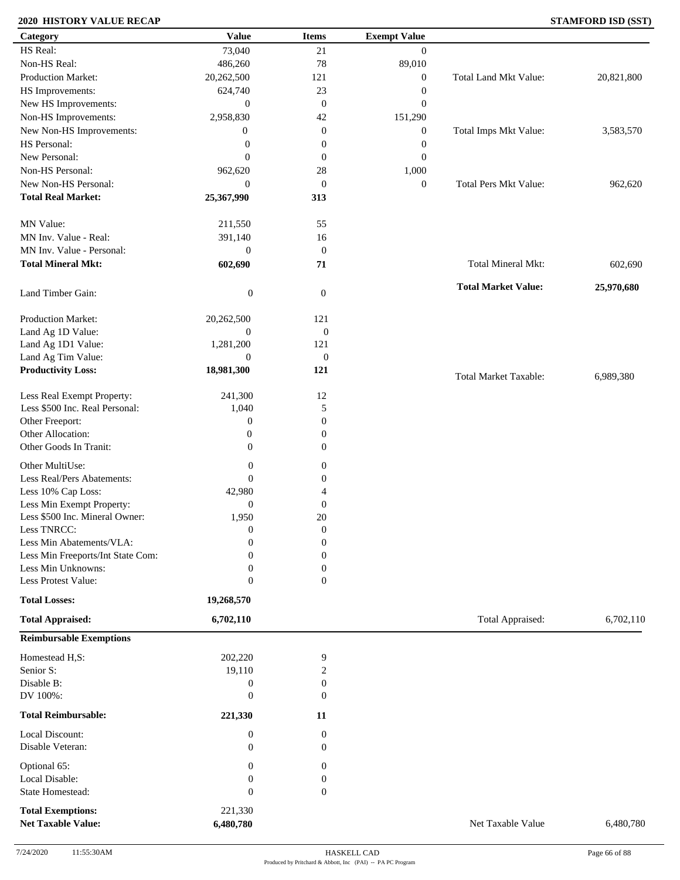### **2020 HISTORY VALUE RECAP STAMFORD ISD (SST)**

| Category                          | <b>Value</b>     | <b>Items</b>     | <b>Exempt Value</b> |                              |            |
|-----------------------------------|------------------|------------------|---------------------|------------------------------|------------|
| HS Real:                          | 73,040           | 21               | $\mathbf{0}$        |                              |            |
| Non-HS Real:                      | 486,260          | 78               | 89,010              |                              |            |
| Production Market:                | 20,262,500       | 121              | $\boldsymbol{0}$    | Total Land Mkt Value:        | 20,821,800 |
| HS Improvements:                  | 624,740          | 23               | $\boldsymbol{0}$    |                              |            |
| New HS Improvements:              | $\boldsymbol{0}$ | $\mathbf{0}$     | $\boldsymbol{0}$    |                              |            |
| Non-HS Improvements:              | 2,958,830        | 42               | 151,290             |                              |            |
| New Non-HS Improvements:          | $\boldsymbol{0}$ | $\boldsymbol{0}$ | $\boldsymbol{0}$    | Total Imps Mkt Value:        | 3,583,570  |
| HS Personal:                      | $\boldsymbol{0}$ | $\boldsymbol{0}$ | $\boldsymbol{0}$    |                              |            |
| New Personal:                     | $\mathbf{0}$     | $\boldsymbol{0}$ | $\boldsymbol{0}$    |                              |            |
| Non-HS Personal:                  | 962,620          | 28               | 1,000               |                              |            |
| New Non-HS Personal:              | $\mathbf{0}$     | $\mathbf{0}$     |                     | <b>Total Pers Mkt Value:</b> |            |
| <b>Total Real Market:</b>         |                  |                  | $\boldsymbol{0}$    |                              | 962,620    |
|                                   | 25,367,990       | 313              |                     |                              |            |
| MN Value:                         | 211,550          | 55               |                     |                              |            |
| MN Inv. Value - Real:             |                  |                  |                     |                              |            |
|                                   | 391,140          | 16               |                     |                              |            |
| MN Inv. Value - Personal:         | $\mathbf{0}$     | $\boldsymbol{0}$ |                     |                              |            |
| <b>Total Mineral Mkt:</b>         | 602,690          | 71               |                     | Total Mineral Mkt:           | 602,690    |
|                                   |                  |                  |                     | <b>Total Market Value:</b>   | 25,970,680 |
| Land Timber Gain:                 | $\boldsymbol{0}$ | $\boldsymbol{0}$ |                     |                              |            |
|                                   |                  |                  |                     |                              |            |
| Production Market:                | 20,262,500       | 121              |                     |                              |            |
| Land Ag 1D Value:                 | $\mathbf{0}$     | $\mathbf{0}$     |                     |                              |            |
| Land Ag 1D1 Value:                | 1,281,200        | 121              |                     |                              |            |
| Land Ag Tim Value:                | $\overline{0}$   | $\mathbf{0}$     |                     |                              |            |
| <b>Productivity Loss:</b>         | 18,981,300       | 121              |                     | Total Market Taxable:        | 6,989,380  |
| Less Real Exempt Property:        | 241,300          | 12               |                     |                              |            |
| Less \$500 Inc. Real Personal:    | 1,040            | 5                |                     |                              |            |
| Other Freeport:                   | $\boldsymbol{0}$ | $\boldsymbol{0}$ |                     |                              |            |
| Other Allocation:                 | $\boldsymbol{0}$ | $\boldsymbol{0}$ |                     |                              |            |
| Other Goods In Tranit:            | $\boldsymbol{0}$ | 0                |                     |                              |            |
|                                   |                  |                  |                     |                              |            |
| Other MultiUse:                   | $\boldsymbol{0}$ | 0                |                     |                              |            |
| Less Real/Pers Abatements:        | $\mathbf{0}$     | 0                |                     |                              |            |
| Less 10% Cap Loss:                | 42,980           | 4                |                     |                              |            |
| Less Min Exempt Property:         | $\theta$         | $\boldsymbol{0}$ |                     |                              |            |
| Less \$500 Inc. Mineral Owner:    | 1,950            | 20               |                     |                              |            |
| Less TNRCC:                       | $\overline{0}$   | $\boldsymbol{0}$ |                     |                              |            |
| Less Min Abatements/VLA:          | $\boldsymbol{0}$ | $\boldsymbol{0}$ |                     |                              |            |
| Less Min Freeports/Int State Com: | $\Omega$         | $\overline{0}$   |                     |                              |            |
| Less Min Unknowns:                | $\overline{0}$   | 0                |                     |                              |            |
| Less Protest Value:               | $\theta$         | $\overline{0}$   |                     |                              |            |
| <b>Total Losses:</b>              | 19,268,570       |                  |                     |                              |            |
| <b>Total Appraised:</b>           |                  |                  |                     | Total Appraised:             | 6,702,110  |
|                                   | 6,702,110        |                  |                     |                              |            |
| <b>Reimbursable Exemptions</b>    |                  |                  |                     |                              |            |
| Homestead H,S:                    | 202,220          | 9                |                     |                              |            |
| Senior S:                         | 19,110           | $\overline{c}$   |                     |                              |            |
| Disable B:                        | $\mathbf{0}$     | 0                |                     |                              |            |
| DV 100%:                          | $\theta$         | $\mathbf{0}$     |                     |                              |            |
| <b>Total Reimbursable:</b>        | 221,330          | 11               |                     |                              |            |
| Local Discount:                   | $\boldsymbol{0}$ | $\boldsymbol{0}$ |                     |                              |            |
| Disable Veteran:                  | $\theta$         | $\mathbf{0}$     |                     |                              |            |
|                                   |                  |                  |                     |                              |            |
| Optional 65:                      | $\boldsymbol{0}$ | $\boldsymbol{0}$ |                     |                              |            |
| Local Disable:                    | $\boldsymbol{0}$ | 0                |                     |                              |            |
| State Homestead:                  | $\mathbf{0}$     | $\boldsymbol{0}$ |                     |                              |            |
| <b>Total Exemptions:</b>          | 221,330          |                  |                     |                              |            |
| <b>Net Taxable Value:</b>         | 6,480,780        |                  |                     | Net Taxable Value            | 6,480,780  |
|                                   |                  |                  |                     |                              |            |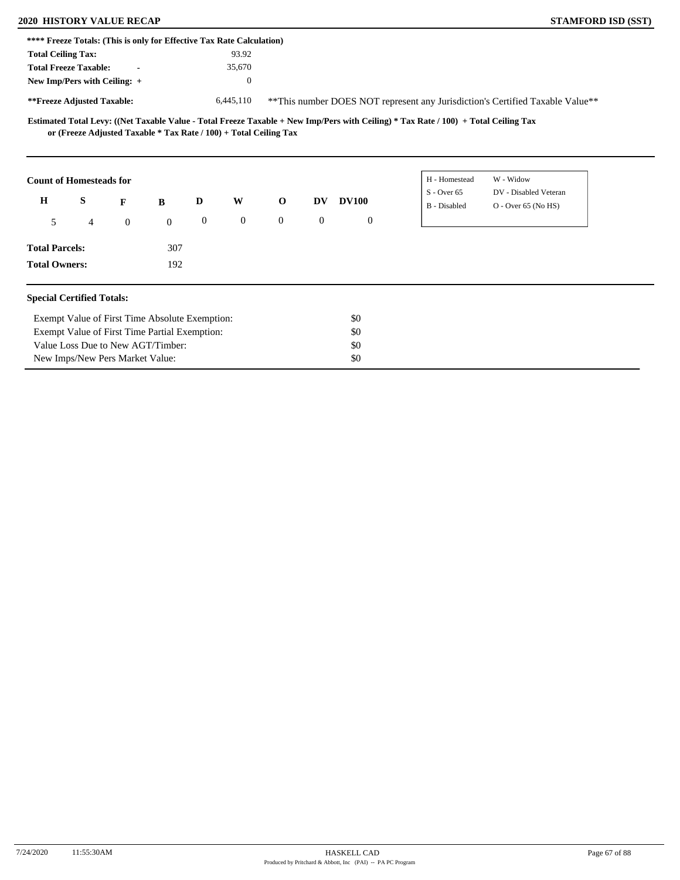## **2020 HISTORY VALUE RECAP STAMFORD ISD (SST)**

|                                         | **** Freeze Totals: (This is only for Effective Tax Rate Calculation) |                |              |                  |              |                |                  |                  |                                                                                                                                     |                                                                                |  |
|-----------------------------------------|-----------------------------------------------------------------------|----------------|--------------|------------------|--------------|----------------|------------------|------------------|-------------------------------------------------------------------------------------------------------------------------------------|--------------------------------------------------------------------------------|--|
| <b>Total Ceiling Tax:</b>               |                                                                       |                |              |                  | 93.92        |                |                  |                  |                                                                                                                                     |                                                                                |  |
|                                         | <b>Total Freeze Taxable:</b>                                          |                |              |                  | 35,670       |                |                  |                  |                                                                                                                                     |                                                                                |  |
|                                         | New Imp/Pers with Ceiling: +                                          |                |              |                  | $\theta$     |                |                  |                  |                                                                                                                                     |                                                                                |  |
| **Freeze Adjusted Taxable:<br>6,445,110 |                                                                       |                |              |                  |              |                |                  |                  |                                                                                                                                     | ** This number DOES NOT represent any Jurisdiction's Certified Taxable Value** |  |
|                                         | or (Freeze Adjusted Taxable * Tax Rate / 100) + Total Ceiling Tax     |                |              |                  |              |                |                  |                  | Estimated Total Levy: ((Net Taxable Value - Total Freeze Taxable + New Imp/Pers with Ceiling) * Tax Rate / 100) + Total Ceiling Tax |                                                                                |  |
|                                         | <b>Count of Homesteads for</b>                                        |                |              |                  |              |                |                  |                  | H - Homestead                                                                                                                       | W - Widow                                                                      |  |
| $\mathbf H$                             | S                                                                     | F              | B            | D                | W            | $\mathbf 0$    | <b>DV</b>        | <b>DV100</b>     | $S -$ Over 65<br>B - Disabled                                                                                                       | DV - Disabled Veteran<br>O - Over 65 (No HS)                                   |  |
| 5                                       | $\overline{4}$                                                        | $\overline{0}$ | $\mathbf{0}$ | $\boldsymbol{0}$ | $\mathbf{0}$ | $\overline{0}$ | $\boldsymbol{0}$ | $\boldsymbol{0}$ |                                                                                                                                     |                                                                                |  |
| <b>Total Parcels:</b>                   |                                                                       |                | 307          |                  |              |                |                  |                  |                                                                                                                                     |                                                                                |  |
| <b>Total Owners:</b>                    |                                                                       |                | 192          |                  |              |                |                  |                  |                                                                                                                                     |                                                                                |  |
|                                         | <b>Special Certified Totals:</b>                                      |                |              |                  |              |                |                  |                  |                                                                                                                                     |                                                                                |  |
|                                         | Exempt Value of First Time Absolute Exemption:                        |                |              |                  |              |                |                  | \$0              |                                                                                                                                     |                                                                                |  |
|                                         | Exempt Value of First Time Partial Exemption:                         |                |              |                  |              |                |                  | \$0              |                                                                                                                                     |                                                                                |  |
|                                         | Value Loss Due to New AGT/Timber:                                     |                |              |                  |              |                |                  | \$0              |                                                                                                                                     |                                                                                |  |
|                                         | New Imps/New Pers Market Value:                                       |                |              |                  |              |                |                  | \$0              |                                                                                                                                     |                                                                                |  |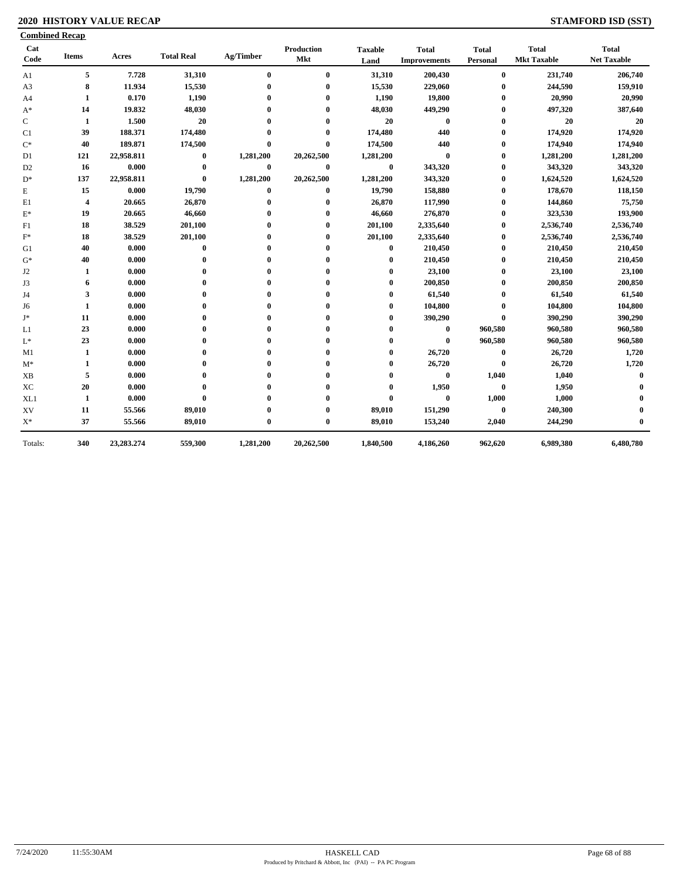### **2020 HISTORY VALUE RECAP STAMFORD ISD (SST)**

|                 | <b>Combined Recap</b>   |            |                   |              |                   |                        |                                     |                          |                                    |                                    |
|-----------------|-------------------------|------------|-------------------|--------------|-------------------|------------------------|-------------------------------------|--------------------------|------------------------------------|------------------------------------|
| Cat<br>Code     | <b>Items</b>            | Acres      | <b>Total Real</b> | Ag/Timber    | Production<br>Mkt | <b>Taxable</b><br>Land | <b>Total</b><br><b>Improvements</b> | <b>Total</b><br>Personal | <b>Total</b><br><b>Mkt Taxable</b> | <b>Total</b><br><b>Net Taxable</b> |
| A1              | 5                       | 7.728      | 31,310            | $\bf{0}$     | $\bf{0}$          | 31,310                 | 200,430                             | $\bf{0}$                 | 231,740                            | 206,740                            |
| A3              | 8                       | 11.934     | 15,530            | $\mathbf 0$  | $\bf{0}$          | 15,530                 | 229,060                             | 0                        | 244,590                            | 159,910                            |
| A4              | 1                       | 0.170      | 1,190             | $\mathbf{0}$ | $\bf{0}$          | 1,190                  | 19,800                              | 0                        | 20,990                             | 20,990                             |
| $A^*$           | 14                      | 19.832     | 48,030            |              | 0                 | 48,030                 | 449,290                             | 0                        | 497,320                            | 387,640                            |
| C               | 1                       | 1.500      | 20                |              | 0                 | 20                     | $\bf{0}$                            | 0                        | 20                                 | 20                                 |
| C <sub>1</sub>  | 39                      | 188.371    | 174,480           |              | $\mathbf{0}$      | 174,480                | 440                                 | $\bf{0}$                 | 174,920                            | 174,920                            |
| $\mathrm{C}^*$  | 40                      | 189.871    | 174,500           | $\mathbf{0}$ | $\mathbf{0}$      | 174,500                | 440                                 | $\bf{0}$                 | 174,940                            | 174,940                            |
| D1              | 121                     | 22,958.811 | $\bf{0}$          | 1,281,200    | 20,262,500        | 1,281,200              | $\bf{0}$                            | 0                        | 1,281,200                          | 1,281,200                          |
| D <sub>2</sub>  | 16                      | 0.000      | $\bf{0}$          | $\bf{0}$     | $\bf{0}$          | $\bf{0}$               | 343,320                             | 0                        | 343,320                            | 343,320                            |
| $\mathbf{D}^*$  | 137                     | 22,958.811 | $\bf{0}$          | 1,281,200    | 20,262,500        | 1,281,200              | 343,320                             | 0                        | 1,624,520                          | 1,624,520                          |
| E               | 15                      | 0.000      | 19,790            | $\bf{0}$     | $\bf{0}$          | 19,790                 | 158,880                             | 0                        | 178,670                            | 118,150                            |
| E1              | $\overline{\mathbf{4}}$ | 20.665     | 26,870            | $\mathbf 0$  | $\bf{0}$          | 26,870                 | 117,990                             | 0                        | 144,860                            | 75,750                             |
| $\mathbf{E}^*$  | 19                      | 20.665     | 46,660            | 0            | $\bf{0}$          | 46,660                 | 276,870                             | 0                        | 323,530                            | 193,900                            |
| F1              | 18                      | 38.529     | 201,100           |              | $\bf{0}$          | 201,100                | 2,335,640                           | 0                        | 2,536,740                          | 2,536,740                          |
| $F^*$           | 18                      | 38.529     | 201,100           |              | $\bf{0}$          | 201,100                | 2,335,640                           | 0                        | 2,536,740                          | 2,536,740                          |
| G1              | 40                      | 0.000      | $\bf{0}$          |              | $\bf{0}$          | $\bf{0}$               | 210,450                             | 0                        | 210,450                            | 210,450                            |
| $G^*$           | 40                      | 0.000      | $\bf{0}$          |              | $\bf{0}$          | $\bf{0}$               | 210,450                             | 0                        | 210,450                            | 210,450                            |
| J <sub>2</sub>  | 1                       | 0.000      | $\bf{0}$          |              | 0                 | $\bf{0}$               | 23,100                              | 0                        | 23,100                             | 23,100                             |
| J3              | 6                       | 0.000      | $\mathbf{0}$      |              | 0                 | $\bf{0}$               | 200,850                             | 0                        | 200,850                            | 200,850                            |
| J4              | 3                       | 0.000      | $\mathbf{0}$      |              | 0                 | $\bf{0}$               | 61,540                              | 0                        | 61,540                             | 61,540                             |
| J6              | 1                       | 0.000      | $\bf{0}$          |              | 0                 | $\bf{0}$               | 104,800                             | 0                        | 104,800                            | 104,800                            |
| J*              | 11                      | 0.000      | $\mathbf{0}$      |              | 0                 | $\bf{0}$               | 390,290                             |                          | 390,290                            | 390,290                            |
| L1              | 23                      | 0.000      | $\bf{0}$          |              | 0                 | $\bf{0}$               | $\bf{0}$                            | 960,580                  | 960,580                            | 960,580                            |
| $\mathcal{L}^*$ | 23                      | 0.000      | $\mathbf{0}$      |              | 0                 | $\bf{0}$               | $\bf{0}$                            | 960,580                  | 960,580                            | 960,580                            |
| M1              | 1                       | 0.000      | $\bf{0}$          |              | 0                 | $\bf{0}$               | 26,720                              | $\bf{0}$                 | 26,720                             | 1,720                              |
| $M^*$           | 1                       | 0.000      | $\mathbf{0}$      |              | 0                 | $\bf{0}$               | 26,720                              | $\bf{0}$                 | 26,720                             | 1,720                              |
| <b>XB</b>       | 5                       | 0.000      | $\mathbf{0}$      |              | 0                 | $\bf{0}$               | $\bf{0}$                            | 1,040                    | 1,040                              | $\bf{0}$                           |
| XC              | 20                      | 0.000      | $\bf{0}$          |              | 0                 | $\bf{0}$               | 1,950                               | $\bf{0}$                 | 1,950                              |                                    |
| XL1             | 1                       | 0.000      | $\bf{0}$          |              | 0                 | $\bf{0}$               | $\bf{0}$                            | 1,000                    | 1,000                              |                                    |
| XV              | 11                      | 55.566     | 89,010            |              | 0                 | 89,010                 | 151,290                             | $\bf{0}$                 | 240,300                            |                                    |
| $\mathbf{X}^*$  | 37                      | 55.566     | 89,010            | $\mathbf{0}$ | $\bf{0}$          | 89,010                 | 153,240                             | 2,040                    | 244,290                            |                                    |
| Totals:         | 340                     | 23,283.274 | 559,300           | 1,281,200    | 20,262,500        | 1,840,500              | 4,186,260                           | 962,620                  | 6,989,380                          | 6,480,780                          |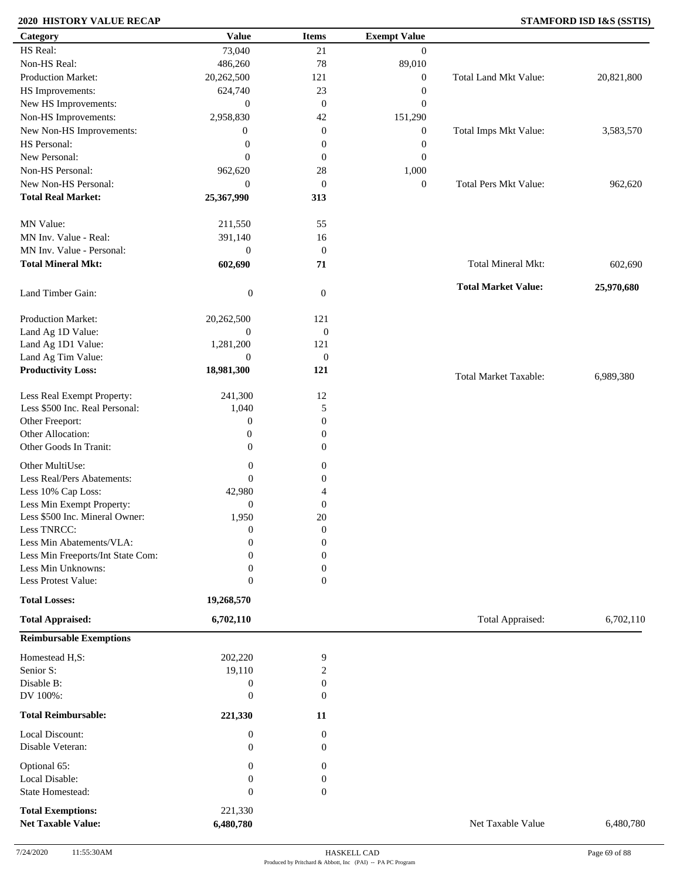### **2020 HISTORY VALUE RECAP STAMFORD ISD I&S (SSTIS)**

| Category                          | <b>Value</b>     | <b>Items</b>     | <b>Exempt Value</b> |                              |            |
|-----------------------------------|------------------|------------------|---------------------|------------------------------|------------|
| HS Real:                          | 73,040           | 21               | $\mathbf{0}$        |                              |            |
| Non-HS Real:                      | 486,260          | 78               | 89,010              |                              |            |
| Production Market:                | 20,262,500       | 121              | $\boldsymbol{0}$    | Total Land Mkt Value:        | 20,821,800 |
| HS Improvements:                  | 624,740          | 23               | $\boldsymbol{0}$    |                              |            |
| New HS Improvements:              | $\mathbf{0}$     | $\mathbf{0}$     | $\boldsymbol{0}$    |                              |            |
| Non-HS Improvements:              | 2,958,830        | 42               | 151,290             |                              |            |
| New Non-HS Improvements:          | $\mathbf{0}$     | $\boldsymbol{0}$ | $\boldsymbol{0}$    | Total Imps Mkt Value:        | 3,583,570  |
| HS Personal:                      | $\boldsymbol{0}$ | $\boldsymbol{0}$ | $\boldsymbol{0}$    |                              |            |
| New Personal:                     | $\mathbf{0}$     | $\mathbf{0}$     | $\boldsymbol{0}$    |                              |            |
| Non-HS Personal:                  |                  |                  |                     |                              |            |
| New Non-HS Personal:              | 962,620          | 28               | 1,000               |                              |            |
|                                   | $\mathbf{0}$     | $\boldsymbol{0}$ | $\boldsymbol{0}$    | <b>Total Pers Mkt Value:</b> | 962,620    |
| <b>Total Real Market:</b>         | 25,367,990       | 313              |                     |                              |            |
| MN Value:                         | 211,550          | 55               |                     |                              |            |
| MN Inv. Value - Real:             | 391,140          | 16               |                     |                              |            |
| MN Inv. Value - Personal:         | $\boldsymbol{0}$ | $\boldsymbol{0}$ |                     |                              |            |
| <b>Total Mineral Mkt:</b>         | 602,690          | 71               |                     | <b>Total Mineral Mkt:</b>    | 602,690    |
|                                   |                  |                  |                     |                              |            |
| Land Timber Gain:                 | $\boldsymbol{0}$ | $\mathbf{0}$     |                     | <b>Total Market Value:</b>   | 25,970,680 |
| Production Market:                | 20,262,500       | 121              |                     |                              |            |
| Land Ag 1D Value:                 | $\boldsymbol{0}$ | $\boldsymbol{0}$ |                     |                              |            |
| Land Ag 1D1 Value:                | 1,281,200        | 121              |                     |                              |            |
| Land Ag Tim Value:                | $\mathbf{0}$     | $\boldsymbol{0}$ |                     |                              |            |
| <b>Productivity Loss:</b>         | 18,981,300       | 121              |                     | <b>Total Market Taxable:</b> | 6,989,380  |
|                                   |                  |                  |                     |                              |            |
| Less Real Exempt Property:        | 241,300          | 12               |                     |                              |            |
| Less \$500 Inc. Real Personal:    | 1,040            | 5                |                     |                              |            |
| Other Freeport:                   | $\boldsymbol{0}$ | $\boldsymbol{0}$ |                     |                              |            |
| Other Allocation:                 | $\boldsymbol{0}$ | $\mathbf{0}$     |                     |                              |            |
| Other Goods In Tranit:            | $\mathbf{0}$     | $\mathbf{0}$     |                     |                              |            |
| Other MultiUse:                   | $\boldsymbol{0}$ | $\boldsymbol{0}$ |                     |                              |            |
| Less Real/Pers Abatements:        | $\boldsymbol{0}$ | $\boldsymbol{0}$ |                     |                              |            |
| Less 10% Cap Loss:                | 42,980           | 4                |                     |                              |            |
| Less Min Exempt Property:         | $\boldsymbol{0}$ | $\mathbf{0}$     |                     |                              |            |
| Less \$500 Inc. Mineral Owner:    | 1,950            | 20               |                     |                              |            |
| Less TNRCC:                       | $\boldsymbol{0}$ | $\mathbf{0}$     |                     |                              |            |
| Less Min Abatements/VLA:          | $\mathbf{0}$     | $\boldsymbol{0}$ |                     |                              |            |
| Less Min Freeports/Int State Com: | 0                | $\Omega$         |                     |                              |            |
| Less Min Unknowns:                | 0                | 0                |                     |                              |            |
| Less Protest Value:               | $\boldsymbol{0}$ | $\overline{0}$   |                     |                              |            |
| <b>Total Losses:</b>              | 19,268,570       |                  |                     |                              |            |
| <b>Total Appraised:</b>           | 6,702,110        |                  |                     | Total Appraised:             | 6,702,110  |
| <b>Reimbursable Exemptions</b>    |                  |                  |                     |                              |            |
| Homestead H,S:                    | 202,220          | 9                |                     |                              |            |
| Senior S:                         | 19,110           | 2                |                     |                              |            |
| Disable B:                        | $\boldsymbol{0}$ | $\boldsymbol{0}$ |                     |                              |            |
| DV 100%:                          | $\boldsymbol{0}$ | $\mathbf{0}$     |                     |                              |            |
| <b>Total Reimbursable:</b>        | 221,330          | 11               |                     |                              |            |
| Local Discount:                   | $\boldsymbol{0}$ | $\boldsymbol{0}$ |                     |                              |            |
| Disable Veteran:                  | $\boldsymbol{0}$ | $\overline{0}$   |                     |                              |            |
| Optional 65:                      | 0                | $\mathbf{0}$     |                     |                              |            |
| Local Disable:                    | $\boldsymbol{0}$ | $\boldsymbol{0}$ |                     |                              |            |
| State Homestead:                  | $\boldsymbol{0}$ | $\mathbf{0}$     |                     |                              |            |
|                                   |                  |                  |                     |                              |            |
| <b>Total Exemptions:</b>          | 221,330          |                  |                     |                              |            |
| <b>Net Taxable Value:</b>         | 6,480,780        |                  |                     | Net Taxable Value            | 6,480,780  |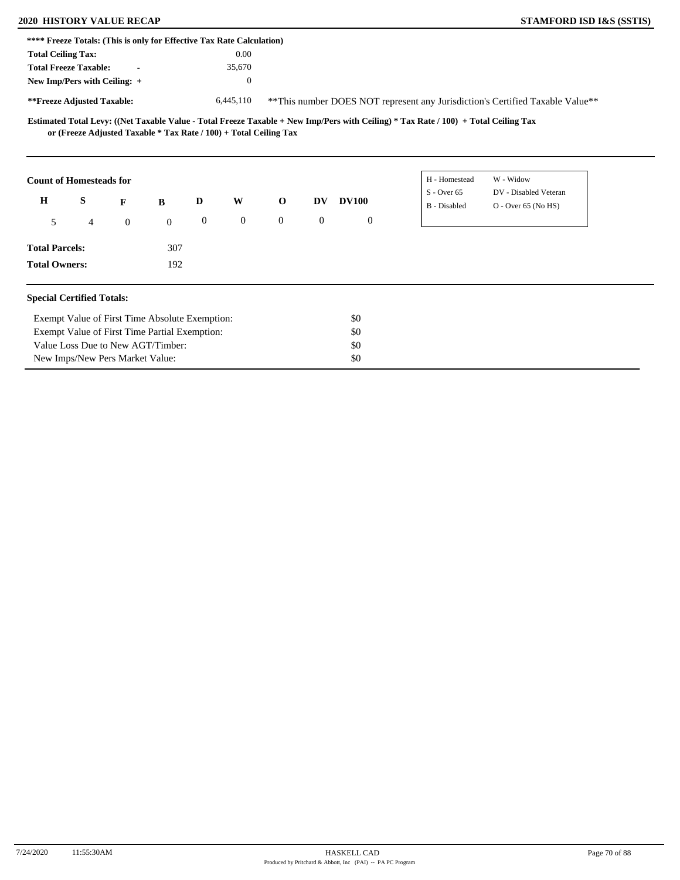# **2020 HISTORY VALUE RECAP STAMFORD ISD I&S (SSTIS)**

| <b>STAMFORD ISD I&amp;S (SSTIS)</b> |  |  |  |
|-------------------------------------|--|--|--|
|-------------------------------------|--|--|--|

|                                         | **** Freeze Totals: (This is only for Effective Tax Rate Calculation) |                |              |                  |                  |                |              |              |                                                                                                                                     |                                                                                |  |
|-----------------------------------------|-----------------------------------------------------------------------|----------------|--------------|------------------|------------------|----------------|--------------|--------------|-------------------------------------------------------------------------------------------------------------------------------------|--------------------------------------------------------------------------------|--|
| <b>Total Ceiling Tax:</b>               |                                                                       |                |              |                  | 0.00             |                |              |              |                                                                                                                                     |                                                                                |  |
|                                         | <b>Total Freeze Taxable:</b>                                          | $\blacksquare$ |              |                  | 35,670           |                |              |              |                                                                                                                                     |                                                                                |  |
|                                         | New Imp/Pers with Ceiling: +                                          |                |              |                  | $\boldsymbol{0}$ |                |              |              |                                                                                                                                     |                                                                                |  |
| **Freeze Adjusted Taxable:<br>6,445,110 |                                                                       |                |              |                  |                  |                |              |              |                                                                                                                                     | ** This number DOES NOT represent any Jurisdiction's Certified Taxable Value** |  |
|                                         | or (Freeze Adjusted Taxable $*$ Tax Rate / 100) + Total Ceiling Tax   |                |              |                  |                  |                |              |              | Estimated Total Levy: ((Net Taxable Value - Total Freeze Taxable + New Imp/Pers with Ceiling) * Tax Rate / 100) + Total Ceiling Tax |                                                                                |  |
|                                         | <b>Count of Homesteads for</b>                                        |                |              |                  |                  |                |              |              | H - Homestead                                                                                                                       | W - Widow                                                                      |  |
| $\mathbf H$                             | S                                                                     | F              | B            | D                | W                | $\mathbf{o}$   | DV           | <b>DV100</b> | $S - Over 65$<br>B - Disabled                                                                                                       | DV - Disabled Veteran<br>O - Over 65 (No HS)                                   |  |
| 5                                       | 4                                                                     | $\mathbf{0}$   | $\mathbf{0}$ | $\boldsymbol{0}$ | $\overline{0}$   | $\overline{0}$ | $\mathbf{0}$ | $\mathbf{0}$ |                                                                                                                                     |                                                                                |  |
| <b>Total Parcels:</b>                   |                                                                       |                | 307          |                  |                  |                |              |              |                                                                                                                                     |                                                                                |  |
| <b>Total Owners:</b>                    |                                                                       |                | 192          |                  |                  |                |              |              |                                                                                                                                     |                                                                                |  |
|                                         | <b>Special Certified Totals:</b>                                      |                |              |                  |                  |                |              |              |                                                                                                                                     |                                                                                |  |
|                                         | Exempt Value of First Time Absolute Exemption:                        |                |              |                  |                  |                |              | \$0          |                                                                                                                                     |                                                                                |  |
|                                         | Exempt Value of First Time Partial Exemption:                         |                |              |                  |                  |                |              | \$0          |                                                                                                                                     |                                                                                |  |
|                                         | Value Loss Due to New AGT/Timber:                                     |                |              |                  |                  |                |              | \$0          |                                                                                                                                     |                                                                                |  |
|                                         | New Imps/New Pers Market Value:                                       |                |              |                  |                  |                |              | \$0          |                                                                                                                                     |                                                                                |  |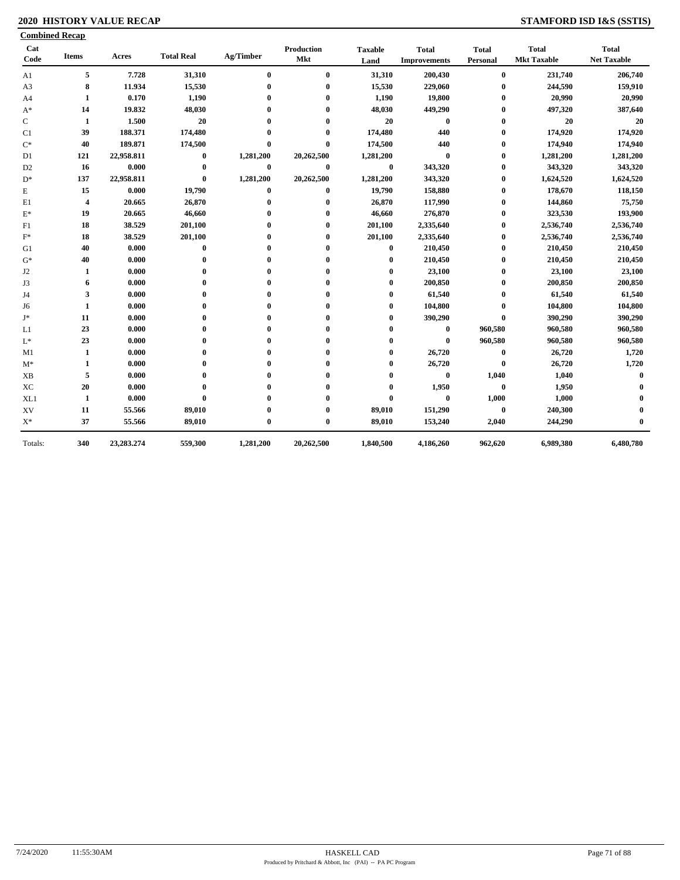### **2020 HISTORY VALUE RECAP STAMFORD ISD I&S (SSTIS)**

| Cat<br>Code    | <b>Items</b> | Acres      | <b>Total Real</b> | Ag/Timber    | Production<br>Mkt | <b>Taxable</b><br>Land | <b>Total</b><br><b>Improvements</b> | <b>Total</b><br>Personal | <b>Total</b><br><b>Mkt Taxable</b> | <b>Total</b><br><b>Net Taxable</b> |
|----------------|--------------|------------|-------------------|--------------|-------------------|------------------------|-------------------------------------|--------------------------|------------------------------------|------------------------------------|
| A1             | 5            | 7.728      | 31,310            | $\bf{0}$     | $\bf{0}$          | 31,310                 | 200,430                             | $\bf{0}$                 | 231,740                            | 206,740                            |
| A3             | 8            | 11.934     | 15,530            | $\mathbf{0}$ | $\mathbf{0}$      | 15,530                 | 229,060                             | $\bf{0}$                 | 244,590                            | 159,910                            |
| A <sub>4</sub> | 1            | 0.170      | 1,190             |              | $\bf{0}$          | 1,190                  | 19,800                              | $\bf{0}$                 | 20,990                             | 20,990                             |
| $A^*$          | 14           | 19.832     | 48,030            |              | 0                 | 48,030                 | 449,290                             | $\bf{0}$                 | 497,320                            | 387,640                            |
| C              | 1            | 1.500      | 20                |              |                   | 20                     | $\bf{0}$                            | $\bf{0}$                 | 20                                 | 20                                 |
| C1             | 39           | 188.371    | 174,480           |              | $\boldsymbol{0}$  | 174,480                | 440                                 | $\bf{0}$                 | 174,920                            | 174,920                            |
| $C^*$          | 40           | 189.871    | 174,500           | $\mathbf{0}$ | $\bf{0}$          | 174,500                | 440                                 | $\bf{0}$                 | 174,940                            | 174,940                            |
| D1             | 121          | 22,958.811 | $\bf{0}$          | 1,281,200    | 20,262,500        | 1,281,200              | $\bf{0}$                            | $\bf{0}$                 | 1,281,200                          | 1,281,200                          |
| D <sub>2</sub> | 16           | 0.000      | $\bf{0}$          | $\bf{0}$     | $\bf{0}$          | $\bf{0}$               | 343,320                             | $\bf{0}$                 | 343,320                            | 343,320                            |
| $D^*$          | 137          | 22,958.811 | $\bf{0}$          | 1,281,200    | 20,262,500        | 1,281,200              | 343,320                             | $\bf{0}$                 | 1,624,520                          | 1,624,520                          |
| Е              | 15           | 0.000      | 19,790            | $\bf{0}$     | $\bf{0}$          | 19,790                 | 158,880                             | $\bf{0}$                 | 178,670                            | 118,150                            |
| E1             | 4            | 20.665     | 26,870            | $\mathbf{0}$ | $\mathbf{0}$      | 26,870                 | 117,990                             | $\bf{0}$                 | 144,860                            | 75,750                             |
| $\mathbf{E}^*$ | 19           | 20.665     | 46,660            |              | $\mathbf{0}$      | 46,660                 | 276,870                             | $\bf{0}$                 | 323,530                            | 193,900                            |
| F1             | 18           | 38.529     | 201,100           |              | $\mathbf{0}$      | 201,100                | 2,335,640                           | $\bf{0}$                 | 2,536,740                          | 2,536,740                          |
| $\mathbf{F}^*$ | 18           | 38.529     | 201,100           |              | $\mathbf 0$       | 201,100                | 2,335,640                           | $\bf{0}$                 | 2,536,740                          | 2,536,740                          |
| G1             | 40           | 0.000      | $\bf{0}$          |              | 0                 | $\bf{0}$               | 210,450                             | $\bf{0}$                 | 210,450                            | 210,450                            |
| $G^*$          | 40           | 0.000      | $\mathbf{0}$      |              | 0                 |                        | 210,450                             | $\bf{0}$                 | 210,450                            | 210,450                            |
| J <sub>2</sub> | 1            | 0.000      |                   |              |                   |                        | 23,100                              | 0                        | 23,100                             | 23,100                             |
| J3             | 6            | 0.000      |                   |              |                   |                        | 200,850                             | 0                        | 200,850                            | 200,850                            |
| J4             | 3            | 0.000      |                   |              | 0                 |                        | 61,540                              | 0                        | 61,540                             | 61,540                             |
| J6             | 1            | 0.000      |                   |              |                   | $\mathbf 0$            | 104,800                             | 0                        | 104,800                            | 104,800                            |
| J*             | 11           | 0.000      | 0                 |              | 0                 | 0                      | 390,290                             |                          | 390,290                            | 390,290                            |
| L1             | 23           | 0.000      |                   |              | 0                 |                        | $\bf{0}$                            | 960,580                  | 960,580                            | 960,580                            |
| $\mathbf{L}^*$ | 23           | 0.000      |                   |              | 0                 |                        | $\bf{0}$                            | 960,580                  | 960,580                            | 960,580                            |
| M1             | 1            | 0.000      |                   |              | $\mathbf{0}$      | 0                      | 26,720                              | $\bf{0}$                 | 26,720                             | 1,720                              |
| $M^*$          | 1            | 0.000      |                   |              | $\mathbf 0$       | 0                      | 26,720                              | $\bf{0}$                 | 26,720                             | 1,720                              |
| <b>XB</b>      | 5            | 0.000      |                   |              | $\mathbf 0$       | 0                      | $\bf{0}$                            | 1,040                    | 1,040                              | $\mathbf 0$                        |
| XC             | 20           | 0.000      |                   |              |                   | 0                      | 1,950                               | $\bf{0}$                 | 1,950                              |                                    |
| XL1            | 1            | 0.000      | $\mathbf{0}$      |              |                   | 0                      | $\bf{0}$                            | 1,000                    | 1,000                              |                                    |
| XV             | 11           | 55.566     | 89,010            |              | 0                 | 89,010                 | 151,290                             | $\bf{0}$                 | 240,300                            |                                    |
| $\mathbf{X}^*$ | 37           | 55.566     | 89,010            | $\mathbf{0}$ | $\bf{0}$          | 89,010                 | 153,240                             | 2,040                    | 244,290                            |                                    |
| Totals:        | 340          | 23,283.274 | 559,300           | 1,281,200    | 20,262,500        | 1,840,500              | 4,186,260                           | 962,620                  | 6,989,380                          | 6,480,780                          |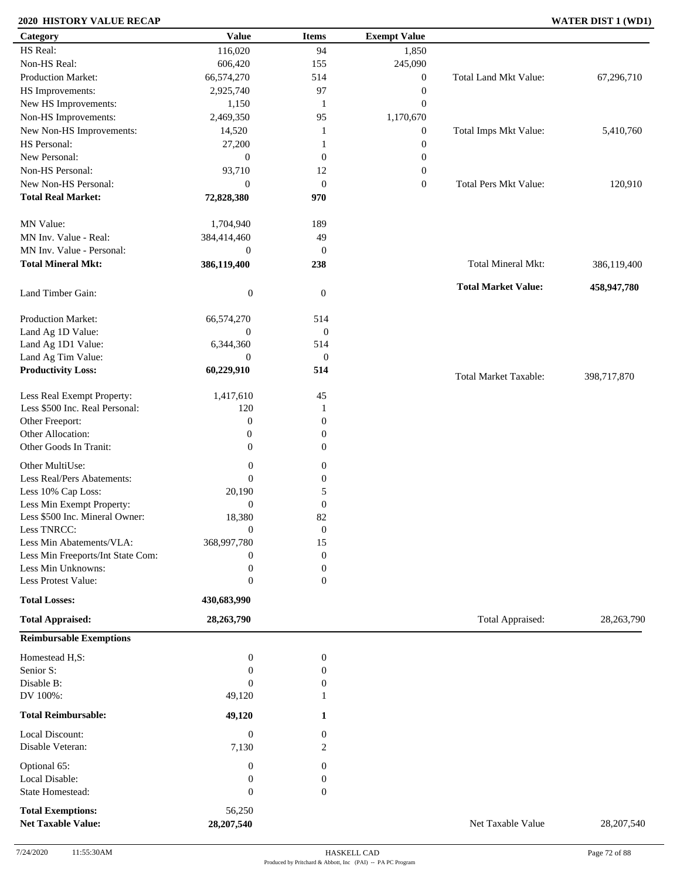### **2020 HISTORY VALUE RECAP WATER DIST 1 (WD1)**

| Category                                              | <b>Value</b>         | <b>Items</b>     | <b>Exempt Value</b> |                              |             |
|-------------------------------------------------------|----------------------|------------------|---------------------|------------------------------|-------------|
| HS Real:                                              | 116,020              | 94               | 1,850               |                              |             |
| Non-HS Real:                                          | 606,420              | 155              | 245,090             |                              |             |
| <b>Production Market:</b>                             | 66,574,270           | 514              | $\boldsymbol{0}$    | Total Land Mkt Value:        | 67,296,710  |
| HS Improvements:                                      | 2,925,740            | 97               | $\boldsymbol{0}$    |                              |             |
| New HS Improvements:                                  | 1,150                | -1               | $\boldsymbol{0}$    |                              |             |
| Non-HS Improvements:                                  | 2,469,350            | 95               | 1,170,670           |                              |             |
|                                                       |                      |                  |                     |                              |             |
| New Non-HS Improvements:<br>HS Personal:              | 14,520               | 1                | $\boldsymbol{0}$    | Total Imps Mkt Value:        | 5,410,760   |
|                                                       | 27,200               | 1                | $\boldsymbol{0}$    |                              |             |
| New Personal:                                         | $\mathbf{0}$         | $\mathbf{0}$     | $\boldsymbol{0}$    |                              |             |
| Non-HS Personal:                                      | 93,710               | 12               | $\boldsymbol{0}$    |                              |             |
| New Non-HS Personal:                                  | $\mathbf{0}$         | $\mathbf{0}$     | $\boldsymbol{0}$    | Total Pers Mkt Value:        | 120,910     |
| <b>Total Real Market:</b>                             | 72,828,380           | 970              |                     |                              |             |
| MN Value:                                             | 1,704,940            | 189              |                     |                              |             |
| MN Inv. Value - Real:                                 | 384,414,460          | 49               |                     |                              |             |
| MN Inv. Value - Personal:                             | $\mathbf{0}$         | $\mathbf{0}$     |                     |                              |             |
| <b>Total Mineral Mkt:</b>                             | 386,119,400          | 238              |                     | Total Mineral Mkt:           | 386,119,400 |
| Land Timber Gain:                                     | $\boldsymbol{0}$     | $\mathbf{0}$     |                     | <b>Total Market Value:</b>   | 458,947,780 |
|                                                       |                      |                  |                     |                              |             |
| Production Market:                                    | 66,574,270           | 514              |                     |                              |             |
| Land Ag 1D Value:                                     | $\overline{0}$       | $\boldsymbol{0}$ |                     |                              |             |
| Land Ag 1D1 Value:                                    | 6,344,360            | 514              |                     |                              |             |
| Land Ag Tim Value:                                    | $\overline{0}$       | $\boldsymbol{0}$ |                     |                              |             |
| <b>Productivity Loss:</b>                             | 60,229,910           | 514              |                     | <b>Total Market Taxable:</b> | 398,717,870 |
| Less Real Exempt Property:                            | 1,417,610            | 45               |                     |                              |             |
| Less \$500 Inc. Real Personal:                        | 120                  | -1               |                     |                              |             |
| Other Freeport:                                       | $\boldsymbol{0}$     | $\boldsymbol{0}$ |                     |                              |             |
| Other Allocation:                                     | $\boldsymbol{0}$     | $\boldsymbol{0}$ |                     |                              |             |
| Other Goods In Tranit:                                | $\theta$             | $\mathbf{0}$     |                     |                              |             |
|                                                       |                      |                  |                     |                              |             |
| Other MultiUse:                                       | $\boldsymbol{0}$     | $\overline{0}$   |                     |                              |             |
| Less Real/Pers Abatements:                            | $\mathbf{0}$         | $\mathbf{0}$     |                     |                              |             |
| Less 10% Cap Loss:                                    | 20,190               | 5                |                     |                              |             |
| Less Min Exempt Property:                             | $\boldsymbol{0}$     | $\mathbf{0}$     |                     |                              |             |
| Less \$500 Inc. Mineral Owner:                        | 18,380               | 82               |                     |                              |             |
| Less TNRCC:                                           | $\mathbf{0}$         | $\boldsymbol{0}$ |                     |                              |             |
| Less Min Abatements/VLA:                              | 368,997,780          | 15               |                     |                              |             |
| Less Min Freeports/Int State Com:                     | 0                    | $\boldsymbol{0}$ |                     |                              |             |
| Less Min Unknowns:                                    | $\boldsymbol{0}$     | $\boldsymbol{0}$ |                     |                              |             |
| Less Protest Value:                                   | $\boldsymbol{0}$     | $\mathbf{0}$     |                     |                              |             |
| <b>Total Losses:</b>                                  | 430,683,990          |                  |                     |                              |             |
| <b>Total Appraised:</b>                               | 28,263,790           |                  |                     | Total Appraised:             | 28,263,790  |
| <b>Reimbursable Exemptions</b>                        |                      |                  |                     |                              |             |
| Homestead H,S:                                        | $\boldsymbol{0}$     | $\boldsymbol{0}$ |                     |                              |             |
| Senior S:                                             | 0                    | $\boldsymbol{0}$ |                     |                              |             |
| Disable B:                                            | $\theta$             | $\boldsymbol{0}$ |                     |                              |             |
| DV 100%:                                              | 49,120               | 1                |                     |                              |             |
| <b>Total Reimbursable:</b>                            | 49,120               | 1                |                     |                              |             |
|                                                       |                      |                  |                     |                              |             |
| Local Discount:                                       | $\boldsymbol{0}$     | $\mathbf{0}$     |                     |                              |             |
| Disable Veteran:                                      | 7,130                | 2                |                     |                              |             |
| Optional 65:                                          | $\boldsymbol{0}$     | 0                |                     |                              |             |
| Local Disable:                                        | $\boldsymbol{0}$     | $\mathbf{0}$     |                     |                              |             |
| State Homestead:                                      | $\boldsymbol{0}$     | $\mathbf{0}$     |                     |                              |             |
|                                                       |                      |                  |                     |                              |             |
| <b>Total Exemptions:</b><br><b>Net Taxable Value:</b> | 56,250<br>28,207,540 |                  |                     | Net Taxable Value            | 28,207,540  |
|                                                       |                      |                  |                     |                              |             |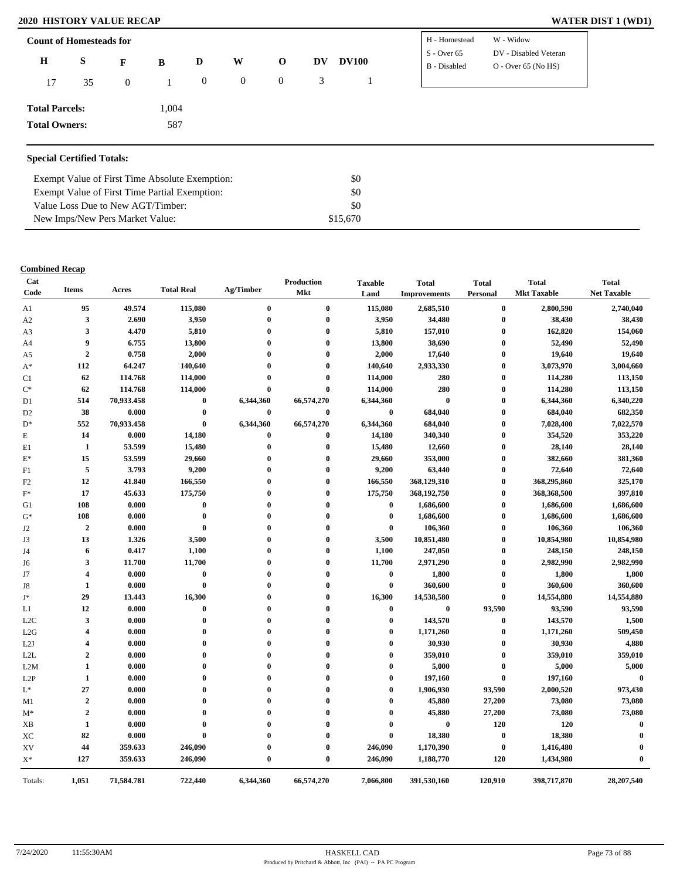### **2020 HISTORY VALUE RECAP**

|                       | <b>Count of Homesteads for</b> |                |       |              |                |                  |    |              | H - Homestead                 | W - Widow                                      |
|-----------------------|--------------------------------|----------------|-------|--------------|----------------|------------------|----|--------------|-------------------------------|------------------------------------------------|
| $\mathbf H$           | S                              | F              | B     | D            | W              | $\mathbf{o}$     | DV | <b>DV100</b> | $S - Over 65$<br>B - Disabled | DV - Disabled Veteran<br>$O - Over 65 (No HS)$ |
| 17                    | 35                             | $\overline{0}$ |       | $\mathbf{0}$ | $\overline{0}$ | $\boldsymbol{0}$ | 3  |              |                               |                                                |
| <b>Total Parcels:</b> |                                |                | 1,004 |              |                |                  |    |              |                               |                                                |
| <b>Total Owners:</b>  |                                |                | 587   |              |                |                  |    |              |                               |                                                |

| Exempt Value of First Time Absolute Exemption: | SO.      |
|------------------------------------------------|----------|
| Exempt Value of First Time Partial Exemption:  | SO.      |
| Value Loss Due to New AGT/Timber:              | \$0      |
| New Imps/New Pers Market Value:                | \$15,670 |

| Cat<br>Code      | <b>Items</b>            | Acres      | <b>Total Real</b> | Ag/Timber        | <b>Production</b><br><b>Mkt</b> | <b>Taxable</b><br>Land | <b>Total</b><br><b>Improvements</b> | <b>Total</b><br>Personal | <b>Total</b><br><b>Mkt Taxable</b> | <b>Total</b><br><b>Net Taxable</b> |
|------------------|-------------------------|------------|-------------------|------------------|---------------------------------|------------------------|-------------------------------------|--------------------------|------------------------------------|------------------------------------|
| A1               | 95                      | 49.574     | 115,080           | $\bf{0}$         | $\bf{0}$                        | 115,080                | 2,685,510                           | $\bf{0}$                 | 2,800,590                          | 2,740,040                          |
| A2               | 3                       | 2.690      | 3,950             | $\bf{0}$         | $\bf{0}$                        | 3,950                  | 34,480                              | $\bf{0}$                 | 38,430                             | 38,430                             |
| A <sub>3</sub>   | 3                       | 4.470      | 5,810             | $\boldsymbol{0}$ | $\mathbf 0$                     | 5,810                  | 157,010                             | $\bf{0}$                 | 162,820                            | 154,060                            |
| A4               | 9                       | 6.755      | 13,800            | $\mathbf 0$      | $\mathbf 0$                     | 13,800                 | 38,690                              | $\bf{0}$                 | 52,490                             | 52,490                             |
| A5               | $\overline{2}$          | 0.758      | 2,000             | $\mathbf{0}$     | $\mathbf{0}$                    | 2,000                  | 17,640                              | $\bf{0}$                 | 19,640                             | 19,640                             |
| $A^*$            | 112                     | 64.247     | 140,640           | $\mathbf 0$      | $\mathbf{0}$                    | 140,640                | 2,933,330                           | $\bf{0}$                 | 3,073,970                          | 3,004,660                          |
| C1               | 62                      | 114.768    | 114,000           | 0                | $\mathbf 0$                     | 114,000                | 280                                 | $\bf{0}$                 | 114,280                            | 113,150                            |
| $C^*$            | 62                      | 114.768    | 114,000           | $\mathbf 0$      | $\mathbf 0$                     | 114,000                | 280                                 | $\bf{0}$                 | 114,280                            | 113,150                            |
| D1               | 514                     | 70,933.458 | $\bf{0}$          | 6,344,360        | 66,574,270                      | 6,344,360              | $\bf{0}$                            | $\bf{0}$                 | 6,344,360                          | 6,340,220                          |
| D <sub>2</sub>   | 38                      | 0.000      | $\bf{0}$          | $\bf{0}$         | $\bf{0}$                        | $\bf{0}$               | 684,040                             | $\bf{0}$                 | 684,040                            | 682,350                            |
| $D^*$            | 552                     | 70,933.458 | $\bf{0}$          | 6,344,360        | 66,574,270                      | 6,344,360              | 684,040                             | $\bf{0}$                 | 7,028,400                          | 7,022,570                          |
| E                | 14                      | 0.000      | 14,180            | $\bf{0}$         | $\mathbf 0$                     | 14,180                 | 340,340                             | $\bf{0}$                 | 354,520                            | 353,220                            |
| E1               | 1                       | 53.599     | 15,480            | $\bf{0}$         | $\bf{0}$                        | 15,480                 | 12,660                              | $\bf{0}$                 | 28,140                             | 28,140                             |
| $E^*$            | 15                      | 53.599     | 29,660            | $\boldsymbol{0}$ | 0                               | 29,660                 | 353,000                             | $\bf{0}$                 | 382,660                            | 381,360                            |
| F1               | 5                       | 3.793      | 9,200             | $\boldsymbol{0}$ | $\mathbf 0$                     | 9,200                  | 63,440                              | $\mathbf{0}$             | 72,640                             | 72,640                             |
| F2               | 12                      | 41.840     | 166,550           | $\boldsymbol{0}$ | $\boldsymbol{0}$                | 166,550                | 368,129,310                         | $\bf{0}$                 | 368,295,860                        | 325,170                            |
| $\mathbf{F}^*$   | 17                      | 45.633     | 175,750           | $\mathbf 0$      | $\mathbf 0$                     | 175,750                | 368,192,750                         | $\mathbf{0}$             | 368,368,500                        | 397,810                            |
| G1               | 108                     | 0.000      | $\bf{0}$          | $\mathbf{0}$     | $\mathbf{0}$                    | $\bf{0}$               | 1,686,600                           | $\bf{0}$                 | 1,686,600                          | 1,686,600                          |
| $G^*$            | 108                     | 0.000      | $\bf{0}$          | $\mathbf 0$      | $\mathbf 0$                     | $\bf{0}$               | 1,686,600                           | $\bf{0}$                 | 1,686,600                          | 1,686,600                          |
| J2               | $\overline{2}$          | 0.000      | $\bf{0}$          | $\mathbf 0$      | $\mathbf 0$                     | $\bf{0}$               | 106,360                             | $\bf{0}$                 | 106,360                            | 106,360                            |
| J3               | 13                      | 1.326      | 3,500             | $\mathbf 0$      | $\mathbf 0$                     | 3,500                  | 10,851,480                          | $\bf{0}$                 | 10,854,980                         | 10,854,980                         |
| J4               | 6                       | 0.417      | 1,100             | $\boldsymbol{0}$ | $\boldsymbol{0}$                | 1,100                  | 247,050                             | $\bf{0}$                 | 248,150                            | 248,150                            |
| J6               | 3                       | 11.700     | 11,700            | $\mathbf 0$      | $\mathbf 0$                     | 11,700                 | 2,971,290                           | $\bf{0}$                 | 2,982,990                          | 2,982,990                          |
| J7               | $\overline{\mathbf{4}}$ | 0.000      | $\bf{0}$          | $\mathbf{0}$     | $\mathbf{0}$                    | $\bf{0}$               | 1,800                               | $\mathbf{0}$             | 1,800                              | 1,800                              |
| J8               | 1                       | 0.000      | $\boldsymbol{0}$  | $\mathbf 0$      | 0                               | $\bf{0}$               | 360,600                             | $\bf{0}$                 | 360,600                            | 360,600                            |
| J*               | 29                      | 13.443     | 16,300            | $\mathbf 0$      | $\mathbf 0$                     | 16,300                 | 14,538,580                          | $\bf{0}$                 | 14,554,880                         | 14,554,880                         |
| L1               | 12                      | 0.000      | $\bf{0}$          | $\mathbf 0$      | $\mathbf 0$                     | $\bf{0}$               | $\bf{0}$                            | 93,590                   | 93,590                             | 93,590                             |
| L2C              | 3                       | 0.000      | $\boldsymbol{0}$  | $\bf{0}$         | $\mathbf{0}$                    | $\bf{0}$               | 143,570                             | $\bf{0}$                 | 143,570                            | 1,500                              |
| L2G              | $\overline{\mathbf{4}}$ | 0.000      | $\mathbf{0}$      | $\mathbf 0$      | $\mathbf{0}$                    | $\bf{0}$               | 1,171,260                           | $\bf{0}$                 | 1,171,260                          | 509,450                            |
| L2J              | $\overline{\mathbf{4}}$ | 0.000      | $\bf{0}$          | $\mathbf 0$      | $\mathbf{0}$                    | $\bf{0}$               | 30,930                              | $\bf{0}$                 | 30,930                             | 4,880                              |
| L2L              | $\overline{2}$          | 0.000      | $\bf{0}$          | $\mathbf 0$      | $\mathbf{0}$                    | $\bf{0}$               | 359,010                             | $\bf{0}$                 | 359,010                            | 359,010                            |
| L2M              | 1                       | 0.000      | $\mathbf 0$       | $\mathbf{0}$     | $\mathbf{0}$                    | $\mathbf{0}$           | 5,000                               | $\bf{0}$                 | 5,000                              | 5,000                              |
| L <sub>2</sub> P | 1                       | 0.000      | $\mathbf{0}$      | $\mathbf 0$      |                                 | $\bf{0}$               | 197,160                             | $\bf{0}$                 | 197,160                            | $\bf{0}$                           |
| $\mathrm{L}^*$   | 27                      | 0.000      | $\bf{0}$          | $\mathbf{0}$     | $\mathbf{0}$                    | $\bf{0}$               | 1,906,930                           | 93,590                   | 2,000,520                          | 973,430                            |
| M1               | $\overline{2}$          | 0.000      | $\mathbf{0}$      | $\mathbf{0}$     | ſ                               | $\bf{0}$               | 45,880                              | 27,200                   | 73,080                             | 73,080                             |
| $M^*$            | $\overline{2}$          | 0.000      | $\bf{0}$          | $\mathbf 0$      | 0                               | $\bf{0}$               | 45,880                              | 27,200                   | 73,080                             | 73,080                             |
| XВ               | 1                       | 0.000      | $\bf{0}$          | $\mathbf{0}$     |                                 | $\bf{0}$               | $\bf{0}$                            | 120                      | 120                                | $\mathbf{0}$                       |
| XC               | 82                      | 0.000      | $\bf{0}$          | $\mathbf 0$      | $\mathbf{0}$                    | $\bf{0}$               | 18,380                              | $\bf{0}$                 | 18,380                             | $\mathbf{0}$                       |
| XV               | 44                      | 359.633    | 246,090           | $\boldsymbol{0}$ | $\mathbf 0$                     | 246,090                | 1,170,390                           | $\bf{0}$                 | 1,416,480                          | $\boldsymbol{0}$                   |
| $X^*$            | 127                     | 359.633    | 246,090           | $\mathbf 0$      | $\mathbf{0}$                    | 246,090                | 1,188,770                           | 120                      | 1,434,980                          | $\theta$                           |
| Totals:          | 1,051                   | 71,584.781 | 722,440           | 6,344,360        | 66,574,270                      | 7,066,800              | 391,530,160                         | 120,910                  | 398,717,870                        | 28,207,540                         |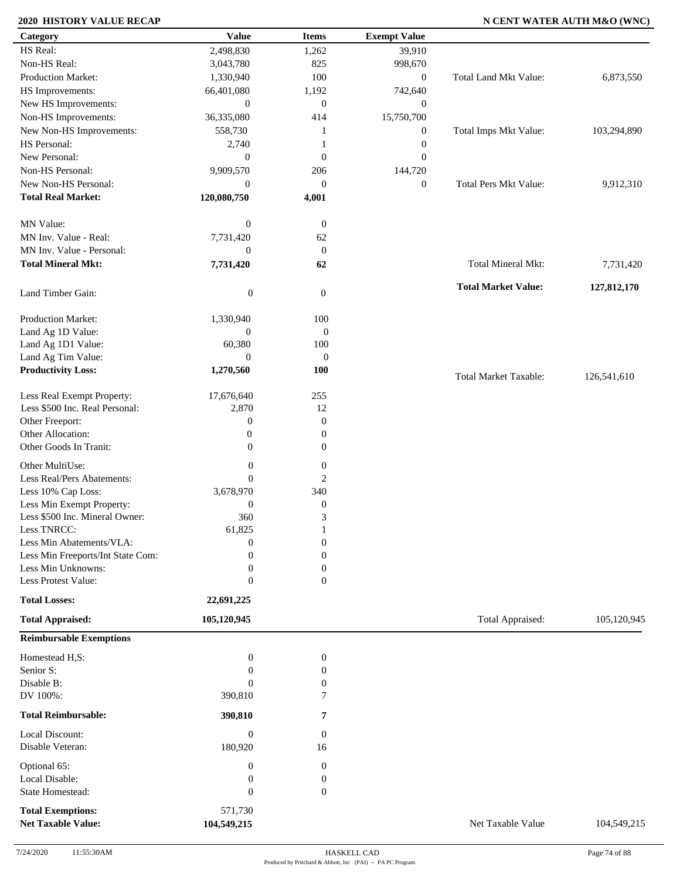## **2020 HISTORY VALUE RECAP N CENT WATER AUTH M&O (WNC)**

| Category                             | <b>Value</b>        | <b>Items</b>     | <b>Exempt Value</b> |                              |             |
|--------------------------------------|---------------------|------------------|---------------------|------------------------------|-------------|
| HS Real:                             | 2,498,830           | 1,262            | 39,910              |                              |             |
| Non-HS Real:                         | 3,043,780           | 825              | 998,670             |                              |             |
| Production Market:                   | 1,330,940           | 100              | $\boldsymbol{0}$    | Total Land Mkt Value:        | 6,873,550   |
| HS Improvements:                     | 66,401,080          | 1,192            | 742,640             |                              |             |
| New HS Improvements:                 | $\mathbf{0}$        | $\mathbf{0}$     | $\boldsymbol{0}$    |                              |             |
| Non-HS Improvements:                 | 36,335,080          | 414              | 15,750,700          |                              |             |
| New Non-HS Improvements:             | 558,730             | -1               | $\boldsymbol{0}$    | Total Imps Mkt Value:        | 103,294,890 |
| HS Personal:                         | 2,740               | -1               | $\boldsymbol{0}$    |                              |             |
| New Personal:                        | $\boldsymbol{0}$    | $\boldsymbol{0}$ | $\boldsymbol{0}$    |                              |             |
| Non-HS Personal:                     | 9,909,570           | 206              | 144,720             |                              |             |
| New Non-HS Personal:                 | $\mathbf{0}$        | $\boldsymbol{0}$ | $\boldsymbol{0}$    | <b>Total Pers Mkt Value:</b> | 9,912,310   |
| <b>Total Real Market:</b>            | 120,080,750         | 4,001            |                     |                              |             |
|                                      |                     |                  |                     |                              |             |
| MN Value:                            | $\boldsymbol{0}$    | $\boldsymbol{0}$ |                     |                              |             |
| MN Inv. Value - Real:                | 7,731,420           | 62               |                     |                              |             |
| MN Inv. Value - Personal:            | $\mathbf{0}$        | $\mathbf{0}$     |                     |                              |             |
| <b>Total Mineral Mkt:</b>            |                     |                  |                     |                              |             |
|                                      | 7,731,420           | 62               |                     | Total Mineral Mkt:           | 7,731,420   |
|                                      |                     |                  |                     | <b>Total Market Value:</b>   | 127,812,170 |
| Land Timber Gain:                    | $\boldsymbol{0}$    | $\boldsymbol{0}$ |                     |                              |             |
|                                      |                     |                  |                     |                              |             |
| Production Market:                   | 1,330,940           | 100              |                     |                              |             |
| Land Ag 1D Value:                    | $\boldsymbol{0}$    | $\mathbf{0}$     |                     |                              |             |
| Land Ag 1D1 Value:                   | 60,380              | 100              |                     |                              |             |
| Land Ag Tim Value:                   | $\overline{0}$      | $\boldsymbol{0}$ |                     |                              |             |
| <b>Productivity Loss:</b>            | 1,270,560           | 100              |                     | <b>Total Market Taxable:</b> | 126,541,610 |
| Less Real Exempt Property:           |                     | 255              |                     |                              |             |
| Less \$500 Inc. Real Personal:       | 17,676,640<br>2,870 | 12               |                     |                              |             |
|                                      |                     |                  |                     |                              |             |
| Other Freeport:<br>Other Allocation: | $\boldsymbol{0}$    | $\boldsymbol{0}$ |                     |                              |             |
|                                      | $\boldsymbol{0}$    | $\boldsymbol{0}$ |                     |                              |             |
| Other Goods In Tranit:               | $\boldsymbol{0}$    | $\boldsymbol{0}$ |                     |                              |             |
| Other MultiUse:                      | $\boldsymbol{0}$    | $\boldsymbol{0}$ |                     |                              |             |
| Less Real/Pers Abatements:           | $\overline{0}$      | 2                |                     |                              |             |
| Less 10% Cap Loss:                   | 3,678,970           | 340              |                     |                              |             |
| Less Min Exempt Property:            | $\boldsymbol{0}$    | $\boldsymbol{0}$ |                     |                              |             |
| Less \$500 Inc. Mineral Owner:       | 360                 | 3                |                     |                              |             |
| Less TNRCC:                          | 61,825              | 1                |                     |                              |             |
| Less Min Abatements/VLA:             | $\boldsymbol{0}$    | $\boldsymbol{0}$ |                     |                              |             |
| Less Min Freeports/Int State Com:    | $\Omega$            | $\overline{0}$   |                     |                              |             |
| Less Min Unknowns:                   | $\theta$            | $\boldsymbol{0}$ |                     |                              |             |
| Less Protest Value:                  | $\boldsymbol{0}$    | $\overline{0}$   |                     |                              |             |
| <b>Total Losses:</b>                 | 22,691,225          |                  |                     |                              |             |
|                                      |                     |                  |                     |                              |             |
| <b>Total Appraised:</b>              | 105,120,945         |                  |                     | Total Appraised:             | 105,120,945 |
| <b>Reimbursable Exemptions</b>       |                     |                  |                     |                              |             |
| Homestead H,S:                       | $\boldsymbol{0}$    | $\boldsymbol{0}$ |                     |                              |             |
| Senior S:                            | $\overline{0}$      | $\boldsymbol{0}$ |                     |                              |             |
| Disable B:                           | $\overline{0}$      | 0                |                     |                              |             |
| DV 100%:                             | 390,810             | 7                |                     |                              |             |
|                                      |                     |                  |                     |                              |             |
| <b>Total Reimbursable:</b>           | 390,810             | 7                |                     |                              |             |
| Local Discount:                      | $\boldsymbol{0}$    | $\boldsymbol{0}$ |                     |                              |             |
| Disable Veteran:                     | 180,920             | 16               |                     |                              |             |
|                                      |                     |                  |                     |                              |             |
| Optional 65:                         | $\boldsymbol{0}$    | $\boldsymbol{0}$ |                     |                              |             |
| Local Disable:                       | $\boldsymbol{0}$    | $\boldsymbol{0}$ |                     |                              |             |
| <b>State Homestead:</b>              | $\boldsymbol{0}$    | $\boldsymbol{0}$ |                     |                              |             |
| <b>Total Exemptions:</b>             | 571,730             |                  |                     |                              |             |
| <b>Net Taxable Value:</b>            | 104,549,215         |                  |                     | Net Taxable Value            | 104,549,215 |
|                                      |                     |                  |                     |                              |             |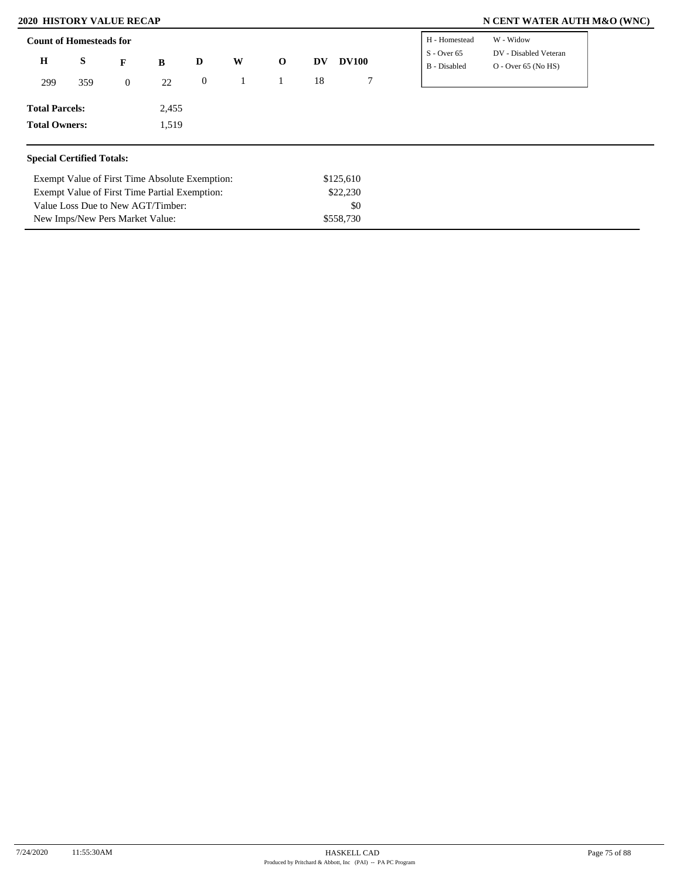Value Loss Due to New AGT/Timber: New Imps/New Pers Market Value:

## **2020 HISTORY VALUE RECAP N CENT WATER AUTH M&O (WNC)**

| <b>Count of Homesteads for</b>   |     |                  |                                                |              |   |              |    |              | H - Homestead                 | W - Widow                                      |
|----------------------------------|-----|------------------|------------------------------------------------|--------------|---|--------------|----|--------------|-------------------------------|------------------------------------------------|
| $\mathbf H$                      | S   | $\mathbf{F}$     | B                                              | D            | W | $\mathbf{o}$ | DV | <b>DV100</b> | $S - Over 65$<br>B - Disabled | DV - Disabled Veteran<br>$O -$ Over 65 (No HS) |
| 299                              | 359 | $\boldsymbol{0}$ | 22                                             | $\mathbf{0}$ |   |              | 18 | $\tau$       |                               |                                                |
| <b>Total Parcels:</b>            |     |                  | 2,455                                          |              |   |              |    |              |                               |                                                |
| <b>Total Owners:</b>             |     |                  | 1,519                                          |              |   |              |    |              |                               |                                                |
| <b>Special Certified Totals:</b> |     |                  |                                                |              |   |              |    |              |                               |                                                |
|                                  |     |                  | Exempt Value of First Time Absolute Exemption: |              |   |              |    | \$125,610    |                               |                                                |
|                                  |     |                  | Exempt Value of First Time Partial Exemption:  |              |   |              |    | \$22,230     |                               |                                                |

\$558,730

\$0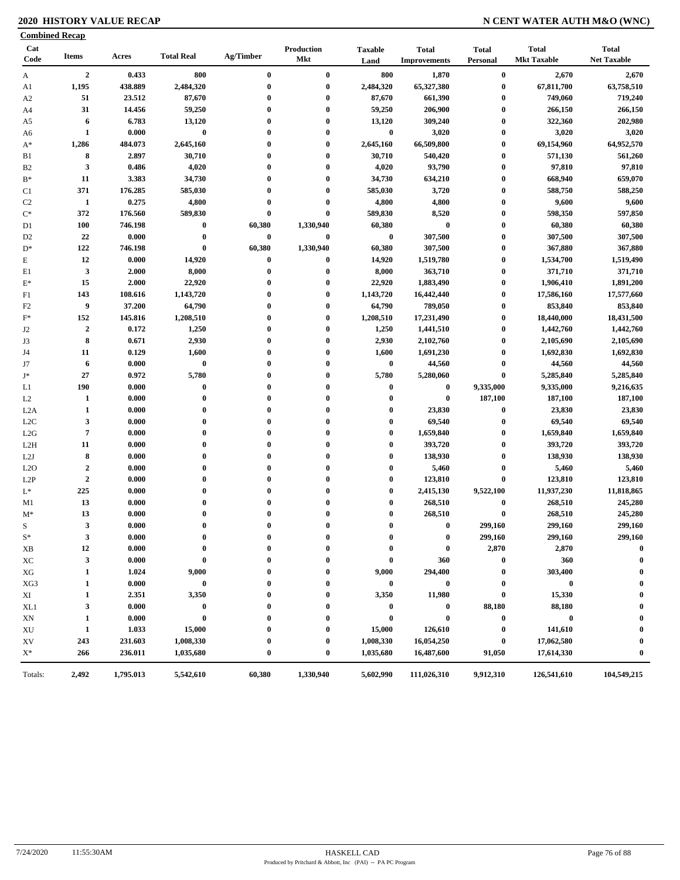## **2020 HISTORY VALUE RECAP N CENT WATER AUTH M&O (WNC)**

| <b>Combined Recap</b>  |                  |         |                   |              |                          |                        |                                     |                          |                                    |                                    |
|------------------------|------------------|---------|-------------------|--------------|--------------------------|------------------------|-------------------------------------|--------------------------|------------------------------------|------------------------------------|
| Cat<br>Code            | <b>Items</b>     | Acres   | <b>Total Real</b> | Ag/Timber    | Production<br><b>Mkt</b> | <b>Taxable</b><br>Land | <b>Total</b><br><b>Improvements</b> | <b>Total</b><br>Personal | <b>Total</b><br><b>Mkt Taxable</b> | <b>Total</b><br><b>Net Taxable</b> |
| A                      | $\overline{2}$   | 0.433   | 800               | $\bf{0}$     | $\bf{0}$                 | 800                    | 1,870                               | $\bf{0}$                 | 2,670                              | 2,670                              |
| A1                     | 1,195            | 438.889 | 2,484,320         | $\bf{0}$     | $\bf{0}$                 | 2,484,320              | 65,327,380                          | $\bf{0}$                 | 67,811,700                         | 63,758,510                         |
| A <sub>2</sub>         | 51               | 23.512  | 87,670            | $\bf{0}$     | $\bf{0}$                 | 87,670                 | 661,390                             | $\boldsymbol{0}$         | 749,060                            | 719,240                            |
| A4                     | 31               | 14.456  | 59,250            | $\bf{0}$     | $\bf{0}$                 | 59,250                 | 206,900                             | $\bf{0}$                 | 266,150                            | 266,150                            |
| A5                     | 6                | 6.783   | 13,120            | 0            | $\bf{0}$                 | 13,120                 | 309,240                             | $\bf{0}$                 | 322,360                            | 202,980                            |
| A6                     | $\mathbf{1}$     | 0.000   | $\bf{0}$          | $\bf{0}$     | $\bf{0}$                 | $\bf{0}$               | 3,020                               | $\bf{0}$                 | 3,020                              | 3,020                              |
| $A^*$                  | 1,286            | 484.073 | 2,645,160         | $\bf{0}$     | $\bf{0}$                 | 2,645,160              | 66,509,800                          | $\boldsymbol{0}$         | 69,154,960                         | 64,952,570                         |
| B1                     | 8                | 2.897   | 30,710            | $\bf{0}$     | $\bf{0}$                 | 30,710                 | 540,420                             | $\boldsymbol{0}$         | 571,130                            | 561,260                            |
| B <sub>2</sub>         | $\mathbf{3}$     | 0.486   | 4,020             | $\bf{0}$     | $\bf{0}$                 | 4,020                  | 93,790                              | $\boldsymbol{0}$         | 97,810                             | 97,810                             |
| $B^*$                  | 11               | 3.383   | 34,730            | $\bf{0}$     | $\bf{0}$                 | 34,730                 | 634,210                             | $\boldsymbol{0}$         | 668,940                            | 659,070                            |
| C1                     | 371              | 176.285 | 585,030           | $\bf{0}$     | $\bf{0}$                 | 585,030                | 3,720                               | $\boldsymbol{0}$         | 588,750                            | 588,250                            |
| C <sub>2</sub>         | -1               | 0.275   | 4,800             | 0            | $\bf{0}$                 | 4,800                  | 4,800                               | $\boldsymbol{0}$         | 9,600                              | 9,600                              |
| $\mathrm{C}^*$         | 372              | 176.560 | 589,830           | $\bf{0}$     | $\bf{0}$                 | 589,830                | 8,520                               | $\boldsymbol{0}$         | 598,350                            | 597,850                            |
| D1                     | <b>100</b>       | 746.198 | $\bf{0}$          | 60,380       | 1,330,940                | 60,380                 | $\bf{0}$                            | $\boldsymbol{0}$         | 60,380                             | 60,380                             |
| D <sub>2</sub>         | 22               | 0.000   | $\bf{0}$          | 0            | $\bf{0}$                 | $\bf{0}$               | 307,500                             | $\boldsymbol{0}$         | 307,500                            | 307,500                            |
| $D^*$                  | 122              | 746.198 | $\bf{0}$          | 60,380       | 1,330,940                | 60,380                 | 307,500                             | $\bf{0}$                 | 367,880                            | 367,880                            |
| $\mathbf E$            | 12               | 0.000   | 14,920            | 0            | $\bf{0}$                 | 14,920                 | 1,519,780                           | $\boldsymbol{0}$         | 1,534,700                          | 1,519,490                          |
| E1                     | $\mathbf{3}$     | 2.000   | 8,000             | $\bf{0}$     | $\bf{0}$                 | 8,000                  | 363,710                             | $\bf{0}$                 | 371,710                            | 371,710                            |
| $E^*$                  | 15               | 2.000   | 22,920            | $\bf{0}$     | $\bf{0}$                 | 22,920                 | 1,883,490                           | $\bf{0}$                 | 1,906,410                          | 1,891,200                          |
| F1                     | 143              | 108.616 | 1,143,720         | 0            | $\bf{0}$                 | 1,143,720              | 16,442,440                          | $\bf{0}$                 | 17,586,160                         | 17,577,660                         |
| F <sub>2</sub>         | 9                | 37.200  | 64,790            | $\bf{0}$     | $\bf{0}$                 | 64,790                 | 789,050                             | $\bf{0}$                 | 853,840                            | 853,840                            |
| $\mathbf{F}^*$         | 152              | 145.816 | 1,208,510         | $\bf{0}$     | $\bf{0}$                 | 1,208,510              | 17,231,490                          | $\bf{0}$                 | 18,440,000                         | 18,431,500                         |
| J2                     | $\boldsymbol{2}$ | 0.172   | 1,250             | $\bf{0}$     | $\bf{0}$                 | 1,250                  | 1,441,510                           | $\bf{0}$                 | 1,442,760                          | 1,442,760                          |
| J3                     | 8                | 0.671   | 2,930             | $\bf{0}$     | $\bf{0}$                 | 2,930                  | 2,102,760                           | $\bf{0}$                 | 2,105,690                          | 2,105,690                          |
| J4                     | 11               | 0.129   | 1,600             | $\bf{0}$     | $\bf{0}$                 | 1,600                  | 1,691,230                           | $\boldsymbol{0}$         | 1,692,830                          | 1,692,830                          |
| J7                     | 6                | 0.000   | $\bf{0}$          | $\bf{0}$     | $\bf{0}$                 | $\bf{0}$               | 44,560                              | $\boldsymbol{0}$         | 44,560                             | 44,560                             |
| J*                     | 27               | 0.972   | 5,780             | 0            | $\bf{0}$                 | 5,780                  | 5,280,060                           | $\pmb{0}$                | 5,285,840                          | 5,285,840                          |
| L1                     | 190              | 0.000   | $\pmb{0}$         | $\bf{0}$     | $\bf{0}$                 | $\bf{0}$               | $\bf{0}$                            | 9,335,000                | 9,335,000                          | 9,216,635                          |
| L2                     | 1                | 0.000   | $\bf{0}$          | $\bf{0}$     | $\bf{0}$                 | $\bf{0}$               | $\bf{0}$                            | 187,100                  | 187,100                            | 187,100                            |
| L2A                    | $\mathbf{1}$     | 0.000   | $\bf{0}$          | 0            | $\bf{0}$                 | $\bf{0}$               | 23,830                              | $\boldsymbol{0}$         | 23,830                             | 23,830                             |
| L <sub>2</sub> C       | $\mathbf{3}$     | 0.000   | $\bf{0}$          | $\bf{0}$     | $\bf{0}$                 | $\bf{0}$               | 69,540                              | $\bf{0}$                 | 69,540                             | 69,540                             |
| L2G                    | $\overline{7}$   | 0.000   | $\bf{0}$          | $\mathbf{0}$ | $\bf{0}$                 | $\bf{0}$               | 1,659,840                           | $\bf{0}$                 | 1,659,840                          | 1,659,840                          |
| L2H                    | 11               | 0.000   | $\bf{0}$          | $\mathbf{0}$ | $\bf{0}$                 | $\bf{0}$               | 393,720                             | $\bf{0}$                 | 393,720                            | 393,720                            |
| L2J                    | 8                | 0.000   | $\bf{0}$          | $\bf{0}$     | $\bf{0}$                 | $\bf{0}$               | 138,930                             | $\bf{0}$                 | 138,930                            | 138,930                            |
| L2O                    | $\boldsymbol{2}$ | 0.000   | $\bf{0}$          | $\bf{0}$     | $\bf{0}$                 | $\bf{0}$               | 5,460                               | $\bf{0}$                 | 5,460                              | 5,460                              |
| L <sub>2</sub> P       | $\boldsymbol{2}$ | 0.000   | $\bf{0}$          | $\mathbf{0}$ | $\bf{0}$                 | $\boldsymbol{0}$       | 123,810                             | $\bf{0}$                 | 123,810                            | 123,810                            |
| $L^*$                  | 225              | 0.000   | $\bf{0}$          | $\bf{0}$     | $\bf{0}$                 | $\bf{0}$               | 2,415,130                           | 9,522,100                | 11,937,230                         | 11,818,865                         |
| M1                     | 13               | 0.000   | $\bf{0}$          | $\bf{0}$     | $\bf{0}$                 | $\boldsymbol{0}$       | 268,510                             | $\bf{0}$                 | 268,510                            | 245,280                            |
| $M^*$                  | 13               | 0.000   | $\bf{0}$          | $\bf{0}$     | $\bf{0}$                 | $\bf{0}$               | 268,510                             | $\bf{0}$                 | 268,510                            | 245,280                            |
| S                      | $\mathbf{3}$     | 0.000   | $\theta$          |              | $\theta$                 | $\theta$               | $\theta$                            | 299,160                  | 299,160                            | 299,160                            |
| $S^*$                  | 3                | 0.000   | $\bf{0}$          | 0            | 0                        | 0                      | 0                                   | 299,160                  | 299,160                            | 299,160                            |
| XВ                     | 12               | 0.000   | $\bf{0}$          |              | $\bf{0}$                 | 0                      | $\bf{0}$                            | 2,870                    | 2,870                              | $\mathbf 0$                        |
| ХC                     | $\mathbf{3}$     | 0.000   | $\bf{0}$          |              | $\bf{0}$                 | $\bf{0}$               | 360                                 | $\bf{0}$                 | 360                                | 0                                  |
| XG                     | 1                | 1.024   | 9,000             |              | 0                        | 9,000                  | 294,400                             | $\bf{0}$                 | 303,400                            |                                    |
| XG3                    | 1                | 0.000   | $\bf{0}$          |              | $\bf{0}$                 | $\bf{0}$               | 0                                   | $\bf{0}$                 | $\bf{0}$                           |                                    |
| XI                     | 1                | 2.351   | 3,350             |              | $\boldsymbol{0}$         | 3,350                  | 11,980                              | $\bf{0}$                 | 15,330                             |                                    |
| XL1                    | 3                | 0.000   | $\bf{0}$          |              | $\boldsymbol{0}$         | $\bf{0}$               | $\bf{0}$                            | 88,180                   | 88,180                             |                                    |
| XN                     | 1                | 0.000   | $\bf{0}$          |              | $\boldsymbol{0}$         | $\bf{0}$               | $\bf{0}$                            | $\bf{0}$                 | $\bf{0}$                           |                                    |
| $\mathbf{X}\mathbf{U}$ | $\mathbf{1}$     | 1.033   | 15,000            |              | $\bf{0}$                 | 15,000                 | 126,610                             | $\bf{0}$                 | 141,610                            |                                    |
| XV                     | 243              | 231.603 | 1,008,330         |              | 0                        | 1,008,330              | 16,054,250                          | $\bf{0}$                 | 17,062,580                         | 0                                  |
| $X^*$                  | 266              | 236.011 | 1,035,680         | $\bf{0}$     | $\bf{0}$                 | 1,035,680              | 16,487,600                          | 91,050                   | 17,614,330                         | $\boldsymbol{0}$                   |
|                        |                  |         | 5,542,610         | 60,380       | 1,330,940                | 5,602,990              | 111,026,310                         | 9,912,310                | 126,541,610                        | 104,549,215                        |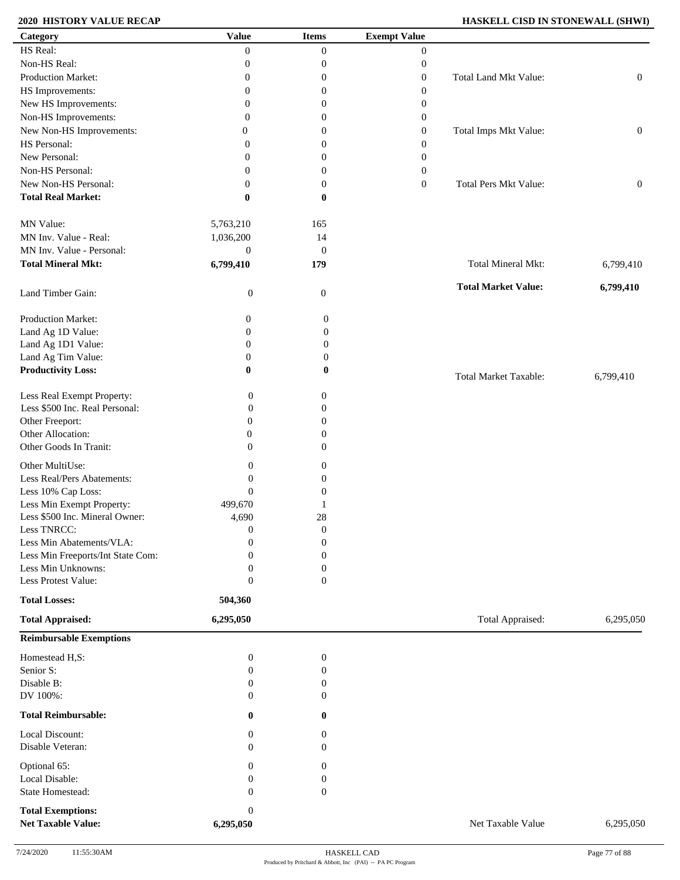## **2020 HISTORY VALUE RECAP HASKELL CISD IN STONEWALL (SHWI)**

| Category                                              | <b>Value</b>              | <b>Items</b>     | <b>Exempt Value</b> |                              |                  |
|-------------------------------------------------------|---------------------------|------------------|---------------------|------------------------------|------------------|
| HS Real:                                              | $\overline{0}$            | $\overline{0}$   | $\boldsymbol{0}$    |                              |                  |
| Non-HS Real:                                          | $\boldsymbol{0}$          | $\boldsymbol{0}$ | $\boldsymbol{0}$    |                              |                  |
| Production Market:                                    | $\boldsymbol{0}$          | $\boldsymbol{0}$ | $\boldsymbol{0}$    | Total Land Mkt Value:        | $\boldsymbol{0}$ |
| HS Improvements:                                      | $\boldsymbol{0}$          | $\boldsymbol{0}$ | $\boldsymbol{0}$    |                              |                  |
| New HS Improvements:                                  | $\boldsymbol{0}$          | $\boldsymbol{0}$ | $\boldsymbol{0}$    |                              |                  |
|                                                       |                           |                  |                     |                              |                  |
| Non-HS Improvements:                                  | $\overline{0}$            | $\boldsymbol{0}$ | $\boldsymbol{0}$    |                              |                  |
| New Non-HS Improvements:                              | $\overline{0}$            | $\boldsymbol{0}$ | $\boldsymbol{0}$    | Total Imps Mkt Value:        | $\boldsymbol{0}$ |
| HS Personal:                                          | $\overline{0}$            | 0                | $\boldsymbol{0}$    |                              |                  |
| New Personal:                                         | $\overline{0}$            | $\boldsymbol{0}$ | $\boldsymbol{0}$    |                              |                  |
| Non-HS Personal:                                      | $\mathbf{0}$              | $\boldsymbol{0}$ | $\boldsymbol{0}$    |                              |                  |
| New Non-HS Personal:                                  | $\mathbf{0}$              | $\boldsymbol{0}$ | $\boldsymbol{0}$    | <b>Total Pers Mkt Value:</b> | $\boldsymbol{0}$ |
| <b>Total Real Market:</b>                             | $\bf{0}$                  | $\bf{0}$         |                     |                              |                  |
| MN Value:                                             | 5,763,210                 | 165              |                     |                              |                  |
| MN Inv. Value - Real:                                 | 1,036,200                 | 14               |                     |                              |                  |
| MN Inv. Value - Personal:                             | $\boldsymbol{0}$          | $\mathbf{0}$     |                     |                              |                  |
| <b>Total Mineral Mkt:</b>                             |                           |                  |                     | Total Mineral Mkt:           |                  |
|                                                       | 6,799,410                 | 179              |                     |                              | 6,799,410        |
| Land Timber Gain:                                     | $\boldsymbol{0}$          | $\boldsymbol{0}$ |                     | <b>Total Market Value:</b>   | 6,799,410        |
| Production Market:                                    | 0                         | $\boldsymbol{0}$ |                     |                              |                  |
| Land Ag 1D Value:                                     | $\mathbf{0}$              | $\boldsymbol{0}$ |                     |                              |                  |
| Land Ag 1D1 Value:                                    | $\boldsymbol{0}$          | $\boldsymbol{0}$ |                     |                              |                  |
| Land Ag Tim Value:                                    | $\boldsymbol{0}$          | $\boldsymbol{0}$ |                     |                              |                  |
| <b>Productivity Loss:</b>                             | $\bf{0}$                  | $\bf{0}$         |                     | <b>Total Market Taxable:</b> | 6,799,410        |
| Less Real Exempt Property:                            | $\mathbf{0}$              | 0                |                     |                              |                  |
| Less \$500 Inc. Real Personal:                        | $\theta$                  | $\overline{0}$   |                     |                              |                  |
| Other Freeport:                                       | $\theta$                  | $\overline{0}$   |                     |                              |                  |
| Other Allocation:                                     | $\overline{0}$            | $\overline{0}$   |                     |                              |                  |
|                                                       |                           |                  |                     |                              |                  |
| Other Goods In Tranit:                                | $\Omega$                  | $\Omega$         |                     |                              |                  |
| Other MultiUse:                                       | $\mathbf{0}$              | 0                |                     |                              |                  |
| Less Real/Pers Abatements:                            | $\mathbf{0}$              | 0                |                     |                              |                  |
| Less 10% Cap Loss:                                    | $\mathbf{0}$              | $\overline{0}$   |                     |                              |                  |
| Less Min Exempt Property:                             | 499,670                   |                  |                     |                              |                  |
| Less \$500 Inc. Mineral Owner:                        | 4,690                     | 28               |                     |                              |                  |
| Less TNRCC:                                           | $\boldsymbol{0}$          | $\boldsymbol{0}$ |                     |                              |                  |
| Less Min Abatements/VLA:                              | $\mathbf{0}$              | $\boldsymbol{0}$ |                     |                              |                  |
| Less Min Freeports/Int State Com:                     | $\Omega$                  | $\overline{0}$   |                     |                              |                  |
| Less Min Unknowns:                                    |                           |                  |                     |                              |                  |
|                                                       | $\mathbf{0}$              | 0                |                     |                              |                  |
| Less Protest Value:                                   | $\mathbf{0}$              | $\boldsymbol{0}$ |                     |                              |                  |
| <b>Total Losses:</b><br><b>Total Appraised:</b>       | 504,360<br>6,295,050      |                  |                     | Total Appraised:             | 6,295,050        |
| <b>Reimbursable Exemptions</b>                        |                           |                  |                     |                              |                  |
| Homestead H,S:                                        | $\boldsymbol{0}$          | $\boldsymbol{0}$ |                     |                              |                  |
|                                                       |                           |                  |                     |                              |                  |
| Senior S:                                             | $\boldsymbol{0}$          | 0                |                     |                              |                  |
| Disable B:                                            | $\theta$                  | 0                |                     |                              |                  |
| DV 100%:                                              | $\theta$                  | $\overline{0}$   |                     |                              |                  |
| <b>Total Reimbursable:</b>                            | $\bf{0}$                  | 0                |                     |                              |                  |
| Local Discount:                                       | $\theta$                  | 0                |                     |                              |                  |
| Disable Veteran:                                      | $\theta$                  | $\overline{0}$   |                     |                              |                  |
| Optional 65:                                          | $\mathbf{0}$              | 0                |                     |                              |                  |
| Local Disable:                                        |                           |                  |                     |                              |                  |
|                                                       | $\mathbf{0}$              | 0                |                     |                              |                  |
| State Homestead:                                      | $\theta$                  | $\mathbf{0}$     |                     |                              |                  |
| <b>Total Exemptions:</b><br><b>Net Taxable Value:</b> | $\mathbf{0}$<br>6,295,050 |                  |                     | Net Taxable Value            | 6,295,050        |
|                                                       |                           |                  |                     |                              |                  |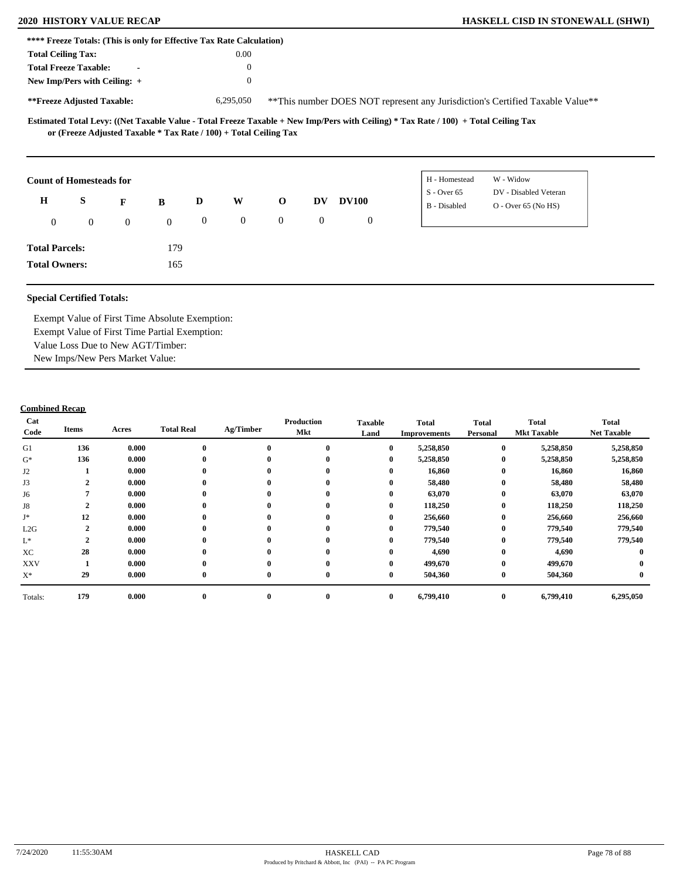|                           | **** Freeze Totals: (This is only for Effective Tax Rate Calculation) |                |              |                  |                |                |                  |                |                                                                                                                                     |                                                                                |  |
|---------------------------|-----------------------------------------------------------------------|----------------|--------------|------------------|----------------|----------------|------------------|----------------|-------------------------------------------------------------------------------------------------------------------------------------|--------------------------------------------------------------------------------|--|
| <b>Total Ceiling Tax:</b> |                                                                       |                |              |                  | 0.00           |                |                  |                |                                                                                                                                     |                                                                                |  |
|                           | <b>Total Freeze Taxable:</b>                                          | $\blacksquare$ |              |                  | $\theta$       |                |                  |                |                                                                                                                                     |                                                                                |  |
|                           | New Imp/Pers with Ceiling: $+$                                        |                |              |                  | $\theta$       |                |                  |                |                                                                                                                                     |                                                                                |  |
|                           | **Freeze Adjusted Taxable:                                            |                |              |                  | 6,295,050      |                |                  |                |                                                                                                                                     | ** This number DOES NOT represent any Jurisdiction's Certified Taxable Value** |  |
|                           | or (Freeze Adjusted Taxable * Tax Rate / 100) + Total Ceiling Tax     |                |              |                  |                |                |                  |                | Estimated Total Levy: ((Net Taxable Value - Total Freeze Taxable + New Imp/Pers with Ceiling) * Tax Rate / 100) + Total Ceiling Tax |                                                                                |  |
|                           |                                                                       |                |              |                  |                |                |                  |                |                                                                                                                                     |                                                                                |  |
|                           | <b>Count of Homesteads for</b>                                        |                |              |                  |                |                |                  |                | H - Homestead                                                                                                                       | W - Widow                                                                      |  |
|                           |                                                                       |                |              |                  |                |                |                  |                | $S - Over 65$                                                                                                                       | DV - Disabled Veteran                                                          |  |
| H                         | S                                                                     | F              | B            | D                | W              | $\mathbf{o}$   | <b>DV</b>        | <b>DV100</b>   | B - Disabled                                                                                                                        | $O - Over 65 (No HS)$                                                          |  |
| $\overline{0}$            | $\overline{0}$                                                        | $\overline{0}$ | $\mathbf{0}$ | $\boldsymbol{0}$ | $\overline{0}$ | $\overline{0}$ | $\boldsymbol{0}$ | $\overline{0}$ |                                                                                                                                     |                                                                                |  |

**Total Owners:**

Exempt Value of First Time Absolute Exemption: Exempt Value of First Time Partial Exemption: Value Loss Due to New AGT/Timber: New Imps/New Pers Market Value:

165

| Cat<br>Code     | <b>Items</b> | Acres | <b>Total Real</b> | Ag/Timber | Production<br>Mkt | <b>Taxable</b><br>Land | <b>Total</b><br><b>Improvements</b> | <b>Total</b><br>Personal | <b>Total</b><br><b>Mkt Taxable</b> | <b>Total</b><br><b>Net Taxable</b> |
|-----------------|--------------|-------|-------------------|-----------|-------------------|------------------------|-------------------------------------|--------------------------|------------------------------------|------------------------------------|
| G1              | 136          | 0.000 | $\bf{0}$          | $\bf{0}$  | $\mathbf{0}$      | $\bf{0}$               | 5,258,850                           | $\bf{0}$                 | 5,258,850                          | 5,258,850                          |
| $G^*$           | 136          | 0.000 |                   | $\bf{0}$  | 0                 | $\bf{0}$               | 5,258,850                           | $\bf{0}$                 | 5,258,850                          | 5,258,850                          |
| J2              |              | 0.000 | $\bf{0}$          | $\bf{0}$  | $\bf{0}$          | $\bf{0}$               | 16,860                              | $\bf{0}$                 | 16,860                             | 16,860                             |
| J3              |              | 0.000 | $\bf{0}$          | $\bf{0}$  | 0                 | $\bf{0}$               | 58,480                              | $\bf{0}$                 | 58,480                             | 58,480                             |
| J6              |              | 0.000 | $\bf{0}$          | $\bf{0}$  | $\mathbf{0}$      | $\bf{0}$               | 63,070                              | $\bf{0}$                 | 63,070                             | 63,070                             |
| J8              | ◠            | 0.000 | 0                 | $\bf{0}$  |                   | $\mathbf{0}$           | 118,250                             | $\bf{0}$                 | 118,250                            | 118,250                            |
| J*              | 12           | 0.000 |                   | $\bf{0}$  |                   | $\bf{0}$               | 256,660                             | $\bf{0}$                 | 256,660                            | 256,660                            |
| L2G             |              | 0.000 |                   | $\bf{0}$  |                   | $\bf{0}$               | 779,540                             | $\bf{0}$                 | 779,540                            | 779,540                            |
| $\mathcal{L}^*$ |              | 0.000 |                   | $\bf{0}$  |                   | $\bf{0}$               | 779,540                             | $\bf{0}$                 | 779,540                            | 779,540                            |
| XC              | 28           | 0.000 |                   | $\bf{0}$  |                   | $\bf{0}$               | 4,690                               | $\bf{0}$                 | 4,690                              |                                    |
| <b>XXV</b>      |              | 0.000 | $\bf{0}$          | $\bf{0}$  | $\mathbf{0}$      | $\bf{0}$               | 499,670                             | $\bf{0}$                 | 499,670                            |                                    |
| $X^*$           | 29           | 0.000 | $\bf{0}$          | $\bf{0}$  | $\mathbf{0}$      | $\bf{0}$               | 504,360                             | $\bf{0}$                 | 504,360                            |                                    |
| Totals:         | 179          | 0.000 | $\bf{0}$          | $\bf{0}$  | $\bf{0}$          | $\bf{0}$               | 6,799,410                           | $\bf{0}$                 | 6,799,410                          | 6,295,050                          |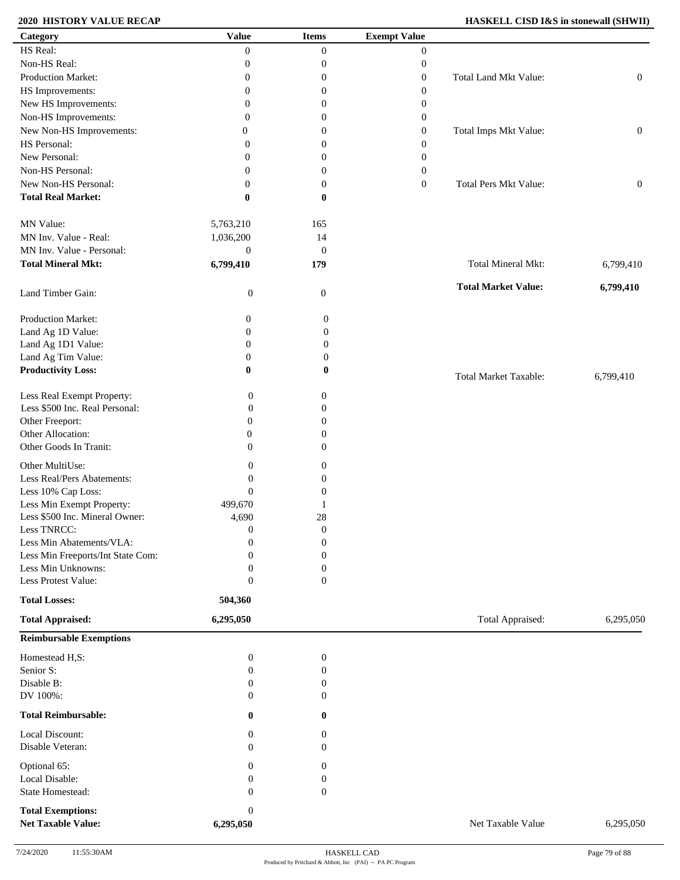### **2020 HISTORY VALUE RECAP**

| <b>HASKELL CISD I&amp;S in stonewall (SHWII)</b> |  |  |  |  |
|--------------------------------------------------|--|--|--|--|
|--------------------------------------------------|--|--|--|--|

| Category                            | <b>Value</b>                     | <b>Items</b>                         | <b>Exempt Value</b> |                              |                  |
|-------------------------------------|----------------------------------|--------------------------------------|---------------------|------------------------------|------------------|
| HS Real:                            | $\mathbf{0}$                     | $\boldsymbol{0}$                     | $\overline{0}$      |                              |                  |
| Non-HS Real:                        | $\mathbf{0}$                     | $\boldsymbol{0}$                     | $\boldsymbol{0}$    |                              |                  |
| Production Market:                  | $\mathbf{0}$                     | $\boldsymbol{0}$                     | $\boldsymbol{0}$    | Total Land Mkt Value:        | $\boldsymbol{0}$ |
| HS Improvements:                    | $\mathbf{0}$                     | $\boldsymbol{0}$                     | $\boldsymbol{0}$    |                              |                  |
| New HS Improvements:                | $\mathbf{0}$                     | $\boldsymbol{0}$                     | $\overline{0}$      |                              |                  |
| Non-HS Improvements:                | $\mathbf{0}$                     | $\overline{0}$                       | $\overline{0}$      |                              |                  |
| New Non-HS Improvements:            | $\overline{0}$                   | $\overline{0}$                       | $\overline{0}$      | Total Imps Mkt Value:        | $\boldsymbol{0}$ |
| HS Personal:                        | $\mathbf{0}$                     | $\overline{0}$                       | $\overline{0}$      |                              |                  |
| New Personal:                       | $\Omega$                         | $\overline{0}$                       | $\overline{0}$      |                              |                  |
| Non-HS Personal:                    | $\mathbf{0}$                     | $\boldsymbol{0}$                     | $\boldsymbol{0}$    |                              |                  |
| New Non-HS Personal:                | $\mathbf{0}$                     | $\boldsymbol{0}$                     | $\boldsymbol{0}$    | <b>Total Pers Mkt Value:</b> | $\boldsymbol{0}$ |
| <b>Total Real Market:</b>           | $\bf{0}$                         | $\bf{0}$                             |                     |                              |                  |
|                                     |                                  |                                      |                     |                              |                  |
| MN Value:                           | 5,763,210                        | 165                                  |                     |                              |                  |
| MN Inv. Value - Real:               | 1,036,200                        | 14                                   |                     |                              |                  |
| MN Inv. Value - Personal:           | $\boldsymbol{0}$                 | $\boldsymbol{0}$                     |                     |                              |                  |
| <b>Total Mineral Mkt:</b>           | 6,799,410                        | 179                                  |                     | <b>Total Mineral Mkt:</b>    | 6,799,410        |
|                                     |                                  |                                      |                     |                              |                  |
| Land Timber Gain:                   | $\boldsymbol{0}$                 | 0                                    |                     | <b>Total Market Value:</b>   | 6,799,410        |
|                                     |                                  |                                      |                     |                              |                  |
| Production Market:                  | $\boldsymbol{0}$                 | $\boldsymbol{0}$                     |                     |                              |                  |
| Land Ag 1D Value:                   | $\boldsymbol{0}$                 | $\boldsymbol{0}$                     |                     |                              |                  |
| Land Ag 1D1 Value:                  | $\boldsymbol{0}$                 | $\boldsymbol{0}$                     |                     |                              |                  |
| Land Ag Tim Value:                  | $\boldsymbol{0}$                 | $\boldsymbol{0}$                     |                     |                              |                  |
| <b>Productivity Loss:</b>           | $\bf{0}$                         | $\bf{0}$                             |                     |                              |                  |
|                                     |                                  |                                      |                     | <b>Total Market Taxable:</b> | 6,799,410        |
| Less Real Exempt Property:          | $\boldsymbol{0}$                 | 0                                    |                     |                              |                  |
| Less \$500 Inc. Real Personal:      | $\boldsymbol{0}$                 | $\boldsymbol{0}$                     |                     |                              |                  |
| Other Freeport:                     | $\mathbf{0}$                     | $\boldsymbol{0}$                     |                     |                              |                  |
| Other Allocation:                   | $\boldsymbol{0}$                 | $\boldsymbol{0}$                     |                     |                              |                  |
| Other Goods In Tranit:              | $\overline{0}$                   | $\boldsymbol{0}$                     |                     |                              |                  |
| Other MultiUse:                     | $\boldsymbol{0}$                 | $\boldsymbol{0}$                     |                     |                              |                  |
| Less Real/Pers Abatements:          | $\boldsymbol{0}$                 | $\boldsymbol{0}$                     |                     |                              |                  |
| Less 10% Cap Loss:                  | $\boldsymbol{0}$                 | $\boldsymbol{0}$                     |                     |                              |                  |
| Less Min Exempt Property:           | 499,670                          | -1                                   |                     |                              |                  |
| Less \$500 Inc. Mineral Owner:      | 4,690                            | 28                                   |                     |                              |                  |
| Less TNRCC:                         | $\boldsymbol{0}$                 | $\boldsymbol{0}$                     |                     |                              |                  |
| Less Min Abatements/VLA:            | $\Omega$                         | $\overline{0}$                       |                     |                              |                  |
| Less Min Freeports/Int State Com:   | $\mathbf{0}$                     | $\boldsymbol{0}$                     |                     |                              |                  |
| Less Min Unknowns:                  | $\boldsymbol{0}$                 | $\boldsymbol{0}$                     |                     |                              |                  |
| Less Protest Value:                 | $\boldsymbol{0}$                 | $\boldsymbol{0}$                     |                     |                              |                  |
| <b>Total Losses:</b>                | 504,360                          |                                      |                     |                              |                  |
| <b>Total Appraised:</b>             | 6,295,050                        |                                      |                     | Total Appraised:             | 6,295,050        |
|                                     |                                  |                                      |                     |                              |                  |
| <b>Reimbursable Exemptions</b>      |                                  |                                      |                     |                              |                  |
| Homestead H,S:                      | $\boldsymbol{0}$                 | $\boldsymbol{0}$                     |                     |                              |                  |
| Senior S:                           | $\boldsymbol{0}$                 | $\boldsymbol{0}$                     |                     |                              |                  |
| Disable B:                          | $\mathbf{0}$                     | $\boldsymbol{0}$                     |                     |                              |                  |
| DV 100%:                            | $\Omega$                         | $\theta$                             |                     |                              |                  |
| <b>Total Reimbursable:</b>          | $\bf{0}$                         | 0                                    |                     |                              |                  |
|                                     |                                  |                                      |                     |                              |                  |
| Local Discount:<br>Disable Veteran: | $\boldsymbol{0}$<br>$\mathbf{0}$ | $\boldsymbol{0}$<br>$\boldsymbol{0}$ |                     |                              |                  |
|                                     |                                  |                                      |                     |                              |                  |
| Optional 65:                        | $\boldsymbol{0}$                 | $\boldsymbol{0}$                     |                     |                              |                  |
| Local Disable:                      | $\mathbf{0}$                     | $\boldsymbol{0}$                     |                     |                              |                  |
| State Homestead:                    | $\mathbf{0}$                     | $\boldsymbol{0}$                     |                     |                              |                  |
| <b>Total Exemptions:</b>            | $\boldsymbol{0}$                 |                                      |                     |                              |                  |
| <b>Net Taxable Value:</b>           | 6,295,050                        |                                      |                     | Net Taxable Value            | 6,295,050        |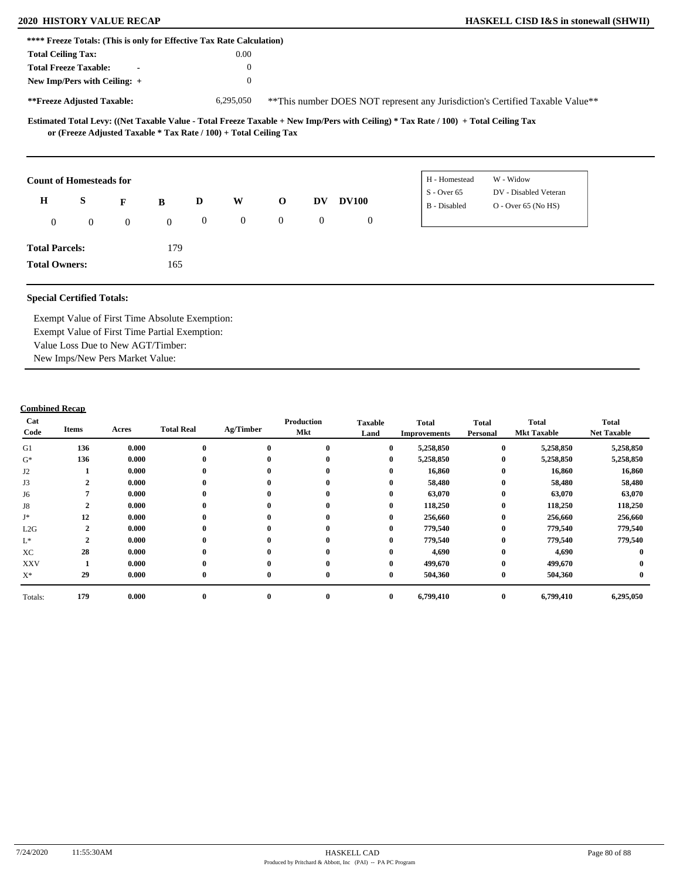| **** Freeze Totals: (This is only for Effective Tax Rate Calculation) |                                                                   |                |              |                |                |                  |              |                |                                                                                                                                     |               |                                                                               |  |
|-----------------------------------------------------------------------|-------------------------------------------------------------------|----------------|--------------|----------------|----------------|------------------|--------------|----------------|-------------------------------------------------------------------------------------------------------------------------------------|---------------|-------------------------------------------------------------------------------|--|
| <b>Total Ceiling Tax:</b>                                             |                                                                   |                |              |                | 0.00           |                  |              |                |                                                                                                                                     |               |                                                                               |  |
|                                                                       | <b>Total Freeze Taxable:</b>                                      |                |              |                | $\Omega$       |                  |              |                |                                                                                                                                     |               |                                                                               |  |
| New Imp/Pers with Ceiling: +                                          |                                                                   |                |              |                | $\theta$       |                  |              |                |                                                                                                                                     |               |                                                                               |  |
| **Freeze Adjusted Taxable:                                            |                                                                   |                |              |                | 6,295,050      |                  |              |                |                                                                                                                                     |               | **This number DOES NOT represent any Jurisdiction's Certified Taxable Value** |  |
|                                                                       | or (Freeze Adjusted Taxable * Tax Rate / 100) + Total Ceiling Tax |                |              |                |                |                  |              |                | Estimated Total Levy: ((Net Taxable Value - Total Freeze Taxable + New Imp/Pers with Ceiling) * Tax Rate / 100) + Total Ceiling Tax |               |                                                                               |  |
| <b>Count of Homesteads for</b>                                        |                                                                   |                |              |                |                |                  |              |                |                                                                                                                                     | H - Homestead | W - Widow                                                                     |  |
| H                                                                     | S                                                                 |                |              | D              | W              | $\mathbf 0$      | DV           | <b>DV100</b>   |                                                                                                                                     | $S - Over 65$ | DV - Disabled Veteran                                                         |  |
|                                                                       |                                                                   | F              | B            |                |                |                  |              |                |                                                                                                                                     | B - Disabled  | $O -$ Over 65 (No HS)                                                         |  |
| $\overline{0}$                                                        | $\overline{0}$                                                    | $\overline{0}$ | $\mathbf{0}$ | $\overline{0}$ | $\overline{0}$ | $\boldsymbol{0}$ | $\mathbf{0}$ | $\overline{0}$ |                                                                                                                                     |               |                                                                               |  |
| <b>Total Parcels:</b>                                                 |                                                                   |                | 179          |                |                |                  |              |                |                                                                                                                                     |               |                                                                               |  |

**Total Owners:**

Exempt Value of First Time Absolute Exemption: Exempt Value of First Time Partial Exemption: Value Loss Due to New AGT/Timber: New Imps/New Pers Market Value:

165

| Cat<br>Code     | Items        | Acres | <b>Total Real</b> | Ag/Timber        | Production<br>Mkt | <b>Taxable</b><br>Land | <b>Total</b><br><b>Improvements</b> | <b>Total</b><br>Personal | <b>Total</b><br><b>Mkt Taxable</b> | <b>Total</b><br><b>Net Taxable</b> |
|-----------------|--------------|-------|-------------------|------------------|-------------------|------------------------|-------------------------------------|--------------------------|------------------------------------|------------------------------------|
| G1              | 136          | 0.000 | $\mathbf 0$       | $\bf{0}$         | $\bf{0}$          | $\bf{0}$               | 5,258,850                           | $\bf{0}$                 | 5,258,850                          | 5,258,850                          |
| $G^*$           | 136          | 0.000 |                   | $\bf{0}$         | $\mathbf{0}$      | $\bf{0}$               | 5,258,850                           | $\bf{0}$                 | 5,258,850                          | 5,258,850                          |
| J2              |              | 0.000 | $\bf{0}$          | $\bf{0}$         | $\mathbf{0}$      | $\bf{0}$               | 16,860                              | $\bf{0}$                 | 16,860                             | 16,860                             |
| J3              | $\mathbf{2}$ | 0.000 | $\mathbf{0}$      | $\bf{0}$         | $\mathbf{0}$      | 0                      | 58,480                              | $\bf{0}$                 | 58,480                             | 58,480                             |
| J6              |              | 0.000 | $\mathbf{0}$      | $\bf{0}$         | $\mathbf{0}$      | 0                      | 63,070                              | $\bf{0}$                 | 63,070                             | 63,070                             |
| J8              | $\mathbf{2}$ | 0.000 |                   | $\mathbf{0}$     | 0                 | 0                      | 118,250                             | $\bf{0}$                 | 118,250                            | 118,250                            |
| J*              | 12           | 0.000 |                   | $\boldsymbol{0}$ | 0                 | 0                      | 256,660                             | $\bf{0}$                 | 256,660                            | 256,660                            |
| L2G             | $\mathbf{2}$ | 0.000 |                   | $\bf{0}$         | $\mathbf{0}$      | $\bf{0}$               | 779,540                             | $\bf{0}$                 | 779,540                            | 779,540                            |
| $\mathcal{L}^*$ | ◠            | 0.000 |                   | $\bf{0}$         | $\mathbf{0}$      | $\bf{0}$               | 779,540                             | $\bf{0}$                 | 779,540                            | 779,540                            |
| XC              | 28           | 0.000 |                   | $\bf{0}$         | 0                 | $\bf{0}$               | 4,690                               | $\bf{0}$                 | 4,690                              |                                    |
| <b>XXV</b>      |              | 0.000 |                   | $\mathbf{0}$     | $\bf{0}$          | $\bf{0}$               | 499,670                             | $\bf{0}$                 | 499,670                            |                                    |
| $X^*$           | 29           | 0.000 | $\mathbf 0$       | $\bf{0}$         | $\bf{0}$          | $\bf{0}$               | 504,360                             | $\bf{0}$                 | 504,360                            |                                    |
| Totals:         | 179          | 0.000 | $\bf{0}$          | $\bf{0}$         | $\bf{0}$          | $\bf{0}$               | 6,799,410                           | $\bf{0}$                 | 6,799,410                          | 6,295,050                          |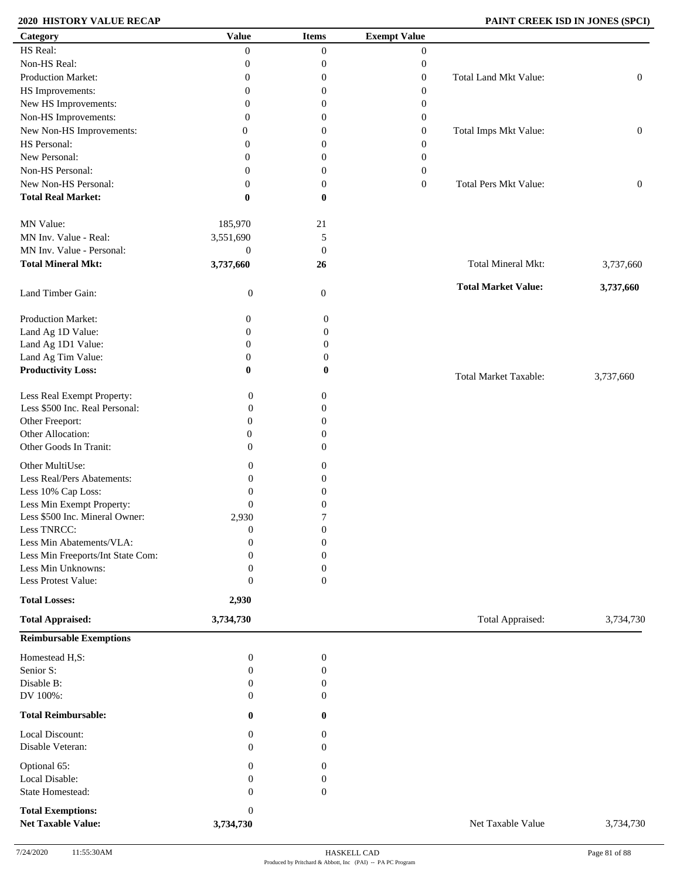## **2020 HISTORY VALUE RECAP PAINT CREEK ISD IN JONES (SPCI)**

| Category                                              | <b>Value</b>                  | <b>Items</b>     | <b>Exempt Value</b> |                              |                  |
|-------------------------------------------------------|-------------------------------|------------------|---------------------|------------------------------|------------------|
| HS Real:                                              | $\mathbf{0}$                  | $\boldsymbol{0}$ | $\boldsymbol{0}$    |                              |                  |
| Non-HS Real:                                          | $\boldsymbol{0}$              | $\boldsymbol{0}$ | $\boldsymbol{0}$    |                              |                  |
| Production Market:                                    | $\boldsymbol{0}$              | $\boldsymbol{0}$ | $\boldsymbol{0}$    | Total Land Mkt Value:        | $\boldsymbol{0}$ |
| HS Improvements:                                      | $\boldsymbol{0}$              | $\boldsymbol{0}$ | $\boldsymbol{0}$    |                              |                  |
| New HS Improvements:                                  | $\boldsymbol{0}$              | $\boldsymbol{0}$ | $\boldsymbol{0}$    |                              |                  |
| Non-HS Improvements:                                  | 0                             | $\boldsymbol{0}$ | $\boldsymbol{0}$    |                              |                  |
| New Non-HS Improvements:                              | $\overline{0}$                | $\boldsymbol{0}$ | $\boldsymbol{0}$    | Total Imps Mkt Value:        | $\boldsymbol{0}$ |
| HS Personal:                                          |                               |                  |                     |                              |                  |
|                                                       | 0                             | $\boldsymbol{0}$ | $\boldsymbol{0}$    |                              |                  |
| New Personal:                                         | 0                             | $\boldsymbol{0}$ | $\boldsymbol{0}$    |                              |                  |
| Non-HS Personal:                                      | $\overline{0}$                | $\boldsymbol{0}$ | $\boldsymbol{0}$    |                              |                  |
| New Non-HS Personal:                                  | $\overline{0}$                | $\boldsymbol{0}$ | $\boldsymbol{0}$    | Total Pers Mkt Value:        | $\boldsymbol{0}$ |
| <b>Total Real Market:</b>                             | 0                             | $\bf{0}$         |                     |                              |                  |
| MN Value:                                             | 185,970                       | 21               |                     |                              |                  |
| MN Inv. Value - Real:                                 | 3,551,690                     | 5                |                     |                              |                  |
| MN Inv. Value - Personal:                             | $\boldsymbol{0}$              | $\mathbf{0}$     |                     |                              |                  |
| <b>Total Mineral Mkt:</b>                             | 3,737,660                     | 26               |                     | Total Mineral Mkt:           | 3,737,660        |
| Land Timber Gain:                                     | $\boldsymbol{0}$              | $\mathbf{0}$     |                     | <b>Total Market Value:</b>   | 3,737,660        |
| Production Market:                                    | 0                             | $\boldsymbol{0}$ |                     |                              |                  |
| Land Ag 1D Value:                                     | $\boldsymbol{0}$              | $\boldsymbol{0}$ |                     |                              |                  |
|                                                       |                               |                  |                     |                              |                  |
| Land Ag 1D1 Value:                                    | $\boldsymbol{0}$              | $\boldsymbol{0}$ |                     |                              |                  |
| Land Ag Tim Value:                                    | $\boldsymbol{0}$              | $\boldsymbol{0}$ |                     |                              |                  |
| <b>Productivity Loss:</b>                             | 0                             | 0                |                     | <b>Total Market Taxable:</b> | 3,737,660        |
| Less Real Exempt Property:                            | $\boldsymbol{0}$              | $\boldsymbol{0}$ |                     |                              |                  |
| Less \$500 Inc. Real Personal:                        | $\boldsymbol{0}$              | $\mathbf{0}$     |                     |                              |                  |
| Other Freeport:                                       | $\overline{0}$                | 0                |                     |                              |                  |
| Other Allocation:                                     | $\mathbf{0}$                  | $\theta$         |                     |                              |                  |
| Other Goods In Tranit:                                | $\Omega$                      | $\mathbf{0}$     |                     |                              |                  |
| Other MultiUse:                                       | $\mathbf{0}$                  | $\theta$         |                     |                              |                  |
| Less Real/Pers Abatements:                            | $\mathbf{0}$                  | $\theta$         |                     |                              |                  |
| Less 10% Cap Loss:                                    | $\boldsymbol{0}$              | $\overline{0}$   |                     |                              |                  |
| Less Min Exempt Property:                             | $\theta$                      | 0                |                     |                              |                  |
| Less \$500 Inc. Mineral Owner:                        | 2,930                         | 7                |                     |                              |                  |
| Less TNRCC:                                           | $\boldsymbol{0}$              | $\boldsymbol{0}$ |                     |                              |                  |
| Less Min Abatements/VLA:                              | $\overline{0}$                | $\mathbf{0}$     |                     |                              |                  |
| Less Min Freeports/Int State Com:                     | $\Omega$                      | $\mathbf{0}$     |                     |                              |                  |
| Less Min Unknowns:                                    | $\theta$                      | $\boldsymbol{0}$ |                     |                              |                  |
| Less Protest Value:                                   | $\overline{0}$                | $\boldsymbol{0}$ |                     |                              |                  |
| <b>Total Losses:</b>                                  | 2,930                         |                  |                     |                              |                  |
| <b>Total Appraised:</b>                               | 3,734,730                     |                  |                     | Total Appraised:             | 3,734,730        |
| <b>Reimbursable Exemptions</b>                        |                               |                  |                     |                              |                  |
| Homestead H,S:                                        | $\boldsymbol{0}$              | $\boldsymbol{0}$ |                     |                              |                  |
| Senior S:                                             | $\boldsymbol{0}$              | $\boldsymbol{0}$ |                     |                              |                  |
| Disable B:                                            | $\boldsymbol{0}$              | $\boldsymbol{0}$ |                     |                              |                  |
| DV 100%:                                              | $\mathbf{0}$                  | $\mathbf{0}$     |                     |                              |                  |
| <b>Total Reimbursable:</b>                            | $\bf{0}$                      | $\bf{0}$         |                     |                              |                  |
| Local Discount:                                       | $\boldsymbol{0}$              | 0                |                     |                              |                  |
| Disable Veteran:                                      | $\mathbf{0}$                  | $\mathbf{0}$     |                     |                              |                  |
| Optional 65:                                          | $\Omega$                      | $\theta$         |                     |                              |                  |
| Local Disable:                                        | 0                             | $\theta$         |                     |                              |                  |
| State Homestead:                                      | $\mathbf{0}$                  | $\boldsymbol{0}$ |                     |                              |                  |
|                                                       |                               |                  |                     |                              |                  |
| <b>Total Exemptions:</b><br><b>Net Taxable Value:</b> | $\boldsymbol{0}$<br>3,734,730 |                  |                     | Net Taxable Value            | 3,734,730        |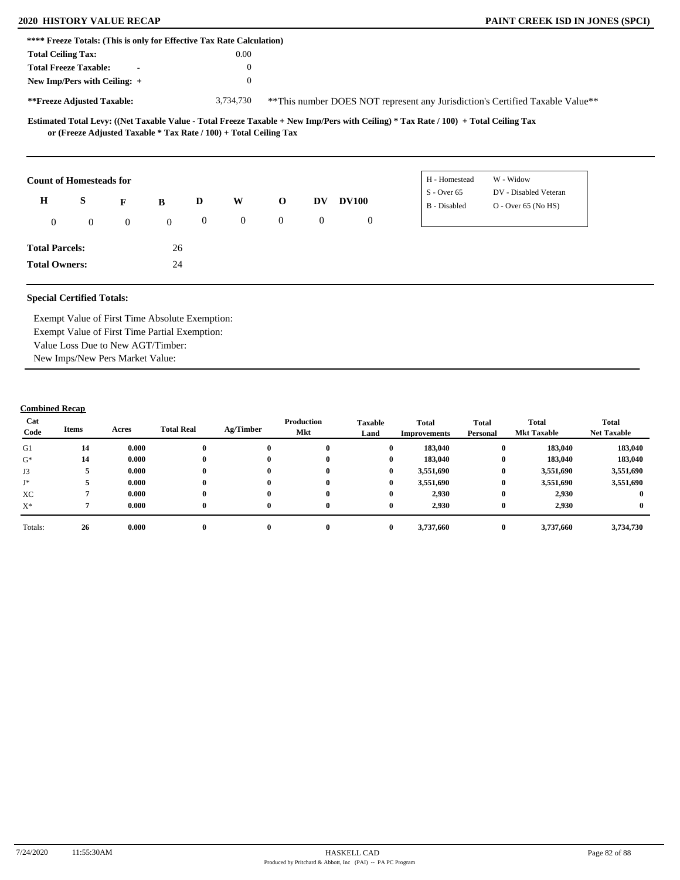|                           |                                                                                                     |                |              |                  | **** Freeze Totals: (This is only for Effective Tax Rate Calculation) |                |                  |              |                                                                                                                                                      |                                                                                |  |
|---------------------------|-----------------------------------------------------------------------------------------------------|----------------|--------------|------------------|-----------------------------------------------------------------------|----------------|------------------|--------------|------------------------------------------------------------------------------------------------------------------------------------------------------|--------------------------------------------------------------------------------|--|
| <b>Total Ceiling Tax:</b> |                                                                                                     |                |              |                  | 0.00                                                                  |                |                  |              |                                                                                                                                                      |                                                                                |  |
|                           | <b>Total Freeze Taxable:</b>                                                                        |                |              |                  | $\theta$                                                              |                |                  |              |                                                                                                                                                      |                                                                                |  |
|                           | New Imp/Pers with Ceiling: +                                                                        |                |              |                  | $\theta$                                                              |                |                  |              |                                                                                                                                                      |                                                                                |  |
|                           | **Freeze Adjusted Taxable:                                                                          |                |              |                  | 3,734,730                                                             |                |                  |              |                                                                                                                                                      | ** This number DOES NOT represent any Jurisdiction's Certified Taxable Value** |  |
|                           | or (Freeze Adjusted Taxable * Tax Rate / 100) + Total Ceiling Tax<br><b>Count of Homesteads for</b> |                |              |                  |                                                                       |                |                  |              | Estimated Total Levy: ((Net Taxable Value - Total Freeze Taxable + New Imp/Pers with Ceiling) * Tax Rate / 100) + Total Ceiling Tax<br>H - Homestead | W - Widow                                                                      |  |
|                           |                                                                                                     |                |              |                  |                                                                       |                |                  |              | $S -$ Over 65                                                                                                                                        | DV - Disabled Veteran                                                          |  |
| $\mathbf H$               | S                                                                                                   | F              | B            | D                | W                                                                     | $\mathbf{o}$   | <b>DV</b>        | <b>DV100</b> | B - Disabled                                                                                                                                         | $O - Over 65 (No HS)$                                                          |  |
|                           |                                                                                                     |                |              |                  |                                                                       |                |                  |              |                                                                                                                                                      |                                                                                |  |
| $\mathbf{0}$              | $\mathbf{0}$                                                                                        | $\overline{0}$ | $\mathbf{0}$ | $\boldsymbol{0}$ | $\mathbf{0}$                                                          | $\overline{0}$ | $\boldsymbol{0}$ | $\mathbf{0}$ |                                                                                                                                                      |                                                                                |  |
| <b>Total Parcels:</b>     |                                                                                                     |                | 26           |                  |                                                                       |                |                  |              |                                                                                                                                                      |                                                                                |  |

Exempt Value of First Time Absolute Exemption: Exempt Value of First Time Partial Exemption: Value Loss Due to New AGT/Timber: New Imps/New Pers Market Value:

| Cat<br>Code | Items | Acres | <b>Total Real</b> | Ag/Timber | Production<br>Mkt | <b>Taxable</b><br>Land | <b>Total</b><br>Improvements | <b>Total</b><br>Personal | Total<br><b>Mkt Taxable</b> | <b>Total</b><br><b>Net Taxable</b> |
|-------------|-------|-------|-------------------|-----------|-------------------|------------------------|------------------------------|--------------------------|-----------------------------|------------------------------------|
| G1          | 14    | 0.000 |                   | $\bf{0}$  |                   | $\mathbf{0}$           | 183,040                      | $\bf{0}$                 | 183,040                     | 183,040                            |
| $G^*$       | 14    | 0.000 |                   | $\bf{0}$  | $\mathbf{0}$      | $\bf{0}$               | 183,040                      | $\bf{0}$                 | 183,040                     | 183,040                            |
| J3          |       | 0.000 |                   | $\bf{0}$  | $\mathbf{0}$      | $\bf{0}$               | 3,551,690                    | $\bf{0}$                 | 3,551,690                   | 3,551,690                          |
| J*          |       | 0.000 |                   | $\bf{0}$  |                   | $\bf{0}$               | 3,551,690                    | $\bf{0}$                 | 3,551,690                   | 3,551,690                          |
| XC          |       | 0.000 |                   | $\bf{0}$  | $\mathbf{0}$      | $\bf{0}$               | 2,930                        | $\bf{0}$                 | 2,930                       |                                    |
| $X^*$       |       | 0.000 | 0                 | $\bf{0}$  | $\mathbf{0}$      | $\bf{0}$               | 2,930                        | $\bf{0}$                 | 2,930                       |                                    |
| Totals:     | 26    | 0.000 |                   | $\bf{0}$  |                   | $\mathbf{0}$           | 3,737,660                    | $\bf{0}$                 | 3,737,660                   | 3,734,730                          |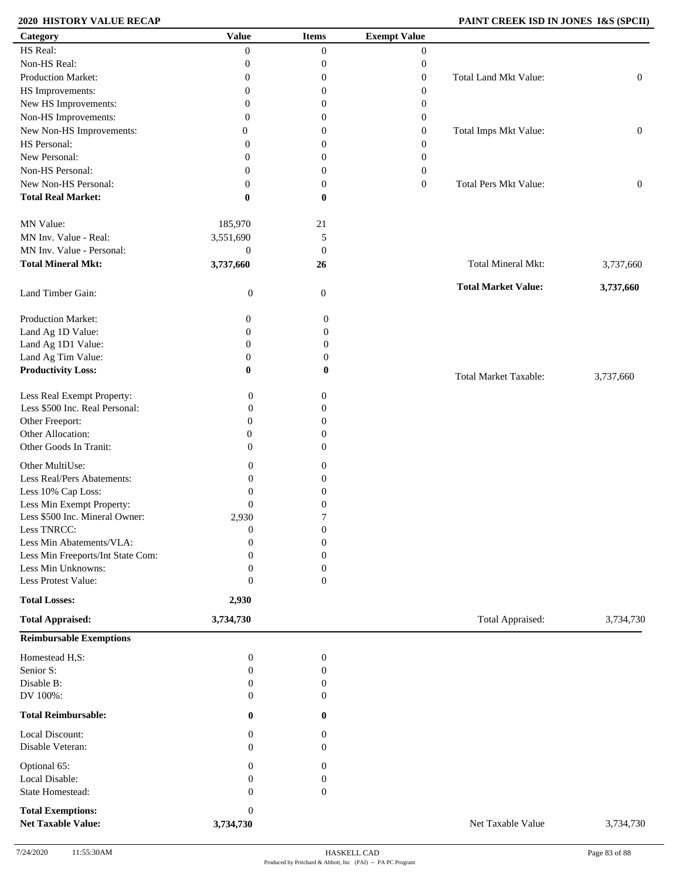## **2020 HISTORY VALUE RECAP PAINT CREEK ISD IN JONES I&S (SPCII)**

| Category                                              | <b>Value</b>                  | <b>Items</b>     | <b>Exempt Value</b> |                              |                  |
|-------------------------------------------------------|-------------------------------|------------------|---------------------|------------------------------|------------------|
| HS Real:                                              | $\overline{0}$                | $\boldsymbol{0}$ | $\boldsymbol{0}$    |                              |                  |
| Non-HS Real:                                          | $\boldsymbol{0}$              | 0                | $\boldsymbol{0}$    |                              |                  |
| Production Market:                                    | $\boldsymbol{0}$              | 0                | $\boldsymbol{0}$    | Total Land Mkt Value:        | $\boldsymbol{0}$ |
| HS Improvements:                                      | $\boldsymbol{0}$              | 0                | $\boldsymbol{0}$    |                              |                  |
| New HS Improvements:                                  | $\boldsymbol{0}$              | 0                | $\boldsymbol{0}$    |                              |                  |
| Non-HS Improvements:                                  | $\theta$                      | 0                | $\boldsymbol{0}$    |                              |                  |
|                                                       |                               |                  |                     |                              |                  |
| New Non-HS Improvements:                              | $\mathbf{0}$                  | 0                | $\boldsymbol{0}$    | Total Imps Mkt Value:        | $\boldsymbol{0}$ |
| HS Personal:                                          | $\theta$                      | 0                | $\boldsymbol{0}$    |                              |                  |
| New Personal:                                         | $\theta$                      | 0                | $\boldsymbol{0}$    |                              |                  |
| Non-HS Personal:                                      | $\mathbf{0}$                  | 0                | $\boldsymbol{0}$    |                              |                  |
| New Non-HS Personal:                                  | $\mathbf{0}$                  | 0                | $\boldsymbol{0}$    | <b>Total Pers Mkt Value:</b> | $\boldsymbol{0}$ |
| <b>Total Real Market:</b>                             | $\bf{0}$                      | 0                |                     |                              |                  |
| MN Value:                                             | 185,970                       | $21\,$           |                     |                              |                  |
| MN Inv. Value - Real:                                 | 3,551,690                     | 5                |                     |                              |                  |
| MN Inv. Value - Personal:                             | $\boldsymbol{0}$              | $\mathbf{0}$     |                     |                              |                  |
| <b>Total Mineral Mkt:</b>                             | 3,737,660                     | 26               |                     | Total Mineral Mkt:           | 3,737,660        |
| Land Timber Gain:                                     | $\boldsymbol{0}$              | $\mathbf{0}$     |                     | <b>Total Market Value:</b>   | 3,737,660        |
| Production Market:                                    | $\boldsymbol{0}$              | 0                |                     |                              |                  |
| Land Ag 1D Value:                                     | $\boldsymbol{0}$              | $\boldsymbol{0}$ |                     |                              |                  |
| Land Ag 1D1 Value:                                    | $\boldsymbol{0}$              | $\boldsymbol{0}$ |                     |                              |                  |
| Land Ag Tim Value:                                    | $\boldsymbol{0}$              | $\boldsymbol{0}$ |                     |                              |                  |
| <b>Productivity Loss:</b>                             | $\bf{0}$                      | $\bf{0}$         |                     |                              |                  |
|                                                       |                               |                  |                     | <b>Total Market Taxable:</b> | 3,737,660        |
| Less Real Exempt Property:                            | $\mathbf{0}$                  | $\boldsymbol{0}$ |                     |                              |                  |
| Less \$500 Inc. Real Personal:                        | $\theta$                      | $\boldsymbol{0}$ |                     |                              |                  |
| Other Freeport:                                       | $\mathbf{0}$                  | $\boldsymbol{0}$ |                     |                              |                  |
| Other Allocation:                                     | $\boldsymbol{0}$              | 0                |                     |                              |                  |
| Other Goods In Tranit:                                | $\overline{0}$                | $\Omega$         |                     |                              |                  |
| Other MultiUse:                                       |                               |                  |                     |                              |                  |
|                                                       | $\mathbf{0}$                  | 0                |                     |                              |                  |
| Less Real/Pers Abatements:                            | $\theta$                      | 0                |                     |                              |                  |
| Less 10% Cap Loss:                                    | $\mathbf{0}$                  | 0                |                     |                              |                  |
| Less Min Exempt Property:                             | $\theta$                      | 0                |                     |                              |                  |
| Less \$500 Inc. Mineral Owner:                        | 2,930                         | 7                |                     |                              |                  |
| Less TNRCC:                                           | $\boldsymbol{0}$              | $\boldsymbol{0}$ |                     |                              |                  |
| Less Min Abatements/VLA:                              | $\theta$                      | $\boldsymbol{0}$ |                     |                              |                  |
| Less Min Freeports/Int State Com:                     | $\Omega$                      | $\boldsymbol{0}$ |                     |                              |                  |
| Less Min Unknowns:                                    | $\mathbf{0}$                  | 0                |                     |                              |                  |
| Less Protest Value:                                   | $\mathbf{0}$                  | $\mathbf{0}$     |                     |                              |                  |
| <b>Total Losses:</b>                                  | 2,930                         |                  |                     |                              |                  |
| <b>Total Appraised:</b>                               | 3,734,730                     |                  |                     | Total Appraised:             | 3,734,730        |
| <b>Reimbursable Exemptions</b>                        |                               |                  |                     |                              |                  |
| Homestead H,S:                                        | $\boldsymbol{0}$              | $\boldsymbol{0}$ |                     |                              |                  |
| Senior S:                                             | $\mathbf{0}$                  | $\boldsymbol{0}$ |                     |                              |                  |
| Disable B:                                            | $\mathbf{0}$                  | 0                |                     |                              |                  |
| DV 100%:                                              | $\theta$                      | $\overline{0}$   |                     |                              |                  |
| <b>Total Reimbursable:</b>                            | $\bf{0}$                      | $\bf{0}$         |                     |                              |                  |
| Local Discount:                                       | $\theta$                      | 0                |                     |                              |                  |
| Disable Veteran:                                      | $\theta$                      | $\boldsymbol{0}$ |                     |                              |                  |
| Optional 65:                                          | $\Omega$                      | 0                |                     |                              |                  |
| Local Disable:                                        | $\Omega$                      | 0                |                     |                              |                  |
| State Homestead:                                      | $\Omega$                      | $\mathbf{0}$     |                     |                              |                  |
|                                                       |                               |                  |                     |                              |                  |
| <b>Total Exemptions:</b><br><b>Net Taxable Value:</b> | $\boldsymbol{0}$<br>3,734,730 |                  |                     | Net Taxable Value            | 3,734,730        |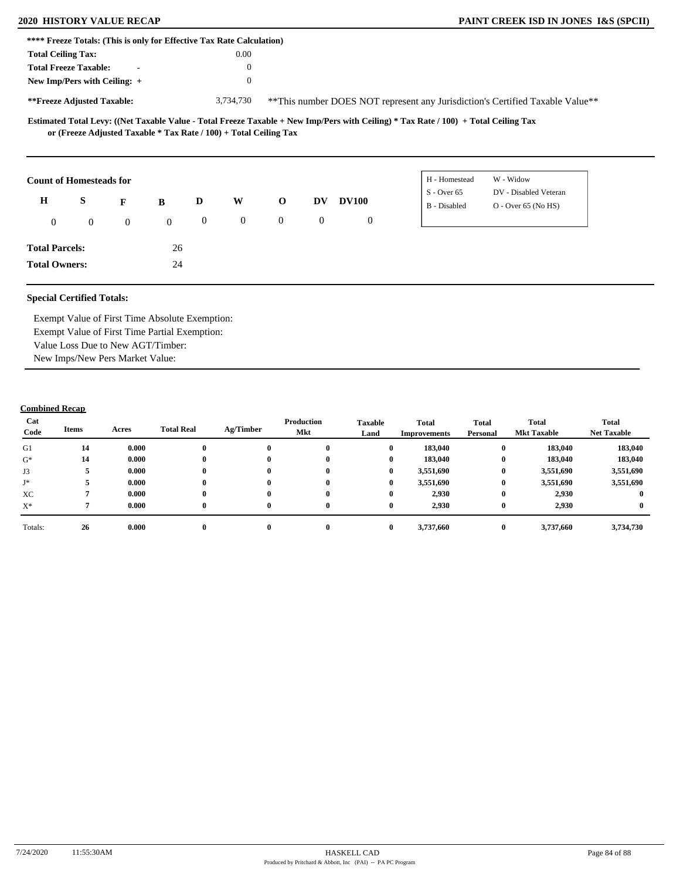|                           | **** Freeze Totals: (This is only for Effective Tax Rate Calculation)                               |                |              |                  |                |                  |              |                |                                                                                                                                                      |                                                                               |  |
|---------------------------|-----------------------------------------------------------------------------------------------------|----------------|--------------|------------------|----------------|------------------|--------------|----------------|------------------------------------------------------------------------------------------------------------------------------------------------------|-------------------------------------------------------------------------------|--|
| <b>Total Ceiling Tax:</b> |                                                                                                     |                |              |                  | $0.00\,$       |                  |              |                |                                                                                                                                                      |                                                                               |  |
|                           | <b>Total Freeze Taxable:</b>                                                                        | $\blacksquare$ |              |                  | $\theta$       |                  |              |                |                                                                                                                                                      |                                                                               |  |
|                           | New Imp/Pers with Ceiling: +                                                                        |                |              |                  | $\theta$       |                  |              |                |                                                                                                                                                      |                                                                               |  |
|                           | **Freeze Adjusted Taxable:                                                                          |                |              |                  | 3,734,730      |                  |              |                |                                                                                                                                                      | **This number DOES NOT represent any Jurisdiction's Certified Taxable Value** |  |
|                           | or (Freeze Adjusted Taxable * Tax Rate / 100) + Total Ceiling Tax<br><b>Count of Homesteads for</b> |                |              |                  |                |                  |              |                | Estimated Total Levy: ((Net Taxable Value - Total Freeze Taxable + New Imp/Pers with Ceiling) * Tax Rate / 100) + Total Ceiling Tax<br>H - Homestead | W - Widow                                                                     |  |
|                           |                                                                                                     |                |              |                  |                |                  |              |                | $S - Over 65$                                                                                                                                        | DV - Disabled Veteran                                                         |  |
| H                         | S                                                                                                   | F              | B            | D                | W              | $\mathbf 0$      | <b>DV</b>    | <b>DV100</b>   | B - Disabled                                                                                                                                         | $O - Over 65 (No HS)$                                                         |  |
| $\overline{0}$            | $\overline{0}$                                                                                      | $\overline{0}$ | $\mathbf{0}$ | $\boldsymbol{0}$ | $\overline{0}$ | $\boldsymbol{0}$ | $\mathbf{0}$ | $\overline{0}$ |                                                                                                                                                      |                                                                               |  |
| <b>Total Parcels:</b>     |                                                                                                     |                | 26           |                  |                |                  |              |                |                                                                                                                                                      |                                                                               |  |
| <b>Total Owners:</b>      |                                                                                                     |                | 24           |                  |                |                  |              |                |                                                                                                                                                      |                                                                               |  |

Exempt Value of First Time Absolute Exemption: Exempt Value of First Time Partial Exemption: Value Loss Due to New AGT/Timber: New Imps/New Pers Market Value:

| Cat<br>Code | Items | Acres | <b>Total Real</b> | Ag/Timber | Production<br>Mkt | <b>Taxable</b><br>Land | <b>Total</b><br>Improvements | <b>Total</b><br>Personal | Total<br><b>Mkt Taxable</b> | <b>Total</b><br><b>Net Taxable</b> |
|-------------|-------|-------|-------------------|-----------|-------------------|------------------------|------------------------------|--------------------------|-----------------------------|------------------------------------|
| G1          | 14    | 0.000 |                   | $\bf{0}$  |                   | $\bf{0}$               | 183,040                      | $\bf{0}$                 | 183,040                     | 183,040                            |
| $G^*$       | 14    | 0.000 |                   | $\bf{0}$  | $\mathbf{0}$      | $\bf{0}$               | 183,040                      | $\bf{0}$                 | 183,040                     | 183,040                            |
| J3          |       | 0.000 |                   | $\bf{0}$  | $\mathbf{0}$      | $\bf{0}$               | 3,551,690                    | $\bf{0}$                 | 3,551,690                   | 3,551,690                          |
| J*          |       | 0.000 |                   | $\bf{0}$  |                   | $\bf{0}$               | 3,551,690                    | $\bf{0}$                 | 3,551,690                   | 3,551,690                          |
| XC          |       | 0.000 |                   | $\bf{0}$  | $\mathbf{0}$      | $\bf{0}$               | 2,930                        | $\bf{0}$                 | 2,930                       |                                    |
| $X^*$       |       | 0.000 | 0                 | $\bf{0}$  | $\mathbf{0}$      | $\bf{0}$               | 2,930                        | $\bf{0}$                 | 2,930                       |                                    |
| Totals:     | 26    | 0.000 |                   | $\bf{0}$  |                   | $\mathbf{0}$           | 3,737,660                    | $\bf{0}$                 | 3,737,660                   | 3,734,730                          |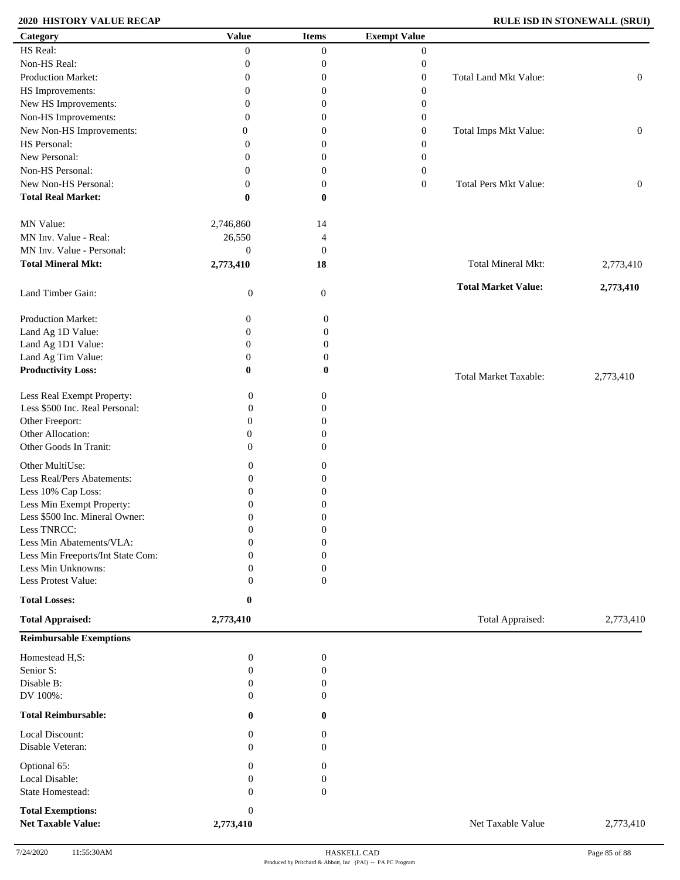## **2020 HISTORY VALUE RECAP RULE ISD IN STONEWALL (SRUI)**

| Category                                              | <b>Value</b>                  | <b>Items</b>         | <b>Exempt Value</b> |                              |                  |
|-------------------------------------------------------|-------------------------------|----------------------|---------------------|------------------------------|------------------|
| HS Real:                                              | $\theta$                      | $\theta$             | $\overline{0}$      |                              |                  |
| Non-HS Real:                                          | $\boldsymbol{0}$              | $\mathbf{0}$         | $\boldsymbol{0}$    |                              |                  |
| Production Market:                                    | $\theta$                      | $\mathbf{0}$         | $\boldsymbol{0}$    | Total Land Mkt Value:        | $\boldsymbol{0}$ |
| HS Improvements:                                      | $\mathbf{0}$                  | $\mathbf{0}$         | $\boldsymbol{0}$    |                              |                  |
| New HS Improvements:                                  | $\overline{0}$                | 0                    |                     |                              |                  |
|                                                       |                               |                      | $\boldsymbol{0}$    |                              |                  |
| Non-HS Improvements:                                  | $\theta$                      | 0                    | $\boldsymbol{0}$    |                              |                  |
| New Non-HS Improvements:                              | 0                             | $\mathbf{0}$         | $\boldsymbol{0}$    | Total Imps Mkt Value:        | $\boldsymbol{0}$ |
| HS Personal:                                          | 0                             | 0                    | $\boldsymbol{0}$    |                              |                  |
| New Personal:                                         | 0                             | 0                    | $\boldsymbol{0}$    |                              |                  |
| Non-HS Personal:                                      | 0                             | $\mathbf{0}$         | $\boldsymbol{0}$    |                              |                  |
| New Non-HS Personal:                                  | $\mathbf{0}$                  | $\boldsymbol{0}$     | $\boldsymbol{0}$    | <b>Total Pers Mkt Value:</b> | $\boldsymbol{0}$ |
| <b>Total Real Market:</b>                             | $\bf{0}$                      | $\bf{0}$             |                     |                              |                  |
| MN Value:                                             | 2,746,860                     | 14                   |                     |                              |                  |
| MN Inv. Value - Real:                                 | 26,550                        | $\overline{4}$       |                     |                              |                  |
| MN Inv. Value - Personal:                             | $\mathbf{0}$                  | $\mathbf{0}$         |                     |                              |                  |
| <b>Total Mineral Mkt:</b>                             |                               |                      |                     | <b>Total Mineral Mkt:</b>    |                  |
|                                                       | 2,773,410                     | 18                   |                     |                              | 2,773,410        |
| Land Timber Gain:                                     | $\boldsymbol{0}$              | $\mathbf{0}$         |                     | <b>Total Market Value:</b>   | 2,773,410        |
| Production Market:                                    | 0                             | $\boldsymbol{0}$     |                     |                              |                  |
| Land Ag 1D Value:                                     | $\boldsymbol{0}$              | $\boldsymbol{0}$     |                     |                              |                  |
| Land Ag 1D1 Value:                                    | $\boldsymbol{0}$              | $\boldsymbol{0}$     |                     |                              |                  |
| Land Ag Tim Value:                                    | $\boldsymbol{0}$              | $\boldsymbol{0}$     |                     |                              |                  |
| <b>Productivity Loss:</b>                             | $\bf{0}$                      | $\bf{0}$             |                     | <b>Total Market Taxable:</b> | 2,773,410        |
| Less Real Exempt Property:                            | $\boldsymbol{0}$              | $\boldsymbol{0}$     |                     |                              |                  |
| Less \$500 Inc. Real Personal:                        | $\boldsymbol{0}$              | $\mathbf{0}$         |                     |                              |                  |
| Other Freeport:                                       | $\overline{0}$                | $\Omega$             |                     |                              |                  |
| Other Allocation:                                     | $\boldsymbol{0}$              | $\Omega$             |                     |                              |                  |
| Other Goods In Tranit:                                | $\overline{0}$                | $\Omega$             |                     |                              |                  |
|                                                       |                               |                      |                     |                              |                  |
| Other MultiUse:                                       | $\boldsymbol{0}$              | $\boldsymbol{0}$     |                     |                              |                  |
| Less Real/Pers Abatements:                            | $\boldsymbol{0}$              | $\boldsymbol{0}$     |                     |                              |                  |
| Less 10% Cap Loss:                                    | $\boldsymbol{0}$              | 0                    |                     |                              |                  |
| Less Min Exempt Property:                             | $\boldsymbol{0}$              | $\mathbf{0}$         |                     |                              |                  |
| Less \$500 Inc. Mineral Owner:                        | $\boldsymbol{0}$              | $\mathbf{0}$         |                     |                              |                  |
| Less TNRCC:                                           | $\boldsymbol{0}$              | $\boldsymbol{0}$     |                     |                              |                  |
| Less Min Abatements/VLA:                              | $\overline{0}$                | $\boldsymbol{0}$     |                     |                              |                  |
|                                                       | ∩                             |                      |                     |                              |                  |
| Less Min Freeports/Int State Com:                     |                               | $\mathbf{0}$         |                     |                              |                  |
| Less Min Unknowns:                                    | 0                             | $\mathbf{0}$         |                     |                              |                  |
| Less Protest Value:                                   | $\Omega$                      | $\mathbf{0}$         |                     |                              |                  |
| <b>Total Losses:</b><br><b>Total Appraised:</b>       | 0<br>2,773,410                |                      |                     | Total Appraised:             | 2,773,410        |
| <b>Reimbursable Exemptions</b>                        |                               |                      |                     |                              |                  |
| Homestead H,S:                                        | $\boldsymbol{0}$              | $\boldsymbol{0}$     |                     |                              |                  |
| Senior S:                                             | $\overline{0}$                | $\mathbf{0}$         |                     |                              |                  |
| Disable B:                                            | $\mathbf{0}$                  | $\theta$             |                     |                              |                  |
| DV 100%:                                              | $\Omega$                      | $\Omega$             |                     |                              |                  |
| <b>Total Reimbursable:</b>                            |                               |                      |                     |                              |                  |
| Local Discount:                                       | $\bf{0}$<br>$\Omega$          | $\bf{0}$<br>$\bf{0}$ |                     |                              |                  |
| Disable Veteran:                                      | $\Omega$                      | $\Omega$             |                     |                              |                  |
| Optional 65:                                          | $\left( \right)$              | $\theta$             |                     |                              |                  |
| Local Disable:                                        | 0                             | 0                    |                     |                              |                  |
|                                                       |                               |                      |                     |                              |                  |
| <b>State Homestead:</b>                               | $\Omega$                      | $\mathbf{0}$         |                     |                              |                  |
| <b>Total Exemptions:</b><br><b>Net Taxable Value:</b> | $\boldsymbol{0}$<br>2,773,410 |                      |                     | Net Taxable Value            | 2,773,410        |
|                                                       |                               |                      |                     |                              |                  |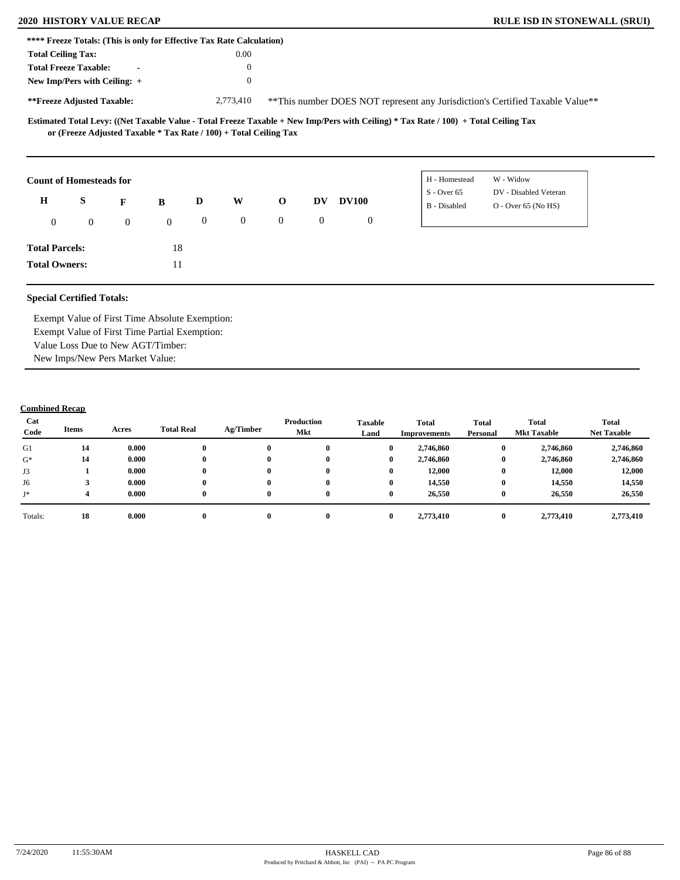| **** Freeze Totals: (This is only for Effective Tax Rate Calculation) |                                                                   |                  |              |                |                |                |                |                |                                                                                                                                     |                                                                               |  |
|-----------------------------------------------------------------------|-------------------------------------------------------------------|------------------|--------------|----------------|----------------|----------------|----------------|----------------|-------------------------------------------------------------------------------------------------------------------------------------|-------------------------------------------------------------------------------|--|
| <b>Total Ceiling Tax:</b>                                             |                                                                   |                  |              |                | 0.00           |                |                |                |                                                                                                                                     |                                                                               |  |
|                                                                       | <b>Total Freeze Taxable:</b>                                      | $\blacksquare$   |              |                | $\theta$       |                |                |                |                                                                                                                                     |                                                                               |  |
|                                                                       | New Imp/Pers with Ceiling: +                                      |                  |              |                | $\overline{0}$ |                |                |                |                                                                                                                                     |                                                                               |  |
|                                                                       | **Freeze Adjusted Taxable:                                        |                  |              |                | 2,773,410      |                |                |                |                                                                                                                                     | **This number DOES NOT represent any Jurisdiction's Certified Taxable Value** |  |
|                                                                       | or (Freeze Adjusted Taxable * Tax Rate / 100) + Total Ceiling Tax |                  |              |                |                |                |                |                | Estimated Total Levy: ((Net Taxable Value - Total Freeze Taxable + New Imp/Pers with Ceiling) * Tax Rate / 100) + Total Ceiling Tax |                                                                               |  |
|                                                                       |                                                                   |                  |              |                |                |                |                |                | H - Homestead                                                                                                                       | W - Widow                                                                     |  |
|                                                                       | <b>Count of Homesteads for</b>                                    |                  |              |                |                |                |                |                | $S - Over 65$                                                                                                                       | DV - Disabled Veteran                                                         |  |
| $\mathbf H$                                                           | S                                                                 | F                | B            | D              | W              | $\mathbf 0$    | <b>DV</b>      | <b>DV100</b>   | B - Disabled                                                                                                                        | $O -$ Over 65 (No HS)                                                         |  |
| $\mathbf{0}$                                                          | $\boldsymbol{0}$                                                  | $\boldsymbol{0}$ | $\mathbf{0}$ | $\overline{0}$ | $\overline{0}$ | $\overline{0}$ | $\overline{0}$ | $\overline{0}$ |                                                                                                                                     |                                                                               |  |
| <b>Total Parcels:</b>                                                 |                                                                   |                  | 18           |                |                |                |                |                |                                                                                                                                     |                                                                               |  |

Exempt Value of First Time Absolute Exemption: Exempt Value of First Time Partial Exemption: Value Loss Due to New AGT/Timber: New Imps/New Pers Market Value:

| Cat<br>Code | Items | Acres | <b>Total Real</b> | Ag/Timber | Production<br>Mkt | <b>Taxable</b><br>Land |          | <b>Total</b><br>Improvements | <b>Total</b><br>Personal | Total<br><b>Mkt Taxable</b> | <b>Total</b><br><b>Net Taxable</b> |
|-------------|-------|-------|-------------------|-----------|-------------------|------------------------|----------|------------------------------|--------------------------|-----------------------------|------------------------------------|
| G1          | 14    | 0.000 |                   | 0         |                   |                        | 0        | 2,746,860                    | $\bf{0}$                 | 2,746,860                   | 2,746,860                          |
| $G^*$       | 14    | 0.000 |                   | 0         | 0                 |                        | $\bf{0}$ | 2,746,860                    | $\bf{0}$                 | 2,746,860                   | 2,746,860                          |
| J3          |       | 0.000 |                   | 0         | $\mathbf{0}$      |                        | 0        | 12,000                       | $\bf{0}$                 | 12,000                      | 12,000                             |
| J6          |       | 0.000 |                   | 0         | $\mathbf{0}$      |                        | 0        | 14,550                       | $\bf{0}$                 | 14,550                      | 14,550                             |
| J*          |       | 0.000 |                   | 0         | $\mathbf{0}$      |                        | 0        | 26,550                       | $\bf{0}$                 | 26,550                      | 26,550                             |
| Totals:     | 18    | 0.000 |                   | 0         | $\mathbf{0}$      |                        | 0        | 2,773,410                    | $\bf{0}$                 | 2,773,410                   | 2,773,410                          |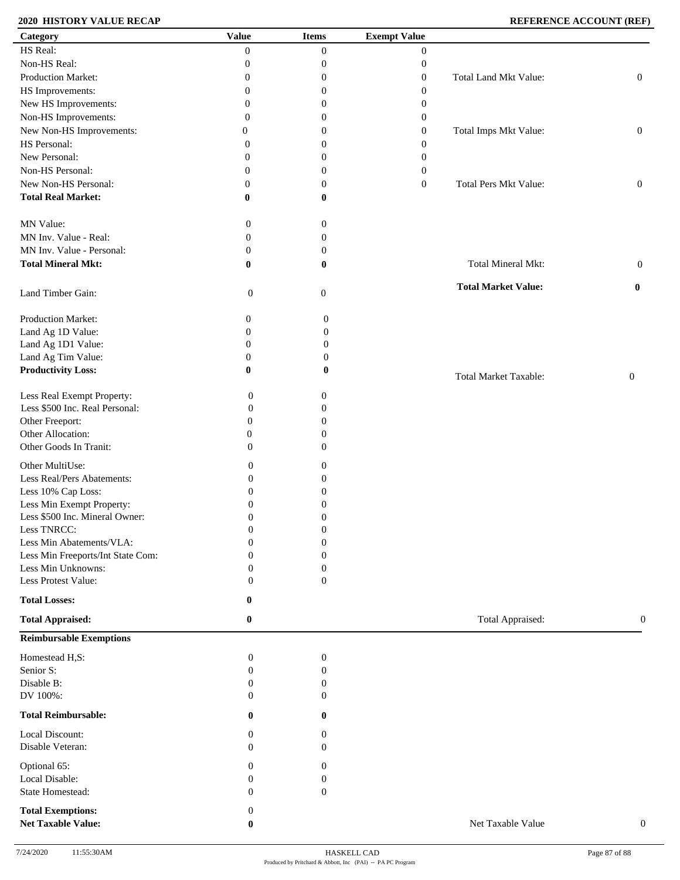## **2020 HISTORY VALUE RECAP REFERENCE ACCOUNT (REF)**

| Category                          | <b>Value</b>     | <b>Items</b>     | <b>Exempt Value</b> |                              |                  |
|-----------------------------------|------------------|------------------|---------------------|------------------------------|------------------|
| HS Real:                          | $\Omega$         | $\boldsymbol{0}$ | $\overline{0}$      |                              |                  |
| Non-HS Real:                      | 0                | $\boldsymbol{0}$ | $\boldsymbol{0}$    |                              |                  |
| Production Market:                | 0                | $\boldsymbol{0}$ | $\boldsymbol{0}$    | Total Land Mkt Value:        | $\boldsymbol{0}$ |
| HS Improvements:                  | $\overline{0}$   | $\boldsymbol{0}$ | $\boldsymbol{0}$    |                              |                  |
| New HS Improvements:              | $\overline{0}$   | $\boldsymbol{0}$ |                     |                              |                  |
|                                   |                  |                  | $\boldsymbol{0}$    |                              |                  |
| Non-HS Improvements:              | $\overline{0}$   | $\boldsymbol{0}$ | $\boldsymbol{0}$    |                              |                  |
| New Non-HS Improvements:          | $\theta$         | $\boldsymbol{0}$ | $\boldsymbol{0}$    | Total Imps Mkt Value:        | $\boldsymbol{0}$ |
| HS Personal:                      | 0                | $\boldsymbol{0}$ | $\boldsymbol{0}$    |                              |                  |
| New Personal:                     | $\overline{0}$   | $\boldsymbol{0}$ | $\boldsymbol{0}$    |                              |                  |
| Non-HS Personal:                  | $\overline{0}$   | $\boldsymbol{0}$ | $\boldsymbol{0}$    |                              |                  |
| New Non-HS Personal:              | $\overline{0}$   | $\boldsymbol{0}$ | $\boldsymbol{0}$    | Total Pers Mkt Value:        | $\boldsymbol{0}$ |
| <b>Total Real Market:</b>         | $\bf{0}$         | $\bf{0}$         |                     |                              |                  |
|                                   |                  |                  |                     |                              |                  |
|                                   |                  |                  |                     |                              |                  |
| MN Value:                         | $\boldsymbol{0}$ | $\boldsymbol{0}$ |                     |                              |                  |
| MN Inv. Value - Real:             | $\boldsymbol{0}$ | $\boldsymbol{0}$ |                     |                              |                  |
| MN Inv. Value - Personal:         | $\boldsymbol{0}$ | $\boldsymbol{0}$ |                     |                              |                  |
| <b>Total Mineral Mkt:</b>         | $\bf{0}$         | $\bf{0}$         |                     | Total Mineral Mkt:           | $\mathbf{0}$     |
|                                   |                  |                  |                     |                              |                  |
| Land Timber Gain:                 | $\boldsymbol{0}$ | $\mathbf{0}$     |                     | <b>Total Market Value:</b>   | $\bf{0}$         |
|                                   |                  |                  |                     |                              |                  |
|                                   |                  |                  |                     |                              |                  |
| Production Market:                | $\boldsymbol{0}$ | $\boldsymbol{0}$ |                     |                              |                  |
| Land Ag 1D Value:                 | $\boldsymbol{0}$ | $\boldsymbol{0}$ |                     |                              |                  |
| Land Ag 1D1 Value:                | $\boldsymbol{0}$ | $\boldsymbol{0}$ |                     |                              |                  |
| Land Ag Tim Value:                | $\boldsymbol{0}$ | $\boldsymbol{0}$ |                     |                              |                  |
| <b>Productivity Loss:</b>         | $\bf{0}$         | 0                |                     | <b>Total Market Taxable:</b> | $\boldsymbol{0}$ |
|                                   |                  |                  |                     |                              |                  |
| Less Real Exempt Property:        | $\boldsymbol{0}$ | $\boldsymbol{0}$ |                     |                              |                  |
| Less \$500 Inc. Real Personal:    | $\boldsymbol{0}$ | $\theta$         |                     |                              |                  |
| Other Freeport:                   | $\boldsymbol{0}$ | $\overline{0}$   |                     |                              |                  |
| Other Allocation:                 | $\boldsymbol{0}$ | $\overline{0}$   |                     |                              |                  |
| Other Goods In Tranit:            | $\mathbf{0}$     | $\theta$         |                     |                              |                  |
|                                   |                  |                  |                     |                              |                  |
| Other MultiUse:                   | $\boldsymbol{0}$ | 0                |                     |                              |                  |
| Less Real/Pers Abatements:        | $\boldsymbol{0}$ | $\overline{0}$   |                     |                              |                  |
| Less 10% Cap Loss:                | $\boldsymbol{0}$ | $\boldsymbol{0}$ |                     |                              |                  |
| Less Min Exempt Property:         | $\mathbf{0}$     | $\boldsymbol{0}$ |                     |                              |                  |
| Less \$500 Inc. Mineral Owner:    | $\boldsymbol{0}$ | $\boldsymbol{0}$ |                     |                              |                  |
| Less TNRCC:                       | $\boldsymbol{0}$ | $\boldsymbol{0}$ |                     |                              |                  |
| Less Min Abatements/VLA:          | $\boldsymbol{0}$ | $\boldsymbol{0}$ |                     |                              |                  |
|                                   |                  |                  |                     |                              |                  |
| Less Min Freeports/Int State Com: | $\Omega$         | $\theta$         |                     |                              |                  |
| Less Min Unknowns:                | $\boldsymbol{0}$ | $\boldsymbol{0}$ |                     |                              |                  |
| Less Protest Value:               | $\mathbf{0}$     | $\boldsymbol{0}$ |                     |                              |                  |
| <b>Total Losses:</b>              | 0                |                  |                     |                              |                  |
|                                   |                  |                  |                     |                              |                  |
| <b>Total Appraised:</b>           | $\bf{0}$         |                  |                     | Total Appraised:             | $\mathbf{0}$     |
| <b>Reimbursable Exemptions</b>    |                  |                  |                     |                              |                  |
|                                   |                  |                  |                     |                              |                  |
| Homestead H,S:                    | $\boldsymbol{0}$ | $\boldsymbol{0}$ |                     |                              |                  |
| Senior S:                         | $\overline{0}$   | $\boldsymbol{0}$ |                     |                              |                  |
| Disable B:                        | $\boldsymbol{0}$ | $\theta$         |                     |                              |                  |
| DV 100%:                          | $\mathbf{0}$     | $\theta$         |                     |                              |                  |
|                                   |                  |                  |                     |                              |                  |
| <b>Total Reimbursable:</b>        | $\bf{0}$         | $\mathbf{0}$     |                     |                              |                  |
| Local Discount:                   | $\mathbf{0}$     | $\overline{0}$   |                     |                              |                  |
|                                   |                  |                  |                     |                              |                  |
| Disable Veteran:                  | $\Omega$         | $\Omega$         |                     |                              |                  |
| Optional 65:                      | $\mathbf{0}$     | $\theta$         |                     |                              |                  |
| Local Disable:                    | $\boldsymbol{0}$ | 0                |                     |                              |                  |
| State Homestead:                  | $\mathbf{0}$     | $\mathbf{0}$     |                     |                              |                  |
|                                   |                  |                  |                     |                              |                  |
| <b>Total Exemptions:</b>          | $\boldsymbol{0}$ |                  |                     |                              |                  |
| <b>Net Taxable Value:</b>         | $\bf{0}$         |                  |                     | Net Taxable Value            | $\boldsymbol{0}$ |